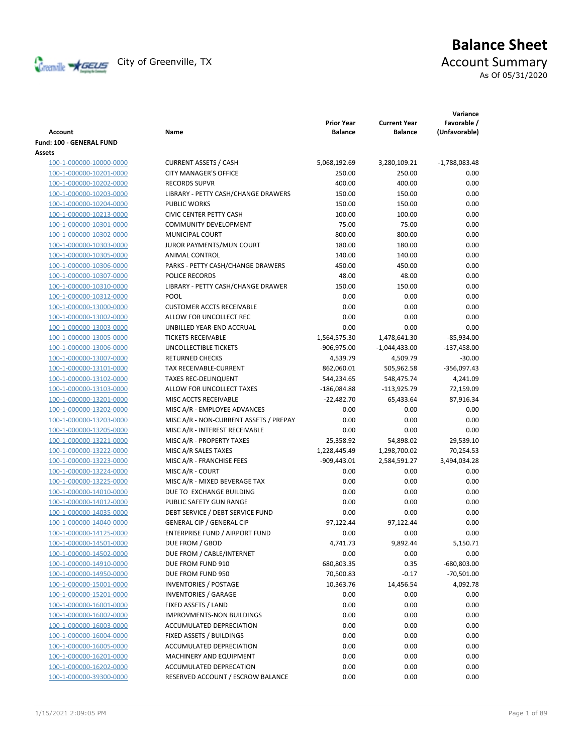

# **Balance Sheet** Creenville Strategy City of Greenville, TX Account Summary

As Of 05/31/2020

| Account                  | Name                                   | <b>Prior Year</b><br><b>Balance</b> | <b>Current Year</b><br><b>Balance</b> | Variance<br>Favorable /<br>(Unfavorable) |
|--------------------------|----------------------------------------|-------------------------------------|---------------------------------------|------------------------------------------|
| Fund: 100 - GENERAL FUND |                                        |                                     |                                       |                                          |
| Assets                   |                                        |                                     |                                       |                                          |
| 100-1-000000-10000-0000  | <b>CURRENT ASSETS / CASH</b>           | 5,068,192.69                        | 3,280,109.21                          | $-1,788,083.48$                          |
| 100-1-000000-10201-0000  | <b>CITY MANAGER'S OFFICE</b>           | 250.00                              | 250.00                                | 0.00                                     |
| 100-1-000000-10202-0000  | <b>RECORDS SUPVR</b>                   | 400.00                              | 400.00                                | 0.00                                     |
| 100-1-000000-10203-0000  | LIBRARY - PETTY CASH/CHANGE DRAWERS    | 150.00                              | 150.00                                | 0.00                                     |
| 100-1-000000-10204-0000  | <b>PUBLIC WORKS</b>                    | 150.00                              | 150.00                                | 0.00                                     |
| 100-1-000000-10213-0000  | <b>CIVIC CENTER PETTY CASH</b>         | 100.00                              | 100.00                                | 0.00                                     |
| 100-1-000000-10301-0000  | <b>COMMUNITY DEVELOPMENT</b>           | 75.00                               | 75.00                                 | 0.00                                     |
| 100-1-000000-10302-0000  | MUNICIPAL COURT                        | 800.00                              | 800.00                                | 0.00                                     |
| 100-1-000000-10303-0000  | JUROR PAYMENTS/MUN COURT               | 180.00                              | 180.00                                | 0.00                                     |
| 100-1-000000-10305-0000  | ANIMAL CONTROL                         | 140.00                              | 140.00                                | 0.00                                     |
| 100-1-000000-10306-0000  | PARKS - PETTY CASH/CHANGE DRAWERS      | 450.00                              | 450.00                                | 0.00                                     |
| 100-1-000000-10307-0000  | POLICE RECORDS                         | 48.00                               | 48.00                                 | 0.00                                     |
| 100-1-000000-10310-0000  | LIBRARY - PETTY CASH/CHANGE DRAWER     | 150.00                              | 150.00                                | 0.00                                     |
| 100-1-000000-10312-0000  | POOL                                   | 0.00                                | 0.00                                  | 0.00                                     |
| 100-1-000000-13000-0000  | <b>CUSTOMER ACCTS RECEIVABLE</b>       | 0.00                                | 0.00                                  | 0.00                                     |
| 100-1-000000-13002-0000  | ALLOW FOR UNCOLLECT REC                | 0.00                                | 0.00                                  | 0.00                                     |
| 100-1-000000-13003-0000  | UNBILLED YEAR-END ACCRUAL              | 0.00                                | 0.00                                  | 0.00                                     |
| 100-1-000000-13005-0000  | <b>TICKETS RECEIVABLE</b>              | 1,564,575.30                        | 1,478,641.30                          | $-85,934.00$                             |
| 100-1-000000-13006-0000  | UNCOLLECTIBLE TICKETS                  | -906,975.00                         | $-1,044,433.00$                       | $-137,458.00$                            |
| 100-1-000000-13007-0000  | <b>RETURNED CHECKS</b>                 | 4,539.79                            | 4,509.79                              | $-30.00$                                 |
| 100-1-000000-13101-0000  | TAX RECEIVABLE-CURRENT                 | 862,060.01                          | 505,962.58                            | $-356,097.43$                            |
| 100-1-000000-13102-0000  | <b>TAXES REC-DELINQUENT</b>            | 544,234.65                          | 548,475.74                            | 4,241.09                                 |
| 100-1-000000-13103-0000  | ALLOW FOR UNCOLLECT TAXES              | $-186,084.88$                       | $-113,925.79$                         | 72,159.09                                |
| 100-1-000000-13201-0000  | MISC ACCTS RECEIVABLE                  | $-22,482.70$                        | 65,433.64                             | 87,916.34                                |
| 100-1-000000-13202-0000  | MISC A/R - EMPLOYEE ADVANCES           | 0.00                                | 0.00                                  | 0.00                                     |
| 100-1-000000-13203-0000  | MISC A/R - NON-CURRENT ASSETS / PREPAY | 0.00                                | 0.00                                  | 0.00                                     |
| 100-1-000000-13205-0000  | MISC A/R - INTEREST RECEIVABLE         | 0.00                                | 0.00                                  | 0.00                                     |
| 100-1-000000-13221-0000  | MISC A/R - PROPERTY TAXES              | 25,358.92                           | 54,898.02                             | 29,539.10                                |
| 100-1-000000-13222-0000  | MISC A/R SALES TAXES                   | 1,228,445.49                        | 1,298,700.02                          | 70,254.53                                |
| 100-1-000000-13223-0000  | MISC A/R - FRANCHISE FEES              | $-909,443.01$                       | 2,584,591.27                          | 3,494,034.28                             |
| 100-1-000000-13224-0000  | MISC A/R - COURT                       | 0.00                                | 0.00                                  | 0.00                                     |
| 100-1-000000-13225-0000  | MISC A/R - MIXED BEVERAGE TAX          | 0.00                                | 0.00                                  | 0.00                                     |
| 100-1-000000-14010-0000  | DUE TO EXCHANGE BUILDING               | 0.00                                | 0.00                                  | 0.00                                     |
| 100-1-000000-14012-0000  | PUBLIC SAFETY GUN RANGE                | 0.00                                | 0.00                                  | 0.00                                     |
| 100-1-000000-14035-0000  | DEBT SERVICE / DEBT SERVICE FUND       | 0.00                                | 0.00                                  | 0.00                                     |
| 100-1-000000-14040-0000  | <b>GENERAL CIP / GENERAL CIP</b>       | $-97,122.44$                        | $-97,122.44$                          | 0.00                                     |
| 100-1-000000-14125-0000  | ENTERPRISE FUND / AIRPORT FUND         | 0.00                                | 0.00                                  | 0.00                                     |
| 100-1-000000-14501-0000  | DUE FROM / GBOD                        | 4,741.73                            | 9,892.44                              | 5,150.71                                 |
| 100-1-000000-14502-0000  | DUE FROM / CABLE/INTERNET              | 0.00                                | 0.00                                  | 0.00                                     |
| 100-1-000000-14910-0000  | DUE FROM FUND 910                      | 680,803.35                          | 0.35                                  | $-680,803.00$                            |
| 100-1-000000-14950-0000  | DUE FROM FUND 950                      | 70,500.83                           | $-0.17$                               | $-70,501.00$                             |
| 100-1-000000-15001-0000  | <b>INVENTORIES / POSTAGE</b>           | 10,363.76                           | 14,456.54                             | 4,092.78                                 |
| 100-1-000000-15201-0000  | <b>INVENTORIES / GARAGE</b>            | 0.00                                | 0.00                                  | 0.00                                     |
| 100-1-000000-16001-0000  | FIXED ASSETS / LAND                    | 0.00                                | 0.00                                  | 0.00                                     |
| 100-1-000000-16002-0000  | <b>IMPROVMENTS-NON BUILDINGS</b>       | 0.00                                | 0.00                                  | 0.00                                     |
| 100-1-000000-16003-0000  | ACCUMULATED DEPRECIATION               | 0.00                                | 0.00                                  | 0.00                                     |
| 100-1-000000-16004-0000  | FIXED ASSETS / BUILDINGS               | 0.00                                | 0.00                                  | 0.00                                     |
| 100-1-000000-16005-0000  | ACCUMULATED DEPRECIATION               | 0.00                                | 0.00                                  | 0.00                                     |
| 100-1-000000-16201-0000  | MACHINERY AND EQUIPMENT                | 0.00                                | 0.00                                  | 0.00                                     |
| 100-1-000000-16202-0000  | ACCUMULATED DEPRECATION                | 0.00                                | 0.00                                  | 0.00                                     |
| 100-1-000000-39300-0000  | RESERVED ACCOUNT / ESCROW BALANCE      | 0.00                                | 0.00                                  | 0.00                                     |
|                          |                                        |                                     |                                       |                                          |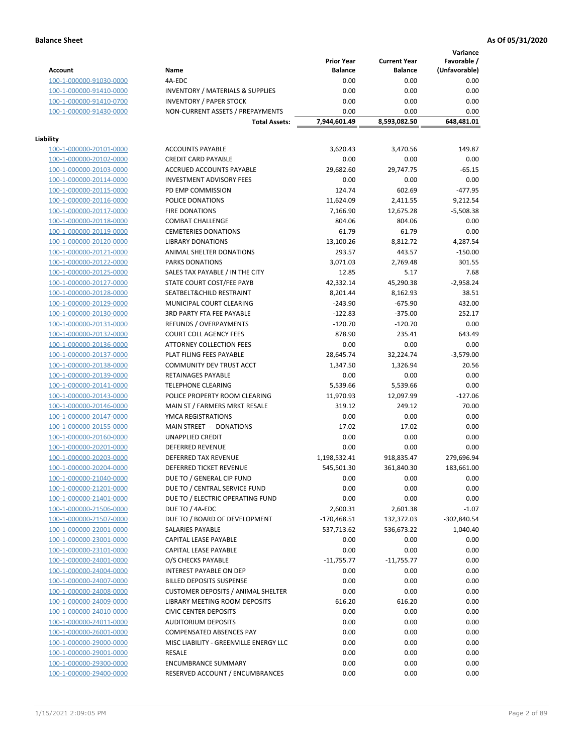**Variance**

|                         |                                             | <b>Prior Year</b> | <b>Current Year</b> | Favorable /   |
|-------------------------|---------------------------------------------|-------------------|---------------------|---------------|
| <b>Account</b>          | Name                                        | <b>Balance</b>    | <b>Balance</b>      | (Unfavorable) |
| 100-1-000000-91030-0000 | 4A-EDC                                      | 0.00              | 0.00                | 0.00          |
| 100-1-000000-91410-0000 | <b>INVENTORY / MATERIALS &amp; SUPPLIES</b> | 0.00              | 0.00                | 0.00          |
| 100-1-000000-91410-0700 | <b>INVENTORY / PAPER STOCK</b>              | 0.00              | 0.00                | 0.00          |
| 100-1-000000-91430-0000 | NON-CURRENT ASSETS / PREPAYMENTS            | 0.00              | 0.00                | 0.00          |
|                         | <b>Total Assets:</b>                        | 7,944,601.49      | 8,593,082.50        | 648,481.01    |
|                         |                                             |                   |                     |               |
| Liability               |                                             |                   |                     |               |
| 100-1-000000-20101-0000 | <b>ACCOUNTS PAYABLE</b>                     | 3,620.43          | 3,470.56            | 149.87        |
| 100-1-000000-20102-0000 | <b>CREDIT CARD PAYABLE</b>                  | 0.00              | 0.00                | 0.00          |
| 100-1-000000-20103-0000 | <b>ACCRUED ACCOUNTS PAYABLE</b>             | 29,682.60         | 29,747.75           | $-65.15$      |
| 100-1-000000-20114-0000 | <b>INVESTMENT ADVISORY FEES</b>             | 0.00              | 0.00                | 0.00          |
| 100-1-000000-20115-0000 | PD EMP COMMISSION                           | 124.74            | 602.69              | $-477.95$     |
| 100-1-000000-20116-0000 | POLICE DONATIONS                            | 11,624.09         | 2,411.55            | 9,212.54      |
| 100-1-000000-20117-0000 | <b>FIRE DONATIONS</b>                       | 7,166.90          | 12,675.28           | $-5,508.38$   |
| 100-1-000000-20118-0000 | <b>COMBAT CHALLENGE</b>                     | 804.06            | 804.06              | 0.00          |
| 100-1-000000-20119-0000 | <b>CEMETERIES DONATIONS</b>                 | 61.79             | 61.79               | 0.00          |
| 100-1-000000-20120-0000 | <b>LIBRARY DONATIONS</b>                    | 13,100.26         | 8,812.72            | 4,287.54      |
| 100-1-000000-20121-0000 | <b>ANIMAL SHELTER DONATIONS</b>             | 293.57            | 443.57              | $-150.00$     |
| 100-1-000000-20122-0000 | <b>PARKS DONATIONS</b>                      | 3,071.03          | 2,769.48            | 301.55        |
| 100-1-000000-20125-0000 | SALES TAX PAYABLE / IN THE CITY             | 12.85             | 5.17                | 7.68          |
| 100-1-000000-20127-0000 | STATE COURT COST/FEE PAYB                   | 42,332.14         | 45,290.38           | $-2,958.24$   |
| 100-1-000000-20128-0000 | SEATBELT&CHILD RESTRAINT                    | 8,201.44          | 8,162.93            | 38.51         |
| 100-1-000000-20129-0000 | MUNICIPAL COURT CLEARING                    | $-243.90$         | $-675.90$           | 432.00        |
| 100-1-000000-20130-0000 | <b>3RD PARTY FTA FEE PAYABLE</b>            | $-122.83$         | $-375.00$           | 252.17        |
| 100-1-000000-20131-0000 | <b>REFUNDS / OVERPAYMENTS</b>               | $-120.70$         | $-120.70$           | 0.00          |
| 100-1-000000-20132-0000 | <b>COURT COLL AGENCY FEES</b>               | 878.90            | 235.41              | 643.49        |
| 100-1-000000-20136-0000 | <b>ATTORNEY COLLECTION FEES</b>             | 0.00              | 0.00                | 0.00          |
| 100-1-000000-20137-0000 | PLAT FILING FEES PAYABLE                    | 28,645.74         | 32,224.74           | $-3,579.00$   |
| 100-1-000000-20138-0000 | COMMUNITY DEV TRUST ACCT                    | 1,347.50          | 1,326.94            | 20.56         |
|                         |                                             | 0.00              |                     | 0.00          |
| 100-1-000000-20139-0000 | RETAINAGES PAYABLE                          |                   | 0.00                |               |
| 100-1-000000-20141-0000 | <b>TELEPHONE CLEARING</b>                   | 5,539.66          | 5,539.66            | 0.00          |
| 100-1-000000-20143-0000 | POLICE PROPERTY ROOM CLEARING               | 11,970.93         | 12,097.99           | $-127.06$     |
| 100-1-000000-20146-0000 | MAIN ST / FARMERS MRKT RESALE               | 319.12            | 249.12              | 70.00         |
| 100-1-000000-20147-0000 | YMCA REGISTRATIONS                          | 0.00              | 0.00                | 0.00          |
| 100-1-000000-20155-0000 | MAIN STREET - DONATIONS                     | 17.02             | 17.02               | 0.00          |
| 100-1-000000-20160-0000 | <b>UNAPPLIED CREDIT</b>                     | 0.00              | 0.00                | 0.00          |
| 100-1-000000-20201-0000 | <b>DEFERRED REVENUE</b>                     | 0.00              | 0.00                | 0.00          |
| 100-1-000000-20203-0000 | DEFERRED TAX REVENUE                        | 1,198,532.41      | 918,835.47          | 279,696.94    |
| 100-1-000000-20204-0000 | DEFERRED TICKET REVENUE                     | 545,501.30        | 361,840.30          | 183,661.00    |
| 100-1-000000-21040-0000 | DUE TO / GENERAL CIP FUND                   | 0.00              | 0.00                | 0.00          |
| 100-1-000000-21201-0000 | DUE TO / CENTRAL SERVICE FUND               | 0.00              | 0.00                | 0.00          |
| 100-1-000000-21401-0000 | DUE TO / ELECTRIC OPERATING FUND            | 0.00              | 0.00                | 0.00          |
| 100-1-000000-21506-0000 | DUE TO / 4A-EDC                             | 2,600.31          | 2,601.38            | $-1.07$       |
| 100-1-000000-21507-0000 | DUE TO / BOARD OF DEVELOPMENT               | $-170,468.51$     | 132,372.03          | $-302,840.54$ |
| 100-1-000000-22001-0000 | <b>SALARIES PAYABLE</b>                     | 537,713.62        | 536,673.22          | 1,040.40      |
| 100-1-000000-23001-0000 | CAPITAL LEASE PAYABLE                       | 0.00              | 0.00                | 0.00          |
| 100-1-000000-23101-0000 | CAPITAL LEASE PAYABLE                       | 0.00              | 0.00                | 0.00          |
| 100-1-000000-24001-0000 | O/S CHECKS PAYABLE                          | $-11,755.77$      | $-11,755.77$        | 0.00          |
| 100-1-000000-24004-0000 | INTEREST PAYABLE ON DEP                     | 0.00              | 0.00                | 0.00          |
| 100-1-000000-24007-0000 | <b>BILLED DEPOSITS SUSPENSE</b>             | 0.00              | 0.00                | 0.00          |
| 100-1-000000-24008-0000 | <b>CUSTOMER DEPOSITS / ANIMAL SHELTER</b>   | 0.00              | 0.00                | 0.00          |
| 100-1-000000-24009-0000 | LIBRARY MEETING ROOM DEPOSITS               | 616.20            | 616.20              | 0.00          |
| 100-1-000000-24010-0000 | <b>CIVIC CENTER DEPOSITS</b>                | 0.00              | 0.00                | 0.00          |
| 100-1-000000-24011-0000 | <b>AUDITORIUM DEPOSITS</b>                  | 0.00              | 0.00                | 0.00          |
| 100-1-000000-26001-0000 | <b>COMPENSATED ABSENCES PAY</b>             | 0.00              | 0.00                | 0.00          |
| 100-1-000000-29000-0000 | MISC LIABILITY - GREENVILLE ENERGY LLC      | 0.00              | 0.00                | 0.00          |
| 100-1-000000-29001-0000 | <b>RESALE</b>                               | 0.00              | 0.00                | 0.00          |
| 100-1-000000-29300-0000 | <b>ENCUMBRANCE SUMMARY</b>                  | 0.00              | 0.00                | 0.00          |
| 100-1-000000-29400-0000 | RESERVED ACCOUNT / ENCUMBRANCES             | 0.00              | 0.00                | 0.00          |
|                         |                                             |                   |                     |               |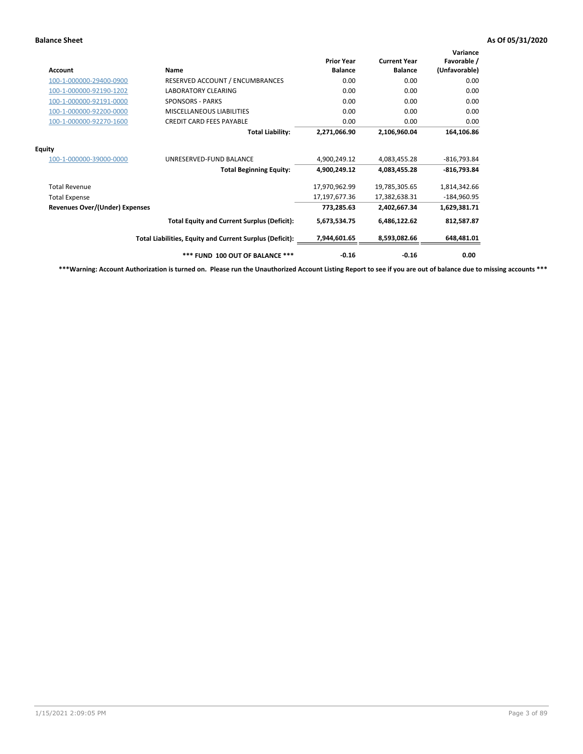| Account                               | Name                                                     | <b>Prior Year</b><br><b>Balance</b> | <b>Current Year</b><br><b>Balance</b> | Variance<br>Favorable /<br>(Unfavorable) |
|---------------------------------------|----------------------------------------------------------|-------------------------------------|---------------------------------------|------------------------------------------|
| 100-1-000000-29400-0900               | RESERVED ACCOUNT / ENCUMBRANCES                          | 0.00                                | 0.00                                  | 0.00                                     |
| 100-1-000000-92190-1202               | <b>LABORATORY CLEARING</b>                               | 0.00                                | 0.00                                  | 0.00                                     |
| 100-1-000000-92191-0000               | <b>SPONSORS - PARKS</b>                                  | 0.00                                | 0.00                                  | 0.00                                     |
| 100-1-000000-92200-0000               | <b>MISCELLANEOUS LIABILITIES</b>                         | 0.00                                | 0.00                                  | 0.00                                     |
| 100-1-000000-92270-1600               | <b>CREDIT CARD FEES PAYABLE</b>                          | 0.00                                | 0.00                                  | 0.00                                     |
|                                       | <b>Total Liability:</b>                                  | 2,271,066.90                        | 2,106,960.04                          | 164,106.86                               |
| <b>Equity</b>                         |                                                          |                                     |                                       |                                          |
| 100-1-000000-39000-0000               | UNRESERVED-FUND BALANCE                                  | 4,900,249.12                        | 4,083,455.28                          | $-816,793.84$                            |
|                                       | <b>Total Beginning Equity:</b>                           | 4,900,249.12                        | 4,083,455.28                          | $-816,793.84$                            |
| <b>Total Revenue</b>                  |                                                          | 17,970,962.99                       | 19,785,305.65                         | 1,814,342.66                             |
| <b>Total Expense</b>                  |                                                          | 17,197,677.36                       | 17,382,638.31                         | $-184,960.95$                            |
| <b>Revenues Over/(Under) Expenses</b> |                                                          | 773,285.63                          | 2,402,667.34                          | 1,629,381.71                             |
|                                       | <b>Total Equity and Current Surplus (Deficit):</b>       | 5,673,534.75                        | 6,486,122.62                          | 812,587.87                               |
|                                       | Total Liabilities, Equity and Current Surplus (Deficit): | 7,944,601.65                        | 8,593,082.66                          | 648,481.01                               |
|                                       | *** FUND 100 OUT OF BALANCE ***                          | $-0.16$                             | $-0.16$                               | 0.00                                     |

**\*\*\*Warning: Account Authorization is turned on. Please run the Unauthorized Account Listing Report to see if you are out of balance due to missing accounts \*\*\***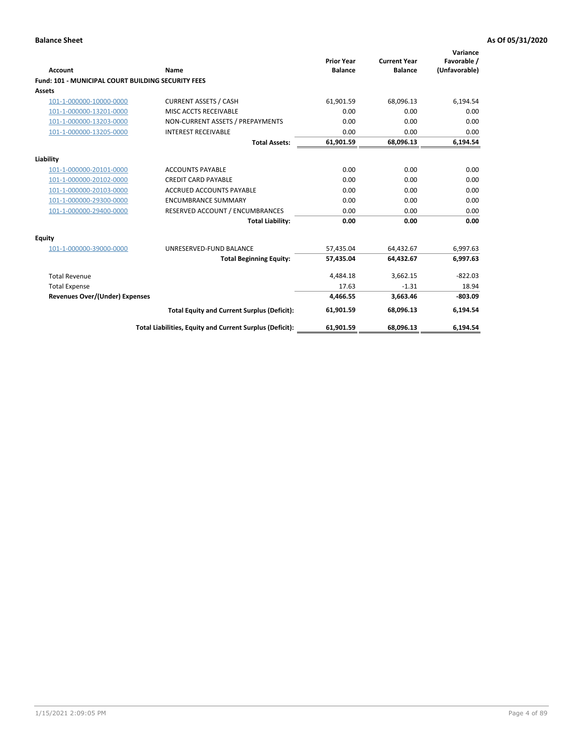| Account                                                   | <b>Name</b>                                              | <b>Prior Year</b><br><b>Balance</b> | <b>Current Year</b><br><b>Balance</b> | Variance<br>Favorable /<br>(Unfavorable) |
|-----------------------------------------------------------|----------------------------------------------------------|-------------------------------------|---------------------------------------|------------------------------------------|
| <b>Fund: 101 - MUNICIPAL COURT BUILDING SECURITY FEES</b> |                                                          |                                     |                                       |                                          |
| Assets                                                    |                                                          |                                     |                                       |                                          |
| 101-1-000000-10000-0000                                   | <b>CURRENT ASSETS / CASH</b>                             | 61,901.59                           | 68,096.13                             | 6,194.54                                 |
| 101-1-000000-13201-0000                                   | MISC ACCTS RECEIVABLE                                    | 0.00                                | 0.00                                  | 0.00                                     |
| 101-1-000000-13203-0000                                   | NON-CURRENT ASSETS / PREPAYMENTS                         | 0.00                                | 0.00                                  | 0.00                                     |
| 101-1-000000-13205-0000                                   | <b>INTEREST RECEIVABLE</b>                               | 0.00                                | 0.00                                  | 0.00                                     |
|                                                           | <b>Total Assets:</b>                                     | 61,901.59                           | 68,096.13                             | 6,194.54                                 |
| Liability                                                 |                                                          |                                     |                                       |                                          |
| 101-1-000000-20101-0000                                   | <b>ACCOUNTS PAYABLE</b>                                  | 0.00                                | 0.00                                  | 0.00                                     |
| 101-1-000000-20102-0000                                   | <b>CREDIT CARD PAYABLE</b>                               | 0.00                                | 0.00                                  | 0.00                                     |
| 101-1-000000-20103-0000                                   | <b>ACCRUED ACCOUNTS PAYABLE</b>                          | 0.00                                | 0.00                                  | 0.00                                     |
| 101-1-000000-29300-0000                                   | <b>ENCUMBRANCE SUMMARY</b>                               | 0.00                                | 0.00                                  | 0.00                                     |
| 101-1-000000-29400-0000                                   | RESERVED ACCOUNT / ENCUMBRANCES                          | 0.00                                | 0.00                                  | 0.00                                     |
|                                                           | <b>Total Liability:</b>                                  | 0.00                                | 0.00                                  | 0.00                                     |
| <b>Equity</b>                                             |                                                          |                                     |                                       |                                          |
| 101-1-000000-39000-0000                                   | UNRESERVED-FUND BALANCE                                  | 57,435.04                           | 64,432.67                             | 6,997.63                                 |
|                                                           | <b>Total Beginning Equity:</b>                           | 57,435.04                           | 64,432.67                             | 6,997.63                                 |
| <b>Total Revenue</b>                                      |                                                          | 4,484.18                            | 3,662.15                              | $-822.03$                                |
| <b>Total Expense</b>                                      |                                                          | 17.63                               | $-1.31$                               | 18.94                                    |
| <b>Revenues Over/(Under) Expenses</b>                     |                                                          | 4,466.55                            | 3,663.46                              | $-803.09$                                |
|                                                           | <b>Total Equity and Current Surplus (Deficit):</b>       | 61,901.59                           | 68,096.13                             | 6,194.54                                 |
|                                                           | Total Liabilities, Equity and Current Surplus (Deficit): | 61,901.59                           | 68,096.13                             | 6,194.54                                 |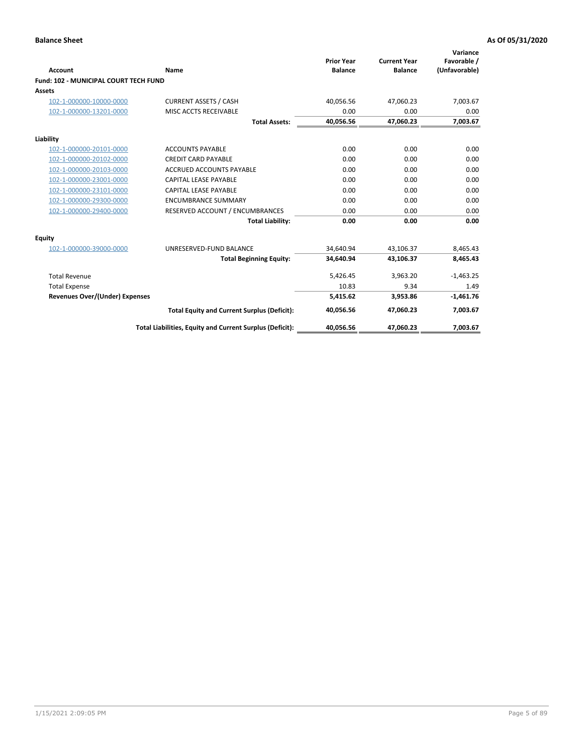| Account                                      | Name                                                     | <b>Prior Year</b><br><b>Balance</b> | <b>Current Year</b><br><b>Balance</b> | Variance<br>Favorable /<br>(Unfavorable) |
|----------------------------------------------|----------------------------------------------------------|-------------------------------------|---------------------------------------|------------------------------------------|
| <b>Fund: 102 - MUNICIPAL COURT TECH FUND</b> |                                                          |                                     |                                       |                                          |
| Assets                                       |                                                          |                                     |                                       |                                          |
| 102-1-000000-10000-0000                      | <b>CURRENT ASSETS / CASH</b>                             | 40,056.56                           | 47,060.23                             | 7,003.67                                 |
| 102-1-000000-13201-0000                      | MISC ACCTS RECEIVABLE                                    | 0.00                                | 0.00                                  | 0.00                                     |
|                                              | <b>Total Assets:</b>                                     | 40,056.56                           | 47,060.23                             | 7,003.67                                 |
| Liability                                    |                                                          |                                     |                                       |                                          |
| 102-1-000000-20101-0000                      | <b>ACCOUNTS PAYABLE</b>                                  | 0.00                                | 0.00                                  | 0.00                                     |
| 102-1-000000-20102-0000                      | <b>CREDIT CARD PAYABLE</b>                               | 0.00                                | 0.00                                  | 0.00                                     |
| 102-1-000000-20103-0000                      | <b>ACCRUED ACCOUNTS PAYABLE</b>                          | 0.00                                | 0.00                                  | 0.00                                     |
| 102-1-000000-23001-0000                      | CAPITAL LEASE PAYABLE                                    | 0.00                                | 0.00                                  | 0.00                                     |
| 102-1-000000-23101-0000                      | <b>CAPITAL LEASE PAYABLE</b>                             | 0.00                                | 0.00                                  | 0.00                                     |
| 102-1-000000-29300-0000                      | <b>ENCUMBRANCE SUMMARY</b>                               | 0.00                                | 0.00                                  | 0.00                                     |
| 102-1-000000-29400-0000                      | RESERVED ACCOUNT / ENCUMBRANCES                          | 0.00                                | 0.00                                  | 0.00                                     |
|                                              | <b>Total Liability:</b>                                  | 0.00                                | 0.00                                  | 0.00                                     |
| <b>Equity</b>                                |                                                          |                                     |                                       |                                          |
| 102-1-000000-39000-0000                      | UNRESERVED-FUND BALANCE                                  | 34,640.94                           | 43,106.37                             | 8,465.43                                 |
|                                              | <b>Total Beginning Equity:</b>                           | 34,640.94                           | 43,106.37                             | 8,465.43                                 |
| <b>Total Revenue</b>                         |                                                          | 5,426.45                            | 3,963.20                              | $-1,463.25$                              |
| <b>Total Expense</b>                         |                                                          | 10.83                               | 9.34                                  | 1.49                                     |
| <b>Revenues Over/(Under) Expenses</b>        |                                                          | 5,415.62                            | 3,953.86                              | $-1,461.76$                              |
|                                              | <b>Total Equity and Current Surplus (Deficit):</b>       | 40,056.56                           | 47,060.23                             | 7,003.67                                 |
|                                              | Total Liabilities, Equity and Current Surplus (Deficit): | 40,056.56                           | 47,060.23                             | 7,003.67                                 |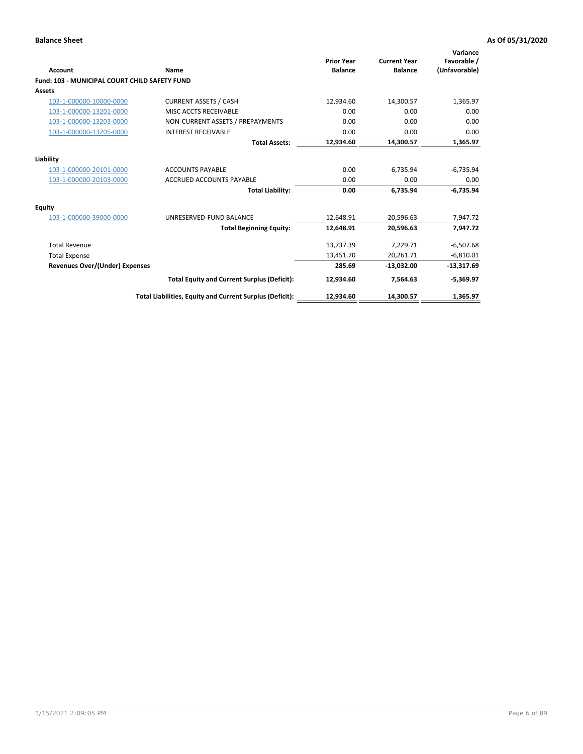| <b>Account</b>                                       | Name                                                     | <b>Prior Year</b><br><b>Balance</b> | <b>Current Year</b><br><b>Balance</b> | Variance<br>Favorable /<br>(Unfavorable) |
|------------------------------------------------------|----------------------------------------------------------|-------------------------------------|---------------------------------------|------------------------------------------|
| <b>Fund: 103 - MUNICIPAL COURT CHILD SAFETY FUND</b> |                                                          |                                     |                                       |                                          |
| <b>Assets</b>                                        |                                                          |                                     |                                       |                                          |
| 103-1-000000-10000-0000                              | <b>CURRENT ASSETS / CASH</b>                             | 12,934.60                           | 14,300.57                             | 1,365.97                                 |
| 103-1-000000-13201-0000                              | MISC ACCTS RECEIVABLE                                    | 0.00                                | 0.00                                  | 0.00                                     |
| 103-1-000000-13203-0000                              | NON-CURRENT ASSETS / PREPAYMENTS                         | 0.00                                | 0.00                                  | 0.00                                     |
| 103-1-000000-13205-0000                              | <b>INTEREST RECEIVABLE</b>                               | 0.00                                | 0.00                                  | 0.00                                     |
|                                                      | <b>Total Assets:</b>                                     | 12,934.60                           | 14,300.57                             | 1,365.97                                 |
| Liability                                            |                                                          |                                     |                                       |                                          |
| 103-1-000000-20101-0000                              | <b>ACCOUNTS PAYABLE</b>                                  | 0.00                                | 6.735.94                              | $-6,735.94$                              |
| 103-1-000000-20103-0000                              | <b>ACCRUED ACCOUNTS PAYABLE</b>                          | 0.00                                | 0.00                                  | 0.00                                     |
|                                                      | <b>Total Liability:</b>                                  | 0.00                                | 6,735.94                              | $-6,735.94$                              |
| Equity                                               |                                                          |                                     |                                       |                                          |
| 103-1-000000-39000-0000                              | UNRESERVED-FUND BALANCE                                  | 12,648.91                           | 20,596.63                             | 7,947.72                                 |
|                                                      | <b>Total Beginning Equity:</b>                           | 12,648.91                           | 20,596.63                             | 7,947.72                                 |
| <b>Total Revenue</b>                                 |                                                          | 13,737.39                           | 7,229.71                              | $-6,507.68$                              |
| <b>Total Expense</b>                                 |                                                          | 13,451.70                           | 20,261.71                             | $-6,810.01$                              |
| <b>Revenues Over/(Under) Expenses</b>                |                                                          | 285.69                              | $-13,032.00$                          | $-13,317.69$                             |
|                                                      | <b>Total Equity and Current Surplus (Deficit):</b>       | 12,934.60                           | 7,564.63                              | $-5,369.97$                              |
|                                                      | Total Liabilities, Equity and Current Surplus (Deficit): | 12,934.60                           | 14,300.57                             | 1,365.97                                 |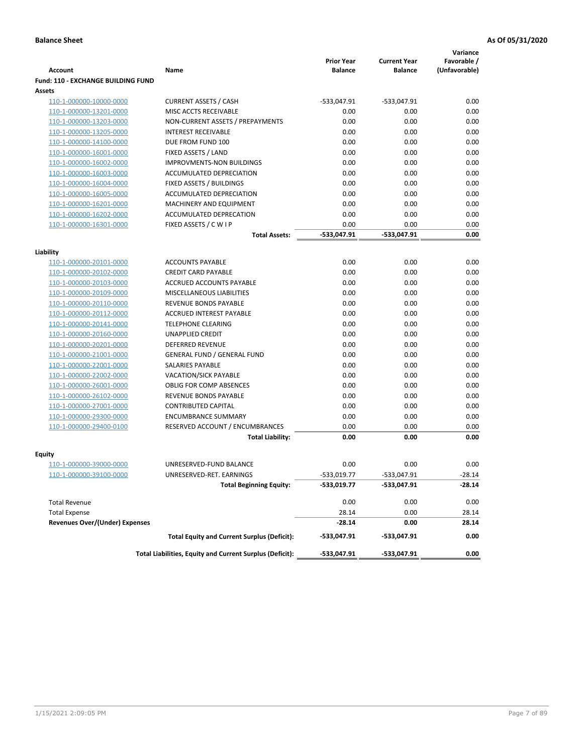|                                           |                                                          |                                     |                                       | Variance                     |
|-------------------------------------------|----------------------------------------------------------|-------------------------------------|---------------------------------------|------------------------------|
| <b>Account</b>                            | Name                                                     | <b>Prior Year</b><br><b>Balance</b> | <b>Current Year</b><br><b>Balance</b> | Favorable /<br>(Unfavorable) |
| <b>Fund: 110 - EXCHANGE BUILDING FUND</b> |                                                          |                                     |                                       |                              |
| Assets                                    |                                                          |                                     |                                       |                              |
| 110-1-000000-10000-0000                   | <b>CURRENT ASSETS / CASH</b>                             | -533,047.91                         | $-533,047.91$                         | 0.00                         |
| 110-1-000000-13201-0000                   | MISC ACCTS RECEIVABLE                                    | 0.00                                | 0.00                                  | 0.00                         |
| 110-1-000000-13203-0000                   | NON-CURRENT ASSETS / PREPAYMENTS                         | 0.00                                | 0.00                                  | 0.00                         |
| 110-1-000000-13205-0000                   | <b>INTEREST RECEIVABLE</b>                               | 0.00                                | 0.00                                  | 0.00                         |
| 110-1-000000-14100-0000                   | DUE FROM FUND 100                                        | 0.00                                | 0.00                                  | 0.00                         |
| 110-1-000000-16001-0000                   | FIXED ASSETS / LAND                                      | 0.00                                | 0.00                                  | 0.00                         |
| 110-1-000000-16002-0000                   | <b>IMPROVMENTS-NON BUILDINGS</b>                         | 0.00                                | 0.00                                  | 0.00                         |
| 110-1-000000-16003-0000                   | ACCUMULATED DEPRECIATION                                 | 0.00                                | 0.00                                  | 0.00                         |
| 110-1-000000-16004-0000                   | FIXED ASSETS / BUILDINGS                                 | 0.00                                | 0.00                                  | 0.00                         |
| 110-1-000000-16005-0000                   | ACCUMULATED DEPRECIATION                                 | 0.00                                | 0.00                                  | 0.00                         |
| 110-1-000000-16201-0000                   | <b>MACHINERY AND EQUIPMENT</b>                           | 0.00                                | 0.00                                  | 0.00                         |
| 110-1-000000-16202-0000                   | ACCUMULATED DEPRECATION                                  | 0.00                                | 0.00                                  | 0.00                         |
| 110-1-000000-16301-0000                   | FIXED ASSETS / C W I P                                   | 0.00                                | 0.00                                  | 0.00                         |
|                                           | <b>Total Assets:</b>                                     | $-533,047.91$                       | -533,047.91                           | 0.00                         |
| Liability                                 |                                                          |                                     |                                       |                              |
| 110-1-000000-20101-0000                   | <b>ACCOUNTS PAYABLE</b>                                  | 0.00                                | 0.00                                  | 0.00                         |
| 110-1-000000-20102-0000                   | <b>CREDIT CARD PAYABLE</b>                               | 0.00                                | 0.00                                  | 0.00                         |
| 110-1-000000-20103-0000                   | ACCRUED ACCOUNTS PAYABLE                                 | 0.00                                | 0.00                                  | 0.00                         |
| 110-1-000000-20109-0000                   | MISCELLANEOUS LIABILITIES                                | 0.00                                | 0.00                                  | 0.00                         |
| 110-1-000000-20110-0000                   | REVENUE BONDS PAYABLE                                    | 0.00                                | 0.00                                  | 0.00                         |
| 110-1-000000-20112-0000                   | <b>ACCRUED INTEREST PAYABLE</b>                          | 0.00                                | 0.00                                  | 0.00                         |
| 110-1-000000-20141-0000                   | <b>TELEPHONE CLEARING</b>                                | 0.00                                | 0.00                                  | 0.00                         |
| 110-1-000000-20160-0000                   | <b>UNAPPLIED CREDIT</b>                                  | 0.00                                | 0.00                                  | 0.00                         |
| 110-1-000000-20201-0000                   | <b>DEFERRED REVENUE</b>                                  | 0.00                                | 0.00                                  | 0.00                         |
| 110-1-000000-21001-0000                   | <b>GENERAL FUND / GENERAL FUND</b>                       | 0.00                                | 0.00                                  | 0.00                         |
| 110-1-000000-22001-0000                   | SALARIES PAYABLE                                         | 0.00                                | 0.00                                  | 0.00                         |
| 110-1-000000-22002-0000                   | <b>VACATION/SICK PAYABLE</b>                             | 0.00                                | 0.00                                  | 0.00                         |
| 110-1-000000-26001-0000                   | <b>OBLIG FOR COMP ABSENCES</b>                           | 0.00                                | 0.00                                  | 0.00                         |
| 110-1-000000-26102-0000                   | REVENUE BONDS PAYABLE                                    | 0.00                                | 0.00                                  | 0.00                         |
| 110-1-000000-27001-0000                   | <b>CONTRIBUTED CAPITAL</b>                               | 0.00                                | 0.00                                  | 0.00                         |
| 110-1-000000-29300-0000                   | <b>ENCUMBRANCE SUMMARY</b>                               | 0.00                                | 0.00                                  | 0.00                         |
| 110-1-000000-29400-0100                   | RESERVED ACCOUNT / ENCUMBRANCES                          | 0.00                                | 0.00                                  | 0.00                         |
|                                           | <b>Total Liability:</b>                                  | 0.00                                | 0.00                                  | 0.00                         |
|                                           |                                                          |                                     |                                       |                              |
| <b>Equity</b>                             | UNRESERVED-FUND BALANCE                                  | 0.00                                | 0.00                                  |                              |
| 110-1-000000-39000-0000                   |                                                          | $-533,019.77$                       |                                       | 0.00<br>$-28.14$             |
| <u>110-1-000000-39100-0000</u>            | UNRESERVED-RET. EARNINGS                                 |                                     | -533,047.91                           |                              |
|                                           | <b>Total Beginning Equity:</b>                           | -533,019.77                         | -533,047.91                           | -28.14                       |
| <b>Total Revenue</b>                      |                                                          | 0.00                                | 0.00                                  | 0.00                         |
| <b>Total Expense</b>                      |                                                          | 28.14                               | 0.00                                  | 28.14                        |
| <b>Revenues Over/(Under) Expenses</b>     |                                                          | $-28.14$                            | 0.00                                  | 28.14                        |
|                                           | <b>Total Equity and Current Surplus (Deficit):</b>       | -533,047.91                         | -533,047.91                           | 0.00                         |
|                                           | Total Liabilities, Equity and Current Surplus (Deficit): | -533,047.91                         | -533,047.91                           | 0.00                         |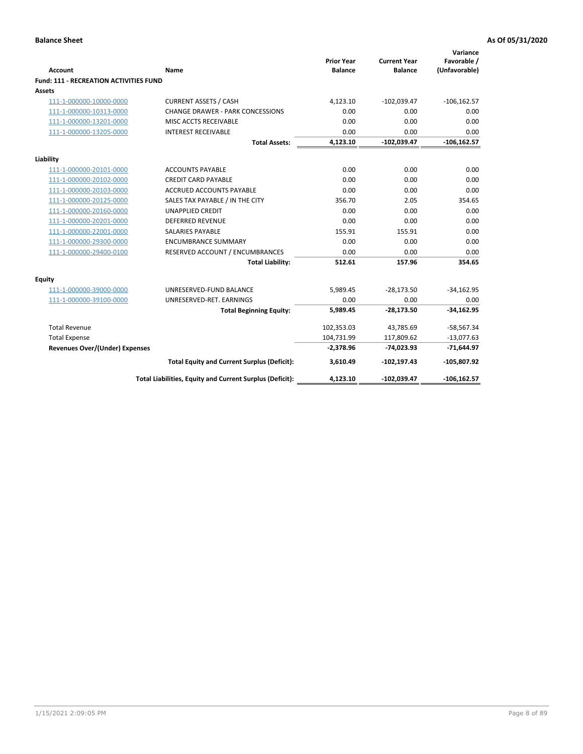| <b>Account</b>                                | Name                                                     | <b>Prior Year</b><br><b>Balance</b> | <b>Current Year</b><br><b>Balance</b> | Variance<br>Favorable /<br>(Unfavorable) |
|-----------------------------------------------|----------------------------------------------------------|-------------------------------------|---------------------------------------|------------------------------------------|
| <b>Fund: 111 - RECREATION ACTIVITIES FUND</b> |                                                          |                                     |                                       |                                          |
| Assets                                        |                                                          |                                     |                                       |                                          |
| 111-1-000000-10000-0000                       | <b>CURRENT ASSETS / CASH</b>                             | 4,123.10                            | $-102,039.47$                         | $-106, 162.57$                           |
| 111-1-000000-10313-0000                       | <b>CHANGE DRAWER - PARK CONCESSIONS</b>                  | 0.00                                | 0.00                                  | 0.00                                     |
| 111-1-000000-13201-0000                       | MISC ACCTS RECEIVABLE                                    | 0.00                                | 0.00                                  | 0.00                                     |
| 111-1-000000-13205-0000                       | <b>INTEREST RECEIVABLE</b>                               | 0.00                                | 0.00                                  | 0.00                                     |
|                                               | <b>Total Assets:</b>                                     | 4,123.10                            | $-102,039.47$                         | $-106, 162.57$                           |
| Liability                                     |                                                          |                                     |                                       |                                          |
| 111-1-000000-20101-0000                       | <b>ACCOUNTS PAYABLE</b>                                  | 0.00                                | 0.00                                  | 0.00                                     |
| 111-1-000000-20102-0000                       | <b>CREDIT CARD PAYABLE</b>                               | 0.00                                | 0.00                                  | 0.00                                     |
| 111-1-000000-20103-0000                       | <b>ACCRUED ACCOUNTS PAYABLE</b>                          | 0.00                                | 0.00                                  | 0.00                                     |
| 111-1-000000-20125-0000                       | SALES TAX PAYABLE / IN THE CITY                          | 356.70                              | 2.05                                  | 354.65                                   |
| 111-1-000000-20160-0000                       | <b>UNAPPLIED CREDIT</b>                                  | 0.00                                | 0.00                                  | 0.00                                     |
| 111-1-000000-20201-0000                       | <b>DEFERRED REVENUE</b>                                  | 0.00                                | 0.00                                  | 0.00                                     |
| 111-1-000000-22001-0000                       | <b>SALARIES PAYABLE</b>                                  | 155.91                              | 155.91                                | 0.00                                     |
| 111-1-000000-29300-0000                       | <b>ENCUMBRANCE SUMMARY</b>                               | 0.00                                | 0.00                                  | 0.00                                     |
| 111-1-000000-29400-0100                       | RESERVED ACCOUNT / ENCUMBRANCES                          | 0.00                                | 0.00                                  | 0.00                                     |
|                                               | <b>Total Liability:</b>                                  | 512.61                              | 157.96                                | 354.65                                   |
| <b>Equity</b>                                 |                                                          |                                     |                                       |                                          |
| 111-1-000000-39000-0000                       | UNRESERVED-FUND BALANCE                                  | 5,989.45                            | $-28,173.50$                          | $-34,162.95$                             |
| 111-1-000000-39100-0000                       | UNRESERVED-RET. EARNINGS                                 | 0.00                                | 0.00                                  | 0.00                                     |
|                                               | <b>Total Beginning Equity:</b>                           | 5,989.45                            | $-28,173.50$                          | $-34,162.95$                             |
| <b>Total Revenue</b>                          |                                                          | 102,353.03                          | 43,785.69                             | $-58,567.34$                             |
| <b>Total Expense</b>                          |                                                          | 104,731.99                          | 117,809.62                            | $-13,077.63$                             |
| <b>Revenues Over/(Under) Expenses</b>         |                                                          | $-2,378.96$                         | $-74,023.93$                          | $-71,644.97$                             |
|                                               | <b>Total Equity and Current Surplus (Deficit):</b>       | 3,610.49                            | $-102, 197.43$                        | $-105,807.92$                            |
|                                               | Total Liabilities, Equity and Current Surplus (Deficit): | 4,123.10                            | $-102,039.47$                         | $-106, 162.57$                           |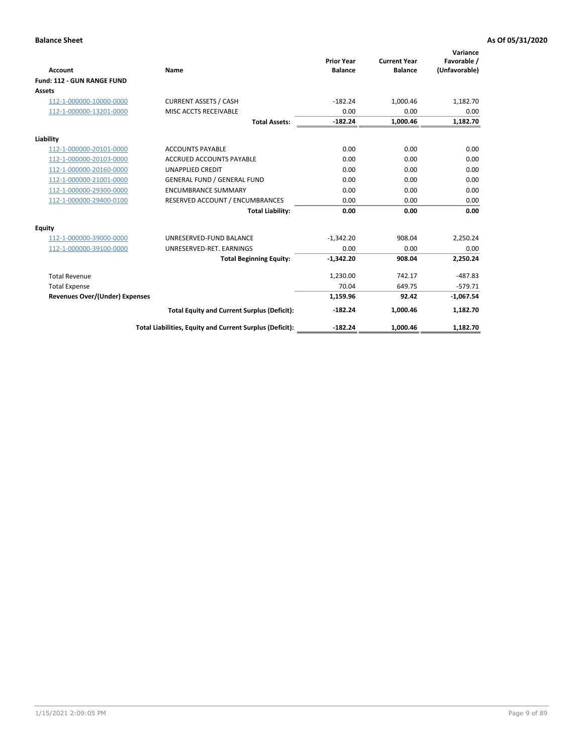|                                       |                                                          |                                     |                                       | Variance                     |
|---------------------------------------|----------------------------------------------------------|-------------------------------------|---------------------------------------|------------------------------|
| <b>Account</b>                        | Name                                                     | <b>Prior Year</b><br><b>Balance</b> | <b>Current Year</b><br><b>Balance</b> | Favorable /<br>(Unfavorable) |
| Fund: 112 - GUN RANGE FUND            |                                                          |                                     |                                       |                              |
| <b>Assets</b>                         |                                                          |                                     |                                       |                              |
| 112-1-000000-10000-0000               | <b>CURRENT ASSETS / CASH</b>                             | $-182.24$                           | 1,000.46                              | 1,182.70                     |
| 112-1-000000-13201-0000               | MISC ACCTS RECEIVABLE                                    | 0.00                                | 0.00                                  | 0.00                         |
|                                       | <b>Total Assets:</b>                                     | $-182.24$                           | 1,000.46                              | 1,182.70                     |
| Liability                             |                                                          |                                     |                                       |                              |
| 112-1-000000-20101-0000               | <b>ACCOUNTS PAYABLE</b>                                  | 0.00                                | 0.00                                  | 0.00                         |
| 112-1-000000-20103-0000               | <b>ACCRUED ACCOUNTS PAYABLE</b>                          | 0.00                                | 0.00                                  | 0.00                         |
| 112-1-000000-20160-0000               | <b>UNAPPLIED CREDIT</b>                                  | 0.00                                | 0.00                                  | 0.00                         |
| 112-1-000000-21001-0000               | <b>GENERAL FUND / GENERAL FUND</b>                       | 0.00                                | 0.00                                  | 0.00                         |
| 112-1-000000-29300-0000               | <b>ENCUMBRANCE SUMMARY</b>                               | 0.00                                | 0.00                                  | 0.00                         |
| 112-1-000000-29400-0100               | RESERVED ACCOUNT / ENCUMBRANCES                          | 0.00                                | 0.00                                  | 0.00                         |
|                                       | <b>Total Liability:</b>                                  | 0.00                                | 0.00                                  | 0.00                         |
| Equity                                |                                                          |                                     |                                       |                              |
| 112-1-000000-39000-0000               | UNRESERVED-FUND BALANCE                                  | $-1,342.20$                         | 908.04                                | 2,250.24                     |
| 112-1-000000-39100-0000               | UNRESERVED-RET. EARNINGS                                 | 0.00                                | 0.00                                  | 0.00                         |
|                                       | <b>Total Beginning Equity:</b>                           | $-1.342.20$                         | 908.04                                | 2.250.24                     |
| <b>Total Revenue</b>                  |                                                          | 1,230.00                            | 742.17                                | $-487.83$                    |
| <b>Total Expense</b>                  |                                                          | 70.04                               | 649.75                                | $-579.71$                    |
| <b>Revenues Over/(Under) Expenses</b> |                                                          | 1,159.96                            | 92.42                                 | $-1,067.54$                  |
|                                       | <b>Total Equity and Current Surplus (Deficit):</b>       | $-182.24$                           | 1,000.46                              | 1,182.70                     |
|                                       | Total Liabilities, Equity and Current Surplus (Deficit): | $-182.24$                           | 1,000.46                              | 1,182.70                     |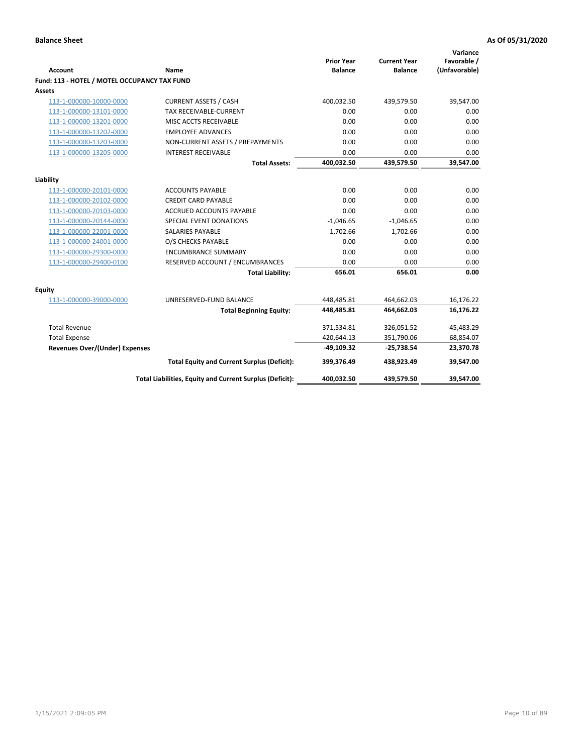| <b>Account</b>                               | <b>Name</b>                                              | <b>Prior Year</b><br><b>Balance</b> | <b>Current Year</b><br><b>Balance</b> | Variance<br>Favorable /<br>(Unfavorable) |
|----------------------------------------------|----------------------------------------------------------|-------------------------------------|---------------------------------------|------------------------------------------|
| Fund: 113 - HOTEL / MOTEL OCCUPANCY TAX FUND |                                                          |                                     |                                       |                                          |
| Assets                                       |                                                          |                                     |                                       |                                          |
| 113-1-000000-10000-0000                      | <b>CURRENT ASSETS / CASH</b>                             | 400,032.50                          | 439,579.50                            | 39,547.00                                |
| 113-1-000000-13101-0000                      | TAX RECEIVABLE-CURRENT                                   | 0.00                                | 0.00                                  | 0.00                                     |
| 113-1-000000-13201-0000                      | MISC ACCTS RECEIVABLE                                    | 0.00                                | 0.00                                  | 0.00                                     |
| 113-1-000000-13202-0000                      | <b>EMPLOYEE ADVANCES</b>                                 | 0.00                                | 0.00                                  | 0.00                                     |
| 113-1-000000-13203-0000                      | NON-CURRENT ASSETS / PREPAYMENTS                         | 0.00                                | 0.00                                  | 0.00                                     |
| 113-1-000000-13205-0000                      | <b>INTEREST RECEIVABLE</b>                               | 0.00                                | 0.00                                  | 0.00                                     |
|                                              | <b>Total Assets:</b>                                     | 400,032.50                          | 439,579.50                            | 39,547.00                                |
| Liability                                    |                                                          |                                     |                                       |                                          |
| 113-1-000000-20101-0000                      | <b>ACCOUNTS PAYABLE</b>                                  | 0.00                                | 0.00                                  | 0.00                                     |
| 113-1-000000-20102-0000                      | <b>CREDIT CARD PAYABLE</b>                               | 0.00                                | 0.00                                  | 0.00                                     |
| 113-1-000000-20103-0000                      | <b>ACCRUED ACCOUNTS PAYABLE</b>                          | 0.00                                | 0.00                                  | 0.00                                     |
| 113-1-000000-20144-0000                      | SPECIAL EVENT DONATIONS                                  | $-1,046.65$                         | $-1,046.65$                           | 0.00                                     |
|                                              | <b>SALARIES PAYABLE</b>                                  | 1,702.66                            | 1,702.66                              | 0.00                                     |
| 113-1-000000-22001-0000                      |                                                          | 0.00                                |                                       | 0.00                                     |
| 113-1-000000-24001-0000                      | O/S CHECKS PAYABLE                                       |                                     | 0.00                                  |                                          |
| 113-1-000000-29300-0000                      | <b>ENCUMBRANCE SUMMARY</b>                               | 0.00                                | 0.00                                  | 0.00                                     |
| 113-1-000000-29400-0100                      | RESERVED ACCOUNT / ENCUMBRANCES                          | 0.00                                | 0.00                                  | 0.00                                     |
|                                              | <b>Total Liability:</b>                                  | 656.01                              | 656.01                                | 0.00                                     |
| Equity                                       |                                                          |                                     |                                       |                                          |
| 113-1-000000-39000-0000                      | UNRESERVED-FUND BALANCE                                  | 448,485.81                          | 464,662.03                            | 16,176.22                                |
|                                              | <b>Total Beginning Equity:</b>                           | 448,485.81                          | 464,662.03                            | 16,176.22                                |
| <b>Total Revenue</b>                         |                                                          | 371,534.81                          | 326,051.52                            | $-45,483.29$                             |
| <b>Total Expense</b>                         |                                                          | 420,644.13                          | 351,790.06                            | 68,854.07                                |
| <b>Revenues Over/(Under) Expenses</b>        |                                                          | $-49,109.32$                        | $-25,738.54$                          | 23,370.78                                |
|                                              | <b>Total Equity and Current Surplus (Deficit):</b>       | 399,376.49                          | 438,923.49                            | 39,547.00                                |
|                                              | Total Liabilities, Equity and Current Surplus (Deficit): | 400,032.50                          | 439,579.50                            | 39,547.00                                |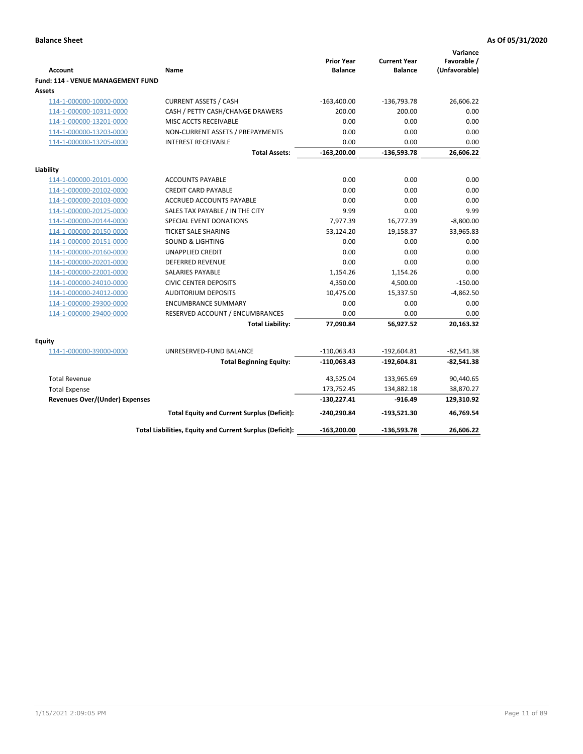| <b>Account</b>                              | <b>Name</b>                                              | <b>Prior Year</b><br><b>Balance</b> | <b>Current Year</b><br><b>Balance</b> | Variance<br>Favorable /<br>(Unfavorable) |
|---------------------------------------------|----------------------------------------------------------|-------------------------------------|---------------------------------------|------------------------------------------|
| Fund: 114 - VENUE MANAGEMENT FUND<br>Assets |                                                          |                                     |                                       |                                          |
| 114-1-000000-10000-0000                     | <b>CURRENT ASSETS / CASH</b>                             | $-163,400.00$                       | $-136,793.78$                         | 26,606.22                                |
| 114-1-000000-10311-0000                     | CASH / PETTY CASH/CHANGE DRAWERS                         | 200.00                              | 200.00                                | 0.00                                     |
| 114-1-000000-13201-0000                     | MISC ACCTS RECEIVABLE                                    | 0.00                                | 0.00                                  | 0.00                                     |
| 114-1-000000-13203-0000                     | NON-CURRENT ASSETS / PREPAYMENTS                         | 0.00                                | 0.00                                  | 0.00                                     |
| 114-1-000000-13205-0000                     | <b>INTEREST RECEIVABLE</b>                               | 0.00                                | 0.00                                  | 0.00                                     |
|                                             | <b>Total Assets:</b>                                     | $-163,200.00$                       | $-136,593.78$                         | 26,606.22                                |
| Liability                                   |                                                          |                                     |                                       |                                          |
| 114-1-000000-20101-0000                     | <b>ACCOUNTS PAYABLE</b>                                  | 0.00                                | 0.00                                  | 0.00                                     |
| 114-1-000000-20102-0000                     | <b>CREDIT CARD PAYABLE</b>                               | 0.00                                | 0.00                                  | 0.00                                     |
| 114-1-000000-20103-0000                     | <b>ACCRUED ACCOUNTS PAYABLE</b>                          | 0.00                                | 0.00                                  | 0.00                                     |
| 114-1-000000-20125-0000                     | SALES TAX PAYABLE / IN THE CITY                          | 9.99                                | 0.00                                  | 9.99                                     |
| 114-1-000000-20144-0000                     | SPECIAL EVENT DONATIONS                                  | 7,977.39                            | 16,777.39                             | $-8,800.00$                              |
| 114-1-000000-20150-0000                     | <b>TICKET SALE SHARING</b>                               | 53,124.20                           | 19,158.37                             | 33,965.83                                |
| 114-1-000000-20151-0000                     | <b>SOUND &amp; LIGHTING</b>                              | 0.00                                | 0.00                                  | 0.00                                     |
| 114-1-000000-20160-0000                     | <b>UNAPPLIED CREDIT</b>                                  | 0.00                                | 0.00                                  | 0.00                                     |
| 114-1-000000-20201-0000                     | <b>DEFERRED REVENUE</b>                                  | 0.00                                | 0.00                                  | 0.00                                     |
| 114-1-000000-22001-0000                     | SALARIES PAYABLE                                         | 1,154.26                            | 1,154.26                              | 0.00                                     |
| 114-1-000000-24010-0000                     | <b>CIVIC CENTER DEPOSITS</b>                             | 4,350.00                            | 4,500.00                              | $-150.00$                                |
| 114-1-000000-24012-0000                     | <b>AUDITORIUM DEPOSITS</b>                               | 10,475.00                           | 15,337.50                             | $-4,862.50$                              |
| 114-1-000000-29300-0000                     | <b>ENCUMBRANCE SUMMARY</b>                               | 0.00                                | 0.00                                  | 0.00                                     |
| 114-1-000000-29400-0000                     | RESERVED ACCOUNT / ENCUMBRANCES                          | 0.00                                | 0.00                                  | 0.00                                     |
|                                             | <b>Total Liability:</b>                                  | 77,090.84                           | 56,927.52                             | 20,163.32                                |
| Equity                                      |                                                          |                                     |                                       |                                          |
| 114-1-000000-39000-0000                     | UNRESERVED-FUND BALANCE                                  | $-110,063.43$                       | $-192,604.81$                         | $-82,541.38$                             |
|                                             | <b>Total Beginning Equity:</b>                           | $-110,063.43$                       | $-192,604.81$                         | $-82,541.38$                             |
| <b>Total Revenue</b>                        |                                                          | 43,525.04                           | 133,965.69                            | 90,440.65                                |
| <b>Total Expense</b>                        |                                                          | 173,752.45                          | 134,882.18                            | 38,870.27                                |
| <b>Revenues Over/(Under) Expenses</b>       |                                                          | $-130,227.41$                       | $-916.49$                             | 129,310.92                               |
|                                             | <b>Total Equity and Current Surplus (Deficit):</b>       | -240,290.84                         | -193,521.30                           | 46,769.54                                |
|                                             | Total Liabilities, Equity and Current Surplus (Deficit): | $-163,200.00$                       | $-136,593.78$                         | 26,606.22                                |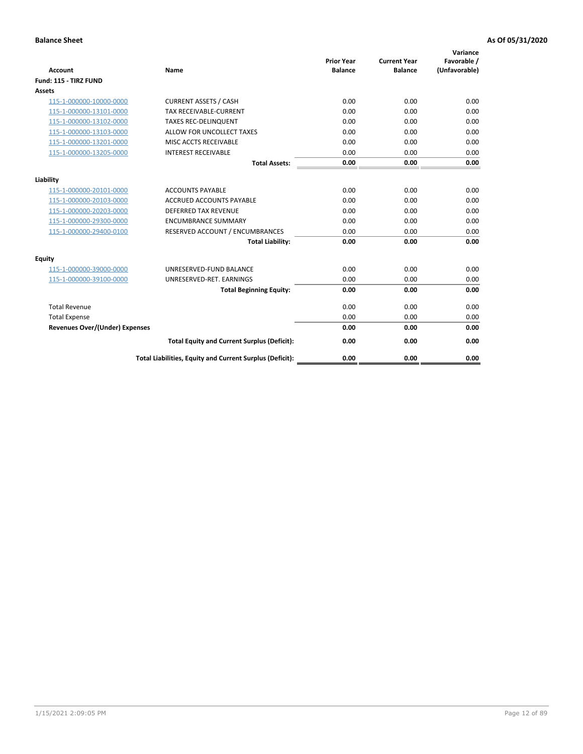| <b>Account</b>                        | <b>Name</b>                                              | <b>Prior Year</b><br><b>Balance</b> | <b>Current Year</b><br><b>Balance</b> | Variance<br>Favorable /<br>(Unfavorable) |
|---------------------------------------|----------------------------------------------------------|-------------------------------------|---------------------------------------|------------------------------------------|
| Fund: 115 - TIRZ FUND                 |                                                          |                                     |                                       |                                          |
| <b>Assets</b>                         |                                                          |                                     |                                       |                                          |
| 115-1-000000-10000-0000               | <b>CURRENT ASSETS / CASH</b>                             | 0.00                                | 0.00                                  | 0.00                                     |
| 115-1-000000-13101-0000               | <b>TAX RECEIVABLE-CURRENT</b>                            | 0.00                                | 0.00                                  | 0.00                                     |
| 115-1-000000-13102-0000               | <b>TAXES REC-DELINQUENT</b>                              | 0.00                                | 0.00                                  | 0.00                                     |
| 115-1-000000-13103-0000               | ALLOW FOR UNCOLLECT TAXES                                | 0.00                                | 0.00                                  | 0.00                                     |
| 115-1-000000-13201-0000               | <b>MISC ACCTS RECEIVABLE</b>                             | 0.00                                | 0.00                                  | 0.00                                     |
| 115-1-000000-13205-0000               | <b>INTEREST RECEIVABLE</b>                               | 0.00                                | 0.00                                  | 0.00                                     |
|                                       | <b>Total Assets:</b>                                     | 0.00                                | 0.00                                  | 0.00                                     |
| Liability                             |                                                          |                                     |                                       |                                          |
| 115-1-000000-20101-0000               | <b>ACCOUNTS PAYABLE</b>                                  | 0.00                                | 0.00                                  | 0.00                                     |
| 115-1-000000-20103-0000               | <b>ACCRUED ACCOUNTS PAYABLE</b>                          | 0.00                                | 0.00                                  | 0.00                                     |
| 115-1-000000-20203-0000               | <b>DEFERRED TAX REVENUE</b>                              | 0.00                                | 0.00                                  | 0.00                                     |
| 115-1-000000-29300-0000               | <b>ENCUMBRANCE SUMMARY</b>                               | 0.00                                | 0.00                                  | 0.00                                     |
| 115-1-000000-29400-0100               | RESERVED ACCOUNT / ENCUMBRANCES                          | 0.00                                | 0.00                                  | 0.00                                     |
|                                       | <b>Total Liability:</b>                                  | 0.00                                | 0.00                                  | 0.00                                     |
| <b>Equity</b>                         |                                                          |                                     |                                       |                                          |
| 115-1-000000-39000-0000               | UNRESERVED-FUND BALANCE                                  | 0.00                                | 0.00                                  | 0.00                                     |
| 115-1-000000-39100-0000               | UNRESERVED-RET. EARNINGS                                 | 0.00                                | 0.00                                  | 0.00                                     |
|                                       | <b>Total Beginning Equity:</b>                           | 0.00                                | 0.00                                  | 0.00                                     |
| <b>Total Revenue</b>                  |                                                          | 0.00                                | 0.00                                  | 0.00                                     |
| <b>Total Expense</b>                  |                                                          | 0.00                                | 0.00                                  | 0.00                                     |
| <b>Revenues Over/(Under) Expenses</b> |                                                          | 0.00                                | 0.00                                  | 0.00                                     |
|                                       | <b>Total Equity and Current Surplus (Deficit):</b>       | 0.00                                | 0.00                                  | 0.00                                     |
|                                       | Total Liabilities, Equity and Current Surplus (Deficit): | 0.00                                | 0.00                                  | 0.00                                     |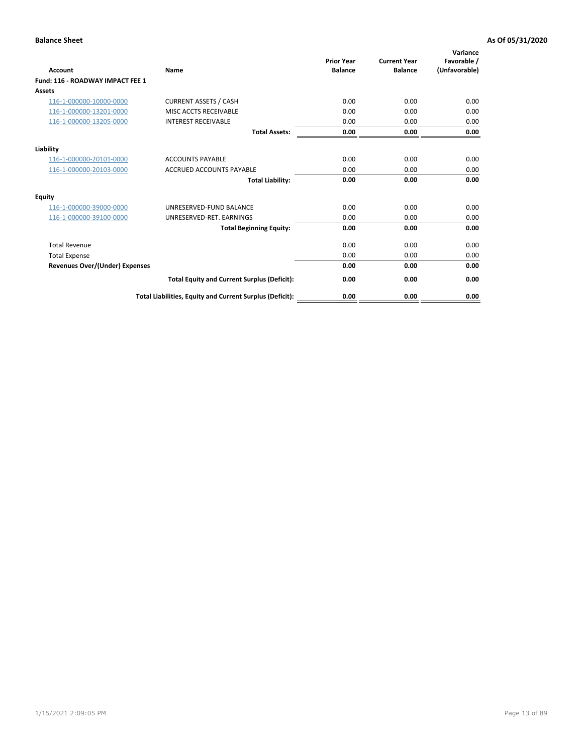| <b>Account</b>                        | Name                                                     | <b>Prior Year</b><br><b>Balance</b> | <b>Current Year</b><br><b>Balance</b> | Variance<br>Favorable /<br>(Unfavorable) |
|---------------------------------------|----------------------------------------------------------|-------------------------------------|---------------------------------------|------------------------------------------|
| Fund: 116 - ROADWAY IMPACT FEE 1      |                                                          |                                     |                                       |                                          |
| Assets                                |                                                          |                                     |                                       |                                          |
| 116-1-000000-10000-0000               | <b>CURRENT ASSETS / CASH</b>                             | 0.00                                | 0.00                                  | 0.00                                     |
| 116-1-000000-13201-0000               | <b>MISC ACCTS RECEIVABLE</b>                             | 0.00                                | 0.00                                  | 0.00                                     |
| 116-1-000000-13205-0000               | <b>INTEREST RECEIVABLE</b>                               | 0.00                                | 0.00                                  | 0.00                                     |
|                                       | <b>Total Assets:</b>                                     | 0.00                                | 0.00                                  | 0.00                                     |
| Liability                             |                                                          |                                     |                                       |                                          |
| 116-1-000000-20101-0000               | <b>ACCOUNTS PAYABLE</b>                                  | 0.00                                | 0.00                                  | 0.00                                     |
| 116-1-000000-20103-0000               | <b>ACCRUED ACCOUNTS PAYABLE</b>                          | 0.00                                | 0.00                                  | 0.00                                     |
|                                       | <b>Total Liability:</b>                                  | 0.00                                | 0.00                                  | 0.00                                     |
| Equity                                |                                                          |                                     |                                       |                                          |
| 116-1-000000-39000-0000               | UNRESERVED-FUND BALANCE                                  | 0.00                                | 0.00                                  | 0.00                                     |
| 116-1-000000-39100-0000               | UNRESERVED-RET. EARNINGS                                 | 0.00                                | 0.00                                  | 0.00                                     |
|                                       | <b>Total Beginning Equity:</b>                           | 0.00                                | 0.00                                  | 0.00                                     |
| <b>Total Revenue</b>                  |                                                          | 0.00                                | 0.00                                  | 0.00                                     |
| <b>Total Expense</b>                  |                                                          | 0.00                                | 0.00                                  | 0.00                                     |
| <b>Revenues Over/(Under) Expenses</b> |                                                          | 0.00                                | 0.00                                  | 0.00                                     |
|                                       | <b>Total Equity and Current Surplus (Deficit):</b>       | 0.00                                | 0.00                                  | 0.00                                     |
|                                       | Total Liabilities, Equity and Current Surplus (Deficit): | 0.00                                | 0.00                                  | 0.00                                     |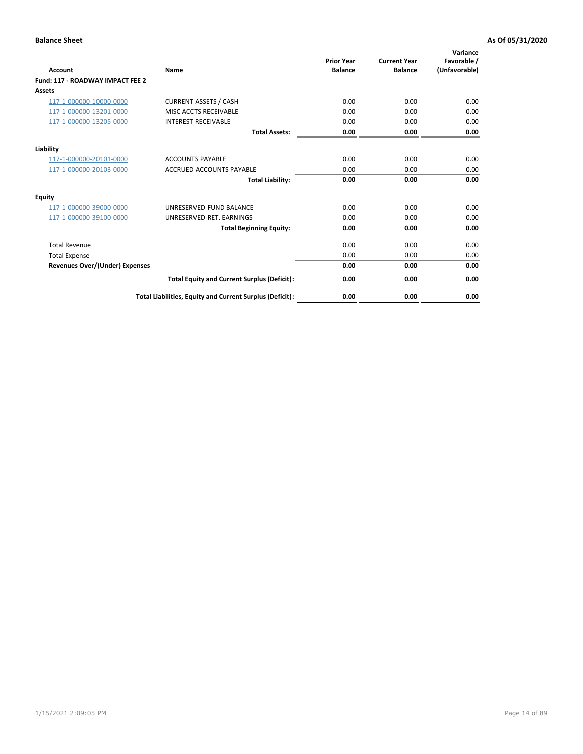| Account                               | <b>Name</b>                                              | <b>Prior Year</b><br><b>Balance</b> | <b>Current Year</b><br><b>Balance</b> | Variance<br>Favorable /<br>(Unfavorable) |
|---------------------------------------|----------------------------------------------------------|-------------------------------------|---------------------------------------|------------------------------------------|
| Fund: 117 - ROADWAY IMPACT FEE 2      |                                                          |                                     |                                       |                                          |
| Assets                                |                                                          |                                     |                                       |                                          |
| 117-1-000000-10000-0000               | <b>CURRENT ASSETS / CASH</b>                             | 0.00                                | 0.00                                  | 0.00                                     |
| 117-1-000000-13201-0000               | <b>MISC ACCTS RECEIVABLE</b>                             | 0.00                                | 0.00                                  | 0.00                                     |
| 117-1-000000-13205-0000               | <b>INTEREST RECEIVABLE</b>                               | 0.00                                | 0.00                                  | 0.00                                     |
|                                       | <b>Total Assets:</b>                                     | 0.00                                | 0.00                                  | 0.00                                     |
| Liability                             |                                                          |                                     |                                       |                                          |
| 117-1-000000-20101-0000               | <b>ACCOUNTS PAYABLE</b>                                  | 0.00                                | 0.00                                  | 0.00                                     |
| 117-1-000000-20103-0000               | <b>ACCRUED ACCOUNTS PAYABLE</b>                          | 0.00                                | 0.00                                  | 0.00                                     |
|                                       | <b>Total Liability:</b>                                  | 0.00                                | 0.00                                  | 0.00                                     |
| Equity                                |                                                          |                                     |                                       |                                          |
| 117-1-000000-39000-0000               | UNRESERVED-FUND BALANCE                                  | 0.00                                | 0.00                                  | 0.00                                     |
| 117-1-000000-39100-0000               | UNRESERVED-RET. EARNINGS                                 | 0.00                                | 0.00                                  | 0.00                                     |
|                                       | <b>Total Beginning Equity:</b>                           | 0.00                                | 0.00                                  | 0.00                                     |
| <b>Total Revenue</b>                  |                                                          | 0.00                                | 0.00                                  | 0.00                                     |
| <b>Total Expense</b>                  |                                                          | 0.00                                | 0.00                                  | 0.00                                     |
| <b>Revenues Over/(Under) Expenses</b> |                                                          | 0.00                                | 0.00                                  | 0.00                                     |
|                                       | <b>Total Equity and Current Surplus (Deficit):</b>       | 0.00                                | 0.00                                  | 0.00                                     |
|                                       | Total Liabilities, Equity and Current Surplus (Deficit): | 0.00                                | 0.00                                  | 0.00                                     |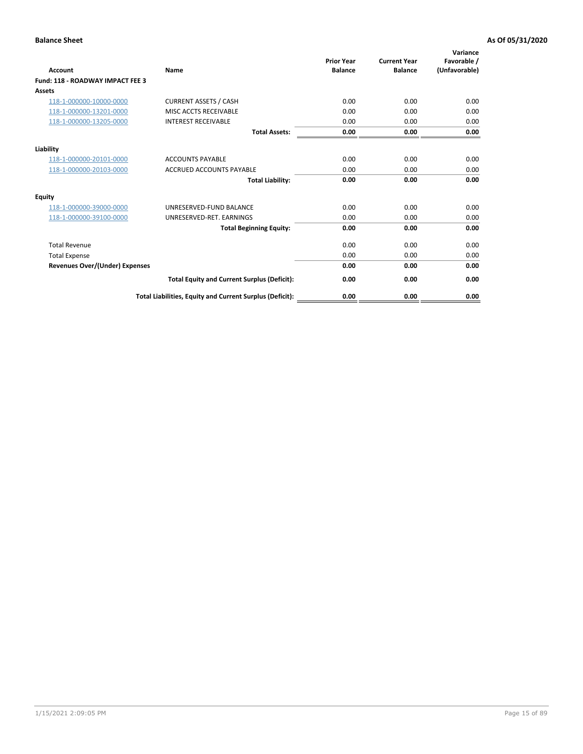| <b>Account</b>                        | Name                                                     | <b>Prior Year</b><br><b>Balance</b> | <b>Current Year</b><br><b>Balance</b> | Variance<br>Favorable /<br>(Unfavorable) |
|---------------------------------------|----------------------------------------------------------|-------------------------------------|---------------------------------------|------------------------------------------|
| Fund: 118 - ROADWAY IMPACT FEE 3      |                                                          |                                     |                                       |                                          |
| Assets                                |                                                          |                                     |                                       |                                          |
| 118-1-000000-10000-0000               | <b>CURRENT ASSETS / CASH</b>                             | 0.00                                | 0.00                                  | 0.00                                     |
| 118-1-000000-13201-0000               | <b>MISC ACCTS RECEIVABLE</b>                             | 0.00                                | 0.00                                  | 0.00                                     |
| 118-1-000000-13205-0000               | <b>INTEREST RECEIVABLE</b>                               | 0.00                                | 0.00                                  | 0.00                                     |
|                                       | <b>Total Assets:</b>                                     | 0.00                                | 0.00                                  | 0.00                                     |
| Liability                             |                                                          |                                     |                                       |                                          |
| 118-1-000000-20101-0000               | <b>ACCOUNTS PAYABLE</b>                                  | 0.00                                | 0.00                                  | 0.00                                     |
| 118-1-000000-20103-0000               | <b>ACCRUED ACCOUNTS PAYABLE</b>                          | 0.00                                | 0.00                                  | 0.00                                     |
|                                       | <b>Total Liability:</b>                                  | 0.00                                | 0.00                                  | 0.00                                     |
| Equity                                |                                                          |                                     |                                       |                                          |
| 118-1-000000-39000-0000               | UNRESERVED-FUND BALANCE                                  | 0.00                                | 0.00                                  | 0.00                                     |
| 118-1-000000-39100-0000               | UNRESERVED-RET. EARNINGS                                 | 0.00                                | 0.00                                  | 0.00                                     |
|                                       | <b>Total Beginning Equity:</b>                           | 0.00                                | 0.00                                  | 0.00                                     |
| <b>Total Revenue</b>                  |                                                          | 0.00                                | 0.00                                  | 0.00                                     |
| <b>Total Expense</b>                  |                                                          | 0.00                                | 0.00                                  | 0.00                                     |
| <b>Revenues Over/(Under) Expenses</b> |                                                          | 0.00                                | 0.00                                  | 0.00                                     |
|                                       | <b>Total Equity and Current Surplus (Deficit):</b>       | 0.00                                | 0.00                                  | 0.00                                     |
|                                       | Total Liabilities, Equity and Current Surplus (Deficit): | 0.00                                | 0.00                                  | 0.00                                     |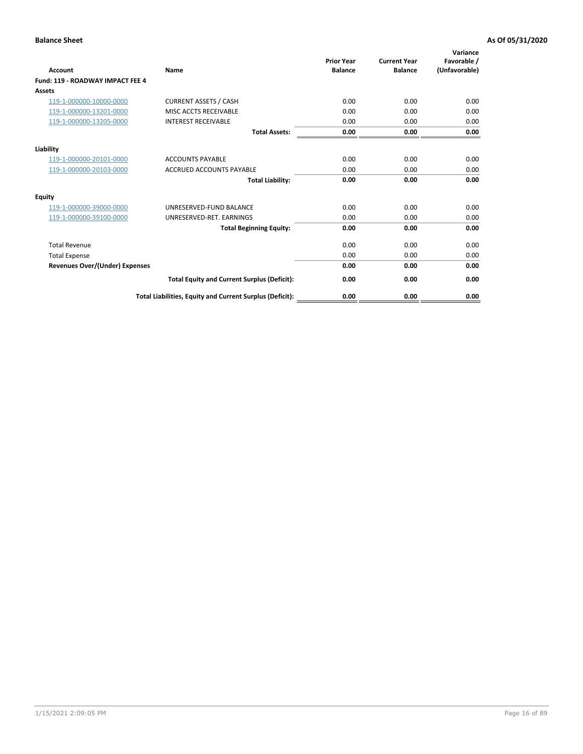| <b>Account</b>                        | Name                                                     | <b>Prior Year</b><br><b>Balance</b> | <b>Current Year</b><br><b>Balance</b> | Variance<br>Favorable /<br>(Unfavorable) |
|---------------------------------------|----------------------------------------------------------|-------------------------------------|---------------------------------------|------------------------------------------|
| Fund: 119 - ROADWAY IMPACT FEE 4      |                                                          |                                     |                                       |                                          |
| Assets                                |                                                          |                                     |                                       |                                          |
| 119-1-000000-10000-0000               | <b>CURRENT ASSETS / CASH</b>                             | 0.00                                | 0.00                                  | 0.00                                     |
| 119-1-000000-13201-0000               | <b>MISC ACCTS RECEIVABLE</b>                             | 0.00                                | 0.00                                  | 0.00                                     |
| 119-1-000000-13205-0000               | <b>INTEREST RECEIVABLE</b>                               | 0.00                                | 0.00                                  | 0.00                                     |
|                                       | <b>Total Assets:</b>                                     | 0.00                                | 0.00                                  | 0.00                                     |
| Liability                             |                                                          |                                     |                                       |                                          |
| 119-1-000000-20101-0000               | <b>ACCOUNTS PAYABLE</b>                                  | 0.00                                | 0.00                                  | 0.00                                     |
| 119-1-000000-20103-0000               | <b>ACCRUED ACCOUNTS PAYABLE</b>                          | 0.00                                | 0.00                                  | 0.00                                     |
|                                       | <b>Total Liability:</b>                                  | 0.00                                | 0.00                                  | 0.00                                     |
| Equity                                |                                                          |                                     |                                       |                                          |
| 119-1-000000-39000-0000               | UNRESERVED-FUND BALANCE                                  | 0.00                                | 0.00                                  | 0.00                                     |
| 119-1-000000-39100-0000               | UNRESERVED-RET. EARNINGS                                 | 0.00                                | 0.00                                  | 0.00                                     |
|                                       | <b>Total Beginning Equity:</b>                           | 0.00                                | 0.00                                  | 0.00                                     |
| <b>Total Revenue</b>                  |                                                          | 0.00                                | 0.00                                  | 0.00                                     |
| <b>Total Expense</b>                  |                                                          | 0.00                                | 0.00                                  | 0.00                                     |
| <b>Revenues Over/(Under) Expenses</b> |                                                          | 0.00                                | 0.00                                  | 0.00                                     |
|                                       | <b>Total Equity and Current Surplus (Deficit):</b>       | 0.00                                | 0.00                                  | 0.00                                     |
|                                       | Total Liabilities, Equity and Current Surplus (Deficit): | 0.00                                | 0.00                                  | 0.00                                     |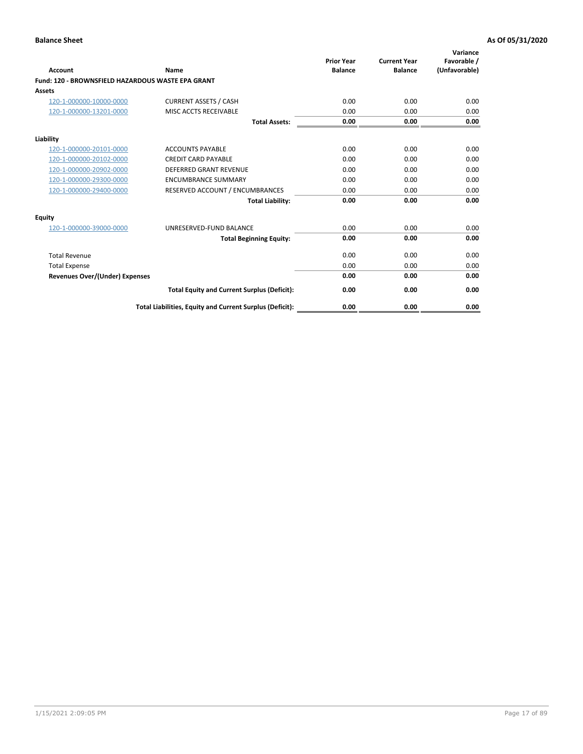| <b>Account</b>                                    | Name                                                     | <b>Prior Year</b><br><b>Balance</b> | <b>Current Year</b><br><b>Balance</b> | Variance<br>Favorable /<br>(Unfavorable) |
|---------------------------------------------------|----------------------------------------------------------|-------------------------------------|---------------------------------------|------------------------------------------|
| Fund: 120 - BROWNSFIELD HAZARDOUS WASTE EPA GRANT |                                                          |                                     |                                       |                                          |
| <b>Assets</b>                                     |                                                          |                                     |                                       |                                          |
| 120-1-000000-10000-0000                           | <b>CURRENT ASSETS / CASH</b>                             | 0.00                                | 0.00                                  | 0.00                                     |
| 120-1-000000-13201-0000                           | MISC ACCTS RECEIVABLE                                    | 0.00                                | 0.00                                  | 0.00                                     |
|                                                   | <b>Total Assets:</b>                                     | 0.00                                | 0.00                                  | 0.00                                     |
| Liability                                         |                                                          |                                     |                                       |                                          |
| 120-1-000000-20101-0000                           | <b>ACCOUNTS PAYABLE</b>                                  | 0.00                                | 0.00                                  | 0.00                                     |
| 120-1-000000-20102-0000                           | <b>CREDIT CARD PAYABLE</b>                               | 0.00                                | 0.00                                  | 0.00                                     |
| 120-1-000000-20902-0000                           | <b>DEFERRED GRANT REVENUE</b>                            | 0.00                                | 0.00                                  | 0.00                                     |
| 120-1-000000-29300-0000                           | <b>ENCUMBRANCE SUMMARY</b>                               | 0.00                                | 0.00                                  | 0.00                                     |
| 120-1-000000-29400-0000                           | RESERVED ACCOUNT / ENCUMBRANCES                          | 0.00                                | 0.00                                  | 0.00                                     |
|                                                   | <b>Total Liability:</b>                                  | 0.00                                | 0.00                                  | 0.00                                     |
| Equity                                            |                                                          |                                     |                                       |                                          |
| 120-1-000000-39000-0000                           | UNRESERVED-FUND BALANCE                                  | 0.00                                | 0.00                                  | 0.00                                     |
|                                                   | <b>Total Beginning Equity:</b>                           | 0.00                                | 0.00                                  | 0.00                                     |
| <b>Total Revenue</b>                              |                                                          | 0.00                                | 0.00                                  | 0.00                                     |
| <b>Total Expense</b>                              |                                                          | 0.00                                | 0.00                                  | 0.00                                     |
| <b>Revenues Over/(Under) Expenses</b>             |                                                          | 0.00                                | 0.00                                  | 0.00                                     |
|                                                   | <b>Total Equity and Current Surplus (Deficit):</b>       | 0.00                                | 0.00                                  | 0.00                                     |
|                                                   | Total Liabilities, Equity and Current Surplus (Deficit): | 0.00                                | 0.00                                  | 0.00                                     |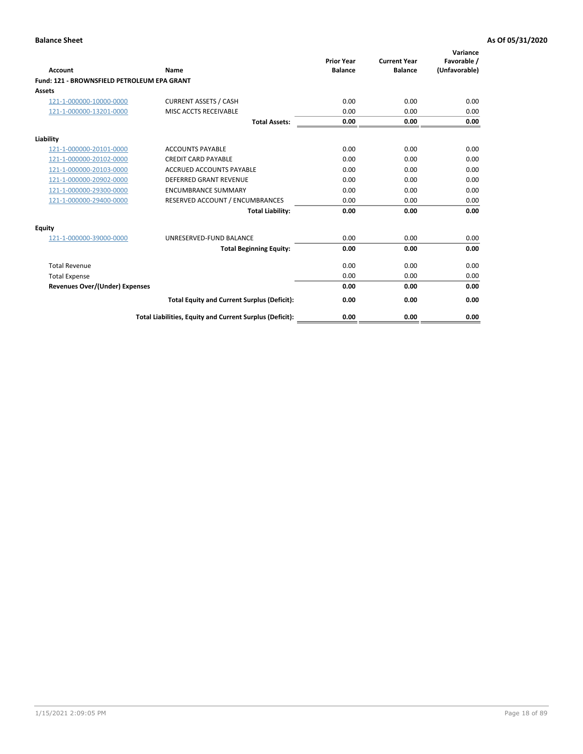| Account                                     | Name                                                     | <b>Prior Year</b><br><b>Balance</b> | <b>Current Year</b><br><b>Balance</b> | Variance<br>Favorable /<br>(Unfavorable) |
|---------------------------------------------|----------------------------------------------------------|-------------------------------------|---------------------------------------|------------------------------------------|
| Fund: 121 - BROWNSFIELD PETROLEUM EPA GRANT |                                                          |                                     |                                       |                                          |
| <b>Assets</b>                               |                                                          |                                     |                                       |                                          |
| 121-1-000000-10000-0000                     | <b>CURRENT ASSETS / CASH</b>                             | 0.00                                | 0.00                                  | 0.00                                     |
| 121-1-000000-13201-0000                     | <b>MISC ACCTS RECEIVABLE</b>                             | 0.00                                | 0.00                                  | 0.00                                     |
|                                             | <b>Total Assets:</b>                                     | 0.00                                | 0.00                                  | 0.00                                     |
| Liability                                   |                                                          |                                     |                                       |                                          |
| 121-1-000000-20101-0000                     | <b>ACCOUNTS PAYABLE</b>                                  | 0.00                                | 0.00                                  | 0.00                                     |
| 121-1-000000-20102-0000                     | <b>CREDIT CARD PAYABLE</b>                               | 0.00                                | 0.00                                  | 0.00                                     |
| 121-1-000000-20103-0000                     | <b>ACCRUED ACCOUNTS PAYABLE</b>                          | 0.00                                | 0.00                                  | 0.00                                     |
| 121-1-000000-20902-0000                     | <b>DEFERRED GRANT REVENUE</b>                            | 0.00                                | 0.00                                  | 0.00                                     |
| 121-1-000000-29300-0000                     | <b>ENCUMBRANCE SUMMARY</b>                               | 0.00                                | 0.00                                  | 0.00                                     |
| 121-1-000000-29400-0000                     | RESERVED ACCOUNT / ENCUMBRANCES                          | 0.00                                | 0.00                                  | 0.00                                     |
|                                             | <b>Total Liability:</b>                                  | 0.00                                | 0.00                                  | 0.00                                     |
| <b>Equity</b>                               |                                                          |                                     |                                       |                                          |
| 121-1-000000-39000-0000                     | UNRESERVED-FUND BALANCE                                  | 0.00                                | 0.00                                  | 0.00                                     |
|                                             | <b>Total Beginning Equity:</b>                           | 0.00                                | 0.00                                  | 0.00                                     |
| <b>Total Revenue</b>                        |                                                          | 0.00                                | 0.00                                  | 0.00                                     |
| <b>Total Expense</b>                        |                                                          | 0.00                                | 0.00                                  | 0.00                                     |
| <b>Revenues Over/(Under) Expenses</b>       |                                                          | 0.00                                | 0.00                                  | 0.00                                     |
|                                             | <b>Total Equity and Current Surplus (Deficit):</b>       | 0.00                                | 0.00                                  | 0.00                                     |
|                                             | Total Liabilities, Equity and Current Surplus (Deficit): | 0.00                                | 0.00                                  | 0.00                                     |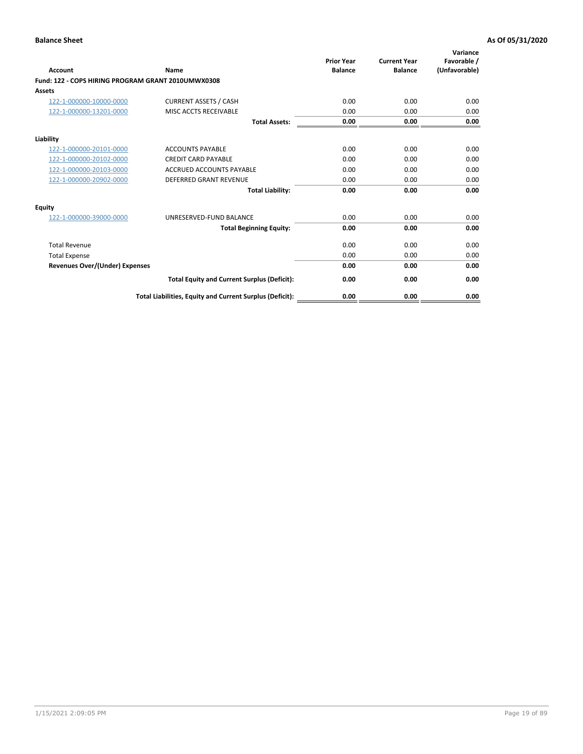| <b>Account</b>                                     | Name                                                     | <b>Prior Year</b><br><b>Balance</b> | <b>Current Year</b><br><b>Balance</b> | Variance<br>Favorable /<br>(Unfavorable) |
|----------------------------------------------------|----------------------------------------------------------|-------------------------------------|---------------------------------------|------------------------------------------|
| Fund: 122 - COPS HIRING PROGRAM GRANT 2010UMWX0308 |                                                          |                                     |                                       |                                          |
| Assets                                             |                                                          |                                     |                                       |                                          |
| 122-1-000000-10000-0000                            | <b>CURRENT ASSETS / CASH</b>                             | 0.00                                | 0.00                                  | 0.00                                     |
| 122-1-000000-13201-0000                            | MISC ACCTS RECEIVABLE                                    | 0.00                                | 0.00                                  | 0.00                                     |
|                                                    | <b>Total Assets:</b>                                     | 0.00                                | 0.00                                  | 0.00                                     |
| Liability                                          |                                                          |                                     |                                       |                                          |
| 122-1-000000-20101-0000                            | <b>ACCOUNTS PAYABLE</b>                                  | 0.00                                | 0.00                                  | 0.00                                     |
| 122-1-000000-20102-0000                            | <b>CREDIT CARD PAYABLE</b>                               | 0.00                                | 0.00                                  | 0.00                                     |
| 122-1-000000-20103-0000                            | <b>ACCRUED ACCOUNTS PAYABLE</b>                          | 0.00                                | 0.00                                  | 0.00                                     |
| 122-1-000000-20902-0000                            | <b>DEFERRED GRANT REVENUE</b>                            | 0.00                                | 0.00                                  | 0.00                                     |
|                                                    | <b>Total Liability:</b>                                  | 0.00                                | 0.00                                  | 0.00                                     |
| Equity                                             |                                                          |                                     |                                       |                                          |
| 122-1-000000-39000-0000                            | UNRESERVED-FUND BALANCE                                  | 0.00                                | 0.00                                  | 0.00                                     |
|                                                    | <b>Total Beginning Equity:</b>                           | 0.00                                | 0.00                                  | 0.00                                     |
| <b>Total Revenue</b>                               |                                                          | 0.00                                | 0.00                                  | 0.00                                     |
| <b>Total Expense</b>                               |                                                          | 0.00                                | 0.00                                  | 0.00                                     |
| <b>Revenues Over/(Under) Expenses</b>              |                                                          | 0.00                                | 0.00                                  | 0.00                                     |
|                                                    | <b>Total Equity and Current Surplus (Deficit):</b>       | 0.00                                | 0.00                                  | 0.00                                     |
|                                                    | Total Liabilities, Equity and Current Surplus (Deficit): | 0.00                                | 0.00                                  | 0.00                                     |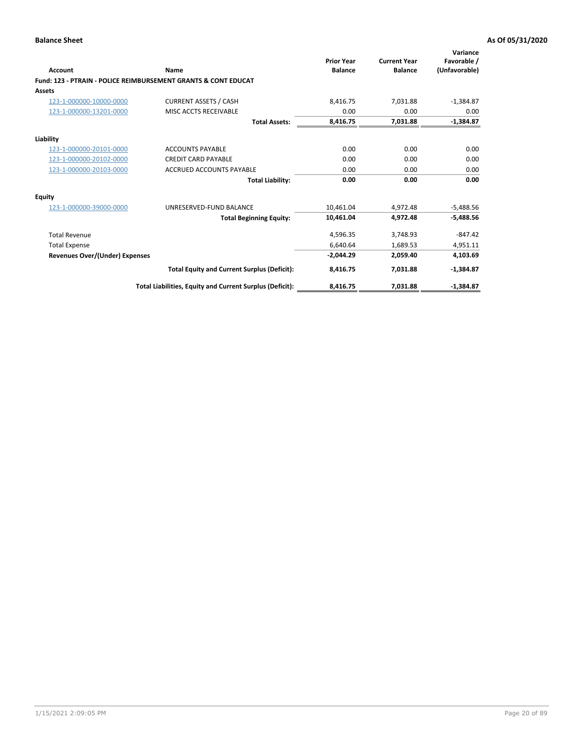| Account                        | <b>Name</b>                                                    | <b>Prior Year</b><br><b>Balance</b> | <b>Current Year</b><br><b>Balance</b> | Variance<br>Favorable /<br>(Unfavorable) |
|--------------------------------|----------------------------------------------------------------|-------------------------------------|---------------------------------------|------------------------------------------|
|                                | Fund: 123 - PTRAIN - POLICE REIMBURSEMENT GRANTS & CONT EDUCAT |                                     |                                       |                                          |
| Assets                         |                                                                |                                     |                                       |                                          |
| 123-1-000000-10000-0000        | <b>CURRENT ASSETS / CASH</b>                                   | 8,416.75                            | 7,031.88                              | $-1,384.87$                              |
| 123-1-000000-13201-0000        | MISC ACCTS RECEIVABLE                                          | 0.00                                | 0.00                                  | 0.00                                     |
|                                | <b>Total Assets:</b>                                           | 8,416.75                            | 7,031.88                              | $-1,384.87$                              |
| Liability                      |                                                                |                                     |                                       |                                          |
| 123-1-000000-20101-0000        | <b>ACCOUNTS PAYABLE</b>                                        | 0.00                                | 0.00                                  | 0.00                                     |
| 123-1-000000-20102-0000        | <b>CREDIT CARD PAYABLE</b>                                     | 0.00                                | 0.00                                  | 0.00                                     |
| 123-1-000000-20103-0000        | <b>ACCRUED ACCOUNTS PAYABLE</b>                                | 0.00                                | 0.00                                  | 0.00                                     |
|                                | <b>Total Liability:</b>                                        | 0.00                                | 0.00                                  | 0.00                                     |
| Equity                         |                                                                |                                     |                                       |                                          |
| 123-1-000000-39000-0000        | UNRESERVED-FUND BALANCE                                        | 10.461.04                           | 4,972.48                              | $-5,488.56$                              |
|                                | <b>Total Beginning Equity:</b>                                 | 10,461.04                           | 4,972.48                              | $-5,488.56$                              |
| <b>Total Revenue</b>           |                                                                | 4,596.35                            | 3,748.93                              | $-847.42$                                |
| <b>Total Expense</b>           |                                                                | 6,640.64                            | 1,689.53                              | 4,951.11                                 |
| Revenues Over/(Under) Expenses |                                                                | $-2,044.29$                         | 2,059.40                              | 4,103.69                                 |
|                                | <b>Total Equity and Current Surplus (Deficit):</b>             | 8,416.75                            | 7,031.88                              | $-1,384.87$                              |
|                                | Total Liabilities, Equity and Current Surplus (Deficit):       | 8,416.75                            | 7,031.88                              | $-1,384.87$                              |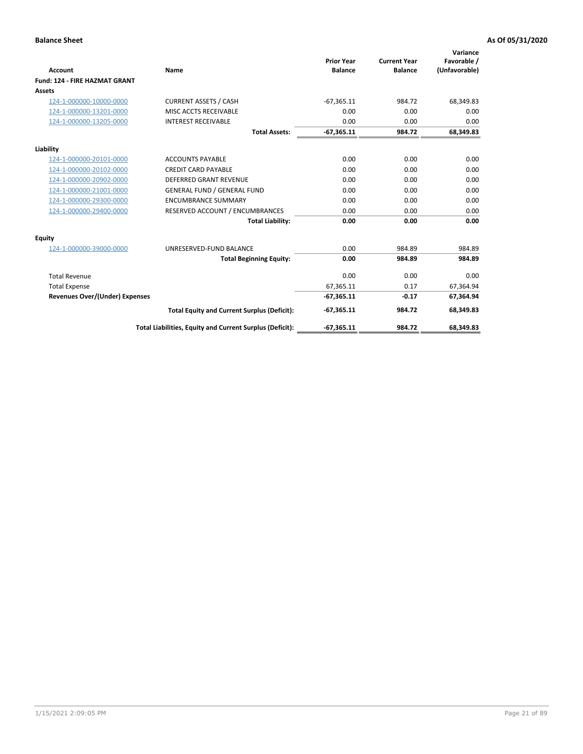|                                       |                                                          |                                     |                                       | Variance                     |
|---------------------------------------|----------------------------------------------------------|-------------------------------------|---------------------------------------|------------------------------|
| <b>Account</b>                        | Name                                                     | <b>Prior Year</b><br><b>Balance</b> | <b>Current Year</b><br><b>Balance</b> | Favorable /<br>(Unfavorable) |
| <b>Fund: 124 - FIRE HAZMAT GRANT</b>  |                                                          |                                     |                                       |                              |
| <b>Assets</b>                         |                                                          |                                     |                                       |                              |
| 124-1-000000-10000-0000               | <b>CURRENT ASSETS / CASH</b>                             | $-67,365.11$                        | 984.72                                | 68,349.83                    |
| 124-1-000000-13201-0000               | MISC ACCTS RECEIVABLE                                    | 0.00                                | 0.00                                  | 0.00                         |
| 124-1-000000-13205-0000               | <b>INTEREST RECEIVABLE</b>                               | 0.00                                | 0.00                                  | 0.00                         |
|                                       | <b>Total Assets:</b>                                     | $-67,365.11$                        | 984.72                                | 68,349.83                    |
| Liability                             |                                                          |                                     |                                       |                              |
| 124-1-000000-20101-0000               | <b>ACCOUNTS PAYABLE</b>                                  | 0.00                                | 0.00                                  | 0.00                         |
| 124-1-000000-20102-0000               | <b>CREDIT CARD PAYABLE</b>                               | 0.00                                | 0.00                                  | 0.00                         |
| 124-1-000000-20902-0000               | <b>DEFERRED GRANT REVENUE</b>                            | 0.00                                | 0.00                                  | 0.00                         |
| 124-1-000000-21001-0000               | <b>GENERAL FUND / GENERAL FUND</b>                       | 0.00                                | 0.00                                  | 0.00                         |
| 124-1-000000-29300-0000               | <b>ENCUMBRANCE SUMMARY</b>                               | 0.00                                | 0.00                                  | 0.00                         |
| 124-1-000000-29400-0000               | RESERVED ACCOUNT / ENCUMBRANCES                          | 0.00                                | 0.00                                  | 0.00                         |
|                                       | <b>Total Liability:</b>                                  | 0.00                                | 0.00                                  | 0.00                         |
| Equity                                |                                                          |                                     |                                       |                              |
| 124-1-000000-39000-0000               | UNRESERVED-FUND BALANCE                                  | 0.00                                | 984.89                                | 984.89                       |
|                                       | <b>Total Beginning Equity:</b>                           | 0.00                                | 984.89                                | 984.89                       |
| <b>Total Revenue</b>                  |                                                          | 0.00                                | 0.00                                  | 0.00                         |
| <b>Total Expense</b>                  |                                                          | 67,365.11                           | 0.17                                  | 67,364.94                    |
| <b>Revenues Over/(Under) Expenses</b> |                                                          | $-67,365.11$                        | $-0.17$                               | 67,364.94                    |
|                                       | <b>Total Equity and Current Surplus (Deficit):</b>       | $-67,365.11$                        | 984.72                                | 68,349.83                    |
|                                       | Total Liabilities, Equity and Current Surplus (Deficit): | $-67,365.11$                        | 984.72                                | 68,349.83                    |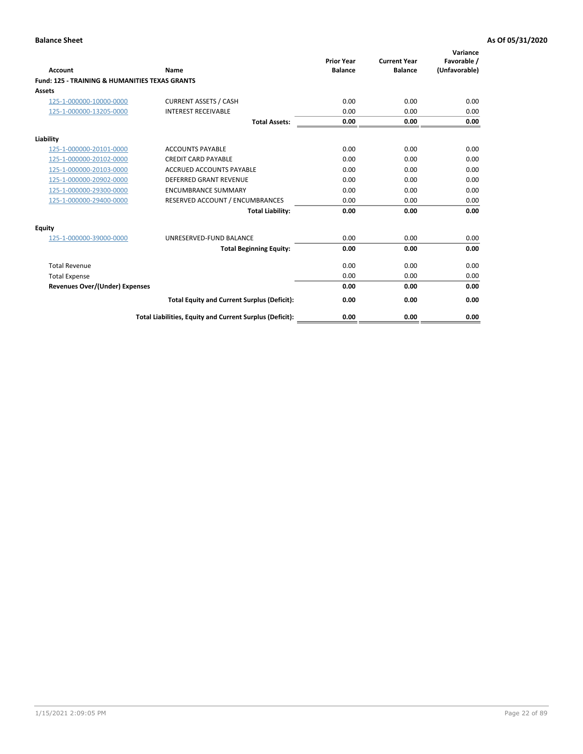| Account                                                   | Name                                                     | <b>Prior Year</b><br><b>Balance</b> | <b>Current Year</b><br><b>Balance</b> | Variance<br>Favorable /<br>(Unfavorable) |
|-----------------------------------------------------------|----------------------------------------------------------|-------------------------------------|---------------------------------------|------------------------------------------|
| <b>Fund: 125 - TRAINING &amp; HUMANITIES TEXAS GRANTS</b> |                                                          |                                     |                                       |                                          |
| <b>Assets</b>                                             |                                                          |                                     |                                       |                                          |
| 125-1-000000-10000-0000                                   | <b>CURRENT ASSETS / CASH</b>                             | 0.00                                | 0.00                                  | 0.00                                     |
| 125-1-000000-13205-0000                                   | <b>INTEREST RECEIVABLE</b>                               | 0.00                                | 0.00                                  | 0.00                                     |
|                                                           | <b>Total Assets:</b>                                     | 0.00                                | 0.00                                  | 0.00                                     |
| Liability                                                 |                                                          |                                     |                                       |                                          |
| 125-1-000000-20101-0000                                   | <b>ACCOUNTS PAYABLE</b>                                  | 0.00                                | 0.00                                  | 0.00                                     |
| 125-1-000000-20102-0000                                   | <b>CREDIT CARD PAYABLE</b>                               | 0.00                                | 0.00                                  | 0.00                                     |
| 125-1-000000-20103-0000                                   | <b>ACCRUED ACCOUNTS PAYABLE</b>                          | 0.00                                | 0.00                                  | 0.00                                     |
| 125-1-000000-20902-0000                                   | <b>DEFERRED GRANT REVENUE</b>                            | 0.00                                | 0.00                                  | 0.00                                     |
| 125-1-000000-29300-0000                                   | <b>ENCUMBRANCE SUMMARY</b>                               | 0.00                                | 0.00                                  | 0.00                                     |
| 125-1-000000-29400-0000                                   | RESERVED ACCOUNT / ENCUMBRANCES                          | 0.00                                | 0.00                                  | 0.00                                     |
|                                                           | <b>Total Liability:</b>                                  | 0.00                                | 0.00                                  | 0.00                                     |
| <b>Equity</b>                                             |                                                          |                                     |                                       |                                          |
| 125-1-000000-39000-0000                                   | UNRESERVED-FUND BALANCE                                  | 0.00                                | 0.00                                  | 0.00                                     |
|                                                           | <b>Total Beginning Equity:</b>                           | 0.00                                | 0.00                                  | 0.00                                     |
| <b>Total Revenue</b>                                      |                                                          | 0.00                                | 0.00                                  | 0.00                                     |
| <b>Total Expense</b>                                      |                                                          | 0.00                                | 0.00                                  | 0.00                                     |
| <b>Revenues Over/(Under) Expenses</b>                     |                                                          | 0.00                                | 0.00                                  | 0.00                                     |
|                                                           | <b>Total Equity and Current Surplus (Deficit):</b>       | 0.00                                | 0.00                                  | 0.00                                     |
|                                                           | Total Liabilities, Equity and Current Surplus (Deficit): | 0.00                                | 0.00                                  | 0.00                                     |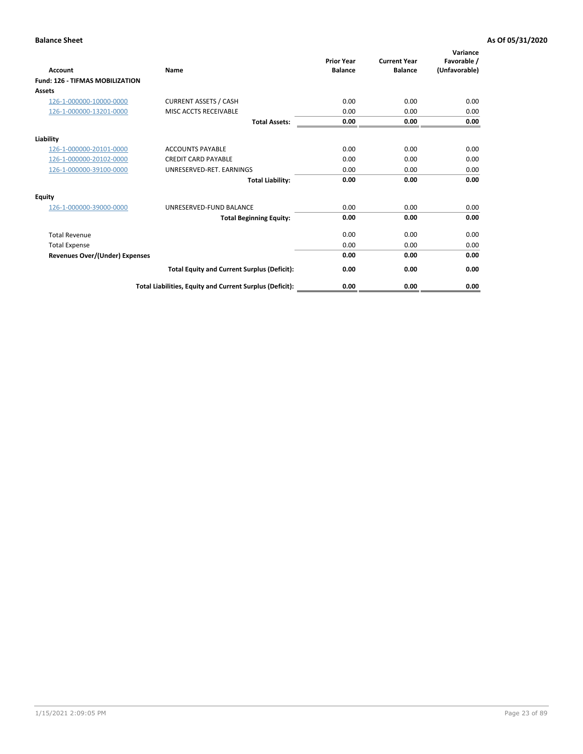| Account                                | Name                                                     | <b>Prior Year</b><br><b>Balance</b> | <b>Current Year</b><br><b>Balance</b> | Variance<br>Favorable /<br>(Unfavorable) |
|----------------------------------------|----------------------------------------------------------|-------------------------------------|---------------------------------------|------------------------------------------|
| <b>Fund: 126 - TIFMAS MOBILIZATION</b> |                                                          |                                     |                                       |                                          |
| Assets                                 |                                                          |                                     |                                       |                                          |
| 126-1-000000-10000-0000                | <b>CURRENT ASSETS / CASH</b>                             | 0.00                                | 0.00                                  | 0.00                                     |
| 126-1-000000-13201-0000                | MISC ACCTS RECEIVABLE                                    | 0.00                                | 0.00                                  | 0.00                                     |
|                                        | <b>Total Assets:</b>                                     | 0.00                                | 0.00                                  | 0.00                                     |
| Liability                              |                                                          |                                     |                                       |                                          |
| 126-1-000000-20101-0000                | <b>ACCOUNTS PAYABLE</b>                                  | 0.00                                | 0.00                                  | 0.00                                     |
| 126-1-000000-20102-0000                | <b>CREDIT CARD PAYABLE</b>                               | 0.00                                | 0.00                                  | 0.00                                     |
| 126-1-000000-39100-0000                | UNRESERVED-RET. EARNINGS                                 | 0.00                                | 0.00                                  | 0.00                                     |
|                                        | <b>Total Liability:</b>                                  | 0.00                                | 0.00                                  | 0.00                                     |
| Equity                                 |                                                          |                                     |                                       |                                          |
| 126-1-000000-39000-0000                | UNRESERVED-FUND BALANCE                                  | 0.00                                | 0.00                                  | 0.00                                     |
|                                        | <b>Total Beginning Equity:</b>                           | 0.00                                | 0.00                                  | 0.00                                     |
| <b>Total Revenue</b>                   |                                                          | 0.00                                | 0.00                                  | 0.00                                     |
| <b>Total Expense</b>                   |                                                          | 0.00                                | 0.00                                  | 0.00                                     |
| Revenues Over/(Under) Expenses         |                                                          | 0.00                                | 0.00                                  | 0.00                                     |
|                                        | <b>Total Equity and Current Surplus (Deficit):</b>       | 0.00                                | 0.00                                  | 0.00                                     |
|                                        | Total Liabilities, Equity and Current Surplus (Deficit): | 0.00                                | 0.00                                  | 0.00                                     |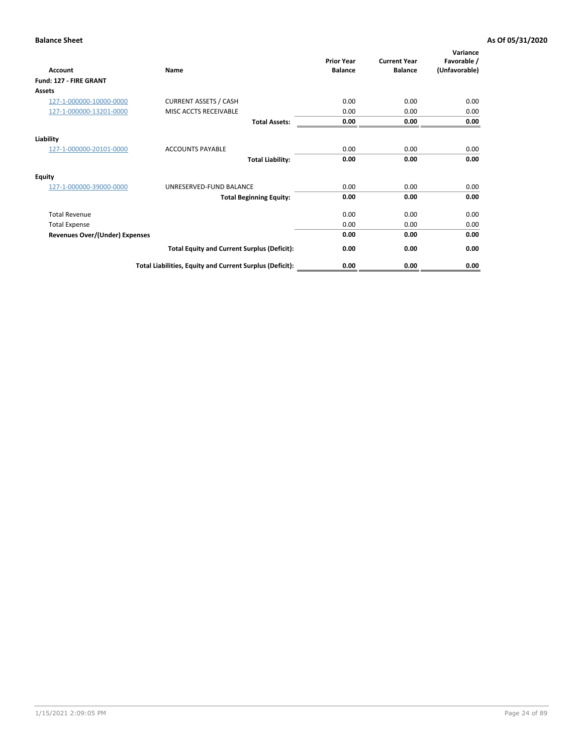| <b>Account</b>                        | Name                                                     | <b>Prior Year</b><br><b>Balance</b> | <b>Current Year</b><br><b>Balance</b> | Variance<br>Favorable /<br>(Unfavorable) |
|---------------------------------------|----------------------------------------------------------|-------------------------------------|---------------------------------------|------------------------------------------|
| Fund: 127 - FIRE GRANT                |                                                          |                                     |                                       |                                          |
| <b>Assets</b>                         |                                                          |                                     |                                       |                                          |
| 127-1-000000-10000-0000               | <b>CURRENT ASSETS / CASH</b>                             | 0.00                                | 0.00                                  | 0.00                                     |
| 127-1-000000-13201-0000               | MISC ACCTS RECEIVABLE                                    | 0.00                                | 0.00                                  | 0.00                                     |
|                                       | <b>Total Assets:</b>                                     | 0.00                                | 0.00                                  | 0.00                                     |
| Liability                             |                                                          |                                     |                                       |                                          |
| 127-1-000000-20101-0000               | <b>ACCOUNTS PAYABLE</b>                                  | 0.00                                | 0.00                                  | 0.00                                     |
|                                       | <b>Total Liability:</b>                                  | 0.00                                | 0.00                                  | 0.00                                     |
| Equity                                |                                                          |                                     |                                       |                                          |
| 127-1-000000-39000-0000               | UNRESERVED-FUND BALANCE                                  | 0.00                                | 0.00                                  | 0.00                                     |
|                                       | <b>Total Beginning Equity:</b>                           | 0.00                                | 0.00                                  | 0.00                                     |
| <b>Total Revenue</b>                  |                                                          | 0.00                                | 0.00                                  | 0.00                                     |
| <b>Total Expense</b>                  |                                                          | 0.00                                | 0.00                                  | 0.00                                     |
| <b>Revenues Over/(Under) Expenses</b> |                                                          | 0.00                                | 0.00                                  | 0.00                                     |
|                                       | <b>Total Equity and Current Surplus (Deficit):</b>       | 0.00                                | 0.00                                  | 0.00                                     |
|                                       | Total Liabilities, Equity and Current Surplus (Deficit): | 0.00                                | 0.00                                  | 0.00                                     |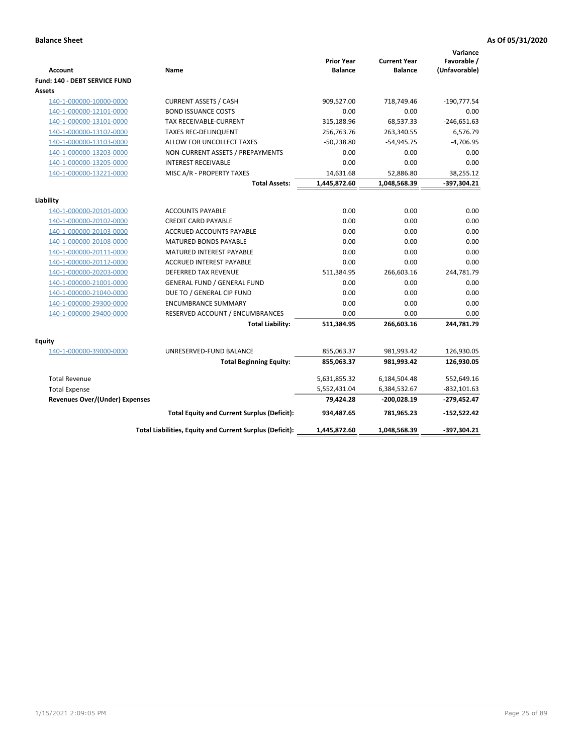| <b>Account</b>                        | Name                                                           | <b>Prior Year</b><br><b>Balance</b> | <b>Current Year</b><br><b>Balance</b> | Variance<br>Favorable /<br>(Unfavorable) |
|---------------------------------------|----------------------------------------------------------------|-------------------------------------|---------------------------------------|------------------------------------------|
| Fund: 140 - DEBT SERVICE FUND         |                                                                |                                     |                                       |                                          |
| Assets                                | <b>CURRENT ASSETS / CASH</b>                                   | 909,527.00                          | 718,749.46                            | $-190,777.54$                            |
| 140-1-000000-10000-0000               | <b>BOND ISSUANCE COSTS</b>                                     | 0.00                                | 0.00                                  | 0.00                                     |
| 140-1-000000-12101-0000               |                                                                | 315,188.96                          | 68,537.33                             | $-246,651.63$                            |
| 140-1-000000-13101-0000               | <b>TAX RECEIVABLE-CURRENT</b>                                  |                                     | 263,340.55                            |                                          |
| 140-1-000000-13102-0000               | <b>TAXES REC-DELINQUENT</b>                                    | 256,763.76                          |                                       | 6,576.79<br>$-4,706.95$                  |
| 140-1-000000-13103-0000               | ALLOW FOR UNCOLLECT TAXES                                      | $-50,238.80$                        | $-54,945.75$                          |                                          |
| 140-1-000000-13203-0000               | NON-CURRENT ASSETS / PREPAYMENTS<br><b>INTEREST RECEIVABLE</b> | 0.00<br>0.00                        | 0.00<br>0.00                          | 0.00<br>0.00                             |
| 140-1-000000-13205-0000               |                                                                |                                     |                                       |                                          |
| 140-1-000000-13221-0000               | MISC A/R - PROPERTY TAXES<br><b>Total Assets:</b>              | 14,631.68<br>1,445,872.60           | 52,886.80<br>1,048,568.39             | 38,255.12<br>$-397,304.21$               |
|                                       |                                                                |                                     |                                       |                                          |
| Liability                             |                                                                |                                     |                                       |                                          |
| 140-1-000000-20101-0000               | <b>ACCOUNTS PAYABLE</b>                                        | 0.00                                | 0.00                                  | 0.00                                     |
| 140-1-000000-20102-0000               | <b>CREDIT CARD PAYABLE</b>                                     | 0.00                                | 0.00                                  | 0.00                                     |
| 140-1-000000-20103-0000               | <b>ACCRUED ACCOUNTS PAYABLE</b>                                | 0.00                                | 0.00                                  | 0.00                                     |
| 140-1-000000-20108-0000               | <b>MATURED BONDS PAYABLE</b>                                   | 0.00                                | 0.00                                  | 0.00                                     |
| 140-1-000000-20111-0000               | MATURED INTEREST PAYABLE                                       | 0.00                                | 0.00                                  | 0.00                                     |
| 140-1-000000-20112-0000               | ACCRUED INTEREST PAYABLE                                       | 0.00                                | 0.00                                  | 0.00                                     |
| 140-1-000000-20203-0000               | <b>DEFERRED TAX REVENUE</b>                                    | 511,384.95                          | 266,603.16                            | 244,781.79                               |
| 140-1-000000-21001-0000               | <b>GENERAL FUND / GENERAL FUND</b>                             | 0.00                                | 0.00                                  | 0.00                                     |
| 140-1-000000-21040-0000               | DUE TO / GENERAL CIP FUND                                      | 0.00                                | 0.00                                  | 0.00                                     |
| 140-1-000000-29300-0000               | <b>ENCUMBRANCE SUMMARY</b>                                     | 0.00                                | 0.00                                  | 0.00                                     |
| 140-1-000000-29400-0000               | RESERVED ACCOUNT / ENCUMBRANCES                                | 0.00                                | 0.00                                  | 0.00                                     |
|                                       | <b>Total Liability:</b>                                        | 511,384.95                          | 266,603.16                            | 244,781.79                               |
|                                       |                                                                |                                     |                                       |                                          |
| Equity<br>140-1-000000-39000-0000     | UNRESERVED-FUND BALANCE                                        | 855,063.37                          | 981,993.42                            | 126,930.05                               |
|                                       | <b>Total Beginning Equity:</b>                                 | 855,063.37                          | 981,993.42                            | 126,930.05                               |
|                                       |                                                                |                                     |                                       |                                          |
| <b>Total Revenue</b>                  |                                                                | 5,631,855.32                        | 6,184,504.48                          | 552,649.16                               |
| <b>Total Expense</b>                  |                                                                | 5,552,431.04                        | 6,384,532.67                          | $-832, 101.63$                           |
| <b>Revenues Over/(Under) Expenses</b> |                                                                | 79,424.28                           | $-200,028.19$                         | $-279,452.47$                            |
|                                       | <b>Total Equity and Current Surplus (Deficit):</b>             | 934,487.65                          | 781,965.23                            | $-152,522.42$                            |
|                                       | Total Liabilities, Equity and Current Surplus (Deficit):       | 1,445,872.60                        | 1,048,568.39                          | $-397,304.21$                            |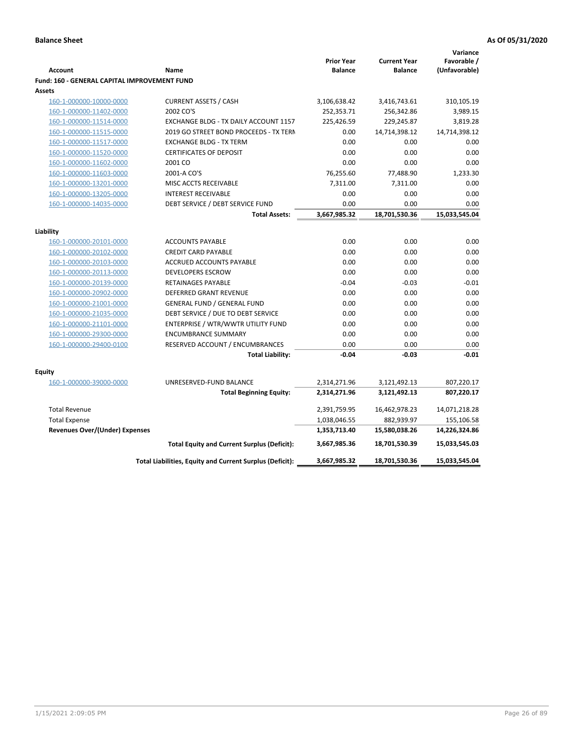| <b>Prior Year</b><br><b>Current Year</b><br><b>Account</b><br><b>Balance</b><br><b>Balance</b><br>(Unfavorable)<br>Name<br>Fund: 160 - GENERAL CAPITAL IMPROVEMENT FUND<br>Assets<br><b>CURRENT ASSETS / CASH</b><br>3,106,638.42<br>3,416,743.61<br>160-1-000000-10000-0000<br>2002 CO'S<br>252,353.71<br>160-1-000000-11402-0000<br>256,342.86<br>160-1-000000-11514-0000<br>EXCHANGE BLDG - TX DAILY ACCOUNT 1157<br>225,426.59<br>229,245.87<br>160-1-000000-11515-0000<br>2019 GO STREET BOND PROCEEDS - TX TERN<br>0.00<br>14,714,398.12<br>0.00<br>0.00<br>160-1-000000-11517-0000<br><b>EXCHANGE BLDG - TX TERM</b><br><b>CERTIFICATES OF DEPOSIT</b><br>0.00<br>0.00<br>160-1-000000-11520-0000<br>0.00<br>0.00<br>160-1-000000-11602-0000<br>2001 CO<br>76,255.60<br>77,488.90<br>160-1-000000-11603-0000<br>2001-A CO'S<br>160-1-000000-13201-0000<br>MISC ACCTS RECEIVABLE<br>7,311.00<br>7,311.00<br><b>INTEREST RECEIVABLE</b><br>0.00<br>160-1-000000-13205-0000<br>0.00<br>160-1-000000-14035-0000<br>DEBT SERVICE / DEBT SERVICE FUND<br>0.00<br>0.00<br>3,667,985.32<br>18,701,530.36<br><b>Total Assets:</b><br>Liability<br>0.00<br>0.00<br>160-1-000000-20101-0000<br><b>ACCOUNTS PAYABLE</b><br>0.00<br>0.00<br>160-1-000000-20102-0000<br><b>CREDIT CARD PAYABLE</b><br>0.00<br>160-1-000000-20103-0000<br>ACCRUED ACCOUNTS PAYABLE<br>0.00<br><b>DEVELOPERS ESCROW</b><br>0.00<br>0.00<br>160-1-000000-20113-0000<br>160-1-000000-20139-0000<br>RETAINAGES PAYABLE<br>$-0.04$<br>$-0.03$<br>0.00<br>160-1-000000-20902-0000<br>DEFERRED GRANT REVENUE<br>0.00<br>0.00<br>160-1-000000-21001-0000<br><b>GENERAL FUND / GENERAL FUND</b><br>0.00<br>DEBT SERVICE / DUE TO DEBT SERVICE<br>0.00<br>160-1-000000-21035-0000<br>0.00<br>160-1-000000-21101-0000<br>ENTERPRISE / WTR/WWTR UTILITY FUND<br>0.00<br>0.00<br>160-1-000000-29300-0000<br><b>ENCUMBRANCE SUMMARY</b><br>0.00<br>0.00<br>160-1-000000-29400-0100<br>RESERVED ACCOUNT / ENCUMBRANCES<br>0.00<br>0.00<br><b>Total Liability:</b><br>$-0.04$<br>$-0.03$<br><b>Equity</b><br>UNRESERVED-FUND BALANCE<br>160-1-000000-39000-0000<br>2,314,271.96<br>3,121,492.13<br><b>Total Beginning Equity:</b><br>2,314,271.96<br>3,121,492.13<br><b>Total Revenue</b><br>16,462,978.23<br>2,391,759.95<br><b>Total Expense</b><br>1,038,046.55<br>882,939.97<br><b>Revenues Over/(Under) Expenses</b><br>1,353,713.40<br>15,580,038.26<br><b>Total Equity and Current Surplus (Deficit):</b><br>3,667,985.36<br>18,701,530.39 |                                                          |              |               | Variance      |
|-----------------------------------------------------------------------------------------------------------------------------------------------------------------------------------------------------------------------------------------------------------------------------------------------------------------------------------------------------------------------------------------------------------------------------------------------------------------------------------------------------------------------------------------------------------------------------------------------------------------------------------------------------------------------------------------------------------------------------------------------------------------------------------------------------------------------------------------------------------------------------------------------------------------------------------------------------------------------------------------------------------------------------------------------------------------------------------------------------------------------------------------------------------------------------------------------------------------------------------------------------------------------------------------------------------------------------------------------------------------------------------------------------------------------------------------------------------------------------------------------------------------------------------------------------------------------------------------------------------------------------------------------------------------------------------------------------------------------------------------------------------------------------------------------------------------------------------------------------------------------------------------------------------------------------------------------------------------------------------------------------------------------------------------------------------------------------------------------------------------------------------------------------------------------------------------------------------------------------------------------------------------------------------------------------------------------------------------------------------------------------------------------------------------------------------------------------------------------------------------------------------|----------------------------------------------------------|--------------|---------------|---------------|
|                                                                                                                                                                                                                                                                                                                                                                                                                                                                                                                                                                                                                                                                                                                                                                                                                                                                                                                                                                                                                                                                                                                                                                                                                                                                                                                                                                                                                                                                                                                                                                                                                                                                                                                                                                                                                                                                                                                                                                                                                                                                                                                                                                                                                                                                                                                                                                                                                                                                                                           |                                                          |              |               | Favorable /   |
|                                                                                                                                                                                                                                                                                                                                                                                                                                                                                                                                                                                                                                                                                                                                                                                                                                                                                                                                                                                                                                                                                                                                                                                                                                                                                                                                                                                                                                                                                                                                                                                                                                                                                                                                                                                                                                                                                                                                                                                                                                                                                                                                                                                                                                                                                                                                                                                                                                                                                                           |                                                          |              |               |               |
|                                                                                                                                                                                                                                                                                                                                                                                                                                                                                                                                                                                                                                                                                                                                                                                                                                                                                                                                                                                                                                                                                                                                                                                                                                                                                                                                                                                                                                                                                                                                                                                                                                                                                                                                                                                                                                                                                                                                                                                                                                                                                                                                                                                                                                                                                                                                                                                                                                                                                                           |                                                          |              |               |               |
|                                                                                                                                                                                                                                                                                                                                                                                                                                                                                                                                                                                                                                                                                                                                                                                                                                                                                                                                                                                                                                                                                                                                                                                                                                                                                                                                                                                                                                                                                                                                                                                                                                                                                                                                                                                                                                                                                                                                                                                                                                                                                                                                                                                                                                                                                                                                                                                                                                                                                                           |                                                          |              |               | 310,105.19    |
|                                                                                                                                                                                                                                                                                                                                                                                                                                                                                                                                                                                                                                                                                                                                                                                                                                                                                                                                                                                                                                                                                                                                                                                                                                                                                                                                                                                                                                                                                                                                                                                                                                                                                                                                                                                                                                                                                                                                                                                                                                                                                                                                                                                                                                                                                                                                                                                                                                                                                                           |                                                          |              |               | 3,989.15      |
|                                                                                                                                                                                                                                                                                                                                                                                                                                                                                                                                                                                                                                                                                                                                                                                                                                                                                                                                                                                                                                                                                                                                                                                                                                                                                                                                                                                                                                                                                                                                                                                                                                                                                                                                                                                                                                                                                                                                                                                                                                                                                                                                                                                                                                                                                                                                                                                                                                                                                                           |                                                          |              |               | 3,819.28      |
|                                                                                                                                                                                                                                                                                                                                                                                                                                                                                                                                                                                                                                                                                                                                                                                                                                                                                                                                                                                                                                                                                                                                                                                                                                                                                                                                                                                                                                                                                                                                                                                                                                                                                                                                                                                                                                                                                                                                                                                                                                                                                                                                                                                                                                                                                                                                                                                                                                                                                                           |                                                          |              |               | 14,714,398.12 |
|                                                                                                                                                                                                                                                                                                                                                                                                                                                                                                                                                                                                                                                                                                                                                                                                                                                                                                                                                                                                                                                                                                                                                                                                                                                                                                                                                                                                                                                                                                                                                                                                                                                                                                                                                                                                                                                                                                                                                                                                                                                                                                                                                                                                                                                                                                                                                                                                                                                                                                           |                                                          |              |               | 0.00          |
|                                                                                                                                                                                                                                                                                                                                                                                                                                                                                                                                                                                                                                                                                                                                                                                                                                                                                                                                                                                                                                                                                                                                                                                                                                                                                                                                                                                                                                                                                                                                                                                                                                                                                                                                                                                                                                                                                                                                                                                                                                                                                                                                                                                                                                                                                                                                                                                                                                                                                                           |                                                          |              |               | 0.00          |
|                                                                                                                                                                                                                                                                                                                                                                                                                                                                                                                                                                                                                                                                                                                                                                                                                                                                                                                                                                                                                                                                                                                                                                                                                                                                                                                                                                                                                                                                                                                                                                                                                                                                                                                                                                                                                                                                                                                                                                                                                                                                                                                                                                                                                                                                                                                                                                                                                                                                                                           |                                                          |              |               | 0.00          |
|                                                                                                                                                                                                                                                                                                                                                                                                                                                                                                                                                                                                                                                                                                                                                                                                                                                                                                                                                                                                                                                                                                                                                                                                                                                                                                                                                                                                                                                                                                                                                                                                                                                                                                                                                                                                                                                                                                                                                                                                                                                                                                                                                                                                                                                                                                                                                                                                                                                                                                           |                                                          |              |               | 1,233.30      |
|                                                                                                                                                                                                                                                                                                                                                                                                                                                                                                                                                                                                                                                                                                                                                                                                                                                                                                                                                                                                                                                                                                                                                                                                                                                                                                                                                                                                                                                                                                                                                                                                                                                                                                                                                                                                                                                                                                                                                                                                                                                                                                                                                                                                                                                                                                                                                                                                                                                                                                           |                                                          |              |               | 0.00          |
|                                                                                                                                                                                                                                                                                                                                                                                                                                                                                                                                                                                                                                                                                                                                                                                                                                                                                                                                                                                                                                                                                                                                                                                                                                                                                                                                                                                                                                                                                                                                                                                                                                                                                                                                                                                                                                                                                                                                                                                                                                                                                                                                                                                                                                                                                                                                                                                                                                                                                                           |                                                          |              |               | 0.00          |
|                                                                                                                                                                                                                                                                                                                                                                                                                                                                                                                                                                                                                                                                                                                                                                                                                                                                                                                                                                                                                                                                                                                                                                                                                                                                                                                                                                                                                                                                                                                                                                                                                                                                                                                                                                                                                                                                                                                                                                                                                                                                                                                                                                                                                                                                                                                                                                                                                                                                                                           |                                                          |              |               | 0.00          |
|                                                                                                                                                                                                                                                                                                                                                                                                                                                                                                                                                                                                                                                                                                                                                                                                                                                                                                                                                                                                                                                                                                                                                                                                                                                                                                                                                                                                                                                                                                                                                                                                                                                                                                                                                                                                                                                                                                                                                                                                                                                                                                                                                                                                                                                                                                                                                                                                                                                                                                           |                                                          |              |               | 15,033,545.04 |
|                                                                                                                                                                                                                                                                                                                                                                                                                                                                                                                                                                                                                                                                                                                                                                                                                                                                                                                                                                                                                                                                                                                                                                                                                                                                                                                                                                                                                                                                                                                                                                                                                                                                                                                                                                                                                                                                                                                                                                                                                                                                                                                                                                                                                                                                                                                                                                                                                                                                                                           |                                                          |              |               |               |
|                                                                                                                                                                                                                                                                                                                                                                                                                                                                                                                                                                                                                                                                                                                                                                                                                                                                                                                                                                                                                                                                                                                                                                                                                                                                                                                                                                                                                                                                                                                                                                                                                                                                                                                                                                                                                                                                                                                                                                                                                                                                                                                                                                                                                                                                                                                                                                                                                                                                                                           |                                                          |              |               |               |
|                                                                                                                                                                                                                                                                                                                                                                                                                                                                                                                                                                                                                                                                                                                                                                                                                                                                                                                                                                                                                                                                                                                                                                                                                                                                                                                                                                                                                                                                                                                                                                                                                                                                                                                                                                                                                                                                                                                                                                                                                                                                                                                                                                                                                                                                                                                                                                                                                                                                                                           |                                                          |              |               | 0.00          |
|                                                                                                                                                                                                                                                                                                                                                                                                                                                                                                                                                                                                                                                                                                                                                                                                                                                                                                                                                                                                                                                                                                                                                                                                                                                                                                                                                                                                                                                                                                                                                                                                                                                                                                                                                                                                                                                                                                                                                                                                                                                                                                                                                                                                                                                                                                                                                                                                                                                                                                           |                                                          |              |               | 0.00          |
|                                                                                                                                                                                                                                                                                                                                                                                                                                                                                                                                                                                                                                                                                                                                                                                                                                                                                                                                                                                                                                                                                                                                                                                                                                                                                                                                                                                                                                                                                                                                                                                                                                                                                                                                                                                                                                                                                                                                                                                                                                                                                                                                                                                                                                                                                                                                                                                                                                                                                                           |                                                          |              |               | 0.00          |
|                                                                                                                                                                                                                                                                                                                                                                                                                                                                                                                                                                                                                                                                                                                                                                                                                                                                                                                                                                                                                                                                                                                                                                                                                                                                                                                                                                                                                                                                                                                                                                                                                                                                                                                                                                                                                                                                                                                                                                                                                                                                                                                                                                                                                                                                                                                                                                                                                                                                                                           |                                                          |              |               | 0.00          |
|                                                                                                                                                                                                                                                                                                                                                                                                                                                                                                                                                                                                                                                                                                                                                                                                                                                                                                                                                                                                                                                                                                                                                                                                                                                                                                                                                                                                                                                                                                                                                                                                                                                                                                                                                                                                                                                                                                                                                                                                                                                                                                                                                                                                                                                                                                                                                                                                                                                                                                           |                                                          |              |               | $-0.01$       |
|                                                                                                                                                                                                                                                                                                                                                                                                                                                                                                                                                                                                                                                                                                                                                                                                                                                                                                                                                                                                                                                                                                                                                                                                                                                                                                                                                                                                                                                                                                                                                                                                                                                                                                                                                                                                                                                                                                                                                                                                                                                                                                                                                                                                                                                                                                                                                                                                                                                                                                           |                                                          |              |               | 0.00          |
|                                                                                                                                                                                                                                                                                                                                                                                                                                                                                                                                                                                                                                                                                                                                                                                                                                                                                                                                                                                                                                                                                                                                                                                                                                                                                                                                                                                                                                                                                                                                                                                                                                                                                                                                                                                                                                                                                                                                                                                                                                                                                                                                                                                                                                                                                                                                                                                                                                                                                                           |                                                          |              |               | 0.00          |
|                                                                                                                                                                                                                                                                                                                                                                                                                                                                                                                                                                                                                                                                                                                                                                                                                                                                                                                                                                                                                                                                                                                                                                                                                                                                                                                                                                                                                                                                                                                                                                                                                                                                                                                                                                                                                                                                                                                                                                                                                                                                                                                                                                                                                                                                                                                                                                                                                                                                                                           |                                                          |              |               | 0.00          |
|                                                                                                                                                                                                                                                                                                                                                                                                                                                                                                                                                                                                                                                                                                                                                                                                                                                                                                                                                                                                                                                                                                                                                                                                                                                                                                                                                                                                                                                                                                                                                                                                                                                                                                                                                                                                                                                                                                                                                                                                                                                                                                                                                                                                                                                                                                                                                                                                                                                                                                           |                                                          |              |               | 0.00          |
|                                                                                                                                                                                                                                                                                                                                                                                                                                                                                                                                                                                                                                                                                                                                                                                                                                                                                                                                                                                                                                                                                                                                                                                                                                                                                                                                                                                                                                                                                                                                                                                                                                                                                                                                                                                                                                                                                                                                                                                                                                                                                                                                                                                                                                                                                                                                                                                                                                                                                                           |                                                          |              |               | 0.00          |
|                                                                                                                                                                                                                                                                                                                                                                                                                                                                                                                                                                                                                                                                                                                                                                                                                                                                                                                                                                                                                                                                                                                                                                                                                                                                                                                                                                                                                                                                                                                                                                                                                                                                                                                                                                                                                                                                                                                                                                                                                                                                                                                                                                                                                                                                                                                                                                                                                                                                                                           |                                                          |              |               | 0.00          |
|                                                                                                                                                                                                                                                                                                                                                                                                                                                                                                                                                                                                                                                                                                                                                                                                                                                                                                                                                                                                                                                                                                                                                                                                                                                                                                                                                                                                                                                                                                                                                                                                                                                                                                                                                                                                                                                                                                                                                                                                                                                                                                                                                                                                                                                                                                                                                                                                                                                                                                           |                                                          |              |               | $-0.01$       |
|                                                                                                                                                                                                                                                                                                                                                                                                                                                                                                                                                                                                                                                                                                                                                                                                                                                                                                                                                                                                                                                                                                                                                                                                                                                                                                                                                                                                                                                                                                                                                                                                                                                                                                                                                                                                                                                                                                                                                                                                                                                                                                                                                                                                                                                                                                                                                                                                                                                                                                           |                                                          |              |               |               |
|                                                                                                                                                                                                                                                                                                                                                                                                                                                                                                                                                                                                                                                                                                                                                                                                                                                                                                                                                                                                                                                                                                                                                                                                                                                                                                                                                                                                                                                                                                                                                                                                                                                                                                                                                                                                                                                                                                                                                                                                                                                                                                                                                                                                                                                                                                                                                                                                                                                                                                           |                                                          |              |               | 807,220.17    |
|                                                                                                                                                                                                                                                                                                                                                                                                                                                                                                                                                                                                                                                                                                                                                                                                                                                                                                                                                                                                                                                                                                                                                                                                                                                                                                                                                                                                                                                                                                                                                                                                                                                                                                                                                                                                                                                                                                                                                                                                                                                                                                                                                                                                                                                                                                                                                                                                                                                                                                           |                                                          |              |               | 807,220.17    |
|                                                                                                                                                                                                                                                                                                                                                                                                                                                                                                                                                                                                                                                                                                                                                                                                                                                                                                                                                                                                                                                                                                                                                                                                                                                                                                                                                                                                                                                                                                                                                                                                                                                                                                                                                                                                                                                                                                                                                                                                                                                                                                                                                                                                                                                                                                                                                                                                                                                                                                           |                                                          |              |               |               |
|                                                                                                                                                                                                                                                                                                                                                                                                                                                                                                                                                                                                                                                                                                                                                                                                                                                                                                                                                                                                                                                                                                                                                                                                                                                                                                                                                                                                                                                                                                                                                                                                                                                                                                                                                                                                                                                                                                                                                                                                                                                                                                                                                                                                                                                                                                                                                                                                                                                                                                           |                                                          |              |               | 14,071,218.28 |
|                                                                                                                                                                                                                                                                                                                                                                                                                                                                                                                                                                                                                                                                                                                                                                                                                                                                                                                                                                                                                                                                                                                                                                                                                                                                                                                                                                                                                                                                                                                                                                                                                                                                                                                                                                                                                                                                                                                                                                                                                                                                                                                                                                                                                                                                                                                                                                                                                                                                                                           |                                                          |              |               | 155,106.58    |
|                                                                                                                                                                                                                                                                                                                                                                                                                                                                                                                                                                                                                                                                                                                                                                                                                                                                                                                                                                                                                                                                                                                                                                                                                                                                                                                                                                                                                                                                                                                                                                                                                                                                                                                                                                                                                                                                                                                                                                                                                                                                                                                                                                                                                                                                                                                                                                                                                                                                                                           |                                                          |              |               | 14,226,324.86 |
|                                                                                                                                                                                                                                                                                                                                                                                                                                                                                                                                                                                                                                                                                                                                                                                                                                                                                                                                                                                                                                                                                                                                                                                                                                                                                                                                                                                                                                                                                                                                                                                                                                                                                                                                                                                                                                                                                                                                                                                                                                                                                                                                                                                                                                                                                                                                                                                                                                                                                                           |                                                          |              |               | 15,033,545.03 |
|                                                                                                                                                                                                                                                                                                                                                                                                                                                                                                                                                                                                                                                                                                                                                                                                                                                                                                                                                                                                                                                                                                                                                                                                                                                                                                                                                                                                                                                                                                                                                                                                                                                                                                                                                                                                                                                                                                                                                                                                                                                                                                                                                                                                                                                                                                                                                                                                                                                                                                           | Total Liabilities, Equity and Current Surplus (Deficit): | 3,667,985.32 | 18,701,530.36 | 15,033,545.04 |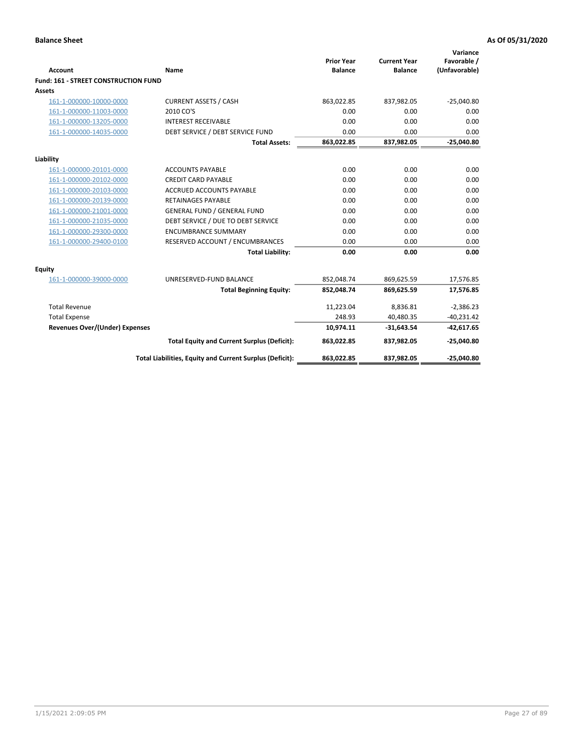| <b>Account</b>                        | Name                                                     | <b>Prior Year</b><br><b>Balance</b> | <b>Current Year</b><br><b>Balance</b> | Variance<br>Favorable /<br>(Unfavorable) |
|---------------------------------------|----------------------------------------------------------|-------------------------------------|---------------------------------------|------------------------------------------|
| Fund: 161 - STREET CONSTRUCTION FUND  |                                                          |                                     |                                       |                                          |
| <b>Assets</b>                         |                                                          |                                     |                                       |                                          |
| 161-1-000000-10000-0000               | <b>CURRENT ASSETS / CASH</b>                             | 863,022.85                          | 837,982.05                            | $-25,040.80$                             |
| 161-1-000000-11003-0000               | 2010 CO'S                                                | 0.00                                | 0.00                                  | 0.00                                     |
| 161-1-000000-13205-0000               | <b>INTEREST RECEIVABLE</b>                               | 0.00                                | 0.00                                  | 0.00                                     |
| 161-1-000000-14035-0000               | DEBT SERVICE / DEBT SERVICE FUND                         | 0.00                                | 0.00                                  | 0.00                                     |
|                                       | <b>Total Assets:</b>                                     | 863,022.85                          | 837,982.05                            | $-25,040.80$                             |
| Liability                             |                                                          |                                     |                                       |                                          |
| 161-1-000000-20101-0000               | <b>ACCOUNTS PAYABLE</b>                                  | 0.00                                | 0.00                                  | 0.00                                     |
| 161-1-000000-20102-0000               | <b>CREDIT CARD PAYABLE</b>                               | 0.00                                | 0.00                                  | 0.00                                     |
| 161-1-000000-20103-0000               | <b>ACCRUED ACCOUNTS PAYABLE</b>                          | 0.00                                | 0.00                                  | 0.00                                     |
| 161-1-000000-20139-0000               | <b>RETAINAGES PAYABLE</b>                                | 0.00                                | 0.00                                  | 0.00                                     |
| 161-1-000000-21001-0000               | <b>GENERAL FUND / GENERAL FUND</b>                       | 0.00                                | 0.00                                  | 0.00                                     |
| 161-1-000000-21035-0000               | DEBT SERVICE / DUE TO DEBT SERVICE                       | 0.00                                | 0.00                                  | 0.00                                     |
| 161-1-000000-29300-0000               | <b>ENCUMBRANCE SUMMARY</b>                               | 0.00                                | 0.00                                  | 0.00                                     |
| 161-1-000000-29400-0100               | RESERVED ACCOUNT / ENCUMBRANCES                          | 0.00                                | 0.00                                  | 0.00                                     |
|                                       | <b>Total Liability:</b>                                  | 0.00                                | 0.00                                  | 0.00                                     |
| <b>Equity</b>                         |                                                          |                                     |                                       |                                          |
| 161-1-000000-39000-0000               | UNRESERVED-FUND BALANCE                                  | 852,048.74                          | 869,625.59                            | 17,576.85                                |
|                                       | <b>Total Beginning Equity:</b>                           | 852,048.74                          | 869,625.59                            | 17,576.85                                |
| <b>Total Revenue</b>                  |                                                          | 11,223.04                           | 8,836.81                              | $-2,386.23$                              |
| <b>Total Expense</b>                  |                                                          | 248.93                              | 40,480.35                             | $-40,231.42$                             |
| <b>Revenues Over/(Under) Expenses</b> |                                                          | 10,974.11                           | $-31,643.54$                          | $-42,617.65$                             |
|                                       | <b>Total Equity and Current Surplus (Deficit):</b>       | 863,022.85                          | 837,982.05                            | $-25,040.80$                             |
|                                       | Total Liabilities, Equity and Current Surplus (Deficit): | 863,022.85                          | 837,982.05                            | $-25,040.80$                             |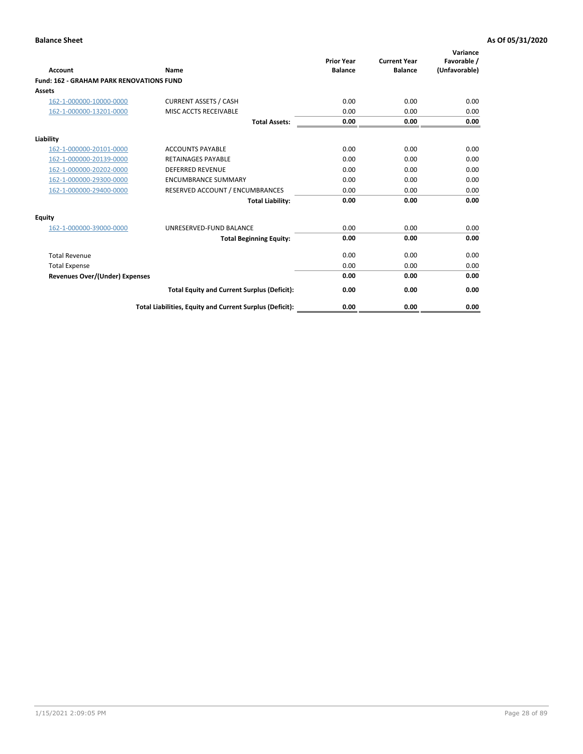| Account                                         | Name                                                     | <b>Prior Year</b><br><b>Balance</b> | <b>Current Year</b><br><b>Balance</b> | Variance<br>Favorable /<br>(Unfavorable) |
|-------------------------------------------------|----------------------------------------------------------|-------------------------------------|---------------------------------------|------------------------------------------|
| <b>Fund: 162 - GRAHAM PARK RENOVATIONS FUND</b> |                                                          |                                     |                                       |                                          |
| <b>Assets</b>                                   |                                                          |                                     |                                       |                                          |
| 162-1-000000-10000-0000                         | <b>CURRENT ASSETS / CASH</b>                             | 0.00                                | 0.00                                  | 0.00                                     |
| 162-1-000000-13201-0000                         | MISC ACCTS RECEIVABLE                                    | 0.00                                | 0.00                                  | 0.00                                     |
|                                                 | <b>Total Assets:</b>                                     | 0.00                                | 0.00                                  | 0.00                                     |
| Liability                                       |                                                          |                                     |                                       |                                          |
| 162-1-000000-20101-0000                         | <b>ACCOUNTS PAYABLE</b>                                  | 0.00                                | 0.00                                  | 0.00                                     |
| 162-1-000000-20139-0000                         | <b>RETAINAGES PAYABLE</b>                                | 0.00                                | 0.00                                  | 0.00                                     |
| 162-1-000000-20202-0000                         | <b>DEFERRED REVENUE</b>                                  | 0.00                                | 0.00                                  | 0.00                                     |
| 162-1-000000-29300-0000                         | <b>ENCUMBRANCE SUMMARY</b>                               | 0.00                                | 0.00                                  | 0.00                                     |
| 162-1-000000-29400-0000                         | RESERVED ACCOUNT / ENCUMBRANCES                          | 0.00                                | 0.00                                  | 0.00                                     |
|                                                 | <b>Total Liability:</b>                                  | 0.00                                | 0.00                                  | 0.00                                     |
| Equity                                          |                                                          |                                     |                                       |                                          |
| 162-1-000000-39000-0000                         | UNRESERVED-FUND BALANCE                                  | 0.00                                | 0.00                                  | 0.00                                     |
|                                                 | <b>Total Beginning Equity:</b>                           | 0.00                                | 0.00                                  | 0.00                                     |
| <b>Total Revenue</b>                            |                                                          | 0.00                                | 0.00                                  | 0.00                                     |
| <b>Total Expense</b>                            |                                                          | 0.00                                | 0.00                                  | 0.00                                     |
| <b>Revenues Over/(Under) Expenses</b>           |                                                          | 0.00                                | 0.00                                  | 0.00                                     |
|                                                 | <b>Total Equity and Current Surplus (Deficit):</b>       | 0.00                                | 0.00                                  | 0.00                                     |
|                                                 | Total Liabilities, Equity and Current Surplus (Deficit): | 0.00                                | 0.00                                  | 0.00                                     |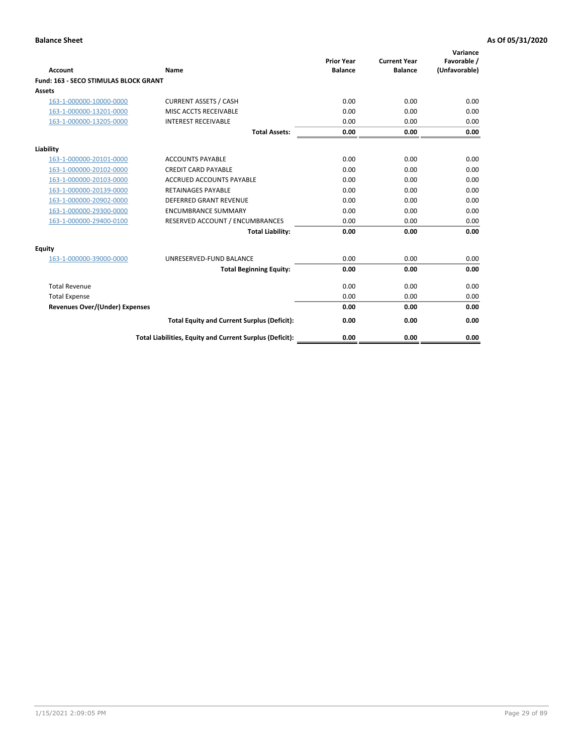| Account                               | Name                                                     | <b>Prior Year</b><br><b>Balance</b> | <b>Current Year</b><br><b>Balance</b> | Variance<br>Favorable /<br>(Unfavorable) |
|---------------------------------------|----------------------------------------------------------|-------------------------------------|---------------------------------------|------------------------------------------|
| Fund: 163 - SECO STIMULAS BLOCK GRANT |                                                          |                                     |                                       |                                          |
| <b>Assets</b>                         |                                                          |                                     |                                       |                                          |
| 163-1-000000-10000-0000               | <b>CURRENT ASSETS / CASH</b>                             | 0.00                                | 0.00                                  | 0.00                                     |
| 163-1-000000-13201-0000               | MISC ACCTS RECEIVABLE                                    | 0.00                                | 0.00                                  | 0.00                                     |
| 163-1-000000-13205-0000               | <b>INTEREST RECEIVABLE</b>                               | 0.00                                | 0.00                                  | 0.00                                     |
|                                       | <b>Total Assets:</b>                                     | 0.00                                | 0.00                                  | 0.00                                     |
| Liability                             |                                                          |                                     |                                       |                                          |
| 163-1-000000-20101-0000               | <b>ACCOUNTS PAYABLE</b>                                  | 0.00                                | 0.00                                  | 0.00                                     |
| 163-1-000000-20102-0000               | <b>CREDIT CARD PAYABLE</b>                               | 0.00                                | 0.00                                  | 0.00                                     |
| 163-1-000000-20103-0000               | <b>ACCRUED ACCOUNTS PAYABLE</b>                          | 0.00                                | 0.00                                  | 0.00                                     |
| 163-1-000000-20139-0000               | <b>RETAINAGES PAYABLE</b>                                | 0.00                                | 0.00                                  | 0.00                                     |
| 163-1-000000-20902-0000               | DEFERRED GRANT REVENUE                                   | 0.00                                | 0.00                                  | 0.00                                     |
| 163-1-000000-29300-0000               | <b>ENCUMBRANCE SUMMARY</b>                               | 0.00                                | 0.00                                  | 0.00                                     |
| 163-1-000000-29400-0100               | RESERVED ACCOUNT / ENCUMBRANCES                          | 0.00                                | 0.00                                  | 0.00                                     |
|                                       | <b>Total Liability:</b>                                  | 0.00                                | 0.00                                  | 0.00                                     |
| <b>Equity</b>                         |                                                          |                                     |                                       |                                          |
| 163-1-000000-39000-0000               | UNRESERVED-FUND BALANCE                                  | 0.00                                | 0.00                                  | 0.00                                     |
|                                       | <b>Total Beginning Equity:</b>                           | 0.00                                | 0.00                                  | 0.00                                     |
| <b>Total Revenue</b>                  |                                                          | 0.00                                | 0.00                                  | 0.00                                     |
| <b>Total Expense</b>                  |                                                          | 0.00                                | 0.00                                  | 0.00                                     |
| <b>Revenues Over/(Under) Expenses</b> |                                                          | 0.00                                | 0.00                                  | 0.00                                     |
|                                       | <b>Total Equity and Current Surplus (Deficit):</b>       | 0.00                                | 0.00                                  | 0.00                                     |
|                                       | Total Liabilities, Equity and Current Surplus (Deficit): | 0.00                                | 0.00                                  | 0.00                                     |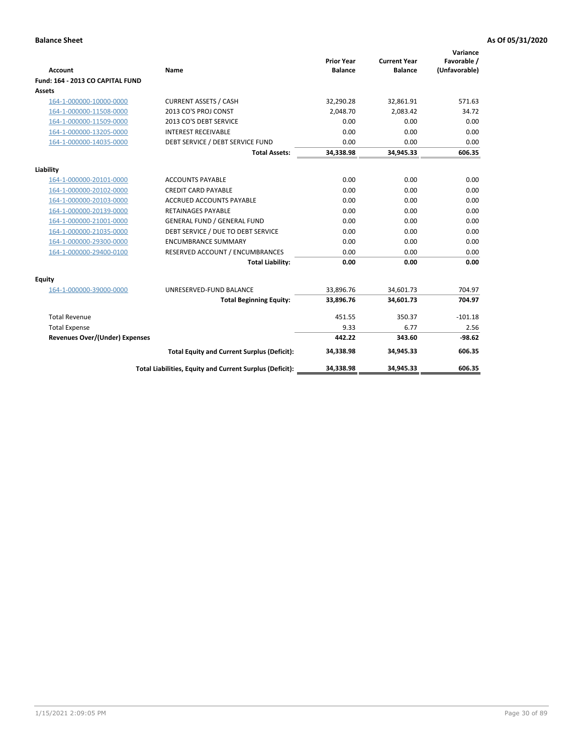| <b>Account</b>                   | Name                                                     | <b>Prior Year</b><br><b>Balance</b> | <b>Current Year</b><br><b>Balance</b> | Variance<br>Favorable /<br>(Unfavorable) |
|----------------------------------|----------------------------------------------------------|-------------------------------------|---------------------------------------|------------------------------------------|
| Fund: 164 - 2013 CO CAPITAL FUND |                                                          |                                     |                                       |                                          |
| <b>Assets</b>                    |                                                          |                                     |                                       |                                          |
| 164-1-000000-10000-0000          | <b>CURRENT ASSETS / CASH</b>                             | 32,290.28                           | 32,861.91                             | 571.63                                   |
| 164-1-000000-11508-0000          | 2013 CO'S PROJ CONST                                     | 2,048.70                            | 2,083.42                              | 34.72                                    |
| 164-1-000000-11509-0000          | 2013 CO'S DEBT SERVICE                                   | 0.00                                | 0.00                                  | 0.00                                     |
| 164-1-000000-13205-0000          | <b>INTEREST RECEIVABLE</b>                               | 0.00                                | 0.00                                  | 0.00                                     |
| 164-1-000000-14035-0000          | DEBT SERVICE / DEBT SERVICE FUND                         | 0.00                                | 0.00                                  | 0.00                                     |
|                                  | <b>Total Assets:</b>                                     | 34,338.98                           | 34,945.33                             | 606.35                                   |
| Liability                        |                                                          |                                     |                                       |                                          |
| 164-1-000000-20101-0000          | <b>ACCOUNTS PAYABLE</b>                                  | 0.00                                | 0.00                                  | 0.00                                     |
| 164-1-000000-20102-0000          | <b>CREDIT CARD PAYABLE</b>                               | 0.00                                | 0.00                                  | 0.00                                     |
| 164-1-000000-20103-0000          | <b>ACCRUED ACCOUNTS PAYABLE</b>                          | 0.00                                | 0.00                                  | 0.00                                     |
| 164-1-000000-20139-0000          | <b>RETAINAGES PAYABLE</b>                                | 0.00                                | 0.00                                  | 0.00                                     |
| 164-1-000000-21001-0000          | <b>GENERAL FUND / GENERAL FUND</b>                       | 0.00                                | 0.00                                  | 0.00                                     |
| 164-1-000000-21035-0000          | DEBT SERVICE / DUE TO DEBT SERVICE                       | 0.00                                | 0.00                                  | 0.00                                     |
| 164-1-000000-29300-0000          | <b>ENCUMBRANCE SUMMARY</b>                               | 0.00                                | 0.00                                  | 0.00                                     |
| 164-1-000000-29400-0100          | RESERVED ACCOUNT / ENCUMBRANCES                          | 0.00                                | 0.00                                  | 0.00                                     |
|                                  | <b>Total Liability:</b>                                  | 0.00                                | 0.00                                  | 0.00                                     |
| Equity                           |                                                          |                                     |                                       |                                          |
| 164-1-000000-39000-0000          | UNRESERVED-FUND BALANCE                                  | 33,896.76                           | 34,601.73                             | 704.97                                   |
|                                  | <b>Total Beginning Equity:</b>                           | 33,896.76                           | 34,601.73                             | 704.97                                   |
| <b>Total Revenue</b>             |                                                          | 451.55                              | 350.37                                | $-101.18$                                |
| <b>Total Expense</b>             |                                                          | 9.33                                | 6.77                                  | 2.56                                     |
| Revenues Over/(Under) Expenses   |                                                          | 442.22                              | 343.60                                | $-98.62$                                 |
|                                  | <b>Total Equity and Current Surplus (Deficit):</b>       | 34,338.98                           | 34,945.33                             | 606.35                                   |
|                                  | Total Liabilities, Equity and Current Surplus (Deficit): | 34,338.98                           | 34,945.33                             | 606.35                                   |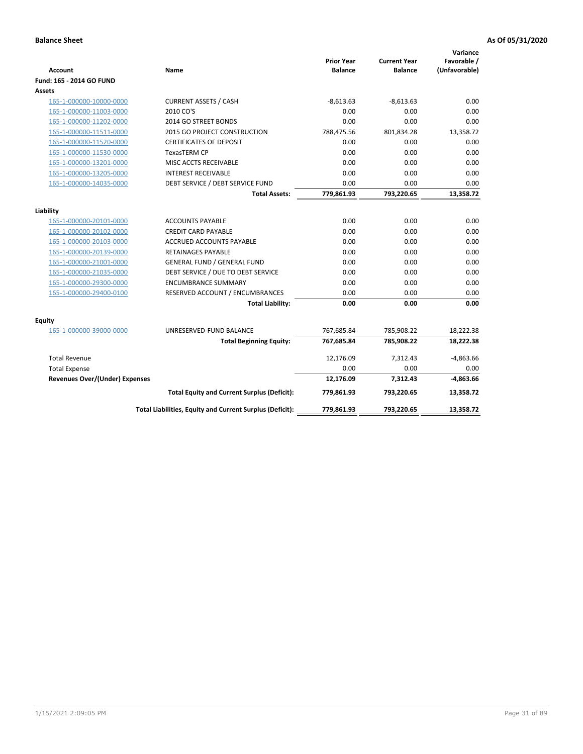| <b>Account</b>                        | Name                                                     | <b>Prior Year</b><br><b>Balance</b> | <b>Current Year</b><br><b>Balance</b> | Variance<br>Favorable /<br>(Unfavorable) |
|---------------------------------------|----------------------------------------------------------|-------------------------------------|---------------------------------------|------------------------------------------|
| Fund: 165 - 2014 GO FUND              |                                                          |                                     |                                       |                                          |
| Assets                                |                                                          |                                     |                                       |                                          |
| 165-1-000000-10000-0000               | <b>CURRENT ASSETS / CASH</b>                             | $-8,613.63$                         | $-8,613.63$                           | 0.00                                     |
| 165-1-000000-11003-0000               | 2010 CO'S                                                | 0.00                                | 0.00                                  | 0.00                                     |
| 165-1-000000-11202-0000               | 2014 GO STREET BONDS                                     | 0.00                                | 0.00                                  | 0.00                                     |
| 165-1-000000-11511-0000               | 2015 GO PROJECT CONSTRUCTION                             | 788,475.56                          | 801,834.28                            | 13,358.72                                |
| 165-1-000000-11520-0000               | <b>CERTIFICATES OF DEPOSIT</b>                           | 0.00                                | 0.00                                  | 0.00                                     |
| 165-1-000000-11530-0000               | <b>TexasTERM CP</b>                                      | 0.00                                | 0.00                                  | 0.00                                     |
| 165-1-000000-13201-0000               | MISC ACCTS RECEIVABLE                                    | 0.00                                | 0.00                                  | 0.00                                     |
| 165-1-000000-13205-0000               | <b>INTEREST RECEIVABLE</b>                               | 0.00                                | 0.00                                  | 0.00                                     |
| 165-1-000000-14035-0000               | DEBT SERVICE / DEBT SERVICE FUND                         | 0.00                                | 0.00                                  | 0.00                                     |
|                                       | <b>Total Assets:</b>                                     | 779,861.93                          | 793,220.65                            | 13,358.72                                |
| Liability                             |                                                          |                                     |                                       |                                          |
| 165-1-000000-20101-0000               | <b>ACCOUNTS PAYABLE</b>                                  | 0.00                                | 0.00                                  | 0.00                                     |
| 165-1-000000-20102-0000               | <b>CREDIT CARD PAYABLE</b>                               | 0.00                                | 0.00                                  | 0.00                                     |
| 165-1-000000-20103-0000               | <b>ACCRUED ACCOUNTS PAYABLE</b>                          | 0.00                                | 0.00                                  | 0.00                                     |
| 165-1-000000-20139-0000               | <b>RETAINAGES PAYABLE</b>                                | 0.00                                | 0.00                                  | 0.00                                     |
| 165-1-000000-21001-0000               | <b>GENERAL FUND / GENERAL FUND</b>                       | 0.00                                | 0.00                                  | 0.00                                     |
| 165-1-000000-21035-0000               | DEBT SERVICE / DUE TO DEBT SERVICE                       | 0.00                                | 0.00                                  | 0.00                                     |
| 165-1-000000-29300-0000               | <b>ENCUMBRANCE SUMMARY</b>                               | 0.00                                | 0.00                                  | 0.00                                     |
| 165-1-000000-29400-0100               | RESERVED ACCOUNT / ENCUMBRANCES                          | 0.00                                | 0.00                                  | 0.00                                     |
|                                       | <b>Total Liability:</b>                                  | 0.00                                | 0.00                                  | 0.00                                     |
| Fquity                                |                                                          |                                     |                                       |                                          |
| 165-1-000000-39000-0000               | UNRESERVED-FUND BALANCE                                  | 767,685.84                          | 785,908.22                            | 18,222.38                                |
|                                       | <b>Total Beginning Equity:</b>                           | 767,685.84                          | 785,908.22                            | 18,222.38                                |
| <b>Total Revenue</b>                  |                                                          | 12,176.09                           | 7,312.43                              | $-4,863.66$                              |
| <b>Total Expense</b>                  |                                                          | 0.00                                | 0.00                                  | 0.00                                     |
| <b>Revenues Over/(Under) Expenses</b> |                                                          | 12,176.09                           | 7,312.43                              | $-4,863.66$                              |
|                                       | <b>Total Equity and Current Surplus (Deficit):</b>       | 779,861.93                          | 793,220.65                            | 13,358.72                                |
|                                       | Total Liabilities, Equity and Current Surplus (Deficit): | 779,861.93                          | 793,220.65                            | 13,358.72                                |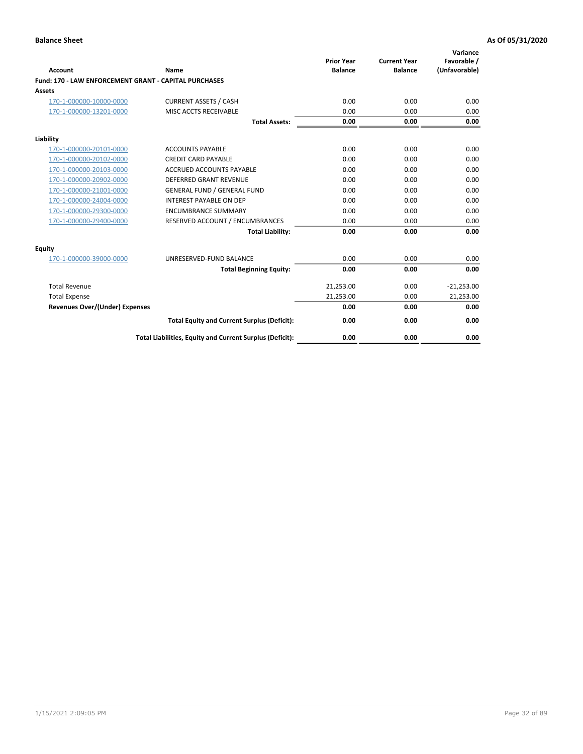| Account                                               | Name                                                     | <b>Prior Year</b><br><b>Balance</b> | <b>Current Year</b><br><b>Balance</b> | Variance<br>Favorable /<br>(Unfavorable) |
|-------------------------------------------------------|----------------------------------------------------------|-------------------------------------|---------------------------------------|------------------------------------------|
| Fund: 170 - LAW ENFORCEMENT GRANT - CAPITAL PURCHASES |                                                          |                                     |                                       |                                          |
| <b>Assets</b>                                         |                                                          |                                     |                                       |                                          |
| 170-1-000000-10000-0000                               | <b>CURRENT ASSETS / CASH</b>                             | 0.00                                | 0.00                                  | 0.00                                     |
| 170-1-000000-13201-0000                               | MISC ACCTS RECEIVABLE                                    | 0.00                                | 0.00                                  | 0.00                                     |
|                                                       | <b>Total Assets:</b>                                     | 0.00                                | 0.00                                  | 0.00                                     |
| Liability                                             |                                                          |                                     |                                       |                                          |
| 170-1-000000-20101-0000                               | <b>ACCOUNTS PAYABLE</b>                                  | 0.00                                | 0.00                                  | 0.00                                     |
| 170-1-000000-20102-0000                               | <b>CREDIT CARD PAYABLE</b>                               | 0.00                                | 0.00                                  | 0.00                                     |
| 170-1-000000-20103-0000                               | <b>ACCRUED ACCOUNTS PAYABLE</b>                          | 0.00                                | 0.00                                  | 0.00                                     |
| 170-1-000000-20902-0000                               | <b>DEFERRED GRANT REVENUE</b>                            | 0.00                                | 0.00                                  | 0.00                                     |
| 170-1-000000-21001-0000                               | <b>GENERAL FUND / GENERAL FUND</b>                       | 0.00                                | 0.00                                  | 0.00                                     |
| 170-1-000000-24004-0000                               | <b>INTEREST PAYABLE ON DEP</b>                           | 0.00                                | 0.00                                  | 0.00                                     |
| 170-1-000000-29300-0000                               | <b>ENCUMBRANCE SUMMARY</b>                               | 0.00                                | 0.00                                  | 0.00                                     |
| 170-1-000000-29400-0000                               | RESERVED ACCOUNT / ENCUMBRANCES                          | 0.00                                | 0.00                                  | 0.00                                     |
|                                                       | <b>Total Liability:</b>                                  | 0.00                                | 0.00                                  | 0.00                                     |
| <b>Equity</b>                                         |                                                          |                                     |                                       |                                          |
| 170-1-000000-39000-0000                               | UNRESERVED-FUND BALANCE                                  | 0.00                                | 0.00                                  | 0.00                                     |
|                                                       | <b>Total Beginning Equity:</b>                           | 0.00                                | 0.00                                  | 0.00                                     |
| <b>Total Revenue</b>                                  |                                                          | 21,253.00                           | 0.00                                  | $-21,253.00$                             |
| <b>Total Expense</b>                                  |                                                          | 21,253.00                           | 0.00                                  | 21,253.00                                |
| <b>Revenues Over/(Under) Expenses</b>                 |                                                          | 0.00                                | 0.00                                  | 0.00                                     |
|                                                       | <b>Total Equity and Current Surplus (Deficit):</b>       | 0.00                                | 0.00                                  | 0.00                                     |
|                                                       | Total Liabilities, Equity and Current Surplus (Deficit): | 0.00                                | 0.00                                  | 0.00                                     |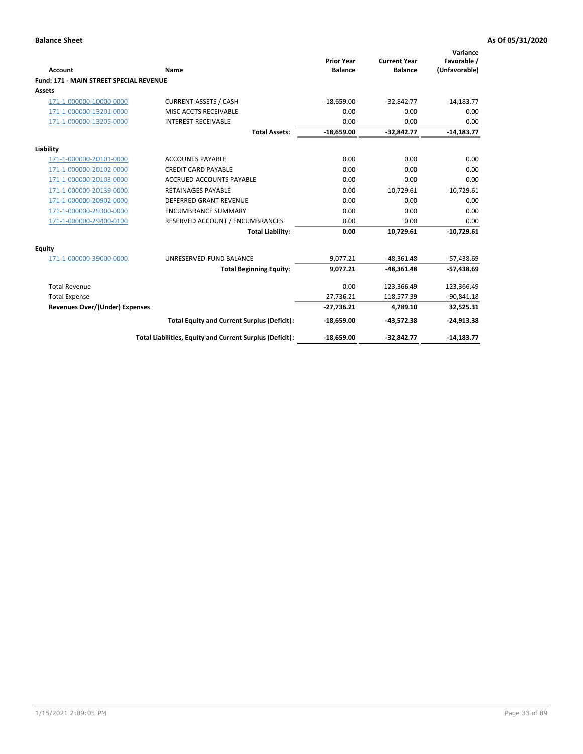|                                                |                                                          | <b>Prior Year</b> | <b>Current Year</b> | Variance<br>Favorable / |
|------------------------------------------------|----------------------------------------------------------|-------------------|---------------------|-------------------------|
| Account                                        | Name                                                     | <b>Balance</b>    | <b>Balance</b>      | (Unfavorable)           |
| <b>Fund: 171 - MAIN STREET SPECIAL REVENUE</b> |                                                          |                   |                     |                         |
| Assets                                         |                                                          |                   |                     |                         |
| 171-1-000000-10000-0000                        | <b>CURRENT ASSETS / CASH</b>                             | $-18,659.00$      | $-32,842.77$        | $-14,183.77$            |
| 171-1-000000-13201-0000                        | MISC ACCTS RECEIVABLE                                    | 0.00              | 0.00                | 0.00                    |
| 171-1-000000-13205-0000                        | <b>INTEREST RECEIVABLE</b>                               | 0.00              | 0.00                | 0.00                    |
|                                                | <b>Total Assets:</b>                                     | $-18,659.00$      | $-32,842.77$        | $-14,183.77$            |
| Liability                                      |                                                          |                   |                     |                         |
| 171-1-000000-20101-0000                        | <b>ACCOUNTS PAYABLE</b>                                  | 0.00              | 0.00                | 0.00                    |
| 171-1-000000-20102-0000                        | <b>CREDIT CARD PAYABLE</b>                               | 0.00              | 0.00                | 0.00                    |
| 171-1-000000-20103-0000                        | <b>ACCRUED ACCOUNTS PAYABLE</b>                          | 0.00              | 0.00                | 0.00                    |
| 171-1-000000-20139-0000                        | <b>RETAINAGES PAYABLE</b>                                | 0.00              | 10,729.61           | $-10,729.61$            |
| 171-1-000000-20902-0000                        | <b>DEFERRED GRANT REVENUE</b>                            | 0.00              | 0.00                | 0.00                    |
| 171-1-000000-29300-0000                        | <b>ENCUMBRANCE SUMMARY</b>                               | 0.00              | 0.00                | 0.00                    |
| 171-1-000000-29400-0100                        | RESERVED ACCOUNT / ENCUMBRANCES                          | 0.00              | 0.00                | 0.00                    |
|                                                | <b>Total Liability:</b>                                  | 0.00              | 10,729.61           | $-10,729.61$            |
| <b>Equity</b>                                  |                                                          |                   |                     |                         |
| 171-1-000000-39000-0000                        | UNRESERVED-FUND BALANCE                                  | 9,077.21          | $-48,361.48$        | $-57,438.69$            |
|                                                | <b>Total Beginning Equity:</b>                           | 9,077.21          | $-48,361.48$        | $-57,438.69$            |
| <b>Total Revenue</b>                           |                                                          | 0.00              | 123,366.49          | 123,366.49              |
| <b>Total Expense</b>                           |                                                          | 27,736.21         | 118,577.39          | $-90,841.18$            |
| <b>Revenues Over/(Under) Expenses</b>          |                                                          | $-27,736.21$      | 4,789.10            | 32,525.31               |
|                                                | <b>Total Equity and Current Surplus (Deficit):</b>       | $-18,659.00$      | $-43,572.38$        | $-24,913.38$            |
|                                                | Total Liabilities, Equity and Current Surplus (Deficit): | $-18,659.00$      | $-32,842.77$        | $-14,183.77$            |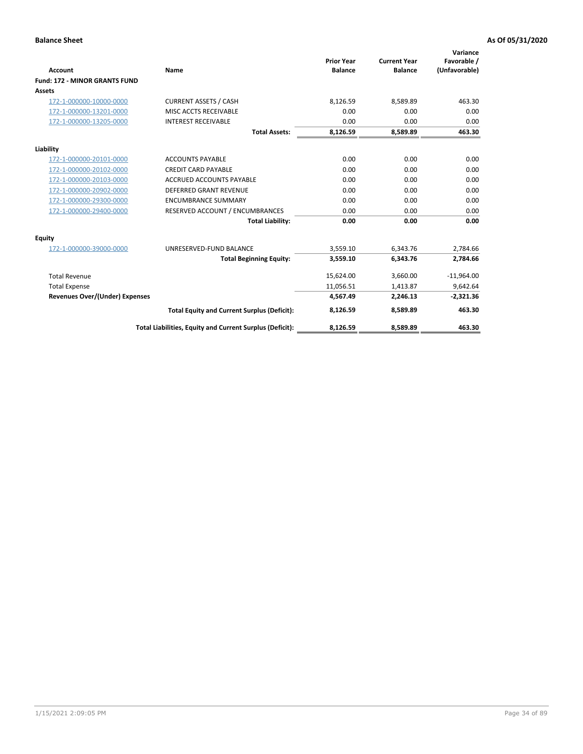|                                      |                                                          | <b>Prior Year</b> | <b>Current Year</b> | Variance<br>Favorable / |
|--------------------------------------|----------------------------------------------------------|-------------------|---------------------|-------------------------|
| <b>Account</b>                       | Name                                                     | <b>Balance</b>    | <b>Balance</b>      | (Unfavorable)           |
| <b>Fund: 172 - MINOR GRANTS FUND</b> |                                                          |                   |                     |                         |
| <b>Assets</b>                        |                                                          |                   |                     |                         |
| 172-1-000000-10000-0000              | <b>CURRENT ASSETS / CASH</b>                             | 8,126.59          | 8,589.89            | 463.30                  |
| 172-1-000000-13201-0000              | MISC ACCTS RECEIVABLE                                    | 0.00              | 0.00                | 0.00                    |
| 172-1-000000-13205-0000              | <b>INTEREST RECEIVABLE</b>                               | 0.00              | 0.00                | 0.00                    |
|                                      | <b>Total Assets:</b>                                     | 8,126.59          | 8,589.89            | 463.30                  |
| Liability                            |                                                          |                   |                     |                         |
| 172-1-000000-20101-0000              | <b>ACCOUNTS PAYABLE</b>                                  | 0.00              | 0.00                | 0.00                    |
| 172-1-000000-20102-0000              | <b>CREDIT CARD PAYABLE</b>                               | 0.00              | 0.00                | 0.00                    |
| 172-1-000000-20103-0000              | <b>ACCRUED ACCOUNTS PAYABLE</b>                          | 0.00              | 0.00                | 0.00                    |
| 172-1-000000-20902-0000              | DEFERRED GRANT REVENUE                                   | 0.00              | 0.00                | 0.00                    |
| 172-1-000000-29300-0000              | <b>ENCUMBRANCE SUMMARY</b>                               | 0.00              | 0.00                | 0.00                    |
| 172-1-000000-29400-0000              | RESERVED ACCOUNT / ENCUMBRANCES                          | 0.00              | 0.00                | 0.00                    |
|                                      | <b>Total Liability:</b>                                  | 0.00              | 0.00                | 0.00                    |
| Equity                               |                                                          |                   |                     |                         |
| 172-1-000000-39000-0000              | UNRESERVED-FUND BALANCE                                  | 3,559.10          | 6,343.76            | 2,784.66                |
|                                      | <b>Total Beginning Equity:</b>                           | 3,559.10          | 6,343.76            | 2,784.66                |
| <b>Total Revenue</b>                 |                                                          | 15,624.00         | 3,660.00            | $-11,964.00$            |
| <b>Total Expense</b>                 |                                                          | 11,056.51         | 1,413.87            | 9,642.64                |
| Revenues Over/(Under) Expenses       |                                                          | 4,567.49          | 2,246.13            | $-2,321.36$             |
|                                      | <b>Total Equity and Current Surplus (Deficit):</b>       | 8,126.59          | 8,589.89            | 463.30                  |
|                                      | Total Liabilities, Equity and Current Surplus (Deficit): | 8,126.59          | 8,589.89            | 463.30                  |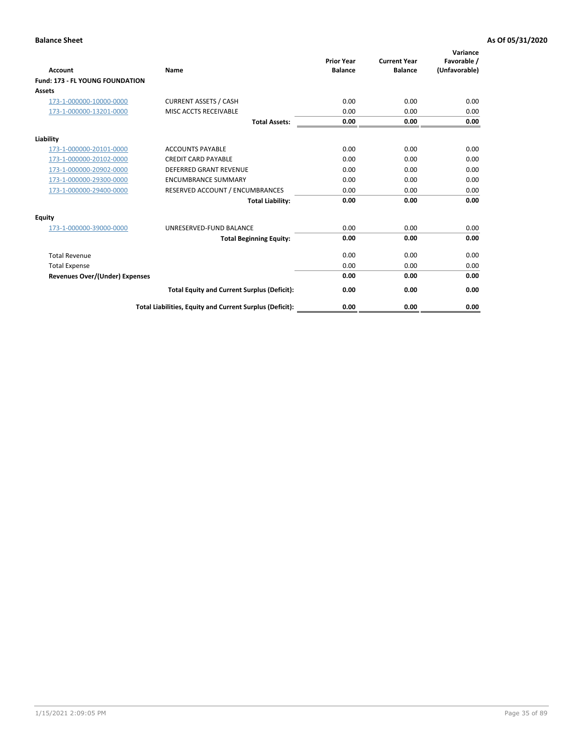| <b>Account</b>                         | <b>Name</b>                                              | <b>Prior Year</b><br><b>Balance</b> | <b>Current Year</b><br><b>Balance</b> | Variance<br>Favorable /<br>(Unfavorable) |
|----------------------------------------|----------------------------------------------------------|-------------------------------------|---------------------------------------|------------------------------------------|
| <b>Fund: 173 - FL YOUNG FOUNDATION</b> |                                                          |                                     |                                       |                                          |
| Assets                                 |                                                          |                                     |                                       |                                          |
| 173-1-000000-10000-0000                | <b>CURRENT ASSETS / CASH</b>                             | 0.00                                | 0.00                                  | 0.00                                     |
| 173-1-000000-13201-0000                | MISC ACCTS RECEIVABLE                                    | 0.00                                | 0.00                                  | 0.00                                     |
|                                        | <b>Total Assets:</b>                                     | 0.00                                | 0.00                                  | 0.00                                     |
| Liability                              |                                                          |                                     |                                       |                                          |
| 173-1-000000-20101-0000                | <b>ACCOUNTS PAYABLE</b>                                  | 0.00                                | 0.00                                  | 0.00                                     |
| 173-1-000000-20102-0000                | <b>CREDIT CARD PAYABLE</b>                               | 0.00                                | 0.00                                  | 0.00                                     |
| 173-1-000000-20902-0000                | <b>DEFERRED GRANT REVENUE</b>                            | 0.00                                | 0.00                                  | 0.00                                     |
| 173-1-000000-29300-0000                | <b>ENCUMBRANCE SUMMARY</b>                               | 0.00                                | 0.00                                  | 0.00                                     |
| 173-1-000000-29400-0000                | RESERVED ACCOUNT / ENCUMBRANCES                          | 0.00                                | 0.00                                  | 0.00                                     |
|                                        | <b>Total Liability:</b>                                  | 0.00                                | 0.00                                  | 0.00                                     |
| Equity                                 |                                                          |                                     |                                       |                                          |
| 173-1-000000-39000-0000                | UNRESERVED-FUND BALANCE                                  | 0.00                                | 0.00                                  | 0.00                                     |
|                                        | <b>Total Beginning Equity:</b>                           | 0.00                                | 0.00                                  | 0.00                                     |
| <b>Total Revenue</b>                   |                                                          | 0.00                                | 0.00                                  | 0.00                                     |
| <b>Total Expense</b>                   |                                                          | 0.00                                | 0.00                                  | 0.00                                     |
| <b>Revenues Over/(Under) Expenses</b>  |                                                          | 0.00                                | 0.00                                  | 0.00                                     |
|                                        | <b>Total Equity and Current Surplus (Deficit):</b>       | 0.00                                | 0.00                                  | 0.00                                     |
|                                        | Total Liabilities, Equity and Current Surplus (Deficit): | 0.00                                | 0.00                                  | 0.00                                     |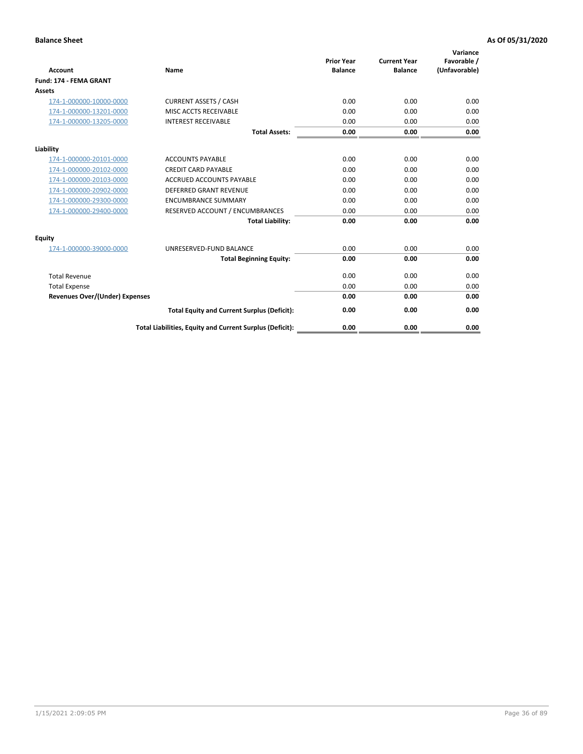| <b>Account</b>                        | Name                                                     | <b>Prior Year</b><br><b>Balance</b> | <b>Current Year</b><br><b>Balance</b> | Variance<br>Favorable /<br>(Unfavorable) |
|---------------------------------------|----------------------------------------------------------|-------------------------------------|---------------------------------------|------------------------------------------|
| Fund: 174 - FEMA GRANT                |                                                          |                                     |                                       |                                          |
| Assets                                |                                                          |                                     |                                       |                                          |
| 174-1-000000-10000-0000               | <b>CURRENT ASSETS / CASH</b>                             | 0.00                                | 0.00                                  | 0.00                                     |
| 174-1-000000-13201-0000               | MISC ACCTS RECEIVABLE                                    | 0.00                                | 0.00                                  | 0.00                                     |
| 174-1-000000-13205-0000               | <b>INTEREST RECEIVABLE</b>                               | 0.00                                | 0.00                                  | 0.00                                     |
|                                       | <b>Total Assets:</b>                                     | 0.00                                | 0.00                                  | 0.00                                     |
| Liability                             |                                                          |                                     |                                       |                                          |
| 174-1-000000-20101-0000               | <b>ACCOUNTS PAYABLE</b>                                  | 0.00                                | 0.00                                  | 0.00                                     |
| 174-1-000000-20102-0000               | <b>CREDIT CARD PAYABLE</b>                               | 0.00                                | 0.00                                  | 0.00                                     |
| 174-1-000000-20103-0000               | <b>ACCRUED ACCOUNTS PAYABLE</b>                          | 0.00                                | 0.00                                  | 0.00                                     |
| 174-1-000000-20902-0000               | <b>DEFERRED GRANT REVENUE</b>                            | 0.00                                | 0.00                                  | 0.00                                     |
| 174-1-000000-29300-0000               | <b>ENCUMBRANCE SUMMARY</b>                               | 0.00                                | 0.00                                  | 0.00                                     |
| 174-1-000000-29400-0000               | RESERVED ACCOUNT / ENCUMBRANCES                          | 0.00                                | 0.00                                  | 0.00                                     |
|                                       | <b>Total Liability:</b>                                  | 0.00                                | 0.00                                  | 0.00                                     |
| Equity                                |                                                          |                                     |                                       |                                          |
| 174-1-000000-39000-0000               | UNRESERVED-FUND BALANCE                                  | 0.00                                | 0.00                                  | 0.00                                     |
|                                       | <b>Total Beginning Equity:</b>                           | 0.00                                | 0.00                                  | 0.00                                     |
| <b>Total Revenue</b>                  |                                                          | 0.00                                | 0.00                                  | 0.00                                     |
| <b>Total Expense</b>                  |                                                          | 0.00                                | 0.00                                  | 0.00                                     |
| <b>Revenues Over/(Under) Expenses</b> |                                                          | 0.00                                | 0.00                                  | 0.00                                     |
|                                       | <b>Total Equity and Current Surplus (Deficit):</b>       | 0.00                                | 0.00                                  | 0.00                                     |
|                                       | Total Liabilities, Equity and Current Surplus (Deficit): | 0.00                                | 0.00                                  | 0.00                                     |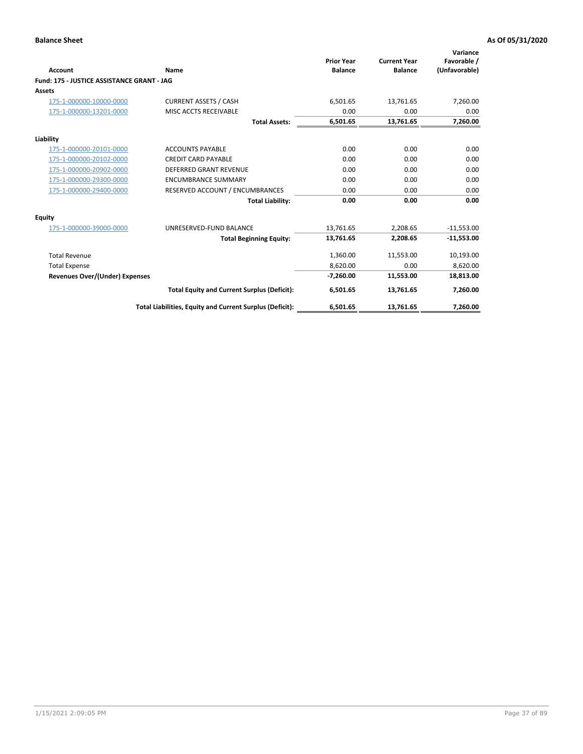| <b>Account</b>                             | Name                                                     | <b>Prior Year</b><br><b>Balance</b> | <b>Current Year</b><br><b>Balance</b> | Variance<br>Favorable /<br>(Unfavorable) |
|--------------------------------------------|----------------------------------------------------------|-------------------------------------|---------------------------------------|------------------------------------------|
| Fund: 175 - JUSTICE ASSISTANCE GRANT - JAG |                                                          |                                     |                                       |                                          |
| <b>Assets</b>                              |                                                          |                                     |                                       |                                          |
| 175-1-000000-10000-0000                    | <b>CURRENT ASSETS / CASH</b>                             | 6,501.65                            | 13,761.65                             | 7,260.00                                 |
| 175-1-000000-13201-0000                    | MISC ACCTS RECEIVABLE                                    | 0.00                                | 0.00                                  | 0.00                                     |
|                                            | <b>Total Assets:</b>                                     | 6,501.65                            | 13,761.65                             | 7,260.00                                 |
| Liability                                  |                                                          |                                     |                                       |                                          |
| 175-1-000000-20101-0000                    | <b>ACCOUNTS PAYABLE</b>                                  | 0.00                                | 0.00                                  | 0.00                                     |
| 175-1-000000-20102-0000                    | <b>CREDIT CARD PAYABLE</b>                               | 0.00                                | 0.00                                  | 0.00                                     |
| 175-1-000000-20902-0000                    | <b>DEFERRED GRANT REVENUE</b>                            | 0.00                                | 0.00                                  | 0.00                                     |
| 175-1-000000-29300-0000                    | <b>ENCUMBRANCE SUMMARY</b>                               | 0.00                                | 0.00                                  | 0.00                                     |
| 175-1-000000-29400-0000                    | RESERVED ACCOUNT / ENCUMBRANCES                          | 0.00                                | 0.00                                  | 0.00                                     |
|                                            | <b>Total Liability:</b>                                  | 0.00                                | 0.00                                  | 0.00                                     |
| Equity                                     |                                                          |                                     |                                       |                                          |
| 175-1-000000-39000-0000                    | UNRESERVED-FUND BALANCE                                  | 13,761.65                           | 2,208.65                              | $-11,553.00$                             |
|                                            | <b>Total Beginning Equity:</b>                           | 13,761.65                           | 2,208.65                              | $-11,553.00$                             |
| <b>Total Revenue</b>                       |                                                          | 1,360.00                            | 11,553.00                             | 10,193.00                                |
| <b>Total Expense</b>                       |                                                          | 8,620.00                            | 0.00                                  | 8,620.00                                 |
| Revenues Over/(Under) Expenses             |                                                          | $-7,260.00$                         | 11,553.00                             | 18,813.00                                |
|                                            | <b>Total Equity and Current Surplus (Deficit):</b>       | 6,501.65                            | 13,761.65                             | 7,260.00                                 |
|                                            | Total Liabilities, Equity and Current Surplus (Deficit): | 6,501.65                            | 13,761.65                             | 7,260.00                                 |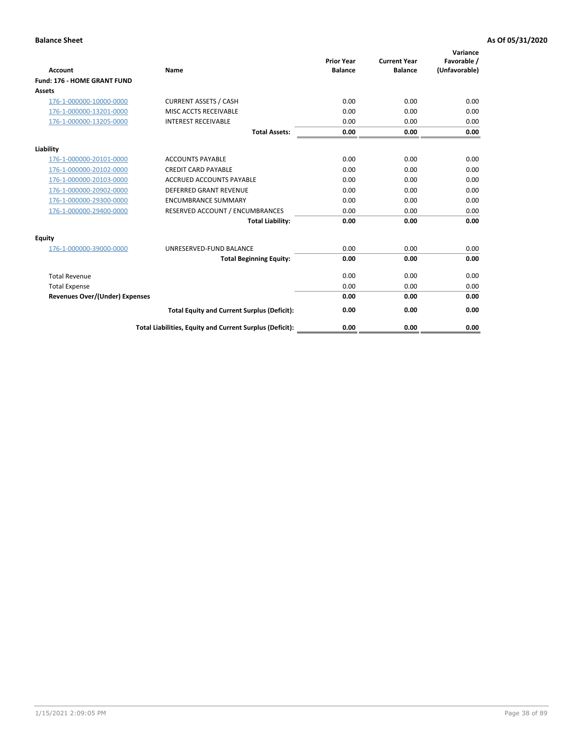| <b>Account</b>                        | Name                                                     | <b>Prior Year</b><br><b>Balance</b> | <b>Current Year</b><br><b>Balance</b> | Variance<br>Favorable /<br>(Unfavorable) |
|---------------------------------------|----------------------------------------------------------|-------------------------------------|---------------------------------------|------------------------------------------|
| Fund: 176 - HOME GRANT FUND           |                                                          |                                     |                                       |                                          |
| Assets                                |                                                          |                                     |                                       |                                          |
| 176-1-000000-10000-0000               | <b>CURRENT ASSETS / CASH</b>                             | 0.00                                | 0.00                                  | 0.00                                     |
| 176-1-000000-13201-0000               | MISC ACCTS RECEIVABLE                                    | 0.00                                | 0.00                                  | 0.00                                     |
| 176-1-000000-13205-0000               | <b>INTEREST RECEIVABLE</b>                               | 0.00                                | 0.00                                  | 0.00                                     |
|                                       | <b>Total Assets:</b>                                     | 0.00                                | 0.00                                  | 0.00                                     |
| Liability                             |                                                          |                                     |                                       |                                          |
| 176-1-000000-20101-0000               | <b>ACCOUNTS PAYABLE</b>                                  | 0.00                                | 0.00                                  | 0.00                                     |
| 176-1-000000-20102-0000               | <b>CREDIT CARD PAYABLE</b>                               | 0.00                                | 0.00                                  | 0.00                                     |
| 176-1-000000-20103-0000               | <b>ACCRUED ACCOUNTS PAYABLE</b>                          | 0.00                                | 0.00                                  | 0.00                                     |
| 176-1-000000-20902-0000               | <b>DEFERRED GRANT REVENUE</b>                            | 0.00                                | 0.00                                  | 0.00                                     |
| 176-1-000000-29300-0000               | <b>ENCUMBRANCE SUMMARY</b>                               | 0.00                                | 0.00                                  | 0.00                                     |
| 176-1-000000-29400-0000               | RESERVED ACCOUNT / ENCUMBRANCES                          | 0.00                                | 0.00                                  | 0.00                                     |
|                                       | <b>Total Liability:</b>                                  | 0.00                                | 0.00                                  | 0.00                                     |
| <b>Equity</b>                         |                                                          |                                     |                                       |                                          |
| 176-1-000000-39000-0000               | UNRESERVED-FUND BALANCE                                  | 0.00                                | 0.00                                  | 0.00                                     |
|                                       | <b>Total Beginning Equity:</b>                           | 0.00                                | 0.00                                  | 0.00                                     |
| <b>Total Revenue</b>                  |                                                          | 0.00                                | 0.00                                  | 0.00                                     |
| <b>Total Expense</b>                  |                                                          | 0.00                                | 0.00                                  | 0.00                                     |
| <b>Revenues Over/(Under) Expenses</b> |                                                          | 0.00                                | 0.00                                  | 0.00                                     |
|                                       | <b>Total Equity and Current Surplus (Deficit):</b>       | 0.00                                | 0.00                                  | 0.00                                     |
|                                       | Total Liabilities, Equity and Current Surplus (Deficit): | 0.00                                | 0.00                                  | 0.00                                     |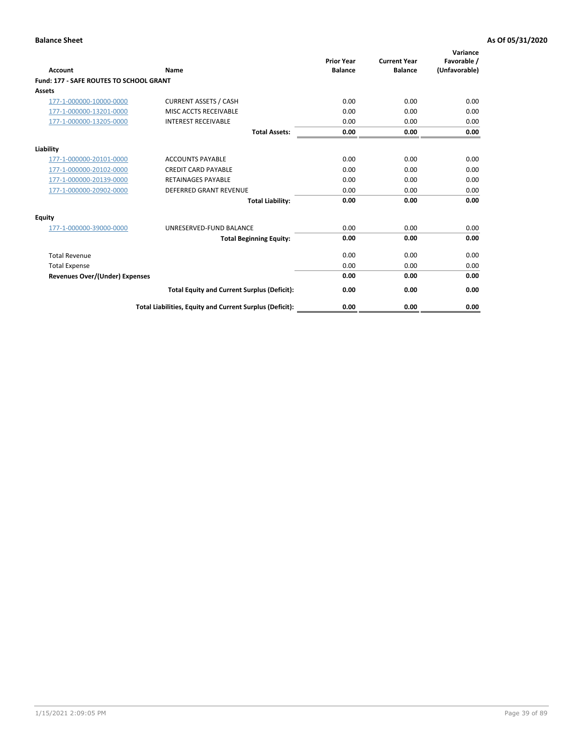| Account                                        | Name                                                     | <b>Prior Year</b><br><b>Balance</b> | <b>Current Year</b><br><b>Balance</b> | Variance<br>Favorable /<br>(Unfavorable) |
|------------------------------------------------|----------------------------------------------------------|-------------------------------------|---------------------------------------|------------------------------------------|
| <b>Fund: 177 - SAFE ROUTES TO SCHOOL GRANT</b> |                                                          |                                     |                                       |                                          |
| <b>Assets</b>                                  |                                                          |                                     |                                       |                                          |
| 177-1-000000-10000-0000                        | <b>CURRENT ASSETS / CASH</b>                             | 0.00                                | 0.00                                  | 0.00                                     |
| 177-1-000000-13201-0000                        | MISC ACCTS RECEIVABLE                                    | 0.00                                | 0.00                                  | 0.00                                     |
| 177-1-000000-13205-0000                        | <b>INTEREST RECEIVABLE</b>                               | 0.00                                | 0.00                                  | 0.00                                     |
|                                                | <b>Total Assets:</b>                                     | 0.00                                | 0.00                                  | 0.00                                     |
| Liability                                      |                                                          |                                     |                                       |                                          |
| 177-1-000000-20101-0000                        | <b>ACCOUNTS PAYABLE</b>                                  | 0.00                                | 0.00                                  | 0.00                                     |
| 177-1-000000-20102-0000                        | <b>CREDIT CARD PAYABLE</b>                               | 0.00                                | 0.00                                  | 0.00                                     |
| 177-1-000000-20139-0000                        | <b>RETAINAGES PAYABLE</b>                                | 0.00                                | 0.00                                  | 0.00                                     |
| 177-1-000000-20902-0000                        | <b>DEFERRED GRANT REVENUE</b>                            | 0.00                                | 0.00                                  | 0.00                                     |
|                                                | <b>Total Liability:</b>                                  | 0.00                                | 0.00                                  | 0.00                                     |
| Equity                                         |                                                          |                                     |                                       |                                          |
| 177-1-000000-39000-0000                        | UNRESERVED-FUND BALANCE                                  | 0.00                                | 0.00                                  | 0.00                                     |
|                                                | <b>Total Beginning Equity:</b>                           | 0.00                                | 0.00                                  | 0.00                                     |
| <b>Total Revenue</b>                           |                                                          | 0.00                                | 0.00                                  | 0.00                                     |
| <b>Total Expense</b>                           |                                                          | 0.00                                | 0.00                                  | 0.00                                     |
| <b>Revenues Over/(Under) Expenses</b>          |                                                          | 0.00                                | 0.00                                  | 0.00                                     |
|                                                | <b>Total Equity and Current Surplus (Deficit):</b>       | 0.00                                | 0.00                                  | 0.00                                     |
|                                                | Total Liabilities, Equity and Current Surplus (Deficit): | 0.00                                | 0.00                                  | 0.00                                     |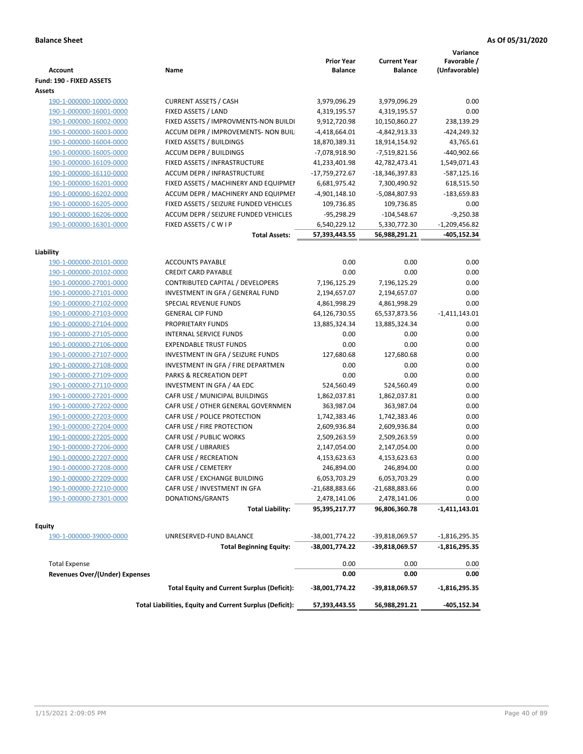| <b>Account</b>                                     | Name                                                     | <b>Prior Year</b><br><b>Balance</b> | <b>Current Year</b><br><b>Balance</b> | Variance<br>Favorable /<br>(Unfavorable) |
|----------------------------------------------------|----------------------------------------------------------|-------------------------------------|---------------------------------------|------------------------------------------|
| Fund: 190 - FIXED ASSETS<br>Assets                 |                                                          |                                     |                                       |                                          |
| 190-1-000000-10000-0000                            | <b>CURRENT ASSETS / CASH</b>                             | 3,979,096.29                        | 3,979,096.29                          | 0.00                                     |
| 190-1-000000-16001-0000                            | FIXED ASSETS / LAND                                      | 4,319,195.57                        | 4,319,195.57                          | 0.00                                     |
| 190-1-000000-16002-0000                            | FIXED ASSETS / IMPROVMENTS-NON BUILDI                    | 9,912,720.98                        | 10,150,860.27                         | 238,139.29                               |
| 190-1-000000-16003-0000                            | ACCUM DEPR / IMPROVEMENTS- NON BUIL                      | $-4,418,664.01$                     | -4,842,913.33                         | $-424,249.32$                            |
| 190-1-000000-16004-0000                            | FIXED ASSETS / BUILDINGS                                 | 18,870,389.31                       | 18,914,154.92                         | 43,765.61                                |
| 190-1-000000-16005-0000                            | <b>ACCUM DEPR / BUILDINGS</b>                            | -7,078,918.90                       | -7,519,821.56                         | -440,902.66                              |
| 190-1-000000-16109-0000                            | FIXED ASSETS / INFRASTRUCTURE                            | 41,233,401.98                       | 42,782,473.41                         | 1,549,071.43                             |
| 190-1-000000-16110-0000                            | ACCUM DEPR / INFRASTRUCTURE                              | -17,759,272.67                      | -18,346,397.83                        | -587,125.16                              |
| 190-1-000000-16201-0000                            | FIXED ASSETS / MACHINERY AND EQUIPMEN                    | 6,681,975.42                        | 7,300,490.92                          | 618,515.50                               |
| 190-1-000000-16202-0000                            | ACCUM DEPR / MACHINERY AND EQUIPMEI                      | $-4,901,148.10$                     | -5,084,807.93                         | -183,659.83                              |
| 190-1-000000-16205-0000                            | FIXED ASSETS / SEIZURE FUNDED VEHICLES                   | 109,736.85                          | 109,736.85                            | 0.00                                     |
| 190-1-000000-16206-0000                            | ACCUM DEPR / SEIZURE FUNDED VEHICLES                     | $-95,298.29$                        | $-104,548.67$                         | $-9,250.38$                              |
| 190-1-000000-16301-0000                            | FIXED ASSETS / C W I P                                   | 6,540,229.12                        | 5,330,772.30                          | $-1,209,456.82$                          |
|                                                    | <b>Total Assets:</b>                                     | 57,393,443.55                       | 56,988,291.21                         | -405,152.34                              |
|                                                    |                                                          |                                     |                                       |                                          |
| Liability                                          |                                                          |                                     |                                       |                                          |
| 190-1-000000-20101-0000<br>190-1-000000-20102-0000 | <b>ACCOUNTS PAYABLE</b>                                  | 0.00                                | 0.00                                  | 0.00                                     |
|                                                    | <b>CREDIT CARD PAYABLE</b>                               | 0.00                                | 0.00                                  | 0.00                                     |
| 190-1-000000-27001-0000                            | CONTRIBUTED CAPITAL / DEVELOPERS                         | 7,196,125.29                        | 7,196,125.29                          | 0.00                                     |
| 190-1-000000-27101-0000                            | INVESTMENT IN GFA / GENERAL FUND                         | 2,194,657.07                        | 2,194,657.07                          | 0.00                                     |
| 190-1-000000-27102-0000                            | SPECIAL REVENUE FUNDS                                    | 4,861,998.29                        | 4,861,998.29                          | 0.00                                     |
| 190-1-000000-27103-0000                            | <b>GENERAL CIP FUND</b>                                  | 64,126,730.55                       | 65,537,873.56                         | $-1,411,143.01$                          |
| 190-1-000000-27104-0000                            | PROPRIETARY FUNDS                                        | 13,885,324.34                       | 13,885,324.34                         | 0.00                                     |
| 190-1-000000-27105-0000                            | <b>INTERNAL SERVICE FUNDS</b>                            | 0.00                                | 0.00                                  | 0.00                                     |
| 190-1-000000-27106-0000                            | <b>EXPENDABLE TRUST FUNDS</b>                            | 0.00                                | 0.00                                  | 0.00                                     |
| 190-1-000000-27107-0000                            | INVESTMENT IN GFA / SEIZURE FUNDS                        | 127,680.68                          | 127,680.68                            | 0.00                                     |
| 190-1-000000-27108-0000                            | INVESTMENT IN GFA / FIRE DEPARTMEN                       | 0.00                                | 0.00                                  | 0.00                                     |
| 190-1-000000-27109-0000                            | PARKS & RECREATION DEPT                                  | 0.00                                | 0.00                                  | 0.00                                     |
| 190-1-000000-27110-0000                            | INVESTMENT IN GFA / 4A EDC                               | 524,560.49                          | 524,560.49                            | 0.00                                     |
| 190-1-000000-27201-0000                            | CAFR USE / MUNICIPAL BUILDINGS                           | 1,862,037.81                        | 1,862,037.81                          | 0.00                                     |
| 190-1-000000-27202-0000                            | CAFR USE / OTHER GENERAL GOVERNMEN                       | 363,987.04                          | 363,987.04                            | 0.00                                     |
| 190-1-000000-27203-0000                            | CAFR USE / POLICE PROTECTION                             | 1,742,383.46                        | 1,742,383.46                          | 0.00                                     |
| 190-1-000000-27204-0000                            | CAFR USE / FIRE PROTECTION                               | 2,609,936.84                        | 2,609,936.84                          | 0.00                                     |
| 190-1-000000-27205-0000                            | CAFR USE / PUBLIC WORKS                                  | 2,509,263.59                        | 2,509,263.59                          | 0.00                                     |
| 190-1-000000-27206-0000                            | CAFR USE / LIBRARIES                                     | 2,147,054.00                        | 2,147,054.00                          | 0.00                                     |
| 190-1-000000-27207-0000                            | CAFR USE / RECREATION<br>CAFR USE / CEMETERY             | 4,153,623.63                        | 4,153,623.63                          | 0.00                                     |
| 190-1-000000-27208-0000<br>190-1-000000-27209-0000 |                                                          | 246,894.00                          | 246,894.00                            | 0.00                                     |
|                                                    | CAFR USE / EXCHANGE BUILDING                             | 6,053,703.29                        | 6,053,703.29                          | 0.00                                     |
| 190-1-000000-27210-0000                            | CAFR USE / INVESTMENT IN GFA                             | -21,688,883.66                      | $-21,688,883.66$                      | 0.00                                     |
| 190-1-000000-27301-0000                            | DONATIONS/GRANTS<br><b>Total Liability:</b>              | 2,478,141.06<br>95,395,217.77       | 2,478,141.06<br>96,806,360.78         | 0.00<br>-1,411,143.01                    |
|                                                    |                                                          |                                     |                                       |                                          |
| <b>Equity</b>                                      |                                                          |                                     |                                       |                                          |
| 190-1-000000-39000-0000                            | UNRESERVED-FUND BALANCE                                  | -38,001,774.22                      | -39,818,069.57                        | $-1,816,295.35$                          |
|                                                    | <b>Total Beginning Equity:</b>                           | -38,001,774.22                      | -39,818,069.57                        | $-1,816,295.35$                          |
| <b>Total Expense</b>                               |                                                          | 0.00                                | 0.00                                  | 0.00                                     |
| <b>Revenues Over/(Under) Expenses</b>              |                                                          | 0.00                                | 0.00                                  | 0.00                                     |
|                                                    | <b>Total Equity and Current Surplus (Deficit):</b>       | -38,001,774.22                      | -39,818,069.57                        | $-1,816,295.35$                          |
|                                                    | Total Liabilities, Equity and Current Surplus (Deficit): | 57,393,443.55                       | 56,988,291.21                         | -405,152.34                              |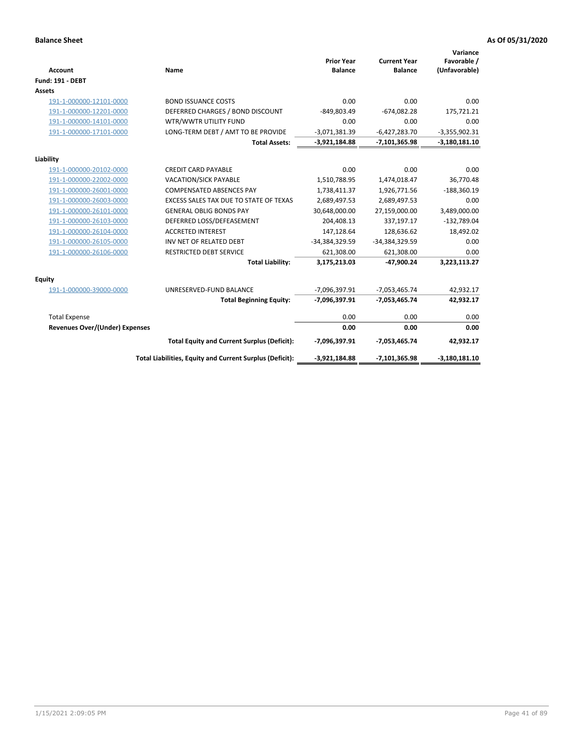| <b>Account</b>                 | Name                                                     | <b>Prior Year</b><br><b>Balance</b> | <b>Current Year</b><br><b>Balance</b> | Variance<br>Favorable /<br>(Unfavorable) |
|--------------------------------|----------------------------------------------------------|-------------------------------------|---------------------------------------|------------------------------------------|
| <b>Fund: 191 - DEBT</b>        |                                                          |                                     |                                       |                                          |
| <b>Assets</b>                  |                                                          |                                     |                                       |                                          |
| 191-1-000000-12101-0000        | <b>BOND ISSUANCE COSTS</b>                               | 0.00                                | 0.00                                  | 0.00                                     |
| 191-1-000000-12201-0000        | DEFERRED CHARGES / BOND DISCOUNT                         | $-849,803.49$                       | $-674,082.28$                         | 175,721.21                               |
| 191-1-000000-14101-0000        | WTR/WWTR UTILITY FUND                                    | 0.00                                | 0.00                                  | 0.00                                     |
| 191-1-000000-17101-0000        | LONG-TERM DEBT / AMT TO BE PROVIDE                       | $-3,071,381.39$                     | $-6,427,283.70$                       | $-3,355,902.31$                          |
|                                | <b>Total Assets:</b>                                     | $-3,921,184.88$                     | -7,101,365.98                         | $-3,180,181.10$                          |
| Liability                      |                                                          |                                     |                                       |                                          |
| 191-1-000000-20102-0000        | <b>CREDIT CARD PAYABLE</b>                               | 0.00                                | 0.00                                  | 0.00                                     |
| 191-1-000000-22002-0000        | <b>VACATION/SICK PAYABLE</b>                             | 1,510,788.95                        | 1,474,018.47                          | 36,770.48                                |
| 191-1-000000-26001-0000        | <b>COMPENSATED ABSENCES PAY</b>                          | 1,738,411.37                        | 1,926,771.56                          | $-188,360.19$                            |
| 191-1-000000-26003-0000        | EXCESS SALES TAX DUE TO STATE OF TEXAS                   | 2,689,497.53                        | 2,689,497.53                          | 0.00                                     |
| 191-1-000000-26101-0000        | <b>GENERAL OBLIG BONDS PAY</b>                           | 30,648,000.00                       | 27,159,000.00                         | 3,489,000.00                             |
| 191-1-000000-26103-0000        | DEFERRED LOSS/DEFEASEMENT                                | 204,408.13                          | 337,197.17                            | $-132,789.04$                            |
| 191-1-000000-26104-0000        | <b>ACCRETED INTEREST</b>                                 | 147,128.64                          | 128,636.62                            | 18,492.02                                |
| 191-1-000000-26105-0000        | INV NET OF RELATED DEBT                                  | -34,384,329.59                      | -34,384,329.59                        | 0.00                                     |
| 191-1-000000-26106-0000        | <b>RESTRICTED DEBT SERVICE</b>                           | 621,308.00                          | 621,308.00                            | 0.00                                     |
|                                | <b>Total Liability:</b>                                  | 3,175,213.03                        | -47,900.24                            | 3,223,113.27                             |
| Equity                         |                                                          |                                     |                                       |                                          |
| 191-1-000000-39000-0000        | UNRESERVED-FUND BALANCE                                  | -7,096,397.91                       | $-7,053,465.74$                       | 42,932.17                                |
|                                | <b>Total Beginning Equity:</b>                           | $-7,096,397.91$                     | -7,053,465.74                         | 42,932.17                                |
| <b>Total Expense</b>           |                                                          | 0.00                                | 0.00                                  | 0.00                                     |
| Revenues Over/(Under) Expenses |                                                          | 0.00                                | 0.00                                  | 0.00                                     |
|                                | <b>Total Equity and Current Surplus (Deficit):</b>       | -7,096,397.91                       | $-7,053,465.74$                       | 42,932.17                                |
|                                | Total Liabilities, Equity and Current Surplus (Deficit): | $-3,921,184.88$                     | -7,101,365.98                         | $-3,180,181.10$                          |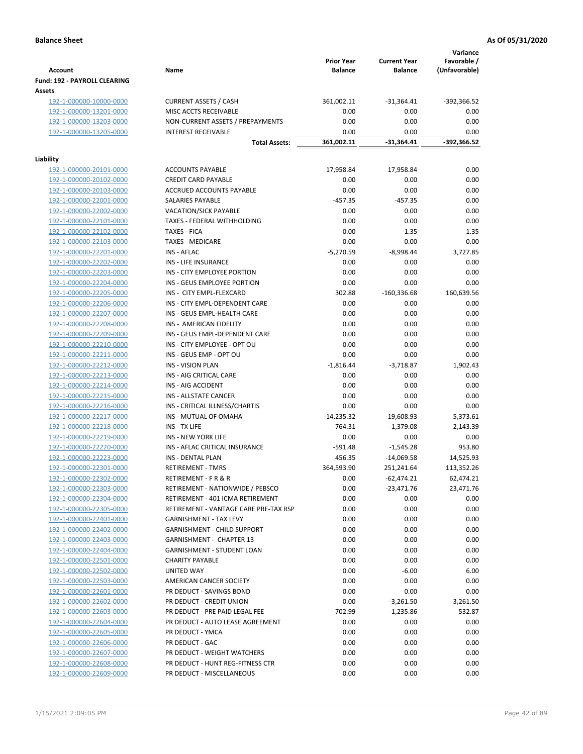| <b>Account</b>                                | Name                                  | <b>Prior Year</b><br><b>Balance</b> | <b>Current Year</b><br><b>Balance</b> | Variance<br>Favorable /<br>(Unfavorable) |
|-----------------------------------------------|---------------------------------------|-------------------------------------|---------------------------------------|------------------------------------------|
| <b>Fund: 192 - PAYROLL CLEARING</b><br>Assets |                                       |                                     |                                       |                                          |
| 192-1-000000-10000-0000                       | <b>CURRENT ASSETS / CASH</b>          | 361,002.11                          | $-31,364.41$                          | -392,366.52                              |
| 192-1-000000-13201-0000                       | MISC ACCTS RECEIVABLE                 | 0.00                                | 0.00                                  | 0.00                                     |
| 192-1-000000-13203-0000                       | NON-CURRENT ASSETS / PREPAYMENTS      | 0.00                                | 0.00                                  | 0.00                                     |
| 192-1-000000-13205-0000                       | <b>INTEREST RECEIVABLE</b>            | 0.00                                | 0.00                                  | 0.00                                     |
|                                               | <b>Total Assets:</b>                  | 361,002.11                          | $-31,364.41$                          | -392,366.52                              |
| Liability                                     |                                       |                                     |                                       |                                          |
| 192-1-000000-20101-0000                       | <b>ACCOUNTS PAYABLE</b>               | 17,958.84                           | 17,958.84                             | 0.00                                     |
| 192-1-000000-20102-0000                       | <b>CREDIT CARD PAYABLE</b>            | 0.00                                | 0.00                                  | 0.00                                     |
| 192-1-000000-20103-0000                       | ACCRUED ACCOUNTS PAYABLE              | 0.00                                | 0.00                                  | 0.00                                     |
| 192-1-000000-22001-0000                       | SALARIES PAYABLE                      | $-457.35$                           | $-457.35$                             | 0.00                                     |
| 192-1-000000-22002-0000                       | <b>VACATION/SICK PAYABLE</b>          | 0.00                                | 0.00                                  | 0.00                                     |
| 192-1-000000-22101-0000                       | TAXES - FEDERAL WITHHOLDING           | 0.00                                | 0.00                                  | 0.00                                     |
| 192-1-000000-22102-0000                       | <b>TAXES - FICA</b>                   | 0.00                                | $-1.35$                               | 1.35                                     |
| 192-1-000000-22103-0000                       | <b>TAXES - MEDICARE</b>               | 0.00                                | 0.00                                  | 0.00                                     |
| 192-1-000000-22201-0000                       | INS - AFLAC                           | $-5,270.59$                         | $-8,998.44$                           | 3,727.85                                 |
| 192-1-000000-22202-0000                       | INS - LIFE INSURANCE                  | 0.00                                | 0.00                                  | 0.00                                     |
| 192-1-000000-22203-0000                       | INS - CITY EMPLOYEE PORTION           | 0.00                                | 0.00                                  | 0.00                                     |
| 192-1-000000-22204-0000                       | INS - GEUS EMPLOYEE PORTION           | 0.00                                | 0.00                                  | 0.00                                     |
| 192-1-000000-22205-0000                       | INS - CITY EMPL-FLEXCARD              | 302.88                              | $-160,336.68$                         | 160,639.56                               |
| 192-1-000000-22206-0000                       | INS - CITY EMPL-DEPENDENT CARE        | 0.00                                | 0.00                                  | 0.00                                     |
| 192-1-000000-22207-0000                       | INS - GEUS EMPL-HEALTH CARE           | 0.00                                | 0.00                                  | 0.00                                     |
| 192-1-000000-22208-0000                       | INS - AMERICAN FIDELITY               | 0.00                                | 0.00                                  | 0.00                                     |
| 192-1-000000-22209-0000                       | INS - GEUS EMPL-DEPENDENT CARE        | 0.00                                | 0.00                                  | 0.00                                     |
| 192-1-000000-22210-0000                       | INS - CITY EMPLOYEE - OPT OU          | 0.00                                | 0.00                                  | 0.00                                     |
| 192-1-000000-22211-0000                       | INS - GEUS EMP - OPT OU               | 0.00                                | 0.00                                  | 0.00                                     |
| 192-1-000000-22212-0000                       | <b>INS - VISION PLAN</b>              | $-1,816.44$                         | $-3,718.87$                           | 1,902.43                                 |
| 192-1-000000-22213-0000                       | INS - AIG CRITICAL CARE               | 0.00                                | 0.00                                  | 0.00                                     |
| 192-1-000000-22214-0000                       | INS - AIG ACCIDENT                    | 0.00                                | 0.00                                  | 0.00                                     |
| 192-1-000000-22215-0000                       | <b>INS - ALLSTATE CANCER</b>          | 0.00                                | 0.00                                  | 0.00                                     |
| 192-1-000000-22216-0000                       | INS - CRITICAL ILLNESS/CHARTIS        | 0.00                                | 0.00                                  | 0.00                                     |
| 192-1-000000-22217-0000                       | <b>INS - MUTUAL OF OMAHA</b>          | $-14,235.32$                        | $-19,608.93$                          | 5,373.61                                 |
| 192-1-000000-22218-0000                       | INS - TX LIFE                         | 764.31                              | $-1,379.08$                           | 2,143.39                                 |
| 192-1-000000-22219-0000                       | <b>INS - NEW YORK LIFE</b>            | 0.00                                | 0.00                                  | 0.00                                     |
| 192-1-000000-22220-0000                       | INS - AFLAC CRITICAL INSURANCE        | $-591.48$                           | $-1,545.28$                           | 953.80                                   |
| 192-1-000000-22223-0000                       | INS - DENTAL PLAN                     | 456.35                              | $-14,069.58$                          | 14,525.93                                |
| 192-1-000000-22301-0000                       | <b>RETIREMENT - TMRS</b>              | 364,593.90                          | 251,241.64                            | 113,352.26                               |
| 192-1-000000-22302-0000                       | RETIREMENT - F R & R                  | 0.00                                | $-62,474.21$                          | 62,474.21                                |
| 192-1-000000-22303-0000                       | RETIREMENT - NATIONWIDE / PEBSCO      | 0.00                                | $-23,471.76$                          | 23,471.76                                |
| 192-1-000000-22304-0000                       | RETIREMENT - 401 ICMA RETIREMENT      | 0.00                                | 0.00                                  | 0.00                                     |
| 192-1-000000-22305-0000                       | RETIREMENT - VANTAGE CARE PRE-TAX RSP | 0.00                                | 0.00                                  | 0.00                                     |
| 192-1-000000-22401-0000                       | <b>GARNISHMENT - TAX LEVY</b>         | 0.00                                | 0.00                                  | 0.00                                     |
| 192-1-000000-22402-0000                       | <b>GARNISHMENT - CHILD SUPPORT</b>    | 0.00                                | 0.00                                  | 0.00                                     |
| 192-1-000000-22403-0000                       | GARNISHMENT - CHAPTER 13              | 0.00                                | 0.00                                  | 0.00                                     |
| 192-1-000000-22404-0000                       | GARNISHMENT - STUDENT LOAN            | 0.00                                | 0.00                                  | 0.00                                     |
| 192-1-000000-22501-0000                       | <b>CHARITY PAYABLE</b>                | 0.00                                | 0.00                                  | 0.00                                     |
| 192-1-000000-22502-0000                       | UNITED WAY                            | 0.00                                | $-6.00$                               | 6.00                                     |
| 192-1-000000-22503-0000                       | AMERICAN CANCER SOCIETY               | 0.00                                | 0.00                                  | 0.00                                     |
| 192-1-000000-22601-0000                       | PR DEDUCT - SAVINGS BOND              | 0.00                                | 0.00                                  | 0.00                                     |
| 192-1-000000-22602-0000                       | PR DEDUCT - CREDIT UNION              | 0.00                                | $-3,261.50$                           | 3,261.50                                 |
| 192-1-000000-22603-0000                       | PR DEDUCT - PRE PAID LEGAL FEE        | $-702.99$                           | $-1,235.86$                           | 532.87                                   |
| 192-1-000000-22604-0000                       | PR DEDUCT - AUTO LEASE AGREEMENT      | 0.00                                | 0.00                                  | 0.00                                     |
| 192-1-000000-22605-0000                       | PR DEDUCT - YMCA                      | 0.00                                | 0.00                                  | 0.00                                     |
| 192-1-000000-22606-0000                       | PR DEDUCT - GAC                       | 0.00                                | 0.00                                  | 0.00                                     |
| 192-1-000000-22607-0000                       | PR DEDUCT - WEIGHT WATCHERS           | 0.00                                | 0.00                                  | 0.00                                     |
| 192-1-000000-22608-0000                       | PR DEDUCT - HUNT REG-FITNESS CTR      | 0.00                                | 0.00                                  | 0.00                                     |
| 192-1-000000-22609-0000                       | PR DEDUCT - MISCELLANEOUS             | 0.00                                | 0.00                                  | 0.00                                     |
|                                               |                                       |                                     |                                       |                                          |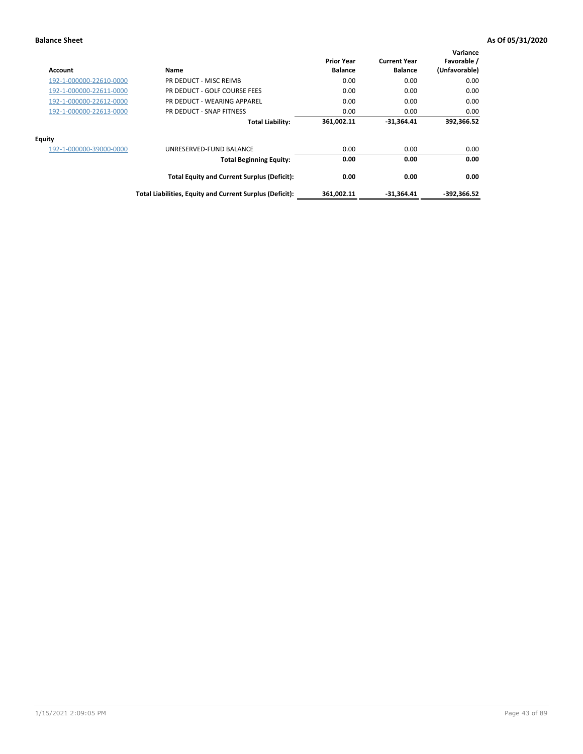| Account                 | Name                                                     | <b>Prior Year</b><br><b>Balance</b> | <b>Current Year</b><br><b>Balance</b> | Variance<br>Favorable /<br>(Unfavorable) |
|-------------------------|----------------------------------------------------------|-------------------------------------|---------------------------------------|------------------------------------------|
| 192-1-000000-22610-0000 | PR DEDUCT - MISC REIMB                                   | 0.00                                | 0.00                                  | 0.00                                     |
| 192-1-000000-22611-0000 | PR DEDUCT - GOLF COURSE FEES                             | 0.00                                | 0.00                                  | 0.00                                     |
| 192-1-000000-22612-0000 | PR DEDUCT - WEARING APPAREL                              | 0.00                                | 0.00                                  | 0.00                                     |
| 192-1-000000-22613-0000 | PR DEDUCT - SNAP FITNESS                                 | 0.00                                | 0.00                                  | 0.00                                     |
|                         | <b>Total Liability:</b>                                  | 361,002.11                          | $-31.364.41$                          | 392,366.52                               |
| Equity                  |                                                          |                                     |                                       |                                          |
| 192-1-000000-39000-0000 | UNRESERVED-FUND BALANCE                                  | 0.00                                | 0.00                                  | 0.00                                     |
|                         | <b>Total Beginning Equity:</b>                           | 0.00                                | 0.00                                  | 0.00                                     |
|                         | <b>Total Equity and Current Surplus (Deficit):</b>       | 0.00                                | 0.00                                  | 0.00                                     |
|                         | Total Liabilities, Equity and Current Surplus (Deficit): | 361,002.11                          | $-31.364.41$                          | -392,366.52                              |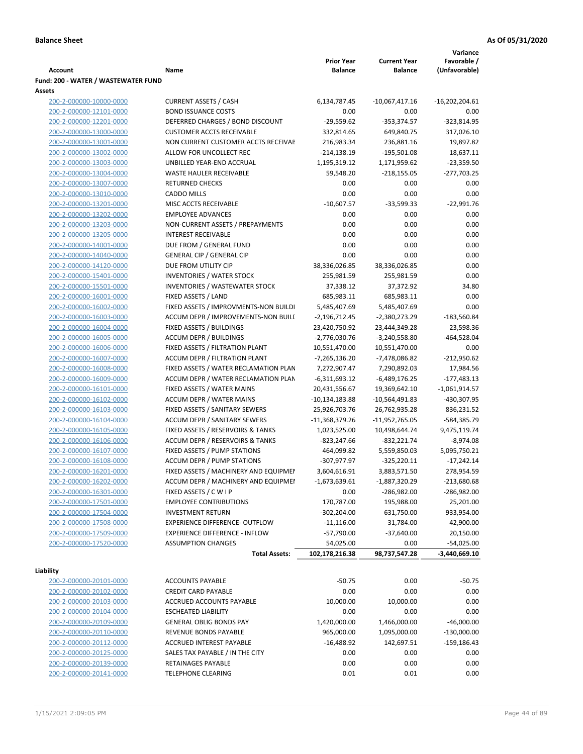|                                     |                                       |                   |                     | Variance         |
|-------------------------------------|---------------------------------------|-------------------|---------------------|------------------|
|                                     |                                       | <b>Prior Year</b> | <b>Current Year</b> | Favorable /      |
| <b>Account</b>                      | Name                                  | <b>Balance</b>    | <b>Balance</b>      | (Unfavorable)    |
| Fund: 200 - WATER / WASTEWATER FUND |                                       |                   |                     |                  |
| Assets                              |                                       |                   |                     |                  |
| 200-2-000000-10000-0000             | <b>CURRENT ASSETS / CASH</b>          | 6,134,787.45      | $-10,067,417.16$    | $-16,202,204.61$ |
| 200-2-000000-12101-0000             | <b>BOND ISSUANCE COSTS</b>            | 0.00              | 0.00                | 0.00             |
| 200-2-000000-12201-0000             | DEFERRED CHARGES / BOND DISCOUNT      | $-29,559.62$      | $-353,374.57$       | $-323,814.95$    |
| 200-2-000000-13000-0000             | <b>CUSTOMER ACCTS RECEIVABLE</b>      | 332,814.65        | 649,840.75          | 317,026.10       |
| 200-2-000000-13001-0000             | NON CURRENT CUSTOMER ACCTS RECEIVAE   | 216,983.34        | 236,881.16          | 19,897.82        |
| 200-2-000000-13002-0000             | ALLOW FOR UNCOLLECT REC               | $-214,138.19$     | $-195,501.08$       | 18,637.11        |
| 200-2-000000-13003-0000             | UNBILLED YEAR-END ACCRUAL             | 1,195,319.12      | 1,171,959.62        | $-23,359.50$     |
| 200-2-000000-13004-0000             | WASTE HAULER RECEIVABLE               | 59,548.20         | $-218,155.05$       | -277,703.25      |
| 200-2-000000-13007-0000             | <b>RETURNED CHECKS</b>                | 0.00              | 0.00                | 0.00             |
| 200-2-000000-13010-0000             | <b>CADDO MILLS</b>                    | 0.00              | 0.00                | 0.00             |
| 200-2-000000-13201-0000             | MISC ACCTS RECEIVABLE                 | $-10,607.57$      | $-33,599.33$        | $-22,991.76$     |
| 200-2-000000-13202-0000             | <b>EMPLOYEE ADVANCES</b>              | 0.00              | 0.00                | 0.00             |
| 200-2-000000-13203-0000             | NON-CURRENT ASSETS / PREPAYMENTS      | 0.00              | 0.00                | 0.00             |
| 200-2-000000-13205-0000             | <b>INTEREST RECEIVABLE</b>            | 0.00              | 0.00                | 0.00             |
| 200-2-000000-14001-0000             | DUE FROM / GENERAL FUND               | 0.00              | 0.00                | 0.00             |
| 200-2-000000-14040-0000             | <b>GENERAL CIP / GENERAL CIP</b>      | 0.00              | 0.00                | 0.00             |
| 200-2-000000-14120-0000             | DUE FROM UTILITY CIP                  | 38,336,026.85     | 38,336,026.85       | 0.00             |
| 200-2-000000-15401-0000             | <b>INVENTORIES / WATER STOCK</b>      | 255,981.59        | 255,981.59          | 0.00             |
| 200-2-000000-15501-0000             | <b>INVENTORIES / WASTEWATER STOCK</b> | 37,338.12         | 37,372.92           | 34.80            |
| 200-2-000000-16001-0000             | FIXED ASSETS / LAND                   | 685,983.11        | 685,983.11          | 0.00             |
| 200-2-000000-16002-0000             | FIXED ASSETS / IMPROVMENTS-NON BUILDI | 5,485,407.69      | 5,485,407.69        | 0.00             |
| 200-2-000000-16003-0000             | ACCUM DEPR / IMPROVEMENTS-NON BUILI   | $-2,196,712.45$   | -2,380,273.29       | $-183,560.84$    |
| 200-2-000000-16004-0000             | FIXED ASSETS / BUILDINGS              | 23,420,750.92     | 23,444,349.28       | 23,598.36        |
| 200-2-000000-16005-0000             | <b>ACCUM DEPR / BUILDINGS</b>         | $-2,776,030.76$   | $-3,240,558.80$     | $-464,528.04$    |
| 200-2-000000-16006-0000             | FIXED ASSETS / FILTRATION PLANT       | 10,551,470.00     | 10,551,470.00       | 0.00             |
| 200-2-000000-16007-0000             | ACCUM DEPR / FILTRATION PLANT         | -7,265,136.20     | -7,478,086.82       | $-212,950.62$    |
| 200-2-000000-16008-0000             | FIXED ASSETS / WATER RECLAMATION PLAN | 7,272,907.47      | 7,290,892.03        | 17,984.56        |
| 200-2-000000-16009-0000             | ACCUM DEPR / WATER RECLAMATION PLAN   | $-6,311,693.12$   | $-6,489,176.25$     | $-177,483.13$    |
| 200-2-000000-16101-0000             | FIXED ASSETS / WATER MAINS            | 20,431,556.67     | 19,369,642.10       | $-1,061,914.57$  |
| 200-2-000000-16102-0000             | <b>ACCUM DEPR / WATER MAINS</b>       | -10,134,183.88    | -10,564,491.83      | -430,307.95      |
| 200-2-000000-16103-0000             | FIXED ASSETS / SANITARY SEWERS        | 25,926,703.76     | 26,762,935.28       | 836,231.52       |
| 200-2-000000-16104-0000             | <b>ACCUM DEPR / SANITARY SEWERS</b>   | -11,368,379.26    | -11,952,765.05      | -584,385.79      |
| 200-2-000000-16105-0000             | FIXED ASSETS / RESERVOIRS & TANKS     | 1,023,525.00      | 10,498,644.74       | 9,475,119.74     |
| 200-2-000000-16106-0000             | ACCUM DEPR / RESERVOIRS & TANKS       | -823,247.66       | $-832,221.74$       | $-8,974.08$      |
| 200-2-000000-16107-0000             | FIXED ASSETS / PUMP STATIONS          | 464,099.82        | 5,559,850.03        | 5,095,750.21     |
| 200-2-000000-16108-0000             | <b>ACCUM DEPR / PUMP STATIONS</b>     | -307,977.97       | $-325,220.11$       | $-17,242.14$     |
| 200-2-000000-16201-0000             | FIXED ASSETS / MACHINERY AND EQUIPMEN | 3,604,616.91      | 3,883,571.50        | 278,954.59       |
| 200-2-000000-16202-0000             | ACCUM DEPR / MACHINERY AND EQUIPMEI   | -1,673,639.61     | $-1,887,320.29$     | $-213,680.68$    |
| 200-2-000000-16301-0000             | FIXED ASSETS / C W I P                | 0.00              | -286,982.00         | $-286,982.00$    |
| 200-2-000000-17501-0000             | <b>EMPLOYEE CONTRIBUTIONS</b>         | 170,787.00        | 195,988.00          | 25,201.00        |
| 200-2-000000-17504-0000             | <b>INVESTMENT RETURN</b>              | $-302,204.00$     | 631,750.00          | 933,954.00       |
| 200-2-000000-17508-0000             | EXPERIENCE DIFFERENCE- OUTFLOW        | $-11,116.00$      | 31,784.00           | 42,900.00        |
| 200-2-000000-17509-0000             | <b>EXPERIENCE DIFFERENCE - INFLOW</b> | $-57,790.00$      | $-37,640.00$        | 20,150.00        |
| 200-2-000000-17520-0000             | <b>ASSUMPTION CHANGES</b>             | 54,025.00         | 0.00                | $-54,025.00$     |
|                                     | <b>Total Assets:</b>                  | 102,178,216.38    | 98,737,547.28       | $-3,440,669.10$  |
|                                     |                                       |                   |                     |                  |
| Liability                           |                                       |                   |                     |                  |
| 200-2-000000-20101-0000             | <b>ACCOUNTS PAYABLE</b>               | $-50.75$          | 0.00                | $-50.75$         |
| 200-2-000000-20102-0000             | <b>CREDIT CARD PAYABLE</b>            | 0.00              | 0.00                | 0.00             |
| 200-2-000000-20103-0000             | ACCRUED ACCOUNTS PAYABLE              | 10,000.00         | 10,000.00           | 0.00             |
| 200-2-000000-20104-0000             | <b>ESCHEATED LIABILITY</b>            | 0.00              | 0.00                | 0.00             |
| 200-2-000000-20109-0000             | <b>GENERAL OBLIG BONDS PAY</b>        | 1,420,000.00      | 1,466,000.00        | $-46,000.00$     |
| 200-2-000000-20110-0000             | REVENUE BONDS PAYABLE                 | 965,000.00        | 1,095,000.00        | $-130,000.00$    |
| 200-2-000000-20112-0000             | ACCRUED INTEREST PAYABLE              | $-16,488.92$      | 142,697.51          | -159,186.43      |
| 200-2-000000-20125-0000             | SALES TAX PAYABLE / IN THE CITY       | 0.00              | 0.00                | 0.00             |
| 200-2-000000-20139-0000             | RETAINAGES PAYABLE                    | 0.00              | 0.00                | 0.00             |
| 200-2-000000-20141-0000             | <b>TELEPHONE CLEARING</b>             | 0.01              | 0.01                | 0.00             |
|                                     |                                       |                   |                     |                  |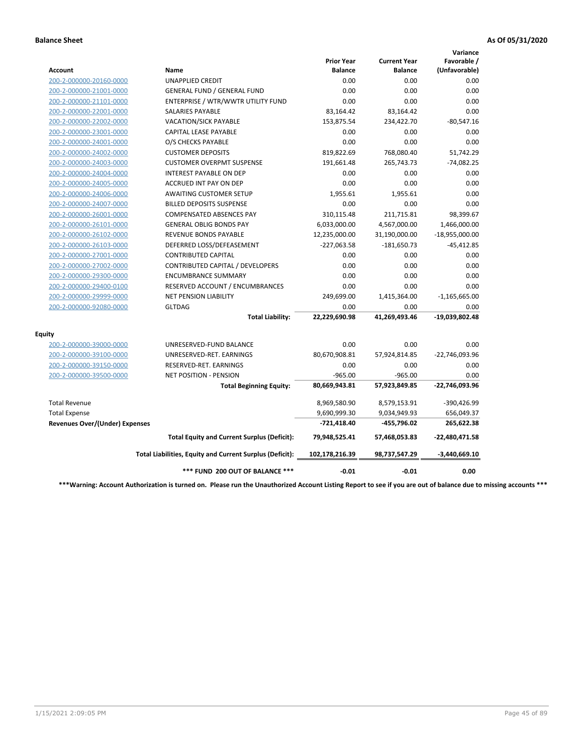|                                       |                                                          |                                     |                                       | Variance                     |
|---------------------------------------|----------------------------------------------------------|-------------------------------------|---------------------------------------|------------------------------|
| Account                               | <b>Name</b>                                              | <b>Prior Year</b><br><b>Balance</b> | <b>Current Year</b><br><b>Balance</b> | Favorable /<br>(Unfavorable) |
| 200-2-000000-20160-0000               | <b>UNAPPLIED CREDIT</b>                                  | 0.00                                | 0.00                                  | 0.00                         |
| 200-2-000000-21001-0000               | <b>GENERAL FUND / GENERAL FUND</b>                       | 0.00                                | 0.00                                  | 0.00                         |
| 200-2-000000-21101-0000               | ENTERPRISE / WTR/WWTR UTILITY FUND                       | 0.00                                | 0.00                                  | 0.00                         |
| 200-2-000000-22001-0000               | <b>SALARIES PAYABLE</b>                                  | 83,164.42                           | 83,164.42                             | 0.00                         |
| 200-2-000000-22002-0000               | <b>VACATION/SICK PAYABLE</b>                             | 153,875.54                          | 234,422.70                            | $-80,547.16$                 |
| 200-2-000000-23001-0000               | CAPITAL LEASE PAYABLE                                    | 0.00                                | 0.00                                  | 0.00                         |
| 200-2-000000-24001-0000               | O/S CHECKS PAYABLE                                       | 0.00                                | 0.00                                  | 0.00                         |
| 200-2-000000-24002-0000               | <b>CUSTOMER DEPOSITS</b>                                 | 819,822.69                          | 768,080.40                            | 51,742.29                    |
| 200-2-000000-24003-0000               | <b>CUSTOMER OVERPMT SUSPENSE</b>                         | 191,661.48                          | 265,743.73                            | $-74,082.25$                 |
| 200-2-000000-24004-0000               | <b>INTEREST PAYABLE ON DEP</b>                           | 0.00                                | 0.00                                  | 0.00                         |
| 200-2-000000-24005-0000               | <b>ACCRUED INT PAY ON DEP</b>                            | 0.00                                | 0.00                                  | 0.00                         |
| 200-2-000000-24006-0000               | <b>AWAITING CUSTOMER SETUP</b>                           | 1,955.61                            | 1,955.61                              | 0.00                         |
| 200-2-000000-24007-0000               | <b>BILLED DEPOSITS SUSPENSE</b>                          | 0.00                                | 0.00                                  | 0.00                         |
| 200-2-000000-26001-0000               | <b>COMPENSATED ABSENCES PAY</b>                          | 310,115.48                          | 211,715.81                            | 98,399.67                    |
| 200-2-000000-26101-0000               | <b>GENERAL OBLIG BONDS PAY</b>                           | 6,033,000.00                        | 4,567,000.00                          | 1,466,000.00                 |
| 200-2-000000-26102-0000               | <b>REVENUE BONDS PAYABLE</b>                             | 12,235,000.00                       | 31,190,000.00                         | $-18,955,000.00$             |
| 200-2-000000-26103-0000               | DEFERRED LOSS/DEFEASEMENT                                | $-227,063.58$                       | $-181,650.73$                         | $-45,412.85$                 |
| 200-2-000000-27001-0000               | <b>CONTRIBUTED CAPITAL</b>                               | 0.00                                | 0.00                                  | 0.00                         |
| 200-2-000000-27002-0000               | CONTRIBUTED CAPITAL / DEVELOPERS                         | 0.00                                | 0.00                                  | 0.00                         |
| 200-2-000000-29300-0000               | <b>ENCUMBRANCE SUMMARY</b>                               | 0.00                                | 0.00                                  | 0.00                         |
| 200-2-000000-29400-0100               | RESERVED ACCOUNT / ENCUMBRANCES                          | 0.00                                | 0.00                                  | 0.00                         |
| 200-2-000000-29999-0000               | <b>NET PENSION LIABILITY</b>                             | 249,699.00                          | 1,415,364.00                          | $-1,165,665.00$              |
| 200-2-000000-92080-0000               | <b>GLTDAG</b>                                            | 0.00                                | 0.00                                  | 0.00                         |
|                                       | <b>Total Liability:</b>                                  | 22,229,690.98                       | 41,269,493.46                         | -19,039,802.48               |
| <b>Equity</b>                         |                                                          |                                     |                                       |                              |
| 200-2-000000-39000-0000               | UNRESERVED-FUND BALANCE                                  | 0.00                                | 0.00                                  | 0.00                         |
| 200-2-000000-39100-0000               | UNRESERVED-RET. EARNINGS                                 | 80,670,908.81                       | 57,924,814.85                         | -22,746,093.96               |
| 200-2-000000-39150-0000               | RESERVED-RET. EARNINGS                                   | 0.00                                | 0.00                                  | 0.00                         |
| 200-2-000000-39500-0000               | NET POSITION - PENSION                                   | $-965.00$                           | $-965.00$                             | 0.00                         |
|                                       | <b>Total Beginning Equity:</b>                           | 80,669,943.81                       | 57,923,849.85                         | -22,746,093.96               |
| <b>Total Revenue</b>                  |                                                          | 8,969,580.90                        | 8,579,153.91                          | -390,426.99                  |
| <b>Total Expense</b>                  |                                                          | 9,690,999.30                        | 9,034,949.93                          | 656,049.37                   |
| <b>Revenues Over/(Under) Expenses</b> |                                                          | $-721,418.40$                       | -455,796.02                           | 265,622.38                   |
|                                       | <b>Total Equity and Current Surplus (Deficit):</b>       | 79,948,525.41                       | 57,468,053.83                         | $-22,480,471.58$             |
|                                       | Total Liabilities, Equity and Current Surplus (Deficit): | 102,178,216.39                      | 98,737,547.29                         | $-3,440,669.10$              |
|                                       | *** FUND 200 OUT OF BALANCE ***                          | $-0.01$                             | $-0.01$                               | 0.00                         |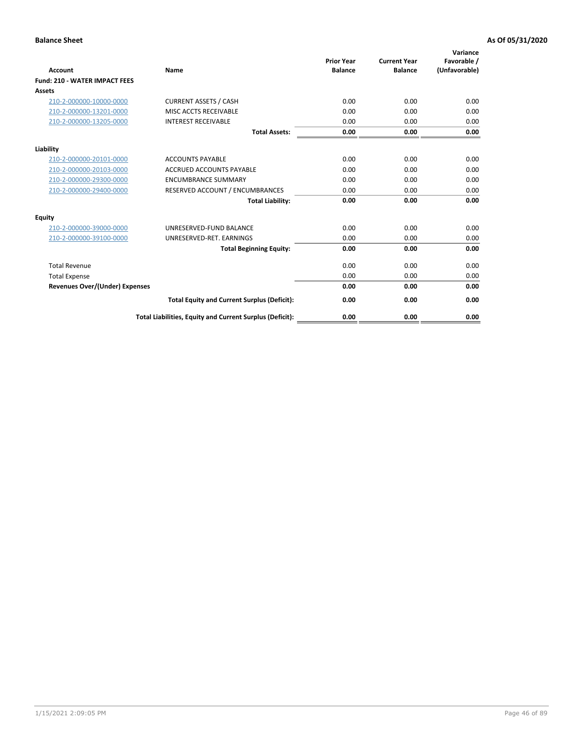| <b>Account</b>                        | <b>Name</b>                                              | <b>Prior Year</b><br><b>Balance</b> | <b>Current Year</b><br><b>Balance</b> | Variance<br>Favorable /<br>(Unfavorable) |
|---------------------------------------|----------------------------------------------------------|-------------------------------------|---------------------------------------|------------------------------------------|
| <b>Fund: 210 - WATER IMPACT FEES</b>  |                                                          |                                     |                                       |                                          |
| <b>Assets</b>                         |                                                          |                                     |                                       |                                          |
| 210-2-000000-10000-0000               | <b>CURRENT ASSETS / CASH</b>                             | 0.00                                | 0.00                                  | 0.00                                     |
| 210-2-000000-13201-0000               | MISC ACCTS RECEIVABLE                                    | 0.00                                | 0.00                                  | 0.00                                     |
| 210-2-000000-13205-0000               | <b>INTEREST RECEIVABLE</b>                               | 0.00                                | 0.00                                  | 0.00                                     |
|                                       | <b>Total Assets:</b>                                     | 0.00                                | 0.00                                  | 0.00                                     |
| Liability                             |                                                          |                                     |                                       |                                          |
| 210-2-000000-20101-0000               | <b>ACCOUNTS PAYABLE</b>                                  | 0.00                                | 0.00                                  | 0.00                                     |
| 210-2-000000-20103-0000               | <b>ACCRUED ACCOUNTS PAYABLE</b>                          | 0.00                                | 0.00                                  | 0.00                                     |
| 210-2-000000-29300-0000               | <b>ENCUMBRANCE SUMMARY</b>                               | 0.00                                | 0.00                                  | 0.00                                     |
| 210-2-000000-29400-0000               | RESERVED ACCOUNT / ENCUMBRANCES                          | 0.00                                | 0.00                                  | 0.00                                     |
|                                       | <b>Total Liability:</b>                                  | 0.00                                | 0.00                                  | 0.00                                     |
| <b>Equity</b>                         |                                                          |                                     |                                       |                                          |
| 210-2-000000-39000-0000               | UNRESERVED-FUND BALANCE                                  | 0.00                                | 0.00                                  | 0.00                                     |
| 210-2-000000-39100-0000               | UNRESERVED-RET. EARNINGS                                 | 0.00                                | 0.00                                  | 0.00                                     |
|                                       | <b>Total Beginning Equity:</b>                           | 0.00                                | 0.00                                  | 0.00                                     |
| <b>Total Revenue</b>                  |                                                          | 0.00                                | 0.00                                  | 0.00                                     |
| <b>Total Expense</b>                  |                                                          | 0.00                                | 0.00                                  | 0.00                                     |
| <b>Revenues Over/(Under) Expenses</b> |                                                          | 0.00                                | 0.00                                  | 0.00                                     |
|                                       | <b>Total Equity and Current Surplus (Deficit):</b>       | 0.00                                | 0.00                                  | 0.00                                     |
|                                       | Total Liabilities, Equity and Current Surplus (Deficit): | 0.00                                | 0.00                                  | 0.00                                     |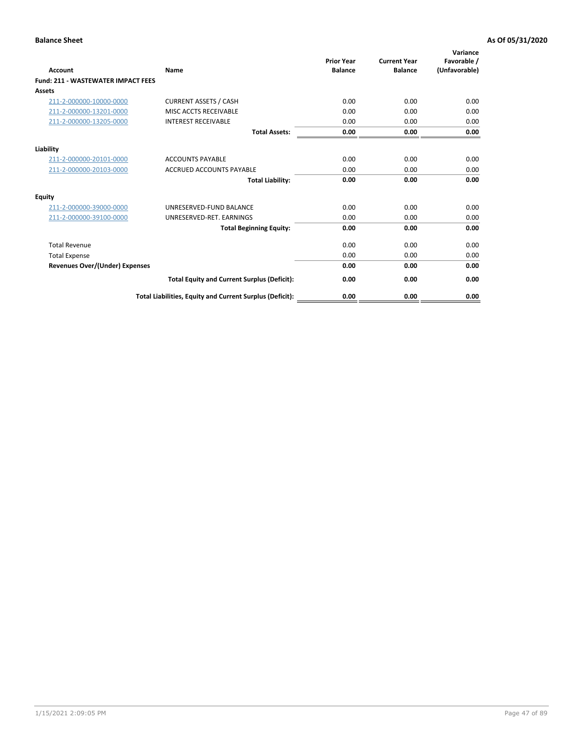| Account                                   | Name                                                     | <b>Prior Year</b><br><b>Balance</b> | <b>Current Year</b><br><b>Balance</b> | Variance<br>Favorable /<br>(Unfavorable) |
|-------------------------------------------|----------------------------------------------------------|-------------------------------------|---------------------------------------|------------------------------------------|
| <b>Fund: 211 - WASTEWATER IMPACT FEES</b> |                                                          |                                     |                                       |                                          |
| <b>Assets</b>                             |                                                          |                                     |                                       |                                          |
| 211-2-000000-10000-0000                   | <b>CURRENT ASSETS / CASH</b>                             | 0.00                                | 0.00                                  | 0.00                                     |
| 211-2-000000-13201-0000                   | MISC ACCTS RECEIVABLE                                    | 0.00                                | 0.00                                  | 0.00                                     |
| 211-2-000000-13205-0000                   | <b>INTEREST RECEIVABLE</b>                               | 0.00                                | 0.00                                  | 0.00                                     |
|                                           | <b>Total Assets:</b>                                     | 0.00                                | 0.00                                  | 0.00                                     |
| Liability                                 |                                                          |                                     |                                       |                                          |
| 211-2-000000-20101-0000                   | <b>ACCOUNTS PAYABLE</b>                                  | 0.00                                | 0.00                                  | 0.00                                     |
| 211-2-000000-20103-0000                   | <b>ACCRUED ACCOUNTS PAYABLE</b>                          | 0.00                                | 0.00                                  | 0.00                                     |
|                                           | <b>Total Liability:</b>                                  | 0.00                                | 0.00                                  | 0.00                                     |
| Equity                                    |                                                          |                                     |                                       |                                          |
| 211-2-000000-39000-0000                   | UNRESERVED-FUND BALANCE                                  | 0.00                                | 0.00                                  | 0.00                                     |
| 211-2-000000-39100-0000                   | UNRESERVED-RET. EARNINGS                                 | 0.00                                | 0.00                                  | 0.00                                     |
|                                           | <b>Total Beginning Equity:</b>                           | 0.00                                | 0.00                                  | 0.00                                     |
| <b>Total Revenue</b>                      |                                                          | 0.00                                | 0.00                                  | 0.00                                     |
| <b>Total Expense</b>                      |                                                          | 0.00                                | 0.00                                  | 0.00                                     |
| <b>Revenues Over/(Under) Expenses</b>     |                                                          | 0.00                                | 0.00                                  | 0.00                                     |
|                                           | <b>Total Equity and Current Surplus (Deficit):</b>       | 0.00                                | 0.00                                  | 0.00                                     |
|                                           | Total Liabilities, Equity and Current Surplus (Deficit): | 0.00                                | 0.00                                  | 0.00                                     |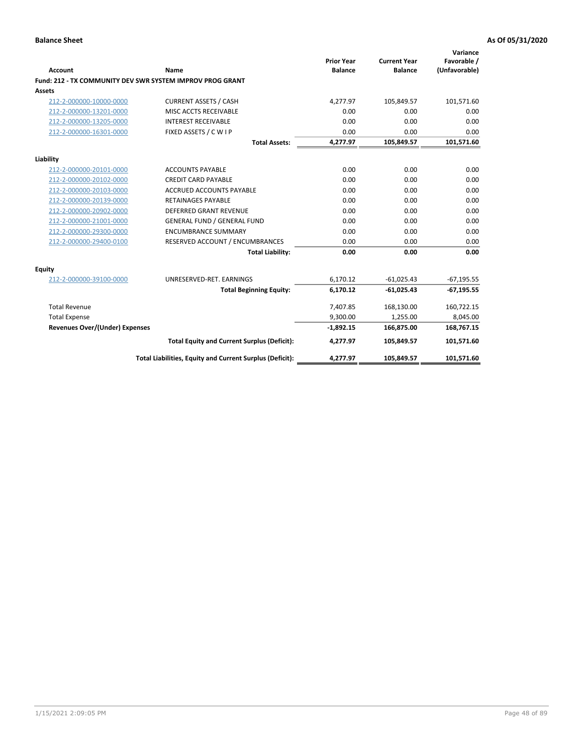| <b>Account</b>                        | Name                                                      | <b>Prior Year</b><br><b>Balance</b> | <b>Current Year</b><br><b>Balance</b> | Variance<br>Favorable /<br>(Unfavorable) |
|---------------------------------------|-----------------------------------------------------------|-------------------------------------|---------------------------------------|------------------------------------------|
|                                       | Fund: 212 - TX COMMUNITY DEV SWR SYSTEM IMPROV PROG GRANT |                                     |                                       |                                          |
| <b>Assets</b>                         |                                                           |                                     |                                       |                                          |
| 212-2-000000-10000-0000               | <b>CURRENT ASSETS / CASH</b>                              | 4,277.97                            | 105,849.57                            | 101,571.60                               |
| 212-2-000000-13201-0000               | MISC ACCTS RECEIVABLE                                     | 0.00                                | 0.00                                  | 0.00                                     |
| 212-2-000000-13205-0000               | <b>INTEREST RECEIVABLE</b>                                | 0.00                                | 0.00                                  | 0.00                                     |
| 212-2-000000-16301-0000               | FIXED ASSETS / C W I P                                    | 0.00                                | 0.00                                  | 0.00                                     |
|                                       | <b>Total Assets:</b>                                      | 4,277.97                            | 105,849.57                            | 101,571.60                               |
| Liability                             |                                                           |                                     |                                       |                                          |
| 212-2-000000-20101-0000               | <b>ACCOUNTS PAYABLE</b>                                   | 0.00                                | 0.00                                  | 0.00                                     |
| 212-2-000000-20102-0000               | <b>CREDIT CARD PAYABLE</b>                                | 0.00                                | 0.00                                  | 0.00                                     |
| 212-2-000000-20103-0000               | <b>ACCRUED ACCOUNTS PAYABLE</b>                           | 0.00                                | 0.00                                  | 0.00                                     |
| 212-2-000000-20139-0000               | <b>RETAINAGES PAYABLE</b>                                 | 0.00                                | 0.00                                  | 0.00                                     |
| 212-2-000000-20902-0000               | <b>DEFERRED GRANT REVENUE</b>                             | 0.00                                | 0.00                                  | 0.00                                     |
| 212-2-000000-21001-0000               | <b>GENERAL FUND / GENERAL FUND</b>                        | 0.00                                | 0.00                                  | 0.00                                     |
| 212-2-000000-29300-0000               | <b>ENCUMBRANCE SUMMARY</b>                                | 0.00                                | 0.00                                  | 0.00                                     |
| 212-2-000000-29400-0100               | RESERVED ACCOUNT / ENCUMBRANCES                           | 0.00                                | 0.00                                  | 0.00                                     |
|                                       | <b>Total Liability:</b>                                   | 0.00                                | 0.00                                  | 0.00                                     |
| Equity                                |                                                           |                                     |                                       |                                          |
| 212-2-000000-39100-0000               | UNRESERVED-RET. EARNINGS                                  | 6,170.12                            | $-61,025.43$                          | $-67,195.55$                             |
|                                       | <b>Total Beginning Equity:</b>                            | 6,170.12                            | $-61,025.43$                          | $-67,195.55$                             |
| <b>Total Revenue</b>                  |                                                           | 7,407.85                            | 168,130.00                            | 160,722.15                               |
| <b>Total Expense</b>                  |                                                           | 9,300.00                            | 1,255.00                              | 8,045.00                                 |
| <b>Revenues Over/(Under) Expenses</b> |                                                           | $-1,892.15$                         | 166,875.00                            | 168,767.15                               |
|                                       | <b>Total Equity and Current Surplus (Deficit):</b>        | 4,277.97                            | 105,849.57                            | 101,571.60                               |
|                                       | Total Liabilities, Equity and Current Surplus (Deficit):  | 4,277.97                            | 105,849.57                            | 101,571.60                               |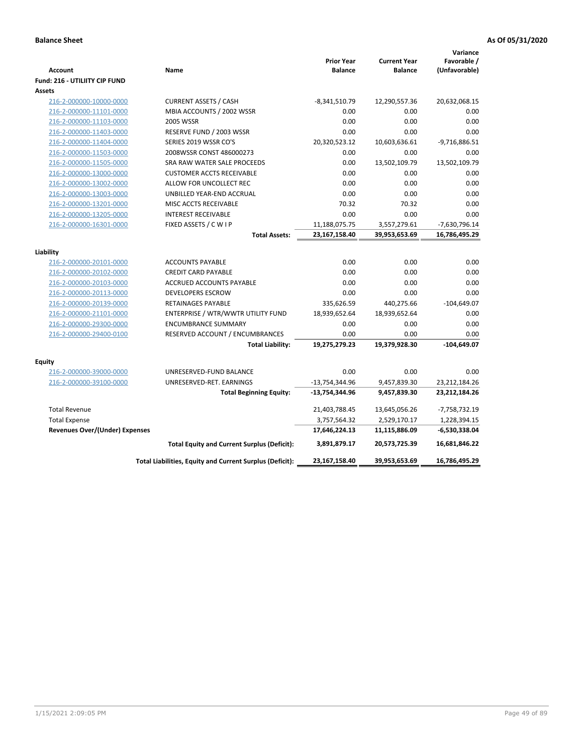| <b>Account</b><br><b>Fund: 216 - UTILIITY CIP FUND</b> | Name                                                     | <b>Prior Year</b><br><b>Balance</b> | <b>Current Year</b><br><b>Balance</b> | Variance<br>Favorable /<br>(Unfavorable) |
|--------------------------------------------------------|----------------------------------------------------------|-------------------------------------|---------------------------------------|------------------------------------------|
| <b>Assets</b>                                          |                                                          |                                     |                                       |                                          |
| 216-2-000000-10000-0000                                | <b>CURRENT ASSETS / CASH</b>                             | $-8,341,510.79$                     | 12,290,557.36                         | 20,632,068.15                            |
| 216-2-000000-11101-0000                                | MBIA ACCOUNTS / 2002 WSSR                                | 0.00                                | 0.00                                  | 0.00                                     |
| 216-2-000000-11103-0000                                | 2005 WSSR                                                | 0.00                                | 0.00                                  | 0.00                                     |
| 216-2-000000-11403-0000                                | RESERVE FUND / 2003 WSSR                                 | 0.00                                | 0.00                                  | 0.00                                     |
| 216-2-000000-11404-0000                                | SERIES 2019 WSSR CO'S                                    | 20,320,523.12                       | 10,603,636.61                         | $-9,716,886.51$                          |
| 216-2-000000-11503-0000                                | 2008WSSR CONST 486000273                                 | 0.00                                | 0.00                                  | 0.00                                     |
| 216-2-000000-11505-0000                                | SRA RAW WATER SALE PROCEEDS                              | 0.00                                | 13,502,109.79                         | 13,502,109.79                            |
| 216-2-000000-13000-0000                                | <b>CUSTOMER ACCTS RECEIVABLE</b>                         | 0.00                                | 0.00                                  | 0.00                                     |
| 216-2-000000-13002-0000                                | ALLOW FOR UNCOLLECT REC                                  | 0.00                                | 0.00                                  | 0.00                                     |
| 216-2-000000-13003-0000                                | UNBILLED YEAR-END ACCRUAL                                | 0.00                                | 0.00                                  | 0.00                                     |
| 216-2-000000-13201-0000                                | MISC ACCTS RECEIVABLE                                    | 70.32                               | 70.32                                 | 0.00                                     |
| 216-2-000000-13205-0000                                | <b>INTEREST RECEIVABLE</b>                               | 0.00                                | 0.00                                  | 0.00                                     |
| 216-2-000000-16301-0000                                | FIXED ASSETS / C W I P                                   | 11,188,075.75                       | 3,557,279.61                          | -7,630,796.14                            |
|                                                        | <b>Total Assets:</b>                                     | 23,167,158.40                       | 39,953,653.69                         | 16,786,495.29                            |
|                                                        |                                                          |                                     |                                       |                                          |
| Liability<br>216-2-000000-20101-0000                   | <b>ACCOUNTS PAYABLE</b>                                  | 0.00                                | 0.00                                  | 0.00                                     |
| 216-2-000000-20102-0000                                | <b>CREDIT CARD PAYABLE</b>                               | 0.00                                | 0.00                                  | 0.00                                     |
| 216-2-000000-20103-0000                                | ACCRUED ACCOUNTS PAYABLE                                 | 0.00                                | 0.00                                  | 0.00                                     |
| 216-2-000000-20113-0000                                | <b>DEVELOPERS ESCROW</b>                                 | 0.00                                | 0.00                                  | 0.00                                     |
| 216-2-000000-20139-0000                                | <b>RETAINAGES PAYABLE</b>                                | 335,626.59                          | 440,275.66                            | $-104,649.07$                            |
| 216-2-000000-21101-0000                                | ENTERPRISE / WTR/WWTR UTILITY FUND                       | 18,939,652.64                       | 18,939,652.64                         | 0.00                                     |
| 216-2-000000-29300-0000                                | <b>ENCUMBRANCE SUMMARY</b>                               | 0.00                                | 0.00                                  | 0.00                                     |
| 216-2-000000-29400-0100                                | RESERVED ACCOUNT / ENCUMBRANCES                          | 0.00                                | 0.00                                  | 0.00                                     |
|                                                        | <b>Total Liability:</b>                                  | 19,275,279.23                       | 19,379,928.30                         | $-104,649.07$                            |
|                                                        |                                                          |                                     |                                       |                                          |
| <b>Equity</b>                                          |                                                          |                                     |                                       |                                          |
| 216-2-000000-39000-0000                                | UNRESERVED-FUND BALANCE                                  | 0.00                                | 0.00                                  | 0.00                                     |
| 216-2-000000-39100-0000                                | UNRESERVED-RET. EARNINGS                                 | -13,754,344.96                      | 9,457,839.30                          | 23,212,184.26                            |
|                                                        | <b>Total Beginning Equity:</b>                           | -13,754,344.96                      | 9,457,839.30                          | 23,212,184.26                            |
| <b>Total Revenue</b>                                   |                                                          | 21,403,788.45                       | 13,645,056.26                         | -7,758,732.19                            |
| <b>Total Expense</b>                                   |                                                          | 3,757,564.32                        | 2,529,170.17                          | 1,228,394.15                             |
| <b>Revenues Over/(Under) Expenses</b>                  |                                                          | 17,646,224.13                       | 11,115,886.09                         | -6,530,338.04                            |
|                                                        | <b>Total Equity and Current Surplus (Deficit):</b>       | 3,891,879.17                        | 20,573,725.39                         | 16,681,846.22                            |
|                                                        | Total Liabilities, Equity and Current Surplus (Deficit): | 23,167,158.40                       | 39,953,653.69                         | 16,786,495.29                            |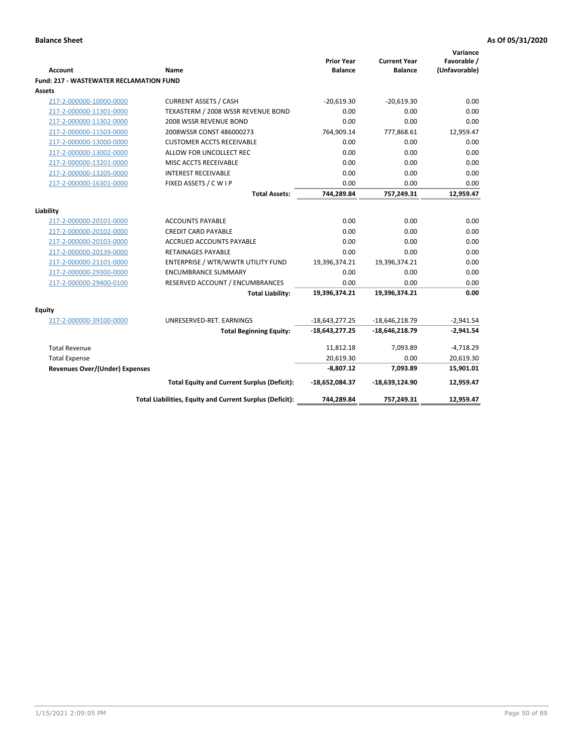| <b>Account</b>                                     | <b>Name</b>                                                     | <b>Prior Year</b><br><b>Balance</b> | <b>Current Year</b><br><b>Balance</b> | Variance<br>Favorable /<br>(Unfavorable) |
|----------------------------------------------------|-----------------------------------------------------------------|-------------------------------------|---------------------------------------|------------------------------------------|
| <b>Fund: 217 - WASTEWATER RECLAMATION FUND</b>     |                                                                 |                                     |                                       |                                          |
| Assets                                             |                                                                 |                                     |                                       |                                          |
| 217-2-000000-10000-0000                            | <b>CURRENT ASSETS / CASH</b>                                    | $-20,619.30$                        | $-20,619.30$                          | 0.00                                     |
| 217-2-000000-11301-0000                            | TEXASTERM / 2008 WSSR REVENUE BOND                              | 0.00                                | 0.00                                  | 0.00                                     |
| 217-2-000000-11302-0000                            | 2008 WSSR REVENUE BOND                                          | 0.00                                | 0.00                                  | 0.00                                     |
| 217-2-000000-11503-0000                            | 2008WSSR CONST 486000273                                        | 764,909.14                          | 777,868.61                            | 12,959.47                                |
| 217-2-000000-13000-0000                            | <b>CUSTOMER ACCTS RECEIVABLE</b>                                | 0.00                                | 0.00                                  | 0.00                                     |
| 217-2-000000-13002-0000                            | ALLOW FOR UNCOLLECT REC                                         | 0.00                                | 0.00                                  | 0.00                                     |
| 217-2-000000-13201-0000                            | MISC ACCTS RECEIVABLE                                           | 0.00                                | 0.00                                  | 0.00                                     |
| 217-2-000000-13205-0000                            | <b>INTEREST RECEIVABLE</b>                                      | 0.00                                | 0.00                                  | 0.00                                     |
| 217-2-000000-16301-0000                            | FIXED ASSETS / C W I P                                          | 0.00                                | 0.00                                  | 0.00                                     |
|                                                    | <b>Total Assets:</b>                                            | 744,289.84                          | 757,249.31                            | 12,959.47                                |
| Liability                                          |                                                                 |                                     |                                       |                                          |
|                                                    | <b>ACCOUNTS PAYABLE</b>                                         | 0.00                                | 0.00                                  | 0.00                                     |
| 217-2-000000-20101-0000                            |                                                                 |                                     |                                       | 0.00                                     |
| 217-2-000000-20102-0000                            | <b>CREDIT CARD PAYABLE</b>                                      | 0.00                                | 0.00                                  |                                          |
| 217-2-000000-20103-0000                            | <b>ACCRUED ACCOUNTS PAYABLE</b>                                 | 0.00<br>0.00                        | 0.00                                  | 0.00                                     |
| 217-2-000000-20139-0000                            | <b>RETAINAGES PAYABLE</b><br>ENTERPRISE / WTR/WWTR UTILITY FUND |                                     | 0.00<br>19,396,374.21                 | 0.00<br>0.00                             |
| 217-2-000000-21101-0000                            | <b>ENCUMBRANCE SUMMARY</b>                                      | 19,396,374.21<br>0.00               | 0.00                                  | 0.00                                     |
| 217-2-000000-29300-0000<br>217-2-000000-29400-0100 | RESERVED ACCOUNT / ENCUMBRANCES                                 | 0.00                                | 0.00                                  | 0.00                                     |
|                                                    |                                                                 |                                     |                                       | 0.00                                     |
|                                                    | <b>Total Liability:</b>                                         | 19,396,374.21                       | 19,396,374.21                         |                                          |
| <b>Equity</b>                                      |                                                                 |                                     |                                       |                                          |
| 217-2-000000-39100-0000                            | UNRESERVED-RET. EARNINGS                                        | $-18,643,277.25$                    | $-18,646,218.79$                      | $-2,941.54$                              |
|                                                    | <b>Total Beginning Equity:</b>                                  | $-18,643,277.25$                    | $-18,646,218.79$                      | $-2,941.54$                              |
| <b>Total Revenue</b>                               |                                                                 | 11,812.18                           | 7,093.89                              | $-4,718.29$                              |
| <b>Total Expense</b>                               |                                                                 | 20,619.30                           | 0.00                                  | 20,619.30                                |
| Revenues Over/(Under) Expenses                     |                                                                 | $-8,807.12$                         | 7,093.89                              | 15,901.01                                |
|                                                    | <b>Total Equity and Current Surplus (Deficit):</b>              | -18,652,084.37                      | -18,639,124.90                        | 12,959.47                                |
|                                                    | Total Liabilities, Equity and Current Surplus (Deficit):        | 744,289.84                          | 757,249.31                            | 12.959.47                                |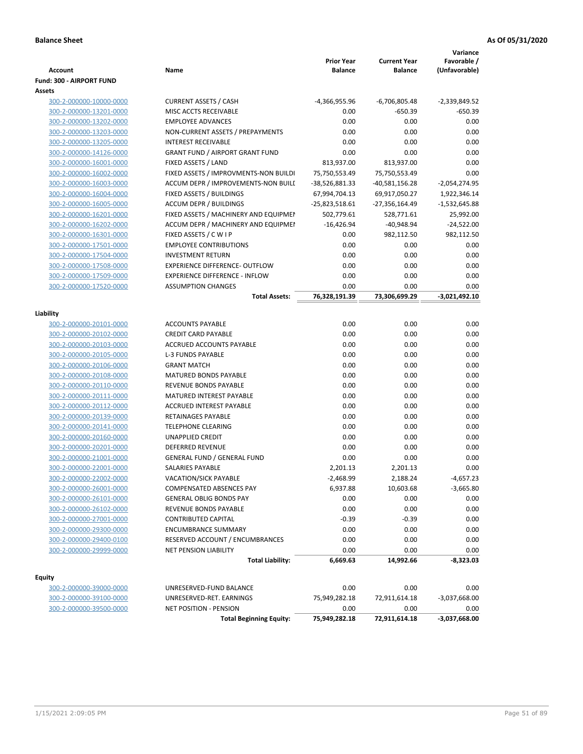|                                |                                                              | <b>Prior Year</b> | <b>Current Year</b> | Variance<br>Favorable / |
|--------------------------------|--------------------------------------------------------------|-------------------|---------------------|-------------------------|
| <b>Account</b>                 | Name                                                         | <b>Balance</b>    | <b>Balance</b>      | (Unfavorable)           |
| Fund: 300 - AIRPORT FUND       |                                                              |                   |                     |                         |
| Assets                         |                                                              |                   |                     |                         |
| 300-2-000000-10000-0000        | <b>CURRENT ASSETS / CASH</b>                                 | -4,366,955.96     | -6,706,805.48       | -2,339,849.52           |
| 300-2-000000-13201-0000        | MISC ACCTS RECEIVABLE                                        | 0.00              | $-650.39$           | -650.39                 |
| 300-2-000000-13202-0000        | <b>EMPLOYEE ADVANCES</b>                                     | 0.00              | 0.00                | 0.00                    |
| 300-2-000000-13203-0000        | NON-CURRENT ASSETS / PREPAYMENTS                             | 0.00              | 0.00                | 0.00                    |
| 300-2-000000-13205-0000        | <b>INTEREST RECEIVABLE</b>                                   | 0.00              | 0.00                | 0.00                    |
| 300-2-000000-14126-0000        | <b>GRANT FUND / AIRPORT GRANT FUND</b>                       | 0.00              | 0.00                | 0.00                    |
| 300-2-000000-16001-0000        | FIXED ASSETS / LAND                                          | 813,937.00        | 813,937.00          | 0.00                    |
| 300-2-000000-16002-0000        | FIXED ASSETS / IMPROVMENTS-NON BUILDI                        | 75,750,553.49     | 75,750,553.49       | 0.00                    |
| 300-2-000000-16003-0000        | ACCUM DEPR / IMPROVEMENTS-NON BUILI                          | -38,526,881.33    | $-40,581,156.28$    | $-2,054,274.95$         |
| 300-2-000000-16004-0000        | FIXED ASSETS / BUILDINGS                                     | 67,994,704.13     | 69,917,050.27       | 1,922,346.14            |
| 300-2-000000-16005-0000        | <b>ACCUM DEPR / BUILDINGS</b>                                | -25,823,518.61    | -27,356,164.49      | $-1,532,645.88$         |
| 300-2-000000-16201-0000        | FIXED ASSETS / MACHINERY AND EQUIPMEN                        | 502,779.61        | 528,771.61          | 25,992.00               |
| 300-2-000000-16202-0000        | ACCUM DEPR / MACHINERY AND EQUIPMEI                          | $-16,426.94$      | $-40,948.94$        | $-24,522.00$            |
| 300-2-000000-16301-0000        | FIXED ASSETS / C W I P                                       | 0.00              | 982,112.50          | 982,112.50              |
| 300-2-000000-17501-0000        | <b>EMPLOYEE CONTRIBUTIONS</b>                                | 0.00              | 0.00                | 0.00                    |
| 300-2-000000-17504-0000        | <b>INVESTMENT RETURN</b>                                     | 0.00              | 0.00                | 0.00                    |
| 300-2-000000-17508-0000        | <b>EXPERIENCE DIFFERENCE- OUTFLOW</b>                        | 0.00              | 0.00                | 0.00                    |
| 300-2-000000-17509-0000        | <b>EXPERIENCE DIFFERENCE - INFLOW</b>                        | 0.00              | 0.00                | 0.00                    |
| 300-2-000000-17520-0000        | <b>ASSUMPTION CHANGES</b>                                    | 0.00              | 0.00                | 0.00                    |
|                                | <b>Total Assets:</b>                                         | 76,328,191.39     | 73,306,699.29       | $-3,021,492.10$         |
| Liability                      |                                                              |                   |                     |                         |
| 300-2-000000-20101-0000        | <b>ACCOUNTS PAYABLE</b>                                      | 0.00              | 0.00                | 0.00                    |
| 300-2-000000-20102-0000        | <b>CREDIT CARD PAYABLE</b>                                   | 0.00              | 0.00                | 0.00                    |
| 300-2-000000-20103-0000        | ACCRUED ACCOUNTS PAYABLE                                     | 0.00              | 0.00                | 0.00                    |
| 300-2-000000-20105-0000        | <b>L-3 FUNDS PAYABLE</b>                                     | 0.00              | 0.00                | 0.00                    |
|                                | <b>GRANT MATCH</b>                                           | 0.00              | 0.00                | 0.00                    |
| 300-2-000000-20106-0000        | MATURED BONDS PAYABLE                                        | 0.00              | 0.00                | 0.00                    |
| 300-2-000000-20108-0000        | REVENUE BONDS PAYABLE                                        | 0.00              |                     |                         |
| 300-2-000000-20110-0000        |                                                              |                   | 0.00                | 0.00                    |
| 300-2-000000-20111-0000        | MATURED INTEREST PAYABLE                                     | 0.00              | 0.00                | 0.00                    |
| 300-2-000000-20112-0000        | <b>ACCRUED INTEREST PAYABLE</b><br><b>RETAINAGES PAYABLE</b> | 0.00<br>0.00      | 0.00<br>0.00        | 0.00<br>0.00            |
| 300-2-000000-20139-0000        |                                                              |                   |                     |                         |
| 300-2-000000-20141-0000        | <b>TELEPHONE CLEARING</b>                                    | 0.00              | 0.00                | 0.00                    |
| 300-2-000000-20160-0000        | <b>UNAPPLIED CREDIT</b>                                      | 0.00              | 0.00                | 0.00                    |
| 300-2-000000-20201-0000        | <b>DEFERRED REVENUE</b>                                      | 0.00              | 0.00                | 0.00                    |
| 300-2-000000-21001-0000        | <b>GENERAL FUND / GENERAL FUND</b>                           | 0.00              | 0.00                | 0.00                    |
| <u>300-2-000000-22001-0000</u> | SALARIES PAYABLE                                             | 2,201.13          | 2,201.13            | 0.00                    |
| 300-2-000000-22002-0000        | VACATION/SICK PAYABLE                                        | $-2,468.99$       | 2,188.24            | -4,657.23               |
| 300-2-000000-26001-0000        | COMPENSATED ABSENCES PAY                                     | 6,937.88          | 10,603.68           | $-3,665.80$             |
| 300-2-000000-26101-0000        | <b>GENERAL OBLIG BONDS PAY</b>                               | 0.00              | 0.00                | 0.00                    |
| 300-2-000000-26102-0000        | <b>REVENUE BONDS PAYABLE</b>                                 | 0.00              | 0.00                | 0.00                    |
| 300-2-000000-27001-0000        | <b>CONTRIBUTED CAPITAL</b>                                   | $-0.39$           | $-0.39$             | 0.00                    |
| 300-2-000000-29300-0000        | <b>ENCUMBRANCE SUMMARY</b>                                   | 0.00              | 0.00                | 0.00                    |
| 300-2-000000-29400-0100        | RESERVED ACCOUNT / ENCUMBRANCES                              | 0.00              | 0.00                | 0.00                    |
| 300-2-000000-29999-0000        | <b>NET PENSION LIABILITY</b>                                 | 0.00              | 0.00                | 0.00                    |
|                                | <b>Total Liability:</b>                                      | 6,669.63          | 14,992.66           | $-8,323.03$             |
| <b>Equity</b>                  |                                                              |                   |                     |                         |
| 300-2-000000-39000-0000        | UNRESERVED-FUND BALANCE                                      | 0.00              | 0.00                | 0.00                    |
| 300-2-000000-39100-0000        | UNRESERVED-RET. EARNINGS                                     | 75,949,282.18     | 72,911,614.18       | $-3,037,668.00$         |
| 300-2-000000-39500-0000        | NET POSITION - PENSION                                       | 0.00              | 0.00                | 0.00                    |
|                                | <b>Total Beginning Equity:</b>                               | 75,949,282.18     | 72,911,614.18       | $-3,037,668.00$         |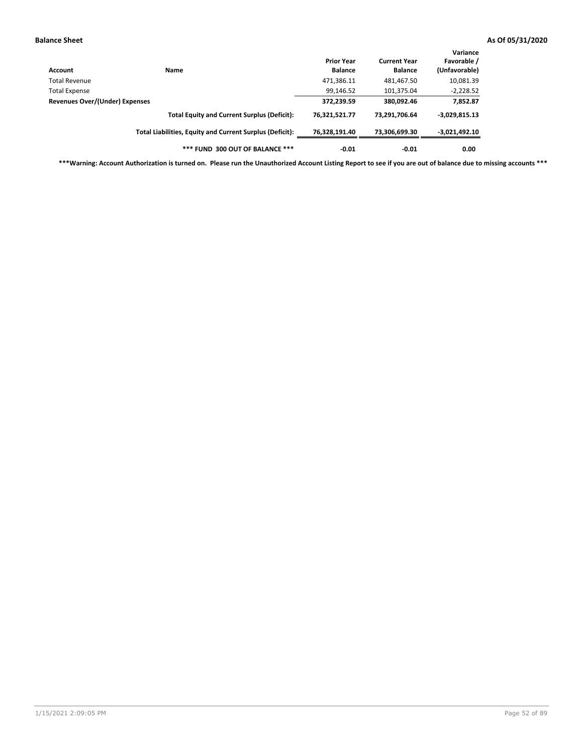| Account                        | Name                                                     | <b>Prior Year</b><br><b>Balance</b> | <b>Current Year</b><br><b>Balance</b> | Variance<br>Favorable /<br>(Unfavorable) |
|--------------------------------|----------------------------------------------------------|-------------------------------------|---------------------------------------|------------------------------------------|
| <b>Total Revenue</b>           |                                                          | 471,386.11                          | 481,467.50                            | 10,081.39                                |
| <b>Total Expense</b>           |                                                          | 99,146.52                           | 101,375.04                            | $-2,228.52$                              |
| Revenues Over/(Under) Expenses |                                                          | 372,239.59                          | 380,092.46                            | 7,852.87                                 |
|                                | <b>Total Equity and Current Surplus (Deficit):</b>       | 76,321,521.77                       | 73.291.706.64                         | $-3,029,815.13$                          |
|                                | Total Liabilities, Equity and Current Surplus (Deficit): | 76,328,191.40                       | 73,306,699.30                         | $-3,021,492.10$                          |
|                                | *** FUND 300 OUT OF BALANCE ***                          | $-0.01$                             | $-0.01$                               | 0.00                                     |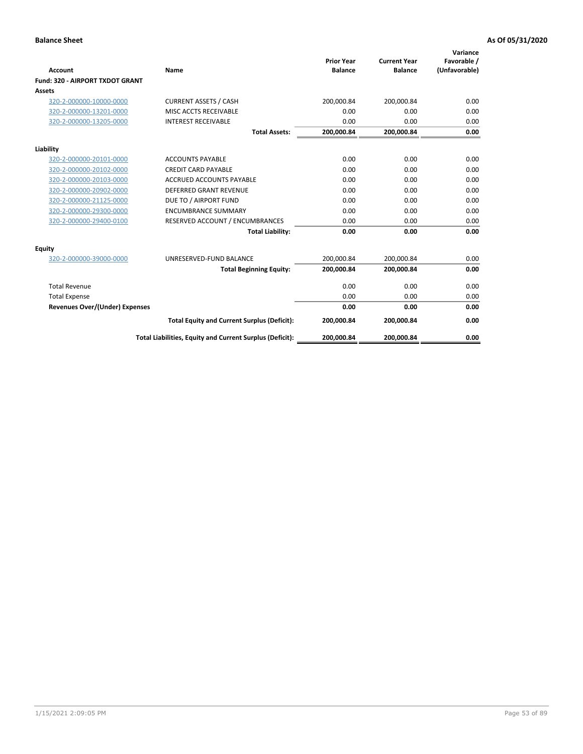|                                       |                                                          |                                     |                                       | Variance                     |
|---------------------------------------|----------------------------------------------------------|-------------------------------------|---------------------------------------|------------------------------|
| <b>Account</b>                        | Name                                                     | <b>Prior Year</b><br><b>Balance</b> | <b>Current Year</b><br><b>Balance</b> | Favorable /<br>(Unfavorable) |
| Fund: 320 - AIRPORT TXDOT GRANT       |                                                          |                                     |                                       |                              |
| Assets                                |                                                          |                                     |                                       |                              |
| 320-2-000000-10000-0000               | <b>CURRENT ASSETS / CASH</b>                             | 200,000.84                          | 200,000.84                            | 0.00                         |
| 320-2-000000-13201-0000               | MISC ACCTS RECEIVABLE                                    | 0.00                                | 0.00                                  | 0.00                         |
| 320-2-000000-13205-0000               | <b>INTEREST RECEIVABLE</b>                               | 0.00                                | 0.00                                  | 0.00                         |
|                                       | <b>Total Assets:</b>                                     | 200,000.84                          | 200,000.84                            | 0.00                         |
| Liability                             |                                                          |                                     |                                       |                              |
| 320-2-000000-20101-0000               | <b>ACCOUNTS PAYABLE</b>                                  | 0.00                                | 0.00                                  | 0.00                         |
| 320-2-000000-20102-0000               | <b>CREDIT CARD PAYABLE</b>                               | 0.00                                | 0.00                                  | 0.00                         |
| 320-2-000000-20103-0000               | <b>ACCRUED ACCOUNTS PAYABLE</b>                          | 0.00                                | 0.00                                  | 0.00                         |
| 320-2-000000-20902-0000               | <b>DEFERRED GRANT REVENUE</b>                            | 0.00                                | 0.00                                  | 0.00                         |
| 320-2-000000-21125-0000               | DUE TO / AIRPORT FUND                                    | 0.00                                | 0.00                                  | 0.00                         |
| 320-2-000000-29300-0000               | <b>ENCUMBRANCE SUMMARY</b>                               | 0.00                                | 0.00                                  | 0.00                         |
| 320-2-000000-29400-0100               | RESERVED ACCOUNT / ENCUMBRANCES                          | 0.00                                | 0.00                                  | 0.00                         |
|                                       | <b>Total Liability:</b>                                  | 0.00                                | 0.00                                  | 0.00                         |
| <b>Equity</b>                         |                                                          |                                     |                                       |                              |
| 320-2-000000-39000-0000               | UNRESERVED-FUND BALANCE                                  | 200,000.84                          | 200,000.84                            | 0.00                         |
|                                       | <b>Total Beginning Equity:</b>                           | 200,000.84                          | 200,000.84                            | 0.00                         |
| <b>Total Revenue</b>                  |                                                          | 0.00                                | 0.00                                  | 0.00                         |
| <b>Total Expense</b>                  |                                                          | 0.00                                | 0.00                                  | 0.00                         |
| <b>Revenues Over/(Under) Expenses</b> |                                                          | 0.00                                | 0.00                                  | 0.00                         |
|                                       | <b>Total Equity and Current Surplus (Deficit):</b>       | 200,000.84                          | 200,000.84                            | 0.00                         |
|                                       | Total Liabilities, Equity and Current Surplus (Deficit): | 200,000.84                          | 200,000.84                            | 0.00                         |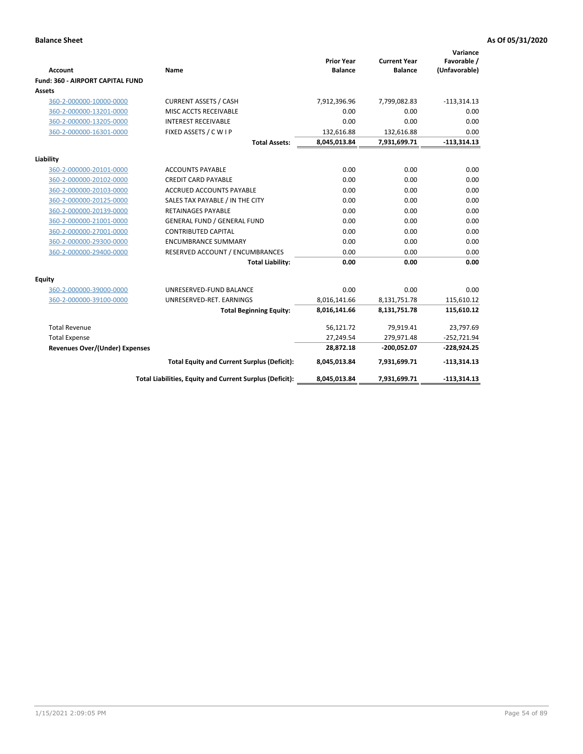| <b>Account</b>                          | Name                                                     | <b>Prior Year</b><br><b>Balance</b> | <b>Current Year</b><br><b>Balance</b> | Variance<br>Favorable /<br>(Unfavorable) |
|-----------------------------------------|----------------------------------------------------------|-------------------------------------|---------------------------------------|------------------------------------------|
| <b>Fund: 360 - AIRPORT CAPITAL FUND</b> |                                                          |                                     |                                       |                                          |
| Assets                                  |                                                          |                                     |                                       |                                          |
| 360-2-000000-10000-0000                 | <b>CURRENT ASSETS / CASH</b>                             | 7,912,396.96                        | 7,799,082.83                          | $-113,314.13$                            |
| 360-2-000000-13201-0000                 | MISC ACCTS RECEIVABLE                                    | 0.00                                | 0.00                                  | 0.00                                     |
| 360-2-000000-13205-0000                 | <b>INTEREST RECEIVABLE</b>                               | 0.00                                | 0.00                                  | 0.00                                     |
| 360-2-000000-16301-0000                 | FIXED ASSETS / C W I P                                   | 132,616.88                          | 132,616.88                            | 0.00                                     |
|                                         | <b>Total Assets:</b>                                     | 8,045,013.84                        | 7,931,699.71                          | $-113,314.13$                            |
| Liability                               |                                                          |                                     |                                       |                                          |
| 360-2-000000-20101-0000                 | <b>ACCOUNTS PAYABLE</b>                                  | 0.00                                | 0.00                                  | 0.00                                     |
| 360-2-000000-20102-0000                 | <b>CREDIT CARD PAYABLE</b>                               | 0.00                                | 0.00                                  | 0.00                                     |
| 360-2-000000-20103-0000                 | <b>ACCRUED ACCOUNTS PAYABLE</b>                          | 0.00                                | 0.00                                  | 0.00                                     |
| 360-2-000000-20125-0000                 | SALES TAX PAYABLE / IN THE CITY                          | 0.00                                | 0.00                                  | 0.00                                     |
| 360-2-000000-20139-0000                 | <b>RETAINAGES PAYABLE</b>                                | 0.00                                | 0.00                                  | 0.00                                     |
| 360-2-000000-21001-0000                 | <b>GENERAL FUND / GENERAL FUND</b>                       | 0.00                                | 0.00                                  | 0.00                                     |
| 360-2-000000-27001-0000                 | <b>CONTRIBUTED CAPITAL</b>                               | 0.00                                | 0.00                                  | 0.00                                     |
| 360-2-000000-29300-0000                 | <b>ENCUMBRANCE SUMMARY</b>                               | 0.00                                | 0.00                                  | 0.00                                     |
| 360-2-000000-29400-0000                 | RESERVED ACCOUNT / ENCUMBRANCES                          | 0.00                                | 0.00                                  | 0.00                                     |
|                                         | <b>Total Liability:</b>                                  | 0.00                                | 0.00                                  | 0.00                                     |
| Equity                                  |                                                          |                                     |                                       |                                          |
| 360-2-000000-39000-0000                 | UNRESERVED-FUND BALANCE                                  | 0.00                                | 0.00                                  | 0.00                                     |
| 360-2-000000-39100-0000                 | UNRESERVED-RET. EARNINGS                                 | 8,016,141.66                        | 8,131,751.78                          | 115,610.12                               |
|                                         | <b>Total Beginning Equity:</b>                           | 8,016,141.66                        | 8,131,751.78                          | 115,610.12                               |
| <b>Total Revenue</b>                    |                                                          | 56,121.72                           | 79,919.41                             | 23,797.69                                |
| <b>Total Expense</b>                    |                                                          | 27,249.54                           | 279,971.48                            | $-252,721.94$                            |
| <b>Revenues Over/(Under) Expenses</b>   |                                                          | 28,872.18                           | $-200,052.07$                         | $-228,924.25$                            |
|                                         | <b>Total Equity and Current Surplus (Deficit):</b>       | 8,045,013.84                        | 7,931,699.71                          | $-113,314.13$                            |
|                                         | Total Liabilities, Equity and Current Surplus (Deficit): | 8,045,013.84                        | 7,931,699.71                          | $-113,314.13$                            |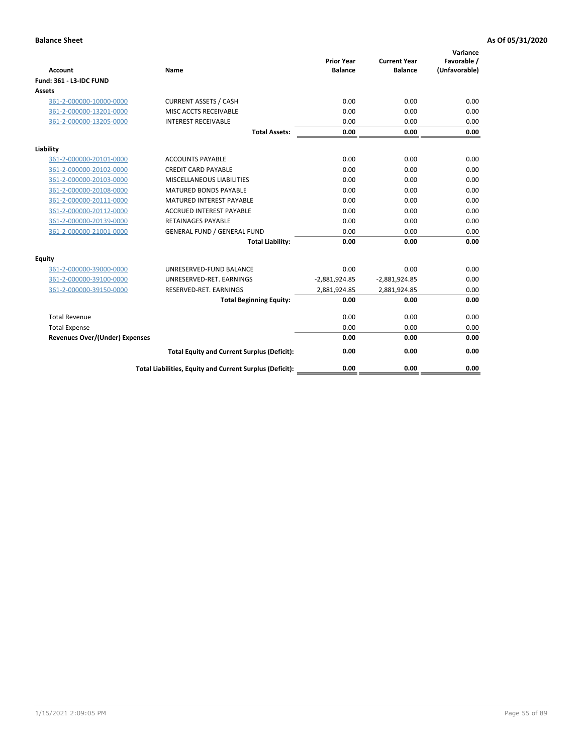| <b>Account</b>                        | <b>Name</b>                                              | <b>Prior Year</b><br><b>Balance</b> | <b>Current Year</b><br><b>Balance</b> | Variance<br>Favorable /<br>(Unfavorable) |
|---------------------------------------|----------------------------------------------------------|-------------------------------------|---------------------------------------|------------------------------------------|
| <b>Fund: 361 - L3-IDC FUND</b>        |                                                          |                                     |                                       |                                          |
| Assets                                |                                                          |                                     |                                       |                                          |
| 361-2-000000-10000-0000               | <b>CURRENT ASSETS / CASH</b>                             | 0.00                                | 0.00                                  | 0.00                                     |
| 361-2-000000-13201-0000               | MISC ACCTS RECEIVABLE                                    | 0.00                                | 0.00                                  | 0.00                                     |
| 361-2-000000-13205-0000               | <b>INTEREST RECEIVABLE</b>                               | 0.00                                | 0.00                                  | 0.00                                     |
|                                       | <b>Total Assets:</b>                                     | 0.00                                | 0.00                                  | 0.00                                     |
| Liability                             |                                                          |                                     |                                       |                                          |
| 361-2-000000-20101-0000               | <b>ACCOUNTS PAYABLE</b>                                  | 0.00                                | 0.00                                  | 0.00                                     |
| 361-2-000000-20102-0000               | <b>CREDIT CARD PAYABLE</b>                               | 0.00                                | 0.00                                  | 0.00                                     |
| 361-2-000000-20103-0000               | MISCELLANEOUS LIABILITIES                                | 0.00                                | 0.00                                  | 0.00                                     |
| 361-2-000000-20108-0000               | <b>MATURED BONDS PAYABLE</b>                             | 0.00                                | 0.00                                  | 0.00                                     |
| 361-2-000000-20111-0000               | <b>MATURED INTEREST PAYABLE</b>                          | 0.00                                | 0.00                                  | 0.00                                     |
| 361-2-000000-20112-0000               | <b>ACCRUED INTEREST PAYABLE</b>                          | 0.00                                | 0.00                                  | 0.00                                     |
| 361-2-000000-20139-0000               | <b>RETAINAGES PAYABLE</b>                                | 0.00                                | 0.00                                  | 0.00                                     |
| 361-2-000000-21001-0000               | <b>GENERAL FUND / GENERAL FUND</b>                       | 0.00                                | 0.00                                  | 0.00                                     |
|                                       | <b>Total Liability:</b>                                  | 0.00                                | 0.00                                  | 0.00                                     |
| Equity                                |                                                          |                                     |                                       |                                          |
| 361-2-000000-39000-0000               | UNRESERVED-FUND BALANCE                                  | 0.00                                | 0.00                                  | 0.00                                     |
| 361-2-000000-39100-0000               | UNRESERVED-RET. EARNINGS                                 | $-2,881,924.85$                     | $-2,881,924.85$                       | 0.00                                     |
| 361-2-000000-39150-0000               | RESERVED-RET. EARNINGS                                   | 2,881,924.85                        | 2,881,924.85                          | 0.00                                     |
|                                       | <b>Total Beginning Equity:</b>                           | 0.00                                | 0.00                                  | 0.00                                     |
| <b>Total Revenue</b>                  |                                                          | 0.00                                | 0.00                                  | 0.00                                     |
| <b>Total Expense</b>                  |                                                          | 0.00                                | 0.00                                  | 0.00                                     |
| <b>Revenues Over/(Under) Expenses</b> |                                                          | 0.00                                | 0.00                                  | 0.00                                     |
|                                       | <b>Total Equity and Current Surplus (Deficit):</b>       | 0.00                                | 0.00                                  | 0.00                                     |
|                                       | Total Liabilities, Equity and Current Surplus (Deficit): | 0.00                                | 0.00                                  | 0.00                                     |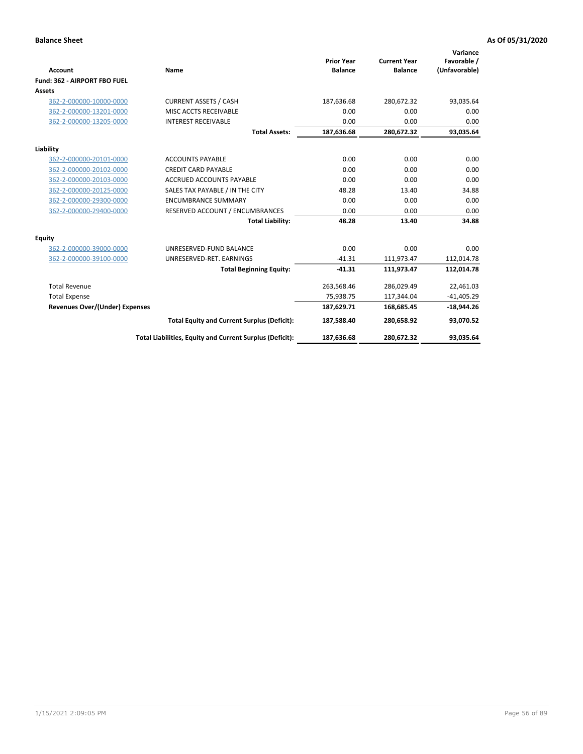|                                       |                                                          |                                     |                                       | Variance                     |
|---------------------------------------|----------------------------------------------------------|-------------------------------------|---------------------------------------|------------------------------|
| <b>Account</b>                        | Name                                                     | <b>Prior Year</b><br><b>Balance</b> | <b>Current Year</b><br><b>Balance</b> | Favorable /<br>(Unfavorable) |
| Fund: 362 - AIRPORT FBO FUEL          |                                                          |                                     |                                       |                              |
| Assets                                |                                                          |                                     |                                       |                              |
| 362-2-000000-10000-0000               | <b>CURRENT ASSETS / CASH</b>                             | 187,636.68                          | 280,672.32                            | 93,035.64                    |
| 362-2-000000-13201-0000               | MISC ACCTS RECEIVABLE                                    | 0.00                                | 0.00                                  | 0.00                         |
| 362-2-000000-13205-0000               | <b>INTEREST RECEIVABLE</b>                               | 0.00                                | 0.00                                  | 0.00                         |
|                                       | <b>Total Assets:</b>                                     | 187,636.68                          | 280,672.32                            | 93,035.64                    |
| Liability                             |                                                          |                                     |                                       |                              |
| 362-2-000000-20101-0000               | <b>ACCOUNTS PAYABLE</b>                                  | 0.00                                | 0.00                                  | 0.00                         |
| 362-2-000000-20102-0000               | <b>CREDIT CARD PAYABLE</b>                               | 0.00                                | 0.00                                  | 0.00                         |
| 362-2-000000-20103-0000               | <b>ACCRUED ACCOUNTS PAYABLE</b>                          | 0.00                                | 0.00                                  | 0.00                         |
| 362-2-000000-20125-0000               | SALES TAX PAYABLE / IN THE CITY                          | 48.28                               | 13.40                                 | 34.88                        |
| 362-2-000000-29300-0000               | <b>ENCUMBRANCE SUMMARY</b>                               | 0.00                                | 0.00                                  | 0.00                         |
| 362-2-000000-29400-0000               | RESERVED ACCOUNT / ENCUMBRANCES                          | 0.00                                | 0.00                                  | 0.00                         |
|                                       | <b>Total Liability:</b>                                  | 48.28                               | 13.40                                 | 34.88                        |
| <b>Equity</b>                         |                                                          |                                     |                                       |                              |
| 362-2-000000-39000-0000               | UNRESERVED-FUND BALANCE                                  | 0.00                                | 0.00                                  | 0.00                         |
| 362-2-000000-39100-0000               | UNRESERVED-RET. EARNINGS                                 | $-41.31$                            | 111,973.47                            | 112,014.78                   |
|                                       | <b>Total Beginning Equity:</b>                           | $-41.31$                            | 111,973.47                            | 112,014.78                   |
| <b>Total Revenue</b>                  |                                                          | 263,568.46                          | 286,029.49                            | 22,461.03                    |
| <b>Total Expense</b>                  |                                                          | 75,938.75                           | 117,344.04                            | $-41,405.29$                 |
| <b>Revenues Over/(Under) Expenses</b> |                                                          | 187,629.71                          | 168,685.45                            | $-18,944.26$                 |
|                                       | <b>Total Equity and Current Surplus (Deficit):</b>       | 187,588.40                          | 280,658.92                            | 93,070.52                    |
|                                       | Total Liabilities, Equity and Current Surplus (Deficit): | 187,636.68                          | 280,672.32                            | 93,035.64                    |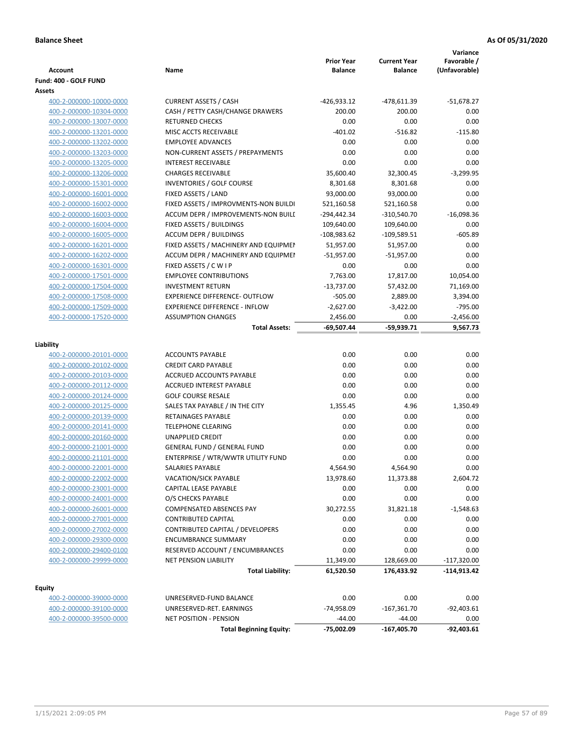| Account                                            | Name                                                                     | <b>Prior Year</b><br><b>Balance</b> | <b>Current Year</b><br><b>Balance</b> | Variance<br>Favorable /<br>(Unfavorable) |
|----------------------------------------------------|--------------------------------------------------------------------------|-------------------------------------|---------------------------------------|------------------------------------------|
| Fund: 400 - GOLF FUND                              |                                                                          |                                     |                                       |                                          |
| Assets                                             |                                                                          |                                     |                                       |                                          |
| 400-2-000000-10000-0000                            | <b>CURRENT ASSETS / CASH</b>                                             | -426,933.12                         | -478,611.39                           | $-51,678.27$                             |
| 400-2-000000-10304-0000                            | CASH / PETTY CASH/CHANGE DRAWERS                                         | 200.00                              | 200.00                                | 0.00                                     |
| 400-2-000000-13007-0000                            | <b>RETURNED CHECKS</b>                                                   | 0.00                                | 0.00                                  | 0.00                                     |
| 400-2-000000-13201-0000                            | MISC ACCTS RECEIVABLE                                                    | $-401.02$                           | $-516.82$                             | $-115.80$                                |
| 400-2-000000-13202-0000                            | <b>EMPLOYEE ADVANCES</b>                                                 | 0.00                                | 0.00                                  | 0.00                                     |
| 400-2-000000-13203-0000                            | NON-CURRENT ASSETS / PREPAYMENTS                                         | 0.00                                | 0.00                                  | 0.00                                     |
| 400-2-000000-13205-0000                            | <b>INTEREST RECEIVABLE</b>                                               | 0.00                                | 0.00                                  | 0.00                                     |
| 400-2-000000-13206-0000                            | <b>CHARGES RECEIVABLE</b>                                                | 35,600.40                           | 32,300.45                             | $-3,299.95$                              |
| 400-2-000000-15301-0000                            | INVENTORIES / GOLF COURSE                                                | 8,301.68                            | 8,301.68                              | 0.00                                     |
| 400-2-000000-16001-0000                            | FIXED ASSETS / LAND                                                      | 93,000.00                           | 93,000.00                             | 0.00                                     |
| 400-2-000000-16002-0000                            | FIXED ASSETS / IMPROVMENTS-NON BUILDI                                    | 521,160.58                          | 521,160.58                            | 0.00                                     |
| 400-2-000000-16003-0000                            | ACCUM DEPR / IMPROVEMENTS-NON BUILI                                      | -294,442.34                         | -310,540.70                           | $-16,098.36$                             |
| 400-2-000000-16004-0000                            | FIXED ASSETS / BUILDINGS                                                 | 109,640.00                          | 109,640.00                            | 0.00                                     |
| 400-2-000000-16005-0000                            | <b>ACCUM DEPR / BUILDINGS</b>                                            | $-108,983.62$                       | $-109,589.51$                         | $-605.89$                                |
| 400-2-000000-16201-0000                            | FIXED ASSETS / MACHINERY AND EQUIPMEN                                    | 51,957.00                           | 51,957.00                             | 0.00                                     |
| 400-2-000000-16202-0000                            | ACCUM DEPR / MACHINERY AND EQUIPMEI                                      | $-51,957.00$                        | $-51,957.00$                          | 0.00                                     |
| 400-2-000000-16301-0000                            | FIXED ASSETS / C W I P                                                   | 0.00                                | 0.00                                  | 0.00                                     |
| 400-2-000000-17501-0000                            | <b>EMPLOYEE CONTRIBUTIONS</b>                                            | 7,763.00                            | 17,817.00                             | 10,054.00                                |
| 400-2-000000-17504-0000                            | <b>INVESTMENT RETURN</b>                                                 | $-13,737.00$                        | 57,432.00                             | 71,169.00                                |
| 400-2-000000-17508-0000                            | <b>EXPERIENCE DIFFERENCE- OUTFLOW</b>                                    | $-505.00$                           | 2,889.00                              | 3,394.00                                 |
| 400-2-000000-17509-0000                            | <b>EXPERIENCE DIFFERENCE - INFLOW</b>                                    | $-2,627.00$                         | $-3,422.00$                           | $-795.00$                                |
| 400-2-000000-17520-0000                            | <b>ASSUMPTION CHANGES</b>                                                | 2,456.00                            | 0.00                                  | $-2,456.00$                              |
|                                                    | <b>Total Assets:</b>                                                     | -69,507.44                          | -59,939.71                            | 9,567.73                                 |
|                                                    |                                                                          |                                     |                                       |                                          |
| Liability                                          |                                                                          |                                     |                                       |                                          |
| 400-2-000000-20101-0000                            | <b>ACCOUNTS PAYABLE</b>                                                  | 0.00                                | 0.00                                  | 0.00                                     |
| 400-2-000000-20102-0000                            | <b>CREDIT CARD PAYABLE</b>                                               | 0.00                                | 0.00                                  | 0.00                                     |
| 400-2-000000-20103-0000                            | ACCRUED ACCOUNTS PAYABLE                                                 | 0.00                                | 0.00                                  | 0.00                                     |
| 400-2-000000-20112-0000                            | <b>ACCRUED INTEREST PAYABLE</b>                                          | 0.00                                | 0.00                                  | 0.00                                     |
| 400-2-000000-20124-0000                            | <b>GOLF COURSE RESALE</b>                                                | 0.00                                | 0.00                                  | 0.00                                     |
| 400-2-000000-20125-0000                            | SALES TAX PAYABLE / IN THE CITY<br><b>RETAINAGES PAYABLE</b>             | 1,355.45                            | 4.96                                  | 1,350.49                                 |
| 400-2-000000-20139-0000                            |                                                                          | 0.00                                | 0.00                                  | 0.00                                     |
| 400-2-000000-20141-0000                            | <b>TELEPHONE CLEARING</b>                                                | 0.00                                | 0.00                                  | 0.00                                     |
| 400-2-000000-20160-0000                            | <b>UNAPPLIED CREDIT</b>                                                  | 0.00                                | 0.00                                  | 0.00                                     |
| 400-2-000000-21001-0000                            | <b>GENERAL FUND / GENERAL FUND</b><br>ENTERPRISE / WTR/WWTR UTILITY FUND | 0.00                                | 0.00                                  | 0.00<br>0.00                             |
| 400-2-000000-21101-0000                            | SALARIES PAYABLE                                                         | 0.00<br>4,564.90                    | 0.00<br>4,564.90                      | 0.00                                     |
| 400-2-000000-22001-0000<br>400-2-000000-22002-0000 | VACATION/SICK PAYABLE                                                    | 13,978.60                           | 11,373.88                             | 2,604.72                                 |
| 400-2-000000-23001-0000                            | CAPITAL LEASE PAYABLE                                                    | 0.00                                | 0.00                                  | 0.00                                     |
| 400-2-000000-24001-0000                            | O/S CHECKS PAYABLE                                                       | 0.00                                | 0.00                                  | 0.00                                     |
| 400-2-000000-26001-0000                            | COMPENSATED ABSENCES PAY                                                 | 30,272.55                           | 31,821.18                             | $-1,548.63$                              |
| 400-2-000000-27001-0000                            | <b>CONTRIBUTED CAPITAL</b>                                               | 0.00                                | 0.00                                  | 0.00                                     |
| 400-2-000000-27002-0000                            | <b>CONTRIBUTED CAPITAL / DEVELOPERS</b>                                  | 0.00                                | 0.00                                  | 0.00                                     |
| 400-2-000000-29300-0000                            | <b>ENCUMBRANCE SUMMARY</b>                                               | 0.00                                | 0.00                                  | 0.00                                     |
| 400-2-000000-29400-0100                            | RESERVED ACCOUNT / ENCUMBRANCES                                          | 0.00                                | 0.00                                  | 0.00                                     |
| 400-2-000000-29999-0000                            | <b>NET PENSION LIABILITY</b>                                             | 11,349.00                           | 128,669.00                            | $-117,320.00$                            |
|                                                    | <b>Total Liability:</b>                                                  | 61,520.50                           | 176,433.92                            | -114,913.42                              |
|                                                    |                                                                          |                                     |                                       |                                          |
| <b>Equity</b>                                      |                                                                          |                                     |                                       |                                          |
| 400-2-000000-39000-0000                            | UNRESERVED-FUND BALANCE                                                  | 0.00                                | 0.00                                  | 0.00                                     |
| 400-2-000000-39100-0000                            | UNRESERVED-RET. EARNINGS                                                 | -74,958.09                          | $-167,361.70$                         | $-92,403.61$                             |
| 400-2-000000-39500-0000                            | NET POSITION - PENSION                                                   | $-44.00$                            | $-44.00$                              | 0.00                                     |
|                                                    | <b>Total Beginning Equity:</b>                                           | -75,002.09                          | $-167,405.70$                         | $-92,403.61$                             |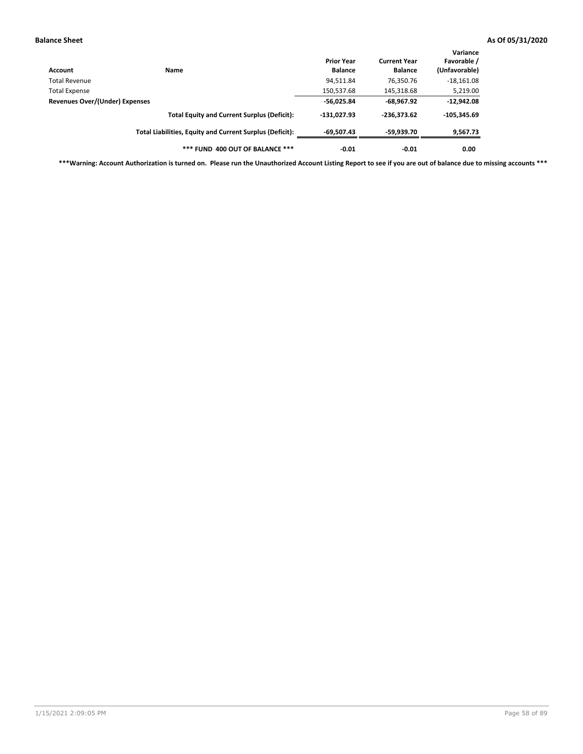| Account                        | Name                                                     | <b>Prior Year</b><br><b>Balance</b> | <b>Current Year</b><br><b>Balance</b> | Variance<br>Favorable /<br>(Unfavorable) |
|--------------------------------|----------------------------------------------------------|-------------------------------------|---------------------------------------|------------------------------------------|
| Total Revenue                  |                                                          | 94,511.84                           | 76,350.76                             | $-18,161.08$                             |
| <b>Total Expense</b>           |                                                          | 150,537.68                          | 145,318.68                            | 5,219.00                                 |
| Revenues Over/(Under) Expenses |                                                          | $-56,025.84$                        | $-68,967.92$                          | $-12,942.08$                             |
|                                | <b>Total Equity and Current Surplus (Deficit):</b>       | $-131.027.93$                       | $-236.373.62$                         | $-105.345.69$                            |
|                                | Total Liabilities, Equity and Current Surplus (Deficit): | $-69,507.43$                        | -59,939.70                            | 9,567.73                                 |
|                                | *** FUND 400 OUT OF BALANCE ***                          | $-0.01$                             | $-0.01$                               | 0.00                                     |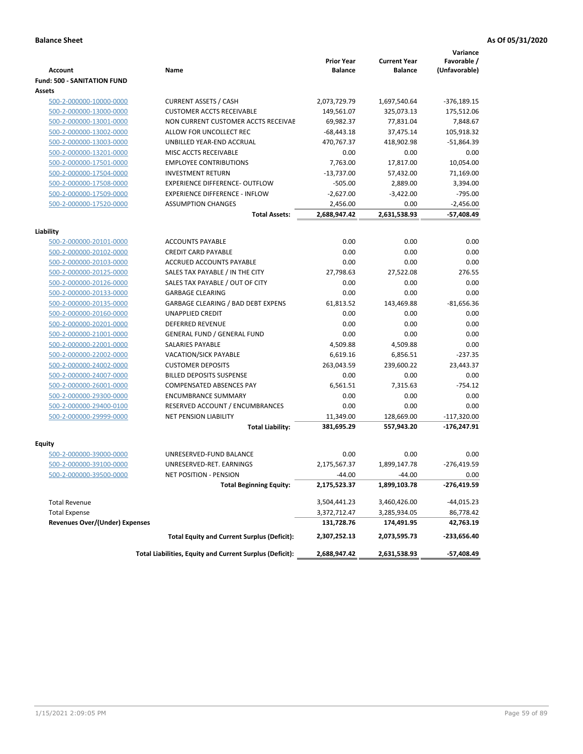|                                                    |                                                                      | <b>Prior Year</b>      | <b>Current Year</b>    | Variance<br>Favorable / |
|----------------------------------------------------|----------------------------------------------------------------------|------------------------|------------------------|-------------------------|
| <b>Account</b>                                     | Name                                                                 | <b>Balance</b>         | <b>Balance</b>         | (Unfavorable)           |
| <b>Fund: 500 - SANITATION FUND</b>                 |                                                                      |                        |                        |                         |
| Assets                                             |                                                                      |                        |                        |                         |
| 500-2-000000-10000-0000                            | <b>CURRENT ASSETS / CASH</b>                                         | 2,073,729.79           | 1,697,540.64           | $-376,189.15$           |
| 500-2-000000-13000-0000                            | <b>CUSTOMER ACCTS RECEIVABLE</b>                                     | 149,561.07             | 325,073.13             | 175,512.06              |
| 500-2-000000-13001-0000                            | NON CURRENT CUSTOMER ACCTS RECEIVAE                                  | 69,982.37              | 77,831.04              | 7,848.67                |
| 500-2-000000-13002-0000                            | ALLOW FOR UNCOLLECT REC                                              | $-68,443.18$           | 37,475.14              | 105,918.32              |
| 500-2-000000-13003-0000                            | UNBILLED YEAR-END ACCRUAL                                            | 470.767.37             | 418,902.98             | $-51,864.39$            |
| 500-2-000000-13201-0000                            | MISC ACCTS RECEIVABLE                                                | 0.00                   | 0.00                   | 0.00                    |
| 500-2-000000-17501-0000                            | <b>EMPLOYEE CONTRIBUTIONS</b>                                        | 7,763.00               | 17,817.00              | 10,054.00               |
| 500-2-000000-17504-0000                            | <b>INVESTMENT RETURN</b>                                             | $-13,737.00$           | 57,432.00              | 71,169.00               |
| 500-2-000000-17508-0000                            | <b>EXPERIENCE DIFFERENCE- OUTFLOW</b>                                | $-505.00$              | 2,889.00               | 3,394.00                |
| 500-2-000000-17509-0000                            | <b>EXPERIENCE DIFFERENCE - INFLOW</b>                                | $-2,627.00$            | $-3,422.00$            | $-795.00$               |
| 500-2-000000-17520-0000                            | <b>ASSUMPTION CHANGES</b>                                            | 2,456.00               | 0.00                   | $-2,456.00$             |
|                                                    | <b>Total Assets:</b>                                                 | 2,688,947.42           | 2,631,538.93           | -57,408.49              |
|                                                    |                                                                      |                        |                        |                         |
| Liability                                          |                                                                      |                        |                        |                         |
| 500-2-000000-20101-0000                            | <b>ACCOUNTS PAYABLE</b>                                              | 0.00                   | 0.00                   | 0.00                    |
| 500-2-000000-20102-0000                            | <b>CREDIT CARD PAYABLE</b><br><b>ACCRUED ACCOUNTS PAYABLE</b>        | 0.00                   | 0.00                   | 0.00                    |
| 500-2-000000-20103-0000                            |                                                                      | 0.00                   | 0.00                   | 0.00<br>276.55          |
| 500-2-000000-20125-0000                            | SALES TAX PAYABLE / IN THE CITY                                      | 27,798.63              | 27,522.08              |                         |
| 500-2-000000-20126-0000                            | SALES TAX PAYABLE / OUT OF CITY                                      | 0.00                   | 0.00                   | 0.00                    |
| 500-2-000000-20133-0000                            | <b>GARBAGE CLEARING</b>                                              | 0.00                   | 0.00                   | 0.00                    |
| 500-2-000000-20135-0000                            | <b>GARBAGE CLEARING / BAD DEBT EXPENS</b><br><b>UNAPPLIED CREDIT</b> | 61,813.52              | 143,469.88             | $-81,656.36$            |
| 500-2-000000-20160-0000                            |                                                                      | 0.00                   | 0.00                   | 0.00                    |
| 500-2-000000-20201-0000                            | <b>DEFERRED REVENUE</b>                                              | 0.00                   | 0.00                   | 0.00<br>0.00            |
| 500-2-000000-21001-0000                            | <b>GENERAL FUND / GENERAL FUND</b>                                   | 0.00                   | 0.00                   |                         |
| 500-2-000000-22001-0000                            | <b>SALARIES PAYABLE</b>                                              | 4,509.88               | 4,509.88               | 0.00                    |
| 500-2-000000-22002-0000<br>500-2-000000-24002-0000 | <b>VACATION/SICK PAYABLE</b><br><b>CUSTOMER DEPOSITS</b>             | 6,619.16<br>263,043.59 | 6,856.51<br>239,600.22 | $-237.35$<br>23,443.37  |
| 500-2-000000-24007-0000                            | <b>BILLED DEPOSITS SUSPENSE</b>                                      | 0.00                   | 0.00                   | 0.00                    |
|                                                    | <b>COMPENSATED ABSENCES PAY</b>                                      |                        | 7,315.63               | $-754.12$               |
| 500-2-000000-26001-0000                            |                                                                      | 6,561.51               |                        |                         |
| 500-2-000000-29300-0000                            | <b>ENCUMBRANCE SUMMARY</b>                                           | 0.00<br>0.00           | 0.00<br>0.00           | 0.00                    |
| 500-2-000000-29400-0100<br>500-2-000000-29999-0000 | RESERVED ACCOUNT / ENCUMBRANCES<br><b>NET PENSION LIABILITY</b>      | 11,349.00              | 128,669.00             | 0.00<br>$-117,320.00$   |
|                                                    |                                                                      |                        |                        |                         |
|                                                    | <b>Total Liability:</b>                                              | 381,695.29             | 557,943.20             | $-176,247.91$           |
| Equity                                             |                                                                      |                        |                        |                         |
| 500-2-000000-39000-0000                            | UNRESERVED-FUND BALANCE                                              | 0.00                   | 0.00                   | 0.00                    |
| 500-2-000000-39100-0000                            | UNRESERVED-RET. EARNINGS                                             | 2,175,567.37           | 1,899,147.78           | $-276,419.59$           |
| 500-2-000000-39500-0000                            | NET POSITION - PENSION                                               | $-44.00$               | $-44.00$               | 0.00                    |
|                                                    | <b>Total Beginning Equity:</b>                                       | 2,175,523.37           | 1,899,103.78           | -276,419.59             |
| <b>Total Revenue</b>                               |                                                                      | 3,504,441.23           | 3,460,426.00           | -44,015.23              |
| <b>Total Expense</b>                               |                                                                      | 3,372,712.47           | 3,285,934.05           | 86,778.42               |
| <b>Revenues Over/(Under) Expenses</b>              |                                                                      | 131,728.76             | 174,491.95             | 42,763.19               |
|                                                    | <b>Total Equity and Current Surplus (Deficit):</b>                   | 2,307,252.13           | 2,073,595.73           | $-233,656.40$           |
|                                                    | Total Liabilities, Equity and Current Surplus (Deficit):             | 2,688,947.42           | 2,631,538.93           | -57,408.49              |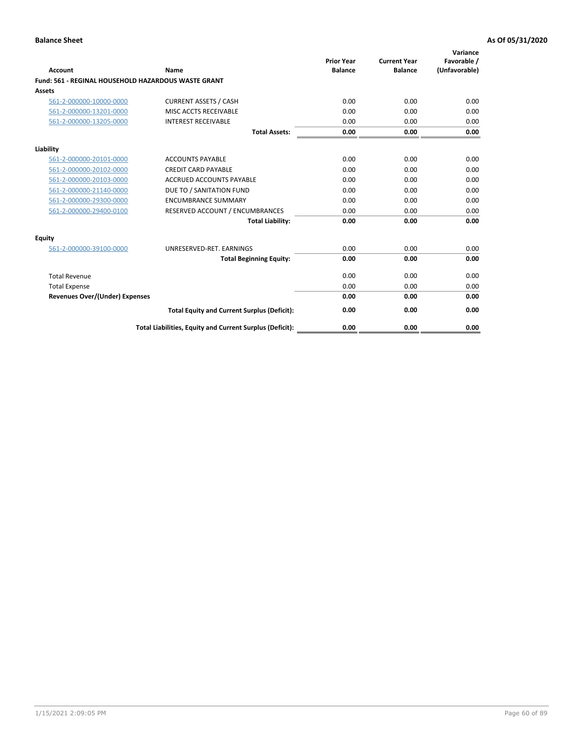| <b>Account</b>                                             | Name                                                     | <b>Prior Year</b><br><b>Balance</b> | <b>Current Year</b><br><b>Balance</b> | Variance<br>Favorable /<br>(Unfavorable) |
|------------------------------------------------------------|----------------------------------------------------------|-------------------------------------|---------------------------------------|------------------------------------------|
| <b>Fund: 561 - REGINAL HOUSEHOLD HAZARDOUS WASTE GRANT</b> |                                                          |                                     |                                       |                                          |
| <b>Assets</b>                                              |                                                          |                                     |                                       |                                          |
| 561-2-000000-10000-0000                                    | <b>CURRENT ASSETS / CASH</b>                             | 0.00                                | 0.00                                  | 0.00                                     |
| 561-2-000000-13201-0000                                    | MISC ACCTS RECEIVABLE                                    | 0.00                                | 0.00                                  | 0.00                                     |
| 561-2-000000-13205-0000                                    | <b>INTEREST RECEIVABLE</b>                               | 0.00                                | 0.00                                  | 0.00                                     |
|                                                            | <b>Total Assets:</b>                                     | 0.00                                | 0.00                                  | 0.00                                     |
| Liability                                                  |                                                          |                                     |                                       |                                          |
| 561-2-000000-20101-0000                                    | <b>ACCOUNTS PAYABLE</b>                                  | 0.00                                | 0.00                                  | 0.00                                     |
| 561-2-000000-20102-0000                                    | <b>CREDIT CARD PAYABLE</b>                               | 0.00                                | 0.00                                  | 0.00                                     |
| 561-2-000000-20103-0000                                    | <b>ACCRUED ACCOUNTS PAYABLE</b>                          | 0.00                                | 0.00                                  | 0.00                                     |
| 561-2-000000-21140-0000                                    | DUE TO / SANITATION FUND                                 | 0.00                                | 0.00                                  | 0.00                                     |
| 561-2-000000-29300-0000                                    | <b>ENCUMBRANCE SUMMARY</b>                               | 0.00                                | 0.00                                  | 0.00                                     |
| 561-2-000000-29400-0100                                    | RESERVED ACCOUNT / ENCUMBRANCES                          | 0.00                                | 0.00                                  | 0.00                                     |
|                                                            | <b>Total Liability:</b>                                  | 0.00                                | 0.00                                  | 0.00                                     |
| <b>Equity</b>                                              |                                                          |                                     |                                       |                                          |
| 561-2-000000-39100-0000                                    | UNRESERVED-RET. EARNINGS                                 | 0.00                                | 0.00                                  | 0.00                                     |
|                                                            | <b>Total Beginning Equity:</b>                           | 0.00                                | 0.00                                  | 0.00                                     |
| <b>Total Revenue</b>                                       |                                                          | 0.00                                | 0.00                                  | 0.00                                     |
| <b>Total Expense</b>                                       |                                                          | 0.00                                | 0.00                                  | 0.00                                     |
| <b>Revenues Over/(Under) Expenses</b>                      |                                                          | 0.00                                | 0.00                                  | 0.00                                     |
|                                                            | <b>Total Equity and Current Surplus (Deficit):</b>       | 0.00                                | 0.00                                  | 0.00                                     |
|                                                            | Total Liabilities, Equity and Current Surplus (Deficit): | 0.00                                | 0.00                                  | 0.00                                     |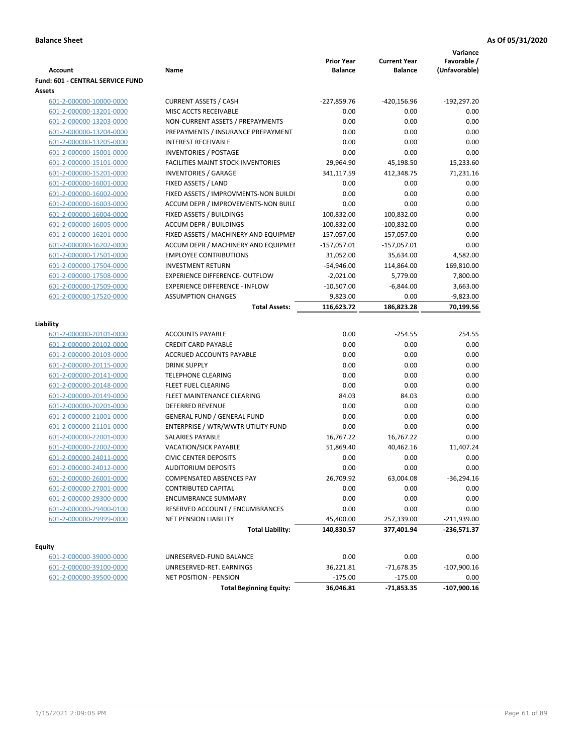| Fund: 601 - CENTRAL SERVICE FUND<br>Assets<br><b>CURRENT ASSETS / CASH</b><br>-227,859.76<br>$-192,297.20$<br>601-2-000000-10000-0000<br>$-420,156.96$<br>MISC ACCTS RECEIVABLE<br>0.00<br>0.00<br>0.00<br>601-2-000000-13201-0000<br>601-2-000000-13203-0000<br>NON-CURRENT ASSETS / PREPAYMENTS<br>0.00<br>0.00<br>0.00<br>0.00<br>601-2-000000-13204-0000<br>PREPAYMENTS / INSURANCE PREPAYMENT<br>0.00<br>0.00<br>0.00<br>0.00<br>601-2-000000-13205-0000<br><b>INTEREST RECEIVABLE</b><br>0.00<br>0.00<br>0.00<br>601-2-000000-15001-0000<br><b>INVENTORIES / POSTAGE</b><br>0.00<br>15,233.60<br>601-2-000000-15101-0000<br><b>FACILITIES MAINT STOCK INVENTORIES</b><br>29,964.90<br>45,198.50<br>71,231.16<br>601-2-000000-15201-0000<br><b>INVENTORIES / GARAGE</b><br>341,117.59<br>412,348.75<br>FIXED ASSETS / LAND<br>601-2-000000-16001-0000<br>0.00<br>0.00<br>0.00<br>0.00<br>601-2-000000-16002-0000<br>FIXED ASSETS / IMPROVMENTS-NON BUILDI<br>0.00<br>0.00<br>0.00<br>0.00<br>601-2-000000-16003-0000<br>ACCUM DEPR / IMPROVEMENTS-NON BUILI<br>0.00<br>601-2-000000-16004-0000<br>FIXED ASSETS / BUILDINGS<br>100,832.00<br>100,832.00<br>0.00<br>0.00<br>601-2-000000-16005-0000<br><b>ACCUM DEPR / BUILDINGS</b><br>$-100,832.00$<br>$-100,832.00$<br>0.00<br>601-2-000000-16201-0000<br>FIXED ASSETS / MACHINERY AND EQUIPMEN<br>157,057.00<br>157,057.00<br>0.00<br>601-2-000000-16202-0000<br>ACCUM DEPR / MACHINERY AND EQUIPMEI<br>$-157,057.01$<br>$-157,057.01$<br><b>EMPLOYEE CONTRIBUTIONS</b><br>31,052.00<br>35,634.00<br>4,582.00<br>601-2-000000-17501-0000<br>601-2-000000-17504-0000<br><b>INVESTMENT RETURN</b><br>$-54,946.00$<br>114,864.00<br>169,810.00<br>7,800.00<br>601-2-000000-17508-0000<br><b>EXPERIENCE DIFFERENCE- OUTFLOW</b><br>$-2,021.00$<br>5,779.00<br>601-2-000000-17509-0000<br><b>EXPERIENCE DIFFERENCE - INFLOW</b><br>$-10,507.00$<br>$-6,844.00$<br>3,663.00<br>601-2-000000-17520-0000<br><b>ASSUMPTION CHANGES</b><br>9,823.00<br>0.00<br>$-9,823.00$<br>116,623.72<br>186,823.28<br>70,199.56<br><b>Total Assets:</b><br>Liability<br><b>ACCOUNTS PAYABLE</b><br>0.00<br>$-254.55$<br>254.55<br>601-2-000000-20101-0000<br>601-2-000000-20102-0000<br><b>CREDIT CARD PAYABLE</b><br>0.00<br>0.00<br>0.00<br>0.00<br>601-2-000000-20103-0000<br>ACCRUED ACCOUNTS PAYABLE<br>0.00<br>0.00<br>0.00<br>601-2-000000-20115-0000<br><b>DRINK SUPPLY</b><br>0.00<br>0.00<br>0.00<br><b>TELEPHONE CLEARING</b><br>0.00<br>0.00<br>601-2-000000-20141-0000<br><b>FLEET FUEL CLEARING</b><br>0.00<br>0.00<br>0.00<br>601-2-000000-20148-0000<br>84.03<br>0.00<br>601-2-000000-20149-0000<br>FLEET MAINTENANCE CLEARING<br>84.03<br><b>DEFERRED REVENUE</b><br>0.00<br>0.00<br>601-2-000000-20201-0000<br>0.00<br>0.00<br>0.00<br>601-2-000000-21001-0000<br><b>GENERAL FUND / GENERAL FUND</b><br>0.00<br>ENTERPRISE / WTR/WWTR UTILITY FUND<br>0.00<br>0.00<br>0.00<br>601-2-000000-21101-0000<br>0.00<br>601-2-000000-22001-0000<br>SALARIES PAYABLE<br>16,767.22<br>16,767.22<br>11,407.24<br>601-2-000000-22002-0000<br><b>VACATION/SICK PAYABLE</b><br>51,869.40<br>40,462.16<br><b>CIVIC CENTER DEPOSITS</b><br>601-2-000000-24011-0000<br>0.00<br>0.00<br>0.00<br>0.00<br>0.00<br>601-2-000000-24012-0000<br><b>AUDITORIUM DEPOSITS</b><br>0.00<br>26,709.92<br>$-36,294.16$<br>601-2-000000-26001-0000<br><b>COMPENSATED ABSENCES PAY</b><br>63,004.08<br>601-2-000000-27001-0000<br>0.00<br>0.00<br>0.00<br>CONTRIBUTED CAPITAL<br>601-2-000000-29300-0000<br><b>ENCUMBRANCE SUMMARY</b><br>0.00<br>0.00<br>0.00<br>601-2-000000-29400-0100<br>RESERVED ACCOUNT / ENCUMBRANCES<br>0.00<br>0.00<br>0.00<br>601-2-000000-29999-0000<br><b>NET PENSION LIABILITY</b><br>45,400.00<br>257,339.00<br>$-211,939.00$<br><b>Total Liability:</b><br>140,830.57<br>377,401.94<br>-236,571.37<br><b>Equity</b><br>0.00<br>601-2-000000-39000-0000<br>UNRESERVED-FUND BALANCE<br>0.00<br>0.00<br>601-2-000000-39100-0000<br>UNRESERVED-RET. EARNINGS<br>36,221.81<br>-71,678.35<br>$-107,900.16$<br>601-2-000000-39500-0000<br>NET POSITION - PENSION<br>$-175.00$<br>$-175.00$<br>0.00<br>$-107,900.16$<br>36,046.81<br>$-71,853.35$<br><b>Total Beginning Equity:</b> | <b>Account</b> | Name | <b>Prior Year</b><br><b>Balance</b> | <b>Current Year</b><br><b>Balance</b> | Variance<br>Favorable /<br>(Unfavorable) |
|--------------------------------------------------------------------------------------------------------------------------------------------------------------------------------------------------------------------------------------------------------------------------------------------------------------------------------------------------------------------------------------------------------------------------------------------------------------------------------------------------------------------------------------------------------------------------------------------------------------------------------------------------------------------------------------------------------------------------------------------------------------------------------------------------------------------------------------------------------------------------------------------------------------------------------------------------------------------------------------------------------------------------------------------------------------------------------------------------------------------------------------------------------------------------------------------------------------------------------------------------------------------------------------------------------------------------------------------------------------------------------------------------------------------------------------------------------------------------------------------------------------------------------------------------------------------------------------------------------------------------------------------------------------------------------------------------------------------------------------------------------------------------------------------------------------------------------------------------------------------------------------------------------------------------------------------------------------------------------------------------------------------------------------------------------------------------------------------------------------------------------------------------------------------------------------------------------------------------------------------------------------------------------------------------------------------------------------------------------------------------------------------------------------------------------------------------------------------------------------------------------------------------------------------------------------------------------------------------------------------------------------------------------------------------------------------------------------------------------------------------------------------------------------------------------------------------------------------------------------------------------------------------------------------------------------------------------------------------------------------------------------------------------------------------------------------------------------------------------------------------------------------------------------------------------------------------------------------------------------------------------------------------------------------------------------------------------------------------------------------------------------------------------------------------------------------------------------------------------------------------------------------------------------------------------------------------------------------------------------------------------------------------------------------------------------------------------------------------------------------------------------------------------------------------------------------------------------------------------------------------------------------------------------------------------------------------------------------------------------------------------------------------------------------------------------------------------------------------------------------------------------------------------------------------------------------------------------------------------|----------------|------|-------------------------------------|---------------------------------------|------------------------------------------|
|                                                                                                                                                                                                                                                                                                                                                                                                                                                                                                                                                                                                                                                                                                                                                                                                                                                                                                                                                                                                                                                                                                                                                                                                                                                                                                                                                                                                                                                                                                                                                                                                                                                                                                                                                                                                                                                                                                                                                                                                                                                                                                                                                                                                                                                                                                                                                                                                                                                                                                                                                                                                                                                                                                                                                                                                                                                                                                                                                                                                                                                                                                                                                                                                                                                                                                                                                                                                                                                                                                                                                                                                                                                                                                                                                                                                                                                                                                                                                                                                                                                                                                                                                                                                                                |                |      |                                     |                                       |                                          |
|                                                                                                                                                                                                                                                                                                                                                                                                                                                                                                                                                                                                                                                                                                                                                                                                                                                                                                                                                                                                                                                                                                                                                                                                                                                                                                                                                                                                                                                                                                                                                                                                                                                                                                                                                                                                                                                                                                                                                                                                                                                                                                                                                                                                                                                                                                                                                                                                                                                                                                                                                                                                                                                                                                                                                                                                                                                                                                                                                                                                                                                                                                                                                                                                                                                                                                                                                                                                                                                                                                                                                                                                                                                                                                                                                                                                                                                                                                                                                                                                                                                                                                                                                                                                                                |                |      |                                     |                                       |                                          |
|                                                                                                                                                                                                                                                                                                                                                                                                                                                                                                                                                                                                                                                                                                                                                                                                                                                                                                                                                                                                                                                                                                                                                                                                                                                                                                                                                                                                                                                                                                                                                                                                                                                                                                                                                                                                                                                                                                                                                                                                                                                                                                                                                                                                                                                                                                                                                                                                                                                                                                                                                                                                                                                                                                                                                                                                                                                                                                                                                                                                                                                                                                                                                                                                                                                                                                                                                                                                                                                                                                                                                                                                                                                                                                                                                                                                                                                                                                                                                                                                                                                                                                                                                                                                                                |                |      |                                     |                                       |                                          |
|                                                                                                                                                                                                                                                                                                                                                                                                                                                                                                                                                                                                                                                                                                                                                                                                                                                                                                                                                                                                                                                                                                                                                                                                                                                                                                                                                                                                                                                                                                                                                                                                                                                                                                                                                                                                                                                                                                                                                                                                                                                                                                                                                                                                                                                                                                                                                                                                                                                                                                                                                                                                                                                                                                                                                                                                                                                                                                                                                                                                                                                                                                                                                                                                                                                                                                                                                                                                                                                                                                                                                                                                                                                                                                                                                                                                                                                                                                                                                                                                                                                                                                                                                                                                                                |                |      |                                     |                                       |                                          |
|                                                                                                                                                                                                                                                                                                                                                                                                                                                                                                                                                                                                                                                                                                                                                                                                                                                                                                                                                                                                                                                                                                                                                                                                                                                                                                                                                                                                                                                                                                                                                                                                                                                                                                                                                                                                                                                                                                                                                                                                                                                                                                                                                                                                                                                                                                                                                                                                                                                                                                                                                                                                                                                                                                                                                                                                                                                                                                                                                                                                                                                                                                                                                                                                                                                                                                                                                                                                                                                                                                                                                                                                                                                                                                                                                                                                                                                                                                                                                                                                                                                                                                                                                                                                                                |                |      |                                     |                                       |                                          |
|                                                                                                                                                                                                                                                                                                                                                                                                                                                                                                                                                                                                                                                                                                                                                                                                                                                                                                                                                                                                                                                                                                                                                                                                                                                                                                                                                                                                                                                                                                                                                                                                                                                                                                                                                                                                                                                                                                                                                                                                                                                                                                                                                                                                                                                                                                                                                                                                                                                                                                                                                                                                                                                                                                                                                                                                                                                                                                                                                                                                                                                                                                                                                                                                                                                                                                                                                                                                                                                                                                                                                                                                                                                                                                                                                                                                                                                                                                                                                                                                                                                                                                                                                                                                                                |                |      |                                     |                                       |                                          |
|                                                                                                                                                                                                                                                                                                                                                                                                                                                                                                                                                                                                                                                                                                                                                                                                                                                                                                                                                                                                                                                                                                                                                                                                                                                                                                                                                                                                                                                                                                                                                                                                                                                                                                                                                                                                                                                                                                                                                                                                                                                                                                                                                                                                                                                                                                                                                                                                                                                                                                                                                                                                                                                                                                                                                                                                                                                                                                                                                                                                                                                                                                                                                                                                                                                                                                                                                                                                                                                                                                                                                                                                                                                                                                                                                                                                                                                                                                                                                                                                                                                                                                                                                                                                                                |                |      |                                     |                                       |                                          |
|                                                                                                                                                                                                                                                                                                                                                                                                                                                                                                                                                                                                                                                                                                                                                                                                                                                                                                                                                                                                                                                                                                                                                                                                                                                                                                                                                                                                                                                                                                                                                                                                                                                                                                                                                                                                                                                                                                                                                                                                                                                                                                                                                                                                                                                                                                                                                                                                                                                                                                                                                                                                                                                                                                                                                                                                                                                                                                                                                                                                                                                                                                                                                                                                                                                                                                                                                                                                                                                                                                                                                                                                                                                                                                                                                                                                                                                                                                                                                                                                                                                                                                                                                                                                                                |                |      |                                     |                                       |                                          |
|                                                                                                                                                                                                                                                                                                                                                                                                                                                                                                                                                                                                                                                                                                                                                                                                                                                                                                                                                                                                                                                                                                                                                                                                                                                                                                                                                                                                                                                                                                                                                                                                                                                                                                                                                                                                                                                                                                                                                                                                                                                                                                                                                                                                                                                                                                                                                                                                                                                                                                                                                                                                                                                                                                                                                                                                                                                                                                                                                                                                                                                                                                                                                                                                                                                                                                                                                                                                                                                                                                                                                                                                                                                                                                                                                                                                                                                                                                                                                                                                                                                                                                                                                                                                                                |                |      |                                     |                                       |                                          |
|                                                                                                                                                                                                                                                                                                                                                                                                                                                                                                                                                                                                                                                                                                                                                                                                                                                                                                                                                                                                                                                                                                                                                                                                                                                                                                                                                                                                                                                                                                                                                                                                                                                                                                                                                                                                                                                                                                                                                                                                                                                                                                                                                                                                                                                                                                                                                                                                                                                                                                                                                                                                                                                                                                                                                                                                                                                                                                                                                                                                                                                                                                                                                                                                                                                                                                                                                                                                                                                                                                                                                                                                                                                                                                                                                                                                                                                                                                                                                                                                                                                                                                                                                                                                                                |                |      |                                     |                                       |                                          |
|                                                                                                                                                                                                                                                                                                                                                                                                                                                                                                                                                                                                                                                                                                                                                                                                                                                                                                                                                                                                                                                                                                                                                                                                                                                                                                                                                                                                                                                                                                                                                                                                                                                                                                                                                                                                                                                                                                                                                                                                                                                                                                                                                                                                                                                                                                                                                                                                                                                                                                                                                                                                                                                                                                                                                                                                                                                                                                                                                                                                                                                                                                                                                                                                                                                                                                                                                                                                                                                                                                                                                                                                                                                                                                                                                                                                                                                                                                                                                                                                                                                                                                                                                                                                                                |                |      |                                     |                                       |                                          |
|                                                                                                                                                                                                                                                                                                                                                                                                                                                                                                                                                                                                                                                                                                                                                                                                                                                                                                                                                                                                                                                                                                                                                                                                                                                                                                                                                                                                                                                                                                                                                                                                                                                                                                                                                                                                                                                                                                                                                                                                                                                                                                                                                                                                                                                                                                                                                                                                                                                                                                                                                                                                                                                                                                                                                                                                                                                                                                                                                                                                                                                                                                                                                                                                                                                                                                                                                                                                                                                                                                                                                                                                                                                                                                                                                                                                                                                                                                                                                                                                                                                                                                                                                                                                                                |                |      |                                     |                                       |                                          |
|                                                                                                                                                                                                                                                                                                                                                                                                                                                                                                                                                                                                                                                                                                                                                                                                                                                                                                                                                                                                                                                                                                                                                                                                                                                                                                                                                                                                                                                                                                                                                                                                                                                                                                                                                                                                                                                                                                                                                                                                                                                                                                                                                                                                                                                                                                                                                                                                                                                                                                                                                                                                                                                                                                                                                                                                                                                                                                                                                                                                                                                                                                                                                                                                                                                                                                                                                                                                                                                                                                                                                                                                                                                                                                                                                                                                                                                                                                                                                                                                                                                                                                                                                                                                                                |                |      |                                     |                                       |                                          |
|                                                                                                                                                                                                                                                                                                                                                                                                                                                                                                                                                                                                                                                                                                                                                                                                                                                                                                                                                                                                                                                                                                                                                                                                                                                                                                                                                                                                                                                                                                                                                                                                                                                                                                                                                                                                                                                                                                                                                                                                                                                                                                                                                                                                                                                                                                                                                                                                                                                                                                                                                                                                                                                                                                                                                                                                                                                                                                                                                                                                                                                                                                                                                                                                                                                                                                                                                                                                                                                                                                                                                                                                                                                                                                                                                                                                                                                                                                                                                                                                                                                                                                                                                                                                                                |                |      |                                     |                                       |                                          |
|                                                                                                                                                                                                                                                                                                                                                                                                                                                                                                                                                                                                                                                                                                                                                                                                                                                                                                                                                                                                                                                                                                                                                                                                                                                                                                                                                                                                                                                                                                                                                                                                                                                                                                                                                                                                                                                                                                                                                                                                                                                                                                                                                                                                                                                                                                                                                                                                                                                                                                                                                                                                                                                                                                                                                                                                                                                                                                                                                                                                                                                                                                                                                                                                                                                                                                                                                                                                                                                                                                                                                                                                                                                                                                                                                                                                                                                                                                                                                                                                                                                                                                                                                                                                                                |                |      |                                     |                                       |                                          |
|                                                                                                                                                                                                                                                                                                                                                                                                                                                                                                                                                                                                                                                                                                                                                                                                                                                                                                                                                                                                                                                                                                                                                                                                                                                                                                                                                                                                                                                                                                                                                                                                                                                                                                                                                                                                                                                                                                                                                                                                                                                                                                                                                                                                                                                                                                                                                                                                                                                                                                                                                                                                                                                                                                                                                                                                                                                                                                                                                                                                                                                                                                                                                                                                                                                                                                                                                                                                                                                                                                                                                                                                                                                                                                                                                                                                                                                                                                                                                                                                                                                                                                                                                                                                                                |                |      |                                     |                                       |                                          |
|                                                                                                                                                                                                                                                                                                                                                                                                                                                                                                                                                                                                                                                                                                                                                                                                                                                                                                                                                                                                                                                                                                                                                                                                                                                                                                                                                                                                                                                                                                                                                                                                                                                                                                                                                                                                                                                                                                                                                                                                                                                                                                                                                                                                                                                                                                                                                                                                                                                                                                                                                                                                                                                                                                                                                                                                                                                                                                                                                                                                                                                                                                                                                                                                                                                                                                                                                                                                                                                                                                                                                                                                                                                                                                                                                                                                                                                                                                                                                                                                                                                                                                                                                                                                                                |                |      |                                     |                                       |                                          |
|                                                                                                                                                                                                                                                                                                                                                                                                                                                                                                                                                                                                                                                                                                                                                                                                                                                                                                                                                                                                                                                                                                                                                                                                                                                                                                                                                                                                                                                                                                                                                                                                                                                                                                                                                                                                                                                                                                                                                                                                                                                                                                                                                                                                                                                                                                                                                                                                                                                                                                                                                                                                                                                                                                                                                                                                                                                                                                                                                                                                                                                                                                                                                                                                                                                                                                                                                                                                                                                                                                                                                                                                                                                                                                                                                                                                                                                                                                                                                                                                                                                                                                                                                                                                                                |                |      |                                     |                                       |                                          |
|                                                                                                                                                                                                                                                                                                                                                                                                                                                                                                                                                                                                                                                                                                                                                                                                                                                                                                                                                                                                                                                                                                                                                                                                                                                                                                                                                                                                                                                                                                                                                                                                                                                                                                                                                                                                                                                                                                                                                                                                                                                                                                                                                                                                                                                                                                                                                                                                                                                                                                                                                                                                                                                                                                                                                                                                                                                                                                                                                                                                                                                                                                                                                                                                                                                                                                                                                                                                                                                                                                                                                                                                                                                                                                                                                                                                                                                                                                                                                                                                                                                                                                                                                                                                                                |                |      |                                     |                                       |                                          |
|                                                                                                                                                                                                                                                                                                                                                                                                                                                                                                                                                                                                                                                                                                                                                                                                                                                                                                                                                                                                                                                                                                                                                                                                                                                                                                                                                                                                                                                                                                                                                                                                                                                                                                                                                                                                                                                                                                                                                                                                                                                                                                                                                                                                                                                                                                                                                                                                                                                                                                                                                                                                                                                                                                                                                                                                                                                                                                                                                                                                                                                                                                                                                                                                                                                                                                                                                                                                                                                                                                                                                                                                                                                                                                                                                                                                                                                                                                                                                                                                                                                                                                                                                                                                                                |                |      |                                     |                                       |                                          |
|                                                                                                                                                                                                                                                                                                                                                                                                                                                                                                                                                                                                                                                                                                                                                                                                                                                                                                                                                                                                                                                                                                                                                                                                                                                                                                                                                                                                                                                                                                                                                                                                                                                                                                                                                                                                                                                                                                                                                                                                                                                                                                                                                                                                                                                                                                                                                                                                                                                                                                                                                                                                                                                                                                                                                                                                                                                                                                                                                                                                                                                                                                                                                                                                                                                                                                                                                                                                                                                                                                                                                                                                                                                                                                                                                                                                                                                                                                                                                                                                                                                                                                                                                                                                                                |                |      |                                     |                                       |                                          |
|                                                                                                                                                                                                                                                                                                                                                                                                                                                                                                                                                                                                                                                                                                                                                                                                                                                                                                                                                                                                                                                                                                                                                                                                                                                                                                                                                                                                                                                                                                                                                                                                                                                                                                                                                                                                                                                                                                                                                                                                                                                                                                                                                                                                                                                                                                                                                                                                                                                                                                                                                                                                                                                                                                                                                                                                                                                                                                                                                                                                                                                                                                                                                                                                                                                                                                                                                                                                                                                                                                                                                                                                                                                                                                                                                                                                                                                                                                                                                                                                                                                                                                                                                                                                                                |                |      |                                     |                                       |                                          |
|                                                                                                                                                                                                                                                                                                                                                                                                                                                                                                                                                                                                                                                                                                                                                                                                                                                                                                                                                                                                                                                                                                                                                                                                                                                                                                                                                                                                                                                                                                                                                                                                                                                                                                                                                                                                                                                                                                                                                                                                                                                                                                                                                                                                                                                                                                                                                                                                                                                                                                                                                                                                                                                                                                                                                                                                                                                                                                                                                                                                                                                                                                                                                                                                                                                                                                                                                                                                                                                                                                                                                                                                                                                                                                                                                                                                                                                                                                                                                                                                                                                                                                                                                                                                                                |                |      |                                     |                                       |                                          |
|                                                                                                                                                                                                                                                                                                                                                                                                                                                                                                                                                                                                                                                                                                                                                                                                                                                                                                                                                                                                                                                                                                                                                                                                                                                                                                                                                                                                                                                                                                                                                                                                                                                                                                                                                                                                                                                                                                                                                                                                                                                                                                                                                                                                                                                                                                                                                                                                                                                                                                                                                                                                                                                                                                                                                                                                                                                                                                                                                                                                                                                                                                                                                                                                                                                                                                                                                                                                                                                                                                                                                                                                                                                                                                                                                                                                                                                                                                                                                                                                                                                                                                                                                                                                                                |                |      |                                     |                                       |                                          |
|                                                                                                                                                                                                                                                                                                                                                                                                                                                                                                                                                                                                                                                                                                                                                                                                                                                                                                                                                                                                                                                                                                                                                                                                                                                                                                                                                                                                                                                                                                                                                                                                                                                                                                                                                                                                                                                                                                                                                                                                                                                                                                                                                                                                                                                                                                                                                                                                                                                                                                                                                                                                                                                                                                                                                                                                                                                                                                                                                                                                                                                                                                                                                                                                                                                                                                                                                                                                                                                                                                                                                                                                                                                                                                                                                                                                                                                                                                                                                                                                                                                                                                                                                                                                                                |                |      |                                     |                                       |                                          |
|                                                                                                                                                                                                                                                                                                                                                                                                                                                                                                                                                                                                                                                                                                                                                                                                                                                                                                                                                                                                                                                                                                                                                                                                                                                                                                                                                                                                                                                                                                                                                                                                                                                                                                                                                                                                                                                                                                                                                                                                                                                                                                                                                                                                                                                                                                                                                                                                                                                                                                                                                                                                                                                                                                                                                                                                                                                                                                                                                                                                                                                                                                                                                                                                                                                                                                                                                                                                                                                                                                                                                                                                                                                                                                                                                                                                                                                                                                                                                                                                                                                                                                                                                                                                                                |                |      |                                     |                                       |                                          |
|                                                                                                                                                                                                                                                                                                                                                                                                                                                                                                                                                                                                                                                                                                                                                                                                                                                                                                                                                                                                                                                                                                                                                                                                                                                                                                                                                                                                                                                                                                                                                                                                                                                                                                                                                                                                                                                                                                                                                                                                                                                                                                                                                                                                                                                                                                                                                                                                                                                                                                                                                                                                                                                                                                                                                                                                                                                                                                                                                                                                                                                                                                                                                                                                                                                                                                                                                                                                                                                                                                                                                                                                                                                                                                                                                                                                                                                                                                                                                                                                                                                                                                                                                                                                                                |                |      |                                     |                                       |                                          |
|                                                                                                                                                                                                                                                                                                                                                                                                                                                                                                                                                                                                                                                                                                                                                                                                                                                                                                                                                                                                                                                                                                                                                                                                                                                                                                                                                                                                                                                                                                                                                                                                                                                                                                                                                                                                                                                                                                                                                                                                                                                                                                                                                                                                                                                                                                                                                                                                                                                                                                                                                                                                                                                                                                                                                                                                                                                                                                                                                                                                                                                                                                                                                                                                                                                                                                                                                                                                                                                                                                                                                                                                                                                                                                                                                                                                                                                                                                                                                                                                                                                                                                                                                                                                                                |                |      |                                     |                                       |                                          |
|                                                                                                                                                                                                                                                                                                                                                                                                                                                                                                                                                                                                                                                                                                                                                                                                                                                                                                                                                                                                                                                                                                                                                                                                                                                                                                                                                                                                                                                                                                                                                                                                                                                                                                                                                                                                                                                                                                                                                                                                                                                                                                                                                                                                                                                                                                                                                                                                                                                                                                                                                                                                                                                                                                                                                                                                                                                                                                                                                                                                                                                                                                                                                                                                                                                                                                                                                                                                                                                                                                                                                                                                                                                                                                                                                                                                                                                                                                                                                                                                                                                                                                                                                                                                                                |                |      |                                     |                                       |                                          |
|                                                                                                                                                                                                                                                                                                                                                                                                                                                                                                                                                                                                                                                                                                                                                                                                                                                                                                                                                                                                                                                                                                                                                                                                                                                                                                                                                                                                                                                                                                                                                                                                                                                                                                                                                                                                                                                                                                                                                                                                                                                                                                                                                                                                                                                                                                                                                                                                                                                                                                                                                                                                                                                                                                                                                                                                                                                                                                                                                                                                                                                                                                                                                                                                                                                                                                                                                                                                                                                                                                                                                                                                                                                                                                                                                                                                                                                                                                                                                                                                                                                                                                                                                                                                                                |                |      |                                     |                                       |                                          |
|                                                                                                                                                                                                                                                                                                                                                                                                                                                                                                                                                                                                                                                                                                                                                                                                                                                                                                                                                                                                                                                                                                                                                                                                                                                                                                                                                                                                                                                                                                                                                                                                                                                                                                                                                                                                                                                                                                                                                                                                                                                                                                                                                                                                                                                                                                                                                                                                                                                                                                                                                                                                                                                                                                                                                                                                                                                                                                                                                                                                                                                                                                                                                                                                                                                                                                                                                                                                                                                                                                                                                                                                                                                                                                                                                                                                                                                                                                                                                                                                                                                                                                                                                                                                                                |                |      |                                     |                                       |                                          |
|                                                                                                                                                                                                                                                                                                                                                                                                                                                                                                                                                                                                                                                                                                                                                                                                                                                                                                                                                                                                                                                                                                                                                                                                                                                                                                                                                                                                                                                                                                                                                                                                                                                                                                                                                                                                                                                                                                                                                                                                                                                                                                                                                                                                                                                                                                                                                                                                                                                                                                                                                                                                                                                                                                                                                                                                                                                                                                                                                                                                                                                                                                                                                                                                                                                                                                                                                                                                                                                                                                                                                                                                                                                                                                                                                                                                                                                                                                                                                                                                                                                                                                                                                                                                                                |                |      |                                     |                                       |                                          |
|                                                                                                                                                                                                                                                                                                                                                                                                                                                                                                                                                                                                                                                                                                                                                                                                                                                                                                                                                                                                                                                                                                                                                                                                                                                                                                                                                                                                                                                                                                                                                                                                                                                                                                                                                                                                                                                                                                                                                                                                                                                                                                                                                                                                                                                                                                                                                                                                                                                                                                                                                                                                                                                                                                                                                                                                                                                                                                                                                                                                                                                                                                                                                                                                                                                                                                                                                                                                                                                                                                                                                                                                                                                                                                                                                                                                                                                                                                                                                                                                                                                                                                                                                                                                                                |                |      |                                     |                                       |                                          |
|                                                                                                                                                                                                                                                                                                                                                                                                                                                                                                                                                                                                                                                                                                                                                                                                                                                                                                                                                                                                                                                                                                                                                                                                                                                                                                                                                                                                                                                                                                                                                                                                                                                                                                                                                                                                                                                                                                                                                                                                                                                                                                                                                                                                                                                                                                                                                                                                                                                                                                                                                                                                                                                                                                                                                                                                                                                                                                                                                                                                                                                                                                                                                                                                                                                                                                                                                                                                                                                                                                                                                                                                                                                                                                                                                                                                                                                                                                                                                                                                                                                                                                                                                                                                                                |                |      |                                     |                                       |                                          |
|                                                                                                                                                                                                                                                                                                                                                                                                                                                                                                                                                                                                                                                                                                                                                                                                                                                                                                                                                                                                                                                                                                                                                                                                                                                                                                                                                                                                                                                                                                                                                                                                                                                                                                                                                                                                                                                                                                                                                                                                                                                                                                                                                                                                                                                                                                                                                                                                                                                                                                                                                                                                                                                                                                                                                                                                                                                                                                                                                                                                                                                                                                                                                                                                                                                                                                                                                                                                                                                                                                                                                                                                                                                                                                                                                                                                                                                                                                                                                                                                                                                                                                                                                                                                                                |                |      |                                     |                                       |                                          |
|                                                                                                                                                                                                                                                                                                                                                                                                                                                                                                                                                                                                                                                                                                                                                                                                                                                                                                                                                                                                                                                                                                                                                                                                                                                                                                                                                                                                                                                                                                                                                                                                                                                                                                                                                                                                                                                                                                                                                                                                                                                                                                                                                                                                                                                                                                                                                                                                                                                                                                                                                                                                                                                                                                                                                                                                                                                                                                                                                                                                                                                                                                                                                                                                                                                                                                                                                                                                                                                                                                                                                                                                                                                                                                                                                                                                                                                                                                                                                                                                                                                                                                                                                                                                                                |                |      |                                     |                                       |                                          |
|                                                                                                                                                                                                                                                                                                                                                                                                                                                                                                                                                                                                                                                                                                                                                                                                                                                                                                                                                                                                                                                                                                                                                                                                                                                                                                                                                                                                                                                                                                                                                                                                                                                                                                                                                                                                                                                                                                                                                                                                                                                                                                                                                                                                                                                                                                                                                                                                                                                                                                                                                                                                                                                                                                                                                                                                                                                                                                                                                                                                                                                                                                                                                                                                                                                                                                                                                                                                                                                                                                                                                                                                                                                                                                                                                                                                                                                                                                                                                                                                                                                                                                                                                                                                                                |                |      |                                     |                                       |                                          |
|                                                                                                                                                                                                                                                                                                                                                                                                                                                                                                                                                                                                                                                                                                                                                                                                                                                                                                                                                                                                                                                                                                                                                                                                                                                                                                                                                                                                                                                                                                                                                                                                                                                                                                                                                                                                                                                                                                                                                                                                                                                                                                                                                                                                                                                                                                                                                                                                                                                                                                                                                                                                                                                                                                                                                                                                                                                                                                                                                                                                                                                                                                                                                                                                                                                                                                                                                                                                                                                                                                                                                                                                                                                                                                                                                                                                                                                                                                                                                                                                                                                                                                                                                                                                                                |                |      |                                     |                                       |                                          |
|                                                                                                                                                                                                                                                                                                                                                                                                                                                                                                                                                                                                                                                                                                                                                                                                                                                                                                                                                                                                                                                                                                                                                                                                                                                                                                                                                                                                                                                                                                                                                                                                                                                                                                                                                                                                                                                                                                                                                                                                                                                                                                                                                                                                                                                                                                                                                                                                                                                                                                                                                                                                                                                                                                                                                                                                                                                                                                                                                                                                                                                                                                                                                                                                                                                                                                                                                                                                                                                                                                                                                                                                                                                                                                                                                                                                                                                                                                                                                                                                                                                                                                                                                                                                                                |                |      |                                     |                                       |                                          |
|                                                                                                                                                                                                                                                                                                                                                                                                                                                                                                                                                                                                                                                                                                                                                                                                                                                                                                                                                                                                                                                                                                                                                                                                                                                                                                                                                                                                                                                                                                                                                                                                                                                                                                                                                                                                                                                                                                                                                                                                                                                                                                                                                                                                                                                                                                                                                                                                                                                                                                                                                                                                                                                                                                                                                                                                                                                                                                                                                                                                                                                                                                                                                                                                                                                                                                                                                                                                                                                                                                                                                                                                                                                                                                                                                                                                                                                                                                                                                                                                                                                                                                                                                                                                                                |                |      |                                     |                                       |                                          |
|                                                                                                                                                                                                                                                                                                                                                                                                                                                                                                                                                                                                                                                                                                                                                                                                                                                                                                                                                                                                                                                                                                                                                                                                                                                                                                                                                                                                                                                                                                                                                                                                                                                                                                                                                                                                                                                                                                                                                                                                                                                                                                                                                                                                                                                                                                                                                                                                                                                                                                                                                                                                                                                                                                                                                                                                                                                                                                                                                                                                                                                                                                                                                                                                                                                                                                                                                                                                                                                                                                                                                                                                                                                                                                                                                                                                                                                                                                                                                                                                                                                                                                                                                                                                                                |                |      |                                     |                                       |                                          |
|                                                                                                                                                                                                                                                                                                                                                                                                                                                                                                                                                                                                                                                                                                                                                                                                                                                                                                                                                                                                                                                                                                                                                                                                                                                                                                                                                                                                                                                                                                                                                                                                                                                                                                                                                                                                                                                                                                                                                                                                                                                                                                                                                                                                                                                                                                                                                                                                                                                                                                                                                                                                                                                                                                                                                                                                                                                                                                                                                                                                                                                                                                                                                                                                                                                                                                                                                                                                                                                                                                                                                                                                                                                                                                                                                                                                                                                                                                                                                                                                                                                                                                                                                                                                                                |                |      |                                     |                                       |                                          |
|                                                                                                                                                                                                                                                                                                                                                                                                                                                                                                                                                                                                                                                                                                                                                                                                                                                                                                                                                                                                                                                                                                                                                                                                                                                                                                                                                                                                                                                                                                                                                                                                                                                                                                                                                                                                                                                                                                                                                                                                                                                                                                                                                                                                                                                                                                                                                                                                                                                                                                                                                                                                                                                                                                                                                                                                                                                                                                                                                                                                                                                                                                                                                                                                                                                                                                                                                                                                                                                                                                                                                                                                                                                                                                                                                                                                                                                                                                                                                                                                                                                                                                                                                                                                                                |                |      |                                     |                                       |                                          |
|                                                                                                                                                                                                                                                                                                                                                                                                                                                                                                                                                                                                                                                                                                                                                                                                                                                                                                                                                                                                                                                                                                                                                                                                                                                                                                                                                                                                                                                                                                                                                                                                                                                                                                                                                                                                                                                                                                                                                                                                                                                                                                                                                                                                                                                                                                                                                                                                                                                                                                                                                                                                                                                                                                                                                                                                                                                                                                                                                                                                                                                                                                                                                                                                                                                                                                                                                                                                                                                                                                                                                                                                                                                                                                                                                                                                                                                                                                                                                                                                                                                                                                                                                                                                                                |                |      |                                     |                                       |                                          |
|                                                                                                                                                                                                                                                                                                                                                                                                                                                                                                                                                                                                                                                                                                                                                                                                                                                                                                                                                                                                                                                                                                                                                                                                                                                                                                                                                                                                                                                                                                                                                                                                                                                                                                                                                                                                                                                                                                                                                                                                                                                                                                                                                                                                                                                                                                                                                                                                                                                                                                                                                                                                                                                                                                                                                                                                                                                                                                                                                                                                                                                                                                                                                                                                                                                                                                                                                                                                                                                                                                                                                                                                                                                                                                                                                                                                                                                                                                                                                                                                                                                                                                                                                                                                                                |                |      |                                     |                                       |                                          |
|                                                                                                                                                                                                                                                                                                                                                                                                                                                                                                                                                                                                                                                                                                                                                                                                                                                                                                                                                                                                                                                                                                                                                                                                                                                                                                                                                                                                                                                                                                                                                                                                                                                                                                                                                                                                                                                                                                                                                                                                                                                                                                                                                                                                                                                                                                                                                                                                                                                                                                                                                                                                                                                                                                                                                                                                                                                                                                                                                                                                                                                                                                                                                                                                                                                                                                                                                                                                                                                                                                                                                                                                                                                                                                                                                                                                                                                                                                                                                                                                                                                                                                                                                                                                                                |                |      |                                     |                                       |                                          |
|                                                                                                                                                                                                                                                                                                                                                                                                                                                                                                                                                                                                                                                                                                                                                                                                                                                                                                                                                                                                                                                                                                                                                                                                                                                                                                                                                                                                                                                                                                                                                                                                                                                                                                                                                                                                                                                                                                                                                                                                                                                                                                                                                                                                                                                                                                                                                                                                                                                                                                                                                                                                                                                                                                                                                                                                                                                                                                                                                                                                                                                                                                                                                                                                                                                                                                                                                                                                                                                                                                                                                                                                                                                                                                                                                                                                                                                                                                                                                                                                                                                                                                                                                                                                                                |                |      |                                     |                                       |                                          |
|                                                                                                                                                                                                                                                                                                                                                                                                                                                                                                                                                                                                                                                                                                                                                                                                                                                                                                                                                                                                                                                                                                                                                                                                                                                                                                                                                                                                                                                                                                                                                                                                                                                                                                                                                                                                                                                                                                                                                                                                                                                                                                                                                                                                                                                                                                                                                                                                                                                                                                                                                                                                                                                                                                                                                                                                                                                                                                                                                                                                                                                                                                                                                                                                                                                                                                                                                                                                                                                                                                                                                                                                                                                                                                                                                                                                                                                                                                                                                                                                                                                                                                                                                                                                                                |                |      |                                     |                                       |                                          |
|                                                                                                                                                                                                                                                                                                                                                                                                                                                                                                                                                                                                                                                                                                                                                                                                                                                                                                                                                                                                                                                                                                                                                                                                                                                                                                                                                                                                                                                                                                                                                                                                                                                                                                                                                                                                                                                                                                                                                                                                                                                                                                                                                                                                                                                                                                                                                                                                                                                                                                                                                                                                                                                                                                                                                                                                                                                                                                                                                                                                                                                                                                                                                                                                                                                                                                                                                                                                                                                                                                                                                                                                                                                                                                                                                                                                                                                                                                                                                                                                                                                                                                                                                                                                                                |                |      |                                     |                                       |                                          |
|                                                                                                                                                                                                                                                                                                                                                                                                                                                                                                                                                                                                                                                                                                                                                                                                                                                                                                                                                                                                                                                                                                                                                                                                                                                                                                                                                                                                                                                                                                                                                                                                                                                                                                                                                                                                                                                                                                                                                                                                                                                                                                                                                                                                                                                                                                                                                                                                                                                                                                                                                                                                                                                                                                                                                                                                                                                                                                                                                                                                                                                                                                                                                                                                                                                                                                                                                                                                                                                                                                                                                                                                                                                                                                                                                                                                                                                                                                                                                                                                                                                                                                                                                                                                                                |                |      |                                     |                                       |                                          |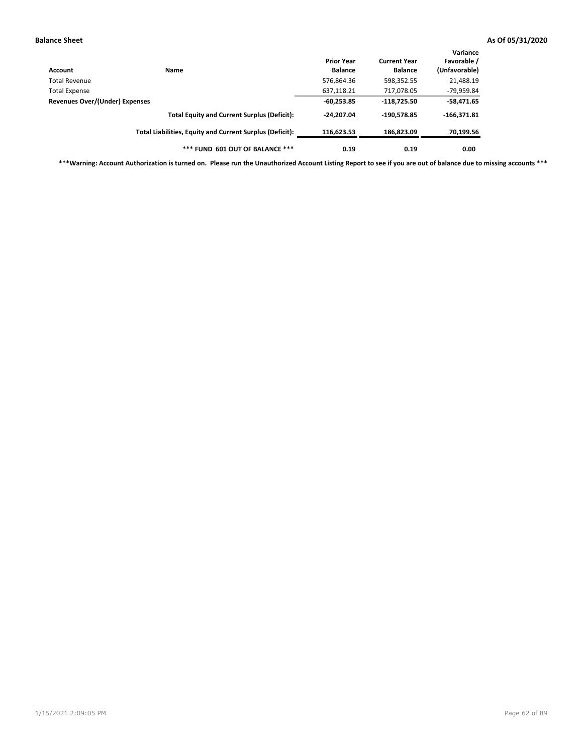| Account                        | Name                                                     | <b>Prior Year</b><br><b>Balance</b> | <b>Current Year</b><br><b>Balance</b> | Variance<br>Favorable /<br>(Unfavorable) |
|--------------------------------|----------------------------------------------------------|-------------------------------------|---------------------------------------|------------------------------------------|
| Total Revenue                  |                                                          | 576,864.36                          | 598,352.55                            | 21,488.19                                |
| <b>Total Expense</b>           |                                                          | 637,118.21                          | 717,078.05                            | -79,959.84                               |
| Revenues Over/(Under) Expenses |                                                          | $-60,253.85$                        | $-118,725.50$                         | $-58,471.65$                             |
|                                | <b>Total Equity and Current Surplus (Deficit):</b>       | $-24.207.04$                        | -190,578.85                           | $-166,371.81$                            |
|                                | Total Liabilities, Equity and Current Surplus (Deficit): | 116,623.53                          | 186.823.09                            | 70,199.56                                |
|                                | *** FUND 601 OUT OF BALANCE ***                          | 0.19                                | 0.19                                  | 0.00                                     |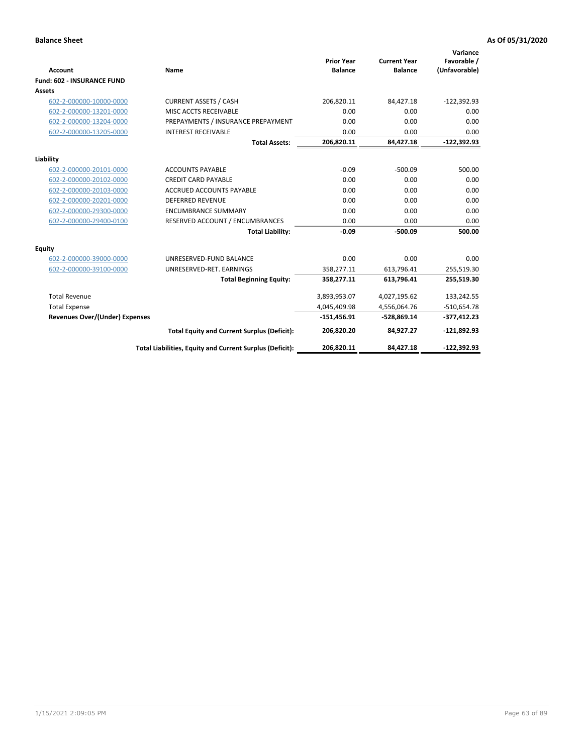| <b>Account</b>                        | Name                                                     | <b>Prior Year</b><br><b>Balance</b> | <b>Current Year</b><br><b>Balance</b> | Variance<br>Favorable /<br>(Unfavorable) |
|---------------------------------------|----------------------------------------------------------|-------------------------------------|---------------------------------------|------------------------------------------|
| <b>Fund: 602 - INSURANCE FUND</b>     |                                                          |                                     |                                       |                                          |
| <b>Assets</b>                         |                                                          |                                     |                                       |                                          |
| 602-2-000000-10000-0000               | <b>CURRENT ASSETS / CASH</b>                             | 206,820.11                          | 84,427.18                             | $-122,392.93$                            |
| 602-2-000000-13201-0000               | MISC ACCTS RECEIVABLE                                    | 0.00                                | 0.00                                  | 0.00                                     |
| 602-2-000000-13204-0000               | PREPAYMENTS / INSURANCE PREPAYMENT                       | 0.00                                | 0.00                                  | 0.00                                     |
| 602-2-000000-13205-0000               | <b>INTEREST RECEIVABLE</b>                               | 0.00                                | 0.00                                  | 0.00                                     |
|                                       | <b>Total Assets:</b>                                     | 206,820.11                          | 84,427.18                             | $-122,392.93$                            |
| Liability                             |                                                          |                                     |                                       |                                          |
| 602-2-000000-20101-0000               | <b>ACCOUNTS PAYABLE</b>                                  | $-0.09$                             | $-500.09$                             | 500.00                                   |
| 602-2-000000-20102-0000               | <b>CREDIT CARD PAYABLE</b>                               | 0.00                                | 0.00                                  | 0.00                                     |
| 602-2-000000-20103-0000               | <b>ACCRUED ACCOUNTS PAYABLE</b>                          | 0.00                                | 0.00                                  | 0.00                                     |
| 602-2-000000-20201-0000               | <b>DEFERRED REVENUE</b>                                  | 0.00                                | 0.00                                  | 0.00                                     |
| 602-2-000000-29300-0000               | <b>ENCUMBRANCE SUMMARY</b>                               | 0.00                                | 0.00                                  | 0.00                                     |
| 602-2-000000-29400-0100               | RESERVED ACCOUNT / ENCUMBRANCES                          | 0.00                                | 0.00                                  | 0.00                                     |
|                                       | <b>Total Liability:</b>                                  | $-0.09$                             | $-500.09$                             | 500.00                                   |
| <b>Equity</b>                         |                                                          |                                     |                                       |                                          |
| 602-2-000000-39000-0000               | UNRESERVED-FUND BALANCE                                  | 0.00                                | 0.00                                  | 0.00                                     |
| 602-2-000000-39100-0000               | UNRESERVED-RET. EARNINGS                                 | 358,277.11                          | 613,796.41                            | 255,519.30                               |
|                                       | <b>Total Beginning Equity:</b>                           | 358,277.11                          | 613,796.41                            | 255,519.30                               |
| <b>Total Revenue</b>                  |                                                          | 3,893,953.07                        | 4,027,195.62                          | 133,242.55                               |
| <b>Total Expense</b>                  |                                                          | 4,045,409.98                        | 4,556,064.76                          | $-510,654.78$                            |
| <b>Revenues Over/(Under) Expenses</b> |                                                          | $-151,456.91$                       | $-528,869.14$                         | $-377,412.23$                            |
|                                       | <b>Total Equity and Current Surplus (Deficit):</b>       | 206,820.20                          | 84,927.27                             | $-121,892.93$                            |
|                                       | Total Liabilities, Equity and Current Surplus (Deficit): | 206,820.11                          | 84.427.18                             | $-122.392.93$                            |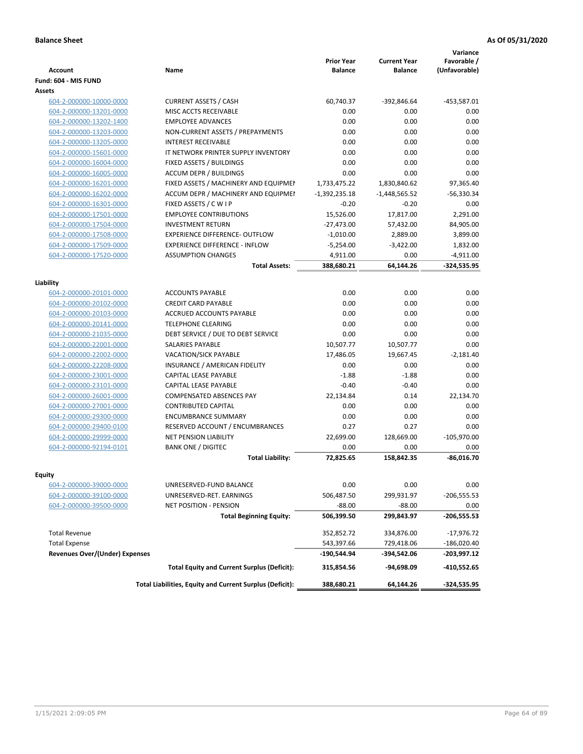| <b>Account</b>                        | Name                                                     | <b>Prior Year</b><br><b>Balance</b> | <b>Current Year</b><br><b>Balance</b> | Variance<br>Favorable /<br>(Unfavorable) |
|---------------------------------------|----------------------------------------------------------|-------------------------------------|---------------------------------------|------------------------------------------|
| Fund: 604 - MIS FUND                  |                                                          |                                     |                                       |                                          |
| Assets                                |                                                          |                                     |                                       |                                          |
| 604-2-000000-10000-0000               | <b>CURRENT ASSETS / CASH</b>                             | 60,740.37                           | $-392.846.64$                         | $-453,587.01$                            |
| 604-2-000000-13201-0000               | MISC ACCTS RECEIVABLE                                    | 0.00                                | 0.00                                  | 0.00                                     |
| 604-2-000000-13202-1400               | <b>EMPLOYEE ADVANCES</b>                                 | 0.00                                | 0.00                                  | 0.00                                     |
| 604-2-000000-13203-0000               | NON-CURRENT ASSETS / PREPAYMENTS                         | 0.00                                | 0.00                                  | 0.00                                     |
| 604-2-000000-13205-0000               | <b>INTEREST RECEIVABLE</b>                               | 0.00                                | 0.00                                  | 0.00                                     |
| 604-2-000000-15601-0000               | IT NETWORK PRINTER SUPPLY INVENTORY                      | 0.00                                | 0.00                                  | 0.00                                     |
| 604-2-000000-16004-0000               | FIXED ASSETS / BUILDINGS                                 | 0.00                                | 0.00                                  | 0.00                                     |
| 604-2-000000-16005-0000               | <b>ACCUM DEPR / BUILDINGS</b>                            | 0.00                                | 0.00                                  | 0.00                                     |
| 604-2-000000-16201-0000               | FIXED ASSETS / MACHINERY AND EQUIPMEN                    | 1,733,475.22                        | 1,830,840.62                          | 97,365.40                                |
| 604-2-000000-16202-0000               | ACCUM DEPR / MACHINERY AND EQUIPMEI                      | $-1,392,235.18$                     | $-1,448,565.52$                       | $-56,330.34$                             |
| 604-2-000000-16301-0000               | FIXED ASSETS / C W I P                                   | $-0.20$                             | $-0.20$                               | 0.00                                     |
| 604-2-000000-17501-0000               | <b>EMPLOYEE CONTRIBUTIONS</b>                            | 15,526.00                           | 17,817.00                             | 2,291.00                                 |
| 604-2-000000-17504-0000               | <b>INVESTMENT RETURN</b>                                 | $-27,473.00$                        | 57,432.00                             | 84,905.00                                |
| 604-2-000000-17508-0000               | <b>EXPERIENCE DIFFERENCE- OUTFLOW</b>                    | $-1,010.00$                         | 2,889.00                              | 3,899.00                                 |
| 604-2-000000-17509-0000               | <b>EXPERIENCE DIFFERENCE - INFLOW</b>                    | $-5,254.00$                         | $-3,422.00$                           | 1,832.00                                 |
| 604-2-000000-17520-0000               | <b>ASSUMPTION CHANGES</b>                                | 4,911.00                            | 0.00                                  | $-4,911.00$                              |
|                                       | <b>Total Assets:</b>                                     | 388,680.21                          | 64,144.26                             | $-324,535.95$                            |
|                                       |                                                          |                                     |                                       |                                          |
| Liability                             |                                                          |                                     |                                       |                                          |
| 604-2-000000-20101-0000               | <b>ACCOUNTS PAYABLE</b>                                  | 0.00                                | 0.00                                  | 0.00                                     |
| 604-2-000000-20102-0000               | <b>CREDIT CARD PAYABLE</b>                               | 0.00                                | 0.00                                  | 0.00                                     |
| 604-2-000000-20103-0000               | <b>ACCRUED ACCOUNTS PAYABLE</b>                          | 0.00                                | 0.00                                  | 0.00                                     |
| 604-2-000000-20141-0000               | <b>TELEPHONE CLEARING</b>                                | 0.00                                | 0.00                                  | 0.00                                     |
| 604-2-000000-21035-0000               | DEBT SERVICE / DUE TO DEBT SERVICE                       | 0.00                                | 0.00                                  | 0.00                                     |
| 604-2-000000-22001-0000               | SALARIES PAYABLE                                         | 10,507.77                           | 10,507.77                             | 0.00                                     |
| 604-2-000000-22002-0000               | <b>VACATION/SICK PAYABLE</b>                             | 17,486.05                           | 19,667.45                             | $-2,181.40$                              |
| 604-2-000000-22208-0000               | INSURANCE / AMERICAN FIDELITY                            | 0.00                                | 0.00                                  | 0.00                                     |
| 604-2-000000-23001-0000               | CAPITAL LEASE PAYABLE                                    | $-1.88$                             | $-1.88$                               | 0.00                                     |
| 604-2-000000-23101-0000               | CAPITAL LEASE PAYABLE                                    | $-0.40$                             | $-0.40$                               | 0.00                                     |
| 604-2-000000-26001-0000               | <b>COMPENSATED ABSENCES PAY</b>                          | 22,134.84                           | 0.14                                  | 22,134.70                                |
| 604-2-000000-27001-0000               | <b>CONTRIBUTED CAPITAL</b>                               | 0.00                                | 0.00                                  | 0.00                                     |
| 604-2-000000-29300-0000               | <b>ENCUMBRANCE SUMMARY</b>                               | 0.00                                | 0.00                                  | 0.00                                     |
| 604-2-000000-29400-0100               | RESERVED ACCOUNT / ENCUMBRANCES                          | 0.27                                | 0.27                                  | 0.00                                     |
| 604-2-000000-29999-0000               | <b>NET PENSION LIABILITY</b>                             | 22,699.00                           | 128,669.00                            | $-105,970.00$                            |
| 604-2-000000-92194-0101               | <b>BANK ONE / DIGITEC</b>                                | 0.00                                | 0.00                                  | 0.00                                     |
|                                       | <b>Total Liability:</b>                                  | 72,825.65                           | 158,842.35                            | $-86,016.70$                             |
| Equity                                |                                                          |                                     |                                       |                                          |
| 604-2-000000-39000-0000               | UNRESERVED-FUND BALANCE                                  | 0.00                                | 0.00                                  | 0.00                                     |
| 604-2-000000-39100-0000               | UNRESERVED-RET. EARNINGS                                 | 506,487.50                          | 299,931.97                            | $-206,555.53$                            |
| 604-2-000000-39500-0000               | NET POSITION - PENSION                                   | $-88.00$                            | $-88.00$                              | 0.00                                     |
|                                       | <b>Total Beginning Equity:</b>                           | 506,399.50                          | 299,843.97                            | $-206,555.53$                            |
| <b>Total Revenue</b>                  |                                                          | 352,852.72                          | 334,876.00                            | $-17,976.72$                             |
| <b>Total Expense</b>                  |                                                          | 543,397.66                          | 729,418.06                            | $-186,020.40$                            |
| <b>Revenues Over/(Under) Expenses</b> |                                                          | -190,544.94                         | -394,542.06                           | -203,997.12                              |
|                                       | <b>Total Equity and Current Surplus (Deficit):</b>       | 315,854.56                          | -94,698.09                            | -410,552.65                              |
|                                       | Total Liabilities, Equity and Current Surplus (Deficit): | 388,680.21                          | 64,144.26                             | -324,535.95                              |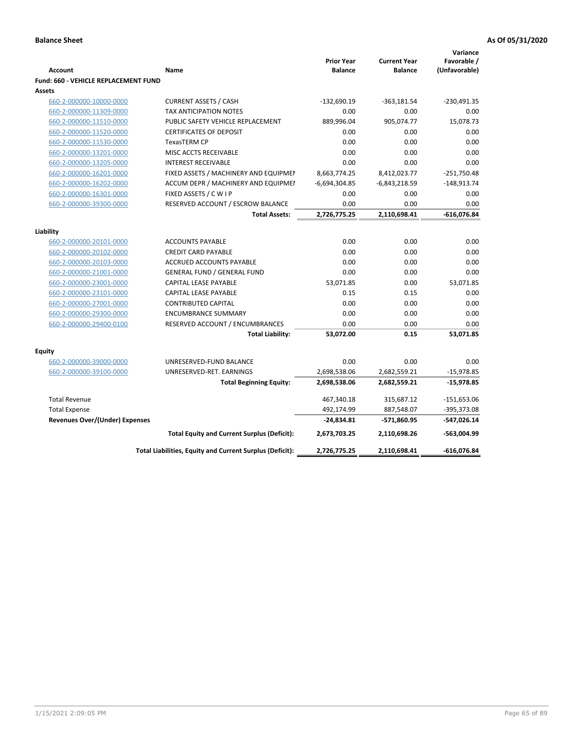|                                             |                                                          |                                     |                                       | Variance                     |
|---------------------------------------------|----------------------------------------------------------|-------------------------------------|---------------------------------------|------------------------------|
| <b>Account</b>                              | Name                                                     | <b>Prior Year</b><br><b>Balance</b> | <b>Current Year</b><br><b>Balance</b> | Favorable /<br>(Unfavorable) |
| <b>Fund: 660 - VEHICLE REPLACEMENT FUND</b> |                                                          |                                     |                                       |                              |
| Assets                                      |                                                          |                                     |                                       |                              |
| 660-2-000000-10000-0000                     | <b>CURRENT ASSETS / CASH</b>                             | $-132,690.19$                       | $-363,181.54$                         | $-230,491.35$                |
| 660-2-000000-11309-0000                     | TAX ANTICIPATION NOTES                                   | 0.00                                | 0.00                                  | 0.00                         |
| 660-2-000000-11510-0000                     | PUBLIC SAFETY VEHICLE REPLACEMENT                        | 889,996.04                          | 905,074.77                            | 15,078.73                    |
| 660-2-000000-11520-0000                     | <b>CERTIFICATES OF DEPOSIT</b>                           | 0.00                                | 0.00                                  | 0.00                         |
| 660-2-000000-11530-0000                     | <b>TexasTERM CP</b>                                      | 0.00                                | 0.00                                  | 0.00                         |
| 660-2-000000-13201-0000                     | MISC ACCTS RECEIVABLE                                    | 0.00                                | 0.00                                  | 0.00                         |
| 660-2-000000-13205-0000                     | <b>INTEREST RECEIVABLE</b>                               | 0.00                                | 0.00                                  | 0.00                         |
| 660-2-000000-16201-0000                     | FIXED ASSETS / MACHINERY AND EQUIPMEN                    | 8,663,774.25                        | 8,412,023.77                          | $-251,750.48$                |
| 660-2-000000-16202-0000                     | ACCUM DEPR / MACHINERY AND EQUIPMEI                      | $-6,694,304.85$                     | $-6,843,218.59$                       | $-148,913.74$                |
| 660-2-000000-16301-0000                     | FIXED ASSETS / C W I P                                   | 0.00                                | 0.00                                  | 0.00                         |
| 660-2-000000-39300-0000                     | RESERVED ACCOUNT / ESCROW BALANCE                        | 0.00                                | 0.00                                  | 0.00                         |
|                                             | <b>Total Assets:</b>                                     | 2,726,775.25                        | 2,110,698.41                          | $-616,076.84$                |
|                                             |                                                          |                                     |                                       |                              |
| Liability                                   |                                                          |                                     |                                       |                              |
| 660-2-000000-20101-0000                     | <b>ACCOUNTS PAYABLE</b>                                  | 0.00                                | 0.00                                  | 0.00                         |
| 660-2-000000-20102-0000                     | <b>CREDIT CARD PAYABLE</b>                               | 0.00                                | 0.00                                  | 0.00                         |
| 660-2-000000-20103-0000                     | ACCRUED ACCOUNTS PAYABLE                                 | 0.00                                | 0.00                                  | 0.00                         |
| 660-2-000000-21001-0000                     | <b>GENERAL FUND / GENERAL FUND</b>                       | 0.00                                | 0.00                                  | 0.00                         |
| 660-2-000000-23001-0000                     | <b>CAPITAL LEASE PAYABLE</b>                             | 53,071.85                           | 0.00                                  | 53,071.85                    |
| 660-2-000000-23101-0000                     | <b>CAPITAL LEASE PAYABLE</b>                             | 0.15                                | 0.15                                  | 0.00                         |
| 660-2-000000-27001-0000                     | <b>CONTRIBUTED CAPITAL</b>                               | 0.00                                | 0.00                                  | 0.00                         |
| 660-2-000000-29300-0000                     | <b>ENCUMBRANCE SUMMARY</b>                               | 0.00                                | 0.00                                  | 0.00                         |
| 660-2-000000-29400-0100                     | RESERVED ACCOUNT / ENCUMBRANCES                          | 0.00                                | 0.00                                  | 0.00                         |
|                                             | <b>Total Liability:</b>                                  | 53,072.00                           | 0.15                                  | 53,071.85                    |
| <b>Equity</b>                               |                                                          |                                     |                                       |                              |
| 660-2-000000-39000-0000                     | UNRESERVED-FUND BALANCE                                  | 0.00                                | 0.00                                  | 0.00                         |
| 660-2-000000-39100-0000                     | UNRESERVED-RET. EARNINGS                                 | 2,698,538.06                        | 2,682,559.21                          | $-15,978.85$                 |
|                                             | <b>Total Beginning Equity:</b>                           | 2,698,538.06                        | 2,682,559.21                          | -15,978.85                   |
| <b>Total Revenue</b>                        |                                                          | 467,340.18                          | 315,687.12                            | $-151,653.06$                |
| <b>Total Expense</b>                        |                                                          | 492,174.99                          | 887,548.07                            | -395,373.08                  |
| Revenues Over/(Under) Expenses              |                                                          | $-24,834.81$                        | -571,860.95                           | $-547,026.14$                |
|                                             | <b>Total Equity and Current Surplus (Deficit):</b>       | 2,673,703.25                        | 2,110,698.26                          | $-563,004.99$                |
|                                             | Total Liabilities, Equity and Current Surplus (Deficit): | 2,726,775.25                        | 2,110,698.41                          | $-616,076.84$                |
|                                             |                                                          |                                     |                                       |                              |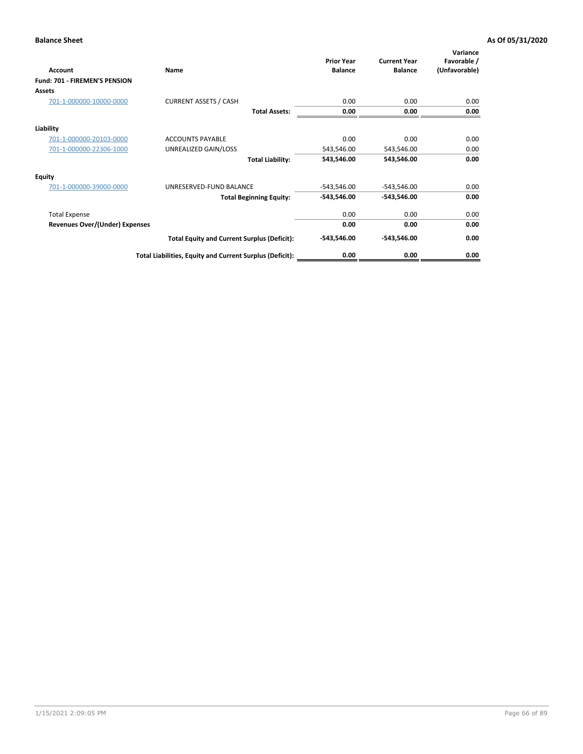| Account                               | Name                                                     | <b>Prior Year</b><br><b>Balance</b> | <b>Current Year</b><br><b>Balance</b> | Variance<br>Favorable /<br>(Unfavorable) |
|---------------------------------------|----------------------------------------------------------|-------------------------------------|---------------------------------------|------------------------------------------|
| Fund: 701 - FIREMEN'S PENSION         |                                                          |                                     |                                       |                                          |
| <b>Assets</b>                         |                                                          |                                     |                                       |                                          |
| 701-1-000000-10000-0000               | <b>CURRENT ASSETS / CASH</b>                             | 0.00                                | 0.00                                  | 0.00                                     |
|                                       | <b>Total Assets:</b>                                     | 0.00                                | 0.00                                  | 0.00                                     |
| Liability                             |                                                          |                                     |                                       |                                          |
| 701-1-000000-20103-0000               | <b>ACCOUNTS PAYABLE</b>                                  | 0.00                                | 0.00                                  | 0.00                                     |
| 701-1-000000-22306-1000               | UNREALIZED GAIN/LOSS                                     | 543,546.00                          | 543,546.00                            | 0.00                                     |
|                                       | <b>Total Liability:</b>                                  | 543,546.00                          | 543,546.00                            | 0.00                                     |
| <b>Equity</b>                         |                                                          |                                     |                                       |                                          |
| 701-1-000000-39000-0000               | UNRESERVED-FUND BALANCE                                  | $-543,546.00$                       | $-543,546.00$                         | 0.00                                     |
|                                       | <b>Total Beginning Equity:</b>                           | $-543,546.00$                       | $-543,546.00$                         | 0.00                                     |
| <b>Total Expense</b>                  |                                                          | 0.00                                | 0.00                                  | 0.00                                     |
| <b>Revenues Over/(Under) Expenses</b> |                                                          | 0.00                                | 0.00                                  | 0.00                                     |
|                                       | <b>Total Equity and Current Surplus (Deficit):</b>       | $-543,546.00$                       | $-543,546.00$                         | 0.00                                     |
|                                       | Total Liabilities, Equity and Current Surplus (Deficit): | 0.00                                | 0.00                                  | 0.00                                     |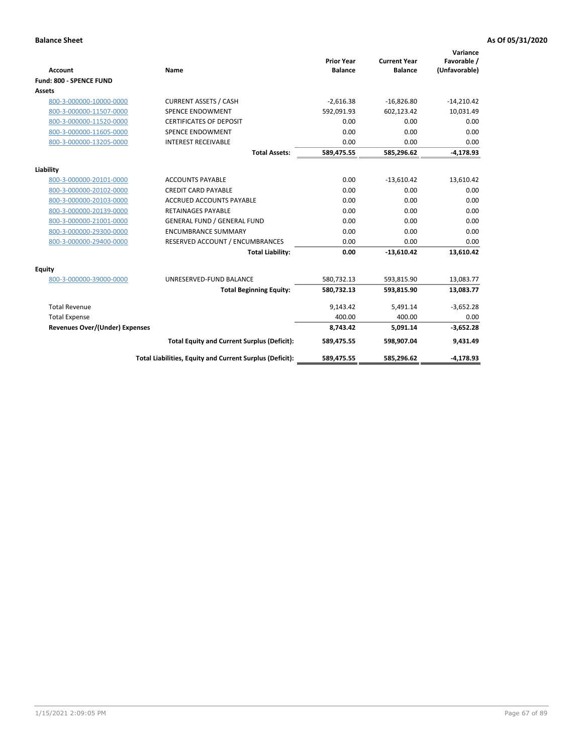|                                          |                                                          |                                     |                                       | Variance                     |
|------------------------------------------|----------------------------------------------------------|-------------------------------------|---------------------------------------|------------------------------|
| <b>Account</b>                           | <b>Name</b>                                              | <b>Prior Year</b><br><b>Balance</b> | <b>Current Year</b><br><b>Balance</b> | Favorable /<br>(Unfavorable) |
| Fund: 800 - SPENCE FUND                  |                                                          |                                     |                                       |                              |
| <b>Assets</b>                            |                                                          |                                     |                                       |                              |
| 800-3-000000-10000-0000                  | <b>CURRENT ASSETS / CASH</b>                             | $-2,616.38$                         | $-16,826.80$                          | $-14,210.42$                 |
| 800-3-000000-11507-0000                  | <b>SPENCE ENDOWMENT</b>                                  | 592,091.93                          | 602.123.42                            | 10,031.49                    |
| 800-3-000000-11520-0000                  | <b>CERTIFICATES OF DEPOSIT</b>                           | 0.00                                | 0.00                                  | 0.00                         |
| 800-3-000000-11605-0000                  | <b>SPENCE ENDOWMENT</b>                                  | 0.00                                | 0.00                                  | 0.00                         |
| 800-3-000000-13205-0000                  | <b>INTEREST RECEIVABLE</b>                               | 0.00                                | 0.00                                  | 0.00                         |
|                                          | <b>Total Assets:</b>                                     | 589,475.55                          | 585,296.62                            | $-4,178.93$                  |
| Liability                                |                                                          |                                     |                                       |                              |
| 800-3-000000-20101-0000                  | <b>ACCOUNTS PAYABLE</b>                                  | 0.00                                | $-13,610.42$                          | 13,610.42                    |
| 800-3-000000-20102-0000                  | <b>CREDIT CARD PAYABLE</b>                               | 0.00                                | 0.00                                  | 0.00                         |
| 800-3-000000-20103-0000                  | <b>ACCRUED ACCOUNTS PAYABLE</b>                          | 0.00                                | 0.00                                  | 0.00                         |
| 800-3-000000-20139-0000                  | <b>RETAINAGES PAYABLE</b>                                | 0.00                                | 0.00                                  | 0.00                         |
| 800-3-000000-21001-0000                  | <b>GENERAL FUND / GENERAL FUND</b>                       | 0.00                                | 0.00                                  | 0.00                         |
| 800-3-000000-29300-0000                  | <b>ENCUMBRANCE SUMMARY</b>                               | 0.00                                | 0.00                                  | 0.00                         |
| 800-3-000000-29400-0000                  | RESERVED ACCOUNT / ENCUMBRANCES                          | 0.00                                | 0.00                                  | 0.00                         |
|                                          | <b>Total Liability:</b>                                  | 0.00                                | $-13,610.42$                          | 13,610.42                    |
|                                          |                                                          |                                     |                                       |                              |
| <b>Equity</b><br>800-3-000000-39000-0000 | UNRESERVED-FUND BALANCE                                  | 580,732.13                          | 593,815.90                            | 13,083.77                    |
|                                          | <b>Total Beginning Equity:</b>                           | 580,732.13                          | 593,815.90                            | 13,083.77                    |
|                                          |                                                          |                                     |                                       |                              |
| <b>Total Revenue</b>                     |                                                          | 9,143.42                            | 5,491.14                              | $-3,652.28$                  |
| <b>Total Expense</b>                     |                                                          | 400.00                              | 400.00                                | 0.00                         |
| <b>Revenues Over/(Under) Expenses</b>    |                                                          | 8,743.42                            | 5,091.14                              | $-3,652.28$                  |
|                                          | <b>Total Equity and Current Surplus (Deficit):</b>       | 589,475.55                          | 598,907.04                            | 9,431.49                     |
|                                          | Total Liabilities, Equity and Current Surplus (Deficit): | 589,475.55                          | 585,296.62                            | $-4,178.93$                  |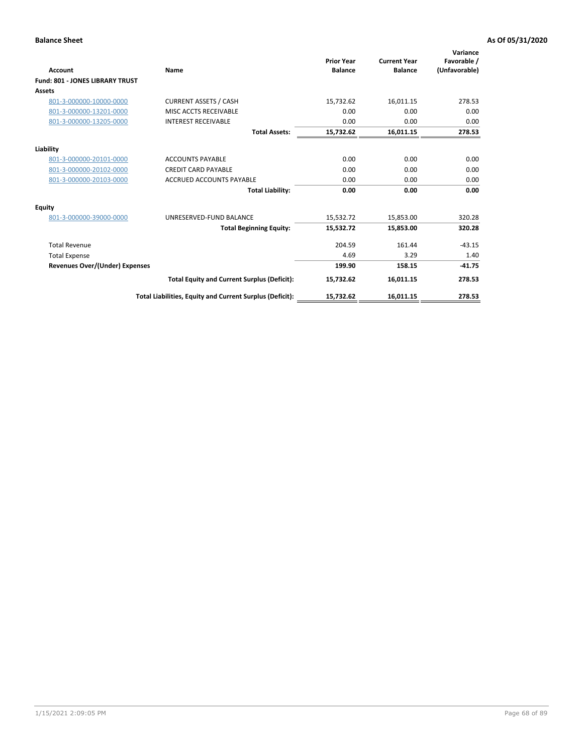| <b>Account</b>                         | Name                                                     | <b>Prior Year</b><br><b>Balance</b> | <b>Current Year</b><br><b>Balance</b> | Variance<br>Favorable /<br>(Unfavorable) |
|----------------------------------------|----------------------------------------------------------|-------------------------------------|---------------------------------------|------------------------------------------|
| <b>Fund: 801 - JONES LIBRARY TRUST</b> |                                                          |                                     |                                       |                                          |
| Assets                                 |                                                          |                                     |                                       |                                          |
| 801-3-000000-10000-0000                | <b>CURRENT ASSETS / CASH</b>                             | 15,732.62                           | 16,011.15                             | 278.53                                   |
| 801-3-000000-13201-0000                | MISC ACCTS RECEIVABLE                                    | 0.00                                | 0.00                                  | 0.00                                     |
| 801-3-000000-13205-0000                | <b>INTEREST RECEIVABLE</b>                               | 0.00                                | 0.00                                  | 0.00                                     |
|                                        | <b>Total Assets:</b>                                     | 15,732.62                           | 16,011.15                             | 278.53                                   |
| Liability                              |                                                          |                                     |                                       |                                          |
| 801-3-000000-20101-0000                | <b>ACCOUNTS PAYABLE</b>                                  | 0.00                                | 0.00                                  | 0.00                                     |
| 801-3-000000-20102-0000                | <b>CREDIT CARD PAYABLE</b>                               | 0.00                                | 0.00                                  | 0.00                                     |
| 801-3-000000-20103-0000                | <b>ACCRUED ACCOUNTS PAYABLE</b>                          | 0.00                                | 0.00                                  | 0.00                                     |
|                                        | <b>Total Liability:</b>                                  | 0.00                                | 0.00                                  | 0.00                                     |
| Equity                                 |                                                          |                                     |                                       |                                          |
| 801-3-000000-39000-0000                | UNRESERVED-FUND BALANCE                                  | 15,532.72                           | 15,853.00                             | 320.28                                   |
|                                        | <b>Total Beginning Equity:</b>                           | 15,532.72                           | 15,853.00                             | 320.28                                   |
| <b>Total Revenue</b>                   |                                                          | 204.59                              | 161.44                                | $-43.15$                                 |
| <b>Total Expense</b>                   |                                                          | 4.69                                | 3.29                                  | 1.40                                     |
| <b>Revenues Over/(Under) Expenses</b>  |                                                          | 199.90                              | 158.15                                | $-41.75$                                 |
|                                        | <b>Total Equity and Current Surplus (Deficit):</b>       | 15,732.62                           | 16,011.15                             | 278.53                                   |
|                                        | Total Liabilities, Equity and Current Surplus (Deficit): | 15,732.62                           | 16,011.15                             | 278.53                                   |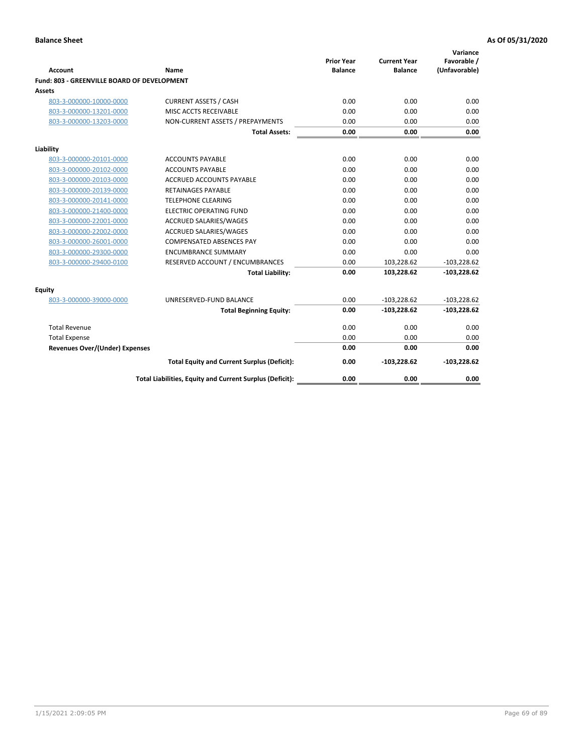| <b>Account</b>                              | Name                                                     | <b>Prior Year</b><br><b>Balance</b> | <b>Current Year</b><br><b>Balance</b> | Variance<br>Favorable /<br>(Unfavorable) |
|---------------------------------------------|----------------------------------------------------------|-------------------------------------|---------------------------------------|------------------------------------------|
| Fund: 803 - GREENVILLE BOARD OF DEVELOPMENT |                                                          |                                     |                                       |                                          |
| Assets                                      |                                                          |                                     |                                       |                                          |
| 803-3-000000-10000-0000                     | <b>CURRENT ASSETS / CASH</b>                             | 0.00                                | 0.00                                  | 0.00                                     |
| 803-3-000000-13201-0000                     | MISC ACCTS RECEIVABLE                                    | 0.00                                | 0.00                                  | 0.00                                     |
| 803-3-000000-13203-0000                     | NON-CURRENT ASSETS / PREPAYMENTS                         | 0.00                                | 0.00                                  | 0.00                                     |
|                                             | <b>Total Assets:</b>                                     | 0.00                                | 0.00                                  | 0.00                                     |
| Liability                                   |                                                          |                                     |                                       |                                          |
| 803-3-000000-20101-0000                     | <b>ACCOUNTS PAYABLE</b>                                  | 0.00                                | 0.00                                  | 0.00                                     |
| 803-3-000000-20102-0000                     | <b>ACCOUNTS PAYABLE</b>                                  | 0.00                                | 0.00                                  | 0.00                                     |
| 803-3-000000-20103-0000                     | <b>ACCRUED ACCOUNTS PAYABLE</b>                          | 0.00                                | 0.00                                  | 0.00                                     |
| 803-3-000000-20139-0000                     | <b>RETAINAGES PAYABLE</b>                                | 0.00                                | 0.00                                  | 0.00                                     |
| 803-3-000000-20141-0000                     | <b>TELEPHONE CLEARING</b>                                | 0.00                                | 0.00                                  | 0.00                                     |
| 803-3-000000-21400-0000                     | <b>ELECTRIC OPERATING FUND</b>                           | 0.00                                | 0.00                                  | 0.00                                     |
| 803-3-000000-22001-0000                     | ACCRUED SALARIES/WAGES                                   | 0.00                                | 0.00                                  | 0.00                                     |
| 803-3-000000-22002-0000                     | <b>ACCRUED SALARIES/WAGES</b>                            | 0.00                                | 0.00                                  | 0.00                                     |
| 803-3-000000-26001-0000                     | <b>COMPENSATED ABSENCES PAY</b>                          | 0.00                                | 0.00                                  | 0.00                                     |
| 803-3-000000-29300-0000                     | <b>ENCUMBRANCE SUMMARY</b>                               | 0.00                                | 0.00                                  | 0.00                                     |
| 803-3-000000-29400-0100                     | RESERVED ACCOUNT / ENCUMBRANCES                          | 0.00                                | 103,228.62                            | $-103,228.62$                            |
|                                             | <b>Total Liability:</b>                                  | 0.00                                | 103,228.62                            | $-103,228.62$                            |
| Equity                                      |                                                          |                                     |                                       |                                          |
| 803-3-000000-39000-0000                     | UNRESERVED-FUND BALANCE                                  | 0.00                                | $-103,228.62$                         | $-103,228.62$                            |
|                                             | <b>Total Beginning Equity:</b>                           | 0.00                                | $-103,228.62$                         | $-103,228.62$                            |
| <b>Total Revenue</b>                        |                                                          | 0.00                                | 0.00                                  | 0.00                                     |
| <b>Total Expense</b>                        |                                                          | 0.00                                | 0.00                                  | 0.00                                     |
| <b>Revenues Over/(Under) Expenses</b>       |                                                          | 0.00                                | 0.00                                  | 0.00                                     |
|                                             | <b>Total Equity and Current Surplus (Deficit):</b>       | 0.00                                | $-103,228.62$                         | $-103,228.62$                            |
|                                             | Total Liabilities, Equity and Current Surplus (Deficit): | 0.00                                | 0.00                                  | 0.00                                     |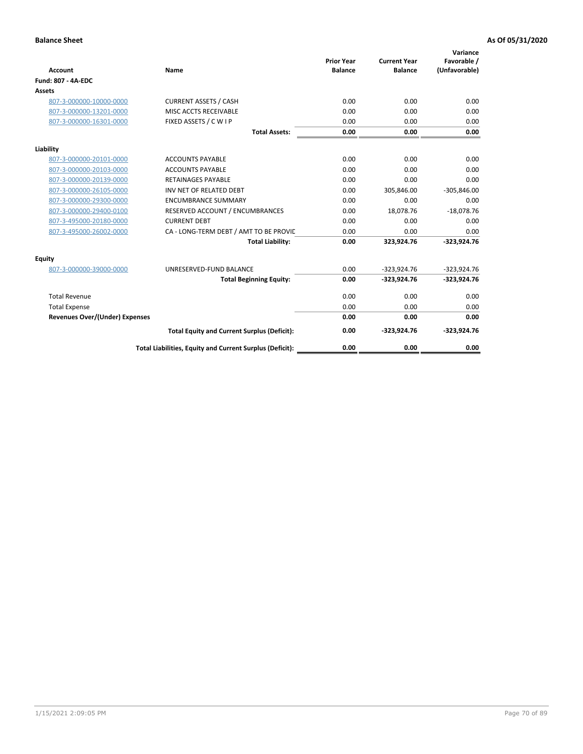| <b>Account</b>                        | Name                                                     | <b>Prior Year</b><br><b>Balance</b> | <b>Current Year</b><br><b>Balance</b> | Variance<br>Favorable /<br>(Unfavorable) |
|---------------------------------------|----------------------------------------------------------|-------------------------------------|---------------------------------------|------------------------------------------|
| <b>Fund: 807 - 4A-EDC</b>             |                                                          |                                     |                                       |                                          |
| <b>Assets</b>                         |                                                          |                                     |                                       |                                          |
| 807-3-000000-10000-0000               | <b>CURRENT ASSETS / CASH</b>                             | 0.00                                | 0.00                                  | 0.00                                     |
| 807-3-000000-13201-0000               | MISC ACCTS RECEIVABLE                                    | 0.00                                | 0.00                                  | 0.00                                     |
| 807-3-000000-16301-0000               | FIXED ASSETS / C W I P                                   | 0.00                                | 0.00                                  | 0.00                                     |
|                                       | <b>Total Assets:</b>                                     | 0.00                                | 0.00                                  | 0.00                                     |
| Liability                             |                                                          |                                     |                                       |                                          |
| 807-3-000000-20101-0000               | <b>ACCOUNTS PAYABLE</b>                                  | 0.00                                | 0.00                                  | 0.00                                     |
| 807-3-000000-20103-0000               | <b>ACCOUNTS PAYABLE</b>                                  | 0.00                                | 0.00                                  | 0.00                                     |
| 807-3-000000-20139-0000               | <b>RETAINAGES PAYABLE</b>                                | 0.00                                | 0.00                                  | 0.00                                     |
| 807-3-000000-26105-0000               | INV NET OF RELATED DEBT                                  | 0.00                                | 305,846.00                            | $-305,846.00$                            |
| 807-3-000000-29300-0000               | <b>ENCUMBRANCE SUMMARY</b>                               | 0.00                                | 0.00                                  | 0.00                                     |
| 807-3-000000-29400-0100               | RESERVED ACCOUNT / ENCUMBRANCES                          | 0.00                                | 18,078.76                             | $-18,078.76$                             |
| 807-3-495000-20180-0000               | <b>CURRENT DEBT</b>                                      | 0.00                                | 0.00                                  | 0.00                                     |
| 807-3-495000-26002-0000               | CA - LONG-TERM DEBT / AMT TO BE PROVIL                   | 0.00                                | 0.00                                  | 0.00                                     |
|                                       | <b>Total Liability:</b>                                  | 0.00                                | 323,924.76                            | $-323,924.76$                            |
| Equity                                |                                                          |                                     |                                       |                                          |
| 807-3-000000-39000-0000               | UNRESERVED-FUND BALANCE                                  | 0.00                                | $-323,924.76$                         | $-323,924.76$                            |
|                                       | <b>Total Beginning Equity:</b>                           | 0.00                                | $-323,924.76$                         | $-323,924.76$                            |
| <b>Total Revenue</b>                  |                                                          | 0.00                                | 0.00                                  | 0.00                                     |
| <b>Total Expense</b>                  |                                                          | 0.00                                | 0.00                                  | 0.00                                     |
| <b>Revenues Over/(Under) Expenses</b> |                                                          | 0.00                                | 0.00                                  | 0.00                                     |
|                                       | <b>Total Equity and Current Surplus (Deficit):</b>       | 0.00                                | $-323,924.76$                         | $-323,924.76$                            |
|                                       | Total Liabilities, Equity and Current Surplus (Deficit): | 0.00                                | 0.00                                  | 0.00                                     |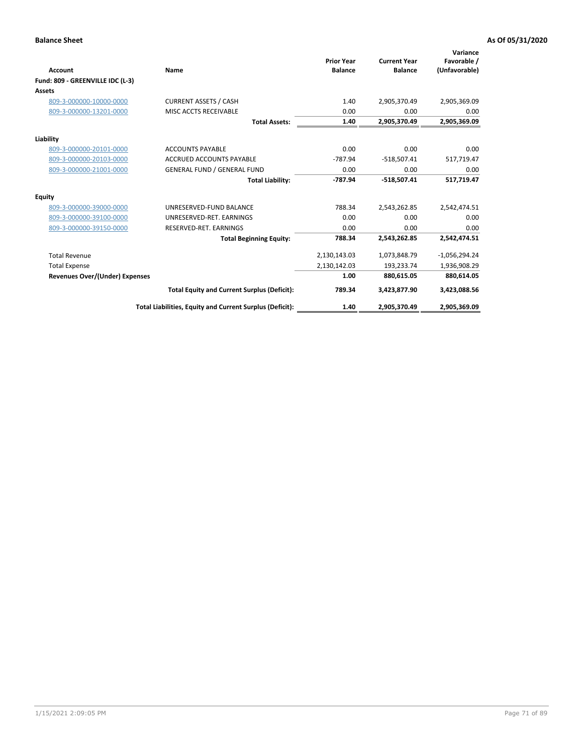| <b>Account</b>                        | Name                                                     | <b>Prior Year</b><br><b>Balance</b> | <b>Current Year</b><br><b>Balance</b> | Variance<br>Favorable /<br>(Unfavorable) |
|---------------------------------------|----------------------------------------------------------|-------------------------------------|---------------------------------------|------------------------------------------|
| Fund: 809 - GREENVILLE IDC (L-3)      |                                                          |                                     |                                       |                                          |
| <b>Assets</b>                         |                                                          |                                     |                                       |                                          |
| 809-3-000000-10000-0000               | <b>CURRENT ASSETS / CASH</b>                             | 1.40                                | 2,905,370.49                          | 2,905,369.09                             |
| 809-3-000000-13201-0000               | MISC ACCTS RECEIVABLE                                    | 0.00                                | 0.00                                  | 0.00                                     |
|                                       | <b>Total Assets:</b>                                     | 1.40                                | 2,905,370.49                          | 2,905,369.09                             |
| Liability                             |                                                          |                                     |                                       |                                          |
| 809-3-000000-20101-0000               | <b>ACCOUNTS PAYABLE</b>                                  | 0.00                                | 0.00                                  | 0.00                                     |
| 809-3-000000-20103-0000               | <b>ACCRUED ACCOUNTS PAYABLE</b>                          | $-787.94$                           | $-518,507.41$                         | 517,719.47                               |
| 809-3-000000-21001-0000               | <b>GENERAL FUND / GENERAL FUND</b>                       | 0.00                                | 0.00                                  | 0.00                                     |
|                                       | <b>Total Liability:</b>                                  | $-787.94$                           | $-518,507.41$                         | 517,719.47                               |
| Equity                                |                                                          |                                     |                                       |                                          |
| 809-3-000000-39000-0000               | UNRESERVED-FUND BALANCE                                  | 788.34                              | 2,543,262.85                          | 2,542,474.51                             |
| 809-3-000000-39100-0000               | UNRESERVED-RET. EARNINGS                                 | 0.00                                | 0.00                                  | 0.00                                     |
| 809-3-000000-39150-0000               | RESERVED-RET. EARNINGS                                   | 0.00                                | 0.00                                  | 0.00                                     |
|                                       | <b>Total Beginning Equity:</b>                           | 788.34                              | 2,543,262.85                          | 2,542,474.51                             |
| <b>Total Revenue</b>                  |                                                          | 2,130,143.03                        | 1,073,848.79                          | $-1,056,294.24$                          |
| <b>Total Expense</b>                  |                                                          | 2,130,142.03                        | 193,233.74                            | 1,936,908.29                             |
| <b>Revenues Over/(Under) Expenses</b> |                                                          | 1.00                                | 880,615.05                            | 880,614.05                               |
|                                       | <b>Total Equity and Current Surplus (Deficit):</b>       | 789.34                              | 3,423,877.90                          | 3,423,088.56                             |
|                                       | Total Liabilities, Equity and Current Surplus (Deficit): | 1.40                                | 2,905,370.49                          | 2,905,369.09                             |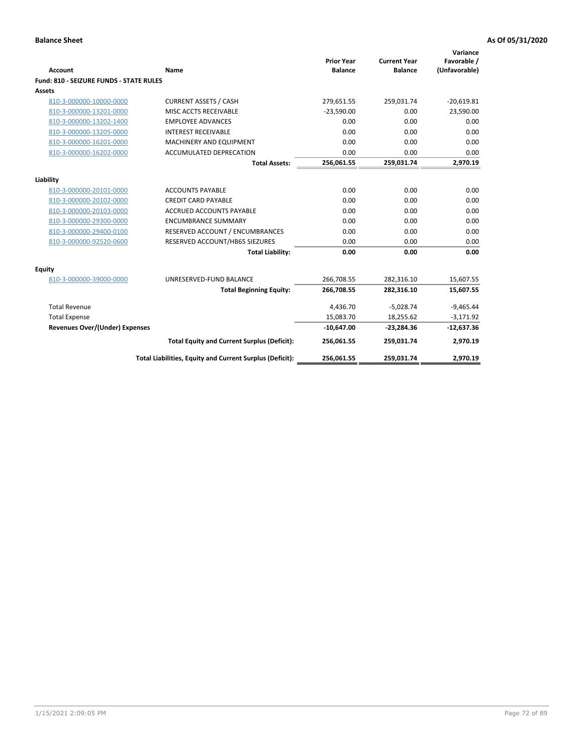| <b>Account</b>                                 | <b>Name</b>                                              | <b>Prior Year</b><br><b>Balance</b> | <b>Current Year</b><br><b>Balance</b> | Variance<br>Favorable /<br>(Unfavorable) |
|------------------------------------------------|----------------------------------------------------------|-------------------------------------|---------------------------------------|------------------------------------------|
| <b>Fund: 810 - SEIZURE FUNDS - STATE RULES</b> |                                                          |                                     |                                       |                                          |
| Assets                                         |                                                          |                                     |                                       |                                          |
| 810-3-000000-10000-0000                        | <b>CURRENT ASSETS / CASH</b>                             | 279,651.55                          | 259,031.74                            | $-20,619.81$                             |
| 810-3-000000-13201-0000                        | MISC ACCTS RECEIVABLE                                    | $-23.590.00$                        | 0.00                                  | 23,590.00                                |
| 810-3-000000-13202-1400                        | <b>EMPLOYEE ADVANCES</b>                                 | 0.00                                | 0.00                                  | 0.00                                     |
| 810-3-000000-13205-0000                        | <b>INTEREST RECEIVABLE</b>                               | 0.00                                | 0.00                                  | 0.00                                     |
| 810-3-000000-16201-0000                        | <b>MACHINERY AND EQUIPMENT</b>                           | 0.00                                | 0.00                                  | 0.00                                     |
| 810-3-000000-16202-0000                        | <b>ACCUMULATED DEPRECATION</b>                           | 0.00                                | 0.00                                  | 0.00                                     |
|                                                | <b>Total Assets:</b>                                     | 256,061.55                          | 259,031.74                            | 2,970.19                                 |
|                                                |                                                          |                                     |                                       |                                          |
| Liability                                      |                                                          |                                     |                                       |                                          |
| 810-3-000000-20101-0000                        | <b>ACCOUNTS PAYABLE</b>                                  | 0.00                                | 0.00                                  | 0.00                                     |
| 810-3-000000-20102-0000                        | <b>CREDIT CARD PAYABLE</b>                               | 0.00                                | 0.00                                  | 0.00                                     |
| 810-3-000000-20103-0000                        | <b>ACCRUED ACCOUNTS PAYABLE</b>                          | 0.00                                | 0.00                                  | 0.00                                     |
| 810-3-000000-29300-0000                        | <b>ENCUMBRANCE SUMMARY</b>                               | 0.00                                | 0.00                                  | 0.00                                     |
| 810-3-000000-29400-0100                        | RESERVED ACCOUNT / ENCUMBRANCES                          | 0.00                                | 0.00                                  | 0.00                                     |
| 810-3-000000-92520-0600                        | RESERVED ACCOUNT/HB65 SIEZURES                           | 0.00                                | 0.00                                  | 0.00                                     |
|                                                | <b>Total Liability:</b>                                  | 0.00                                | 0.00                                  | 0.00                                     |
| <b>Equity</b>                                  |                                                          |                                     |                                       |                                          |
| 810-3-000000-39000-0000                        | UNRESERVED-FUND BALANCE                                  | 266,708.55                          | 282,316.10                            | 15,607.55                                |
|                                                | <b>Total Beginning Equity:</b>                           | 266,708.55                          | 282,316.10                            | 15,607.55                                |
| <b>Total Revenue</b>                           |                                                          | 4,436.70                            | $-5,028.74$                           | $-9,465.44$                              |
| <b>Total Expense</b>                           |                                                          | 15,083.70                           | 18,255.62                             | $-3,171.92$                              |
| Revenues Over/(Under) Expenses                 |                                                          | $-10,647.00$                        | $-23,284.36$                          | $-12,637.36$                             |
|                                                | <b>Total Equity and Current Surplus (Deficit):</b>       | 256,061.55                          | 259,031.74                            | 2,970.19                                 |
|                                                | Total Liabilities, Equity and Current Surplus (Deficit): | 256,061.55                          | 259,031.74                            | 2,970.19                                 |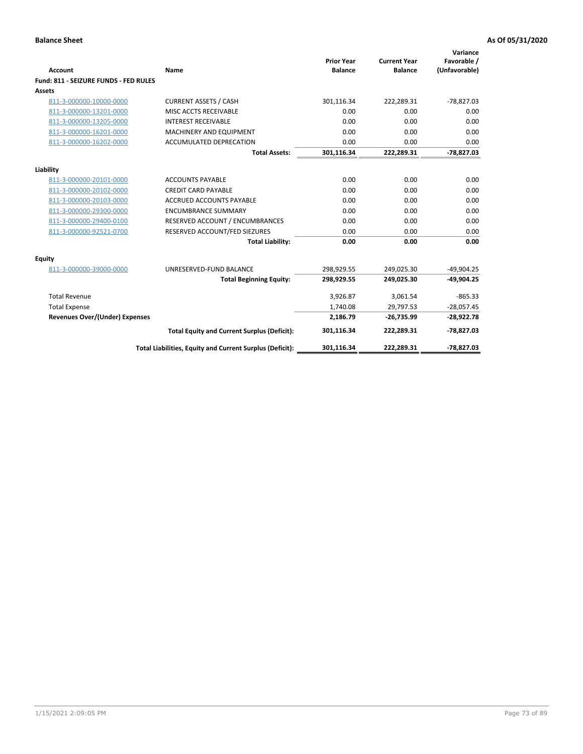| <b>Account</b>                        | Name                                                     | <b>Prior Year</b><br><b>Balance</b> | <b>Current Year</b><br><b>Balance</b> | Variance<br>Favorable /<br>(Unfavorable) |
|---------------------------------------|----------------------------------------------------------|-------------------------------------|---------------------------------------|------------------------------------------|
| Fund: 811 - SEIZURE FUNDS - FED RULES |                                                          |                                     |                                       |                                          |
| <b>Assets</b>                         |                                                          |                                     |                                       |                                          |
| 811-3-000000-10000-0000               | <b>CURRENT ASSETS / CASH</b>                             | 301,116.34                          | 222,289.31                            | $-78,827.03$                             |
| 811-3-000000-13201-0000               | MISC ACCTS RECEIVABLE                                    | 0.00                                | 0.00                                  | 0.00                                     |
| 811-3-000000-13205-0000               | <b>INTEREST RECEIVABLE</b>                               | 0.00                                | 0.00                                  | 0.00                                     |
| 811-3-000000-16201-0000               | <b>MACHINERY AND EQUIPMENT</b>                           | 0.00                                | 0.00                                  | 0.00                                     |
| 811-3-000000-16202-0000               | <b>ACCUMULATED DEPRECATION</b>                           | 0.00                                | 0.00                                  | 0.00                                     |
|                                       | <b>Total Assets:</b>                                     | 301,116.34                          | 222,289.31                            | $-78,827.03$                             |
| Liability                             |                                                          |                                     |                                       |                                          |
| 811-3-000000-20101-0000               | <b>ACCOUNTS PAYABLE</b>                                  | 0.00                                | 0.00                                  | 0.00                                     |
| 811-3-000000-20102-0000               | <b>CREDIT CARD PAYABLE</b>                               | 0.00                                | 0.00                                  | 0.00                                     |
| 811-3-000000-20103-0000               | <b>ACCRUED ACCOUNTS PAYABLE</b>                          | 0.00                                | 0.00                                  | 0.00                                     |
| 811-3-000000-29300-0000               | <b>ENCUMBRANCE SUMMARY</b>                               | 0.00                                | 0.00                                  | 0.00                                     |
| 811-3-000000-29400-0100               | RESERVED ACCOUNT / ENCUMBRANCES                          | 0.00                                | 0.00                                  | 0.00                                     |
| 811-3-000000-92521-0700               | RESERVED ACCOUNT/FED SIEZURES                            | 0.00                                | 0.00                                  | 0.00                                     |
|                                       | <b>Total Liability:</b>                                  | 0.00                                | 0.00                                  | 0.00                                     |
|                                       |                                                          |                                     |                                       |                                          |
| Equity<br>811-3-000000-39000-0000     | UNRESERVED-FUND BALANCE                                  | 298,929.55                          | 249,025.30                            | $-49,904.25$                             |
|                                       | <b>Total Beginning Equity:</b>                           | 298,929.55                          | 249,025.30                            | $-49,904.25$                             |
|                                       |                                                          |                                     |                                       |                                          |
| <b>Total Revenue</b>                  |                                                          | 3,926.87                            | 3,061.54                              | $-865.33$                                |
| <b>Total Expense</b>                  |                                                          | 1,740.08                            | 29,797.53                             | $-28,057.45$                             |
| Revenues Over/(Under) Expenses        |                                                          | 2,186.79                            | $-26,735.99$                          | $-28,922.78$                             |
|                                       | <b>Total Equity and Current Surplus (Deficit):</b>       | 301,116.34                          | 222,289.31                            | $-78,827.03$                             |
|                                       | Total Liabilities, Equity and Current Surplus (Deficit): | 301,116.34                          | 222,289.31                            | $-78.827.03$                             |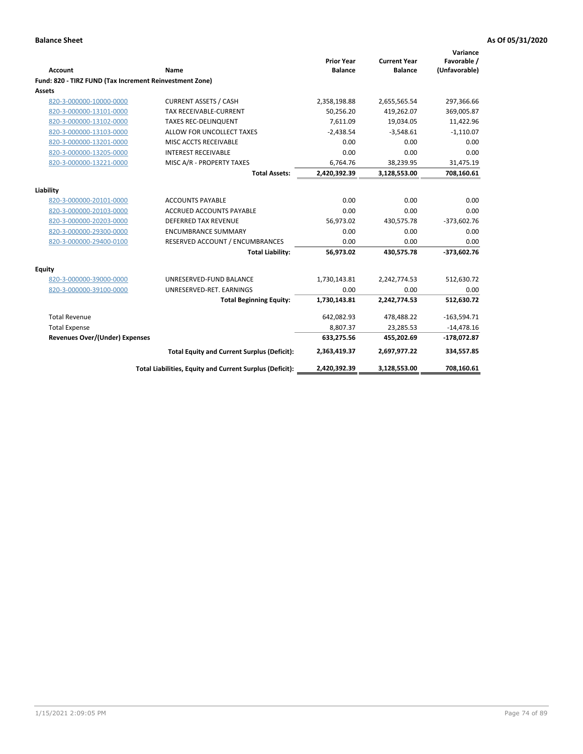|                                                         |                                                          | <b>Prior Year</b> | <b>Current Year</b> | Variance<br>Favorable / |
|---------------------------------------------------------|----------------------------------------------------------|-------------------|---------------------|-------------------------|
| <b>Account</b>                                          | Name                                                     | <b>Balance</b>    | <b>Balance</b>      | (Unfavorable)           |
| Fund: 820 - TIRZ FUND (Tax Increment Reinvestment Zone) |                                                          |                   |                     |                         |
| Assets                                                  |                                                          |                   |                     |                         |
| 820-3-000000-10000-0000                                 | <b>CURRENT ASSETS / CASH</b>                             | 2,358,198.88      | 2,655,565.54        | 297,366.66              |
| 820-3-000000-13101-0000                                 | TAX RECEIVABLE-CURRENT                                   | 50,256.20         | 419,262.07          | 369,005.87              |
| 820-3-000000-13102-0000                                 | <b>TAXES REC-DELINQUENT</b>                              | 7,611.09          | 19,034.05           | 11,422.96               |
| 820-3-000000-13103-0000                                 | ALLOW FOR UNCOLLECT TAXES                                | $-2,438.54$       | $-3,548.61$         | $-1,110.07$             |
| 820-3-000000-13201-0000                                 | MISC ACCTS RECEIVABLE                                    | 0.00              | 0.00                | 0.00                    |
| 820-3-000000-13205-0000                                 | <b>INTEREST RECEIVABLE</b>                               | 0.00              | 0.00                | 0.00                    |
| 820-3-000000-13221-0000                                 | MISC A/R - PROPERTY TAXES                                | 6,764.76          | 38,239.95           | 31,475.19               |
|                                                         | <b>Total Assets:</b>                                     | 2,420,392.39      | 3,128,553.00        | 708,160.61              |
| Liability                                               |                                                          |                   |                     |                         |
| 820-3-000000-20101-0000                                 | <b>ACCOUNTS PAYABLE</b>                                  | 0.00              | 0.00                | 0.00                    |
| 820-3-000000-20103-0000                                 | <b>ACCRUED ACCOUNTS PAYABLE</b>                          | 0.00              | 0.00                | 0.00                    |
| 820-3-000000-20203-0000                                 | <b>DEFERRED TAX REVENUE</b>                              | 56,973.02         | 430,575.78          | $-373,602.76$           |
| 820-3-000000-29300-0000                                 | <b>ENCUMBRANCE SUMMARY</b>                               | 0.00              | 0.00                | 0.00                    |
| 820-3-000000-29400-0100                                 | RESERVED ACCOUNT / ENCUMBRANCES                          | 0.00              | 0.00                | 0.00                    |
|                                                         | <b>Total Liability:</b>                                  | 56,973.02         | 430,575.78          | $-373,602.76$           |
| Equity                                                  |                                                          |                   |                     |                         |
| 820-3-000000-39000-0000                                 | UNRESERVED-FUND BALANCE                                  | 1,730,143.81      | 2,242,774.53        | 512,630.72              |
| 820-3-000000-39100-0000                                 | UNRESERVED-RET. EARNINGS                                 | 0.00              | 0.00                | 0.00                    |
|                                                         | <b>Total Beginning Equity:</b>                           | 1,730,143.81      | 2,242,774.53        | 512,630.72              |
| <b>Total Revenue</b>                                    |                                                          | 642,082.93        | 478,488.22          | $-163,594.71$           |
| <b>Total Expense</b>                                    |                                                          | 8,807.37          | 23,285.53           | $-14,478.16$            |
| Revenues Over/(Under) Expenses                          |                                                          | 633,275.56        | 455,202.69          | $-178,072.87$           |
|                                                         | <b>Total Equity and Current Surplus (Deficit):</b>       | 2,363,419.37      | 2,697,977.22        | 334,557.85              |
|                                                         | Total Liabilities, Equity and Current Surplus (Deficit): | 2,420,392.39      | 3,128,553.00        | 708,160.61              |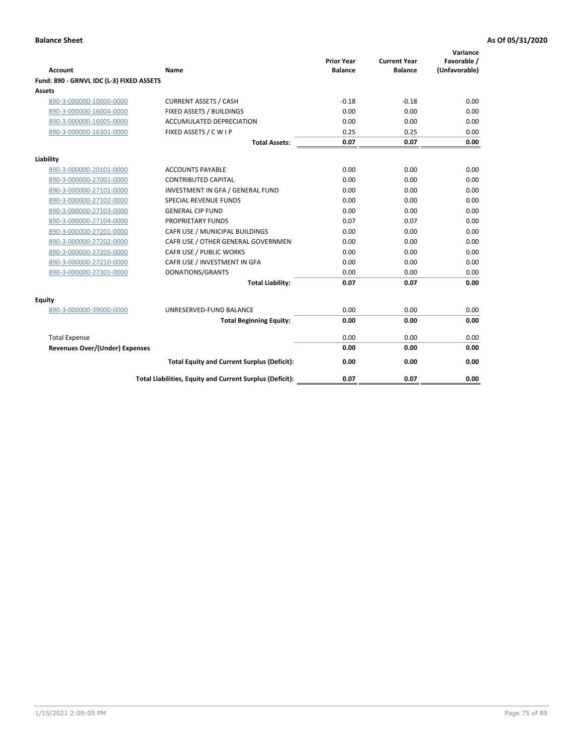| <b>Account</b>                           | Name                                                     | <b>Prior Year</b><br><b>Balance</b> | <b>Current Year</b><br><b>Balance</b> | Variance<br>Favorable /<br>(Unfavorable) |
|------------------------------------------|----------------------------------------------------------|-------------------------------------|---------------------------------------|------------------------------------------|
| Fund: 890 - GRNVL IDC (L-3) FIXED ASSETS |                                                          |                                     |                                       |                                          |
| <b>Assets</b>                            |                                                          |                                     |                                       |                                          |
| 890-3-000000-10000-0000                  | <b>CURRENT ASSETS / CASH</b>                             | $-0.18$                             | $-0.18$                               | 0.00                                     |
| 890-3-000000-16004-0000                  | FIXED ASSETS / BUILDINGS                                 | 0.00                                | 0.00                                  | 0.00                                     |
| 890-3-000000-16005-0000                  | <b>ACCUMULATED DEPRECIATION</b>                          | 0.00                                | 0.00                                  | 0.00                                     |
| 890-3-000000-16301-0000                  | FIXED ASSETS / C W I P                                   | 0.25                                | 0.25                                  | 0.00                                     |
|                                          | <b>Total Assets:</b>                                     | 0.07                                | 0.07                                  | 0.00                                     |
| Liability                                |                                                          |                                     |                                       |                                          |
| 890-3-000000-20101-0000                  | <b>ACCOUNTS PAYABLE</b>                                  | 0.00                                | 0.00                                  | 0.00                                     |
| 890-3-000000-27001-0000                  | <b>CONTRIBUTED CAPITAL</b>                               | 0.00                                | 0.00                                  | 0.00                                     |
| 890-3-000000-27101-0000                  | INVESTMENT IN GFA / GENERAL FUND                         | 0.00                                | 0.00                                  | 0.00                                     |
| 890-3-000000-27102-0000                  | <b>SPECIAL REVENUE FUNDS</b>                             | 0.00                                | 0.00                                  | 0.00                                     |
| 890-3-000000-27103-0000                  | <b>GENERAL CIP FUND</b>                                  | 0.00                                | 0.00                                  | 0.00                                     |
| 890-3-000000-27104-0000                  | PROPRIETARY FUNDS                                        | 0.07                                | 0.07                                  | 0.00                                     |
| 890-3-000000-27201-0000                  | CAFR USE / MUNICIPAL BUILDINGS                           | 0.00                                | 0.00                                  | 0.00                                     |
| 890-3-000000-27202-0000                  | CAFR USE / OTHER GENERAL GOVERNMEN                       | 0.00                                | 0.00                                  | 0.00                                     |
| 890-3-000000-27205-0000                  | CAFR USE / PUBLIC WORKS                                  | 0.00                                | 0.00                                  | 0.00                                     |
| 890-3-000000-27210-0000                  | CAFR USE / INVESTMENT IN GFA                             | 0.00                                | 0.00                                  | 0.00                                     |
| 890-3-000000-27301-0000                  | DONATIONS/GRANTS                                         | 0.00                                | 0.00                                  | 0.00                                     |
|                                          | <b>Total Liability:</b>                                  | 0.07                                | 0.07                                  | 0.00                                     |
| Equity                                   |                                                          |                                     |                                       |                                          |
| 890-3-000000-39000-0000                  | UNRESERVED-FUND BALANCE                                  | 0.00                                | 0.00                                  | 0.00                                     |
|                                          | <b>Total Beginning Equity:</b>                           | 0.00                                | 0.00                                  | 0.00                                     |
| <b>Total Expense</b>                     |                                                          | 0.00                                | 0.00                                  | 0.00                                     |
| <b>Revenues Over/(Under) Expenses</b>    |                                                          | 0.00                                | 0.00                                  | 0.00                                     |
|                                          | <b>Total Equity and Current Surplus (Deficit):</b>       | 0.00                                | 0.00                                  | 0.00                                     |
|                                          | Total Liabilities, Equity and Current Surplus (Deficit): | 0.07                                | 0.07                                  | 0.00                                     |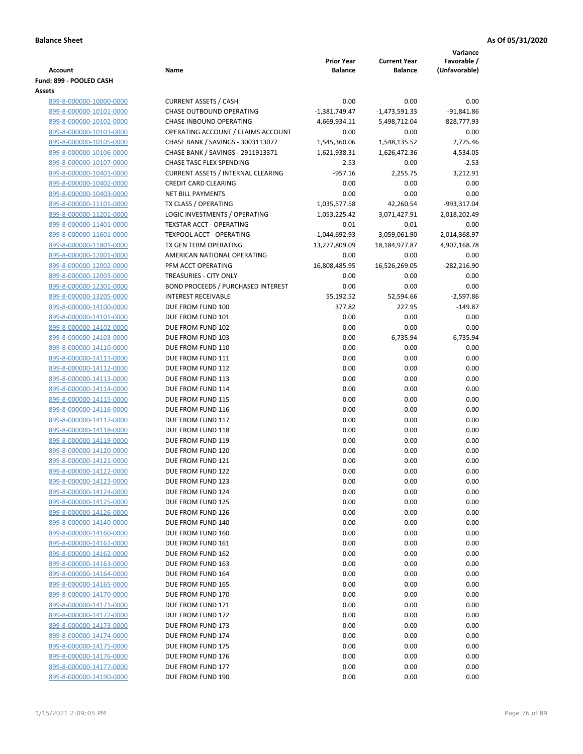|                                                    |                                                                  |                                     |                                       | Variance                     |
|----------------------------------------------------|------------------------------------------------------------------|-------------------------------------|---------------------------------------|------------------------------|
| Account                                            | Name                                                             | <b>Prior Year</b><br><b>Balance</b> | <b>Current Year</b><br><b>Balance</b> | Favorable /<br>(Unfavorable) |
| Fund: 899 - POOLED CASH                            |                                                                  |                                     |                                       |                              |
| Assets                                             |                                                                  |                                     |                                       |                              |
| 899-8-000000-10000-0000                            | <b>CURRENT ASSETS / CASH</b>                                     | 0.00                                | 0.00                                  | 0.00                         |
| 899-8-000000-10101-0000                            | CHASE OUTBOUND OPERATING                                         | $-1,381,749.47$                     | $-1,473,591.33$                       | $-91,841.86$                 |
| 899-8-000000-10102-0000                            | <b>CHASE INBOUND OPERATING</b>                                   | 4,669,934.11                        | 5,498,712.04                          | 828,777.93                   |
| 899-8-000000-10103-0000                            | OPERATING ACCOUNT / CLAIMS ACCOUNT                               | 0.00                                | 0.00                                  | 0.00                         |
| 899-8-000000-10105-0000                            | CHASE BANK / SAVINGS - 3003113077                                | 1,545,360.06                        | 1,548,135.52                          | 2,775.46                     |
| 899-8-000000-10106-0000                            | CHASE BANK / SAVINGS - 2911913371                                | 1,621,938.31                        | 1,626,472.36                          | 4,534.05                     |
| 899-8-000000-10107-0000                            | CHASE TASC FLEX SPENDING                                         | 2.53                                | 0.00                                  | $-2.53$                      |
| 899-8-000000-10401-0000                            | <b>CURRENT ASSETS / INTERNAL CLEARING</b>                        | $-957.16$                           | 2,255.75                              | 3,212.91                     |
| 899-8-000000-10402-0000                            | <b>CREDIT CARD CLEARING</b>                                      | 0.00                                | 0.00                                  | 0.00                         |
| 899-8-000000-10403-0000                            | <b>NET BILL PAYMENTS</b>                                         | 0.00                                | 0.00                                  | 0.00                         |
| 899-8-000000-11101-0000                            | TX CLASS / OPERATING                                             | 1,035,577.58                        | 42,260.54                             | -993,317.04                  |
| 899-8-000000-11201-0000<br>899-8-000000-11401-0000 | LOGIC INVESTMENTS / OPERATING<br><b>TEXSTAR ACCT - OPERATING</b> | 1,053,225.42<br>0.01                | 3,071,427.91<br>0.01                  | 2,018,202.49<br>0.00         |
| 899-8-000000-11601-0000                            | <b>TEXPOOL ACCT - OPERATING</b>                                  | 1,044,692.93                        | 3,059,061.90                          | 2,014,368.97                 |
| 899-8-000000-11801-0000                            | TX GEN TERM OPERATING                                            | 13,277,809.09                       | 18,184,977.87                         | 4,907,168.78                 |
| 899-8-000000-12001-0000                            | AMERICAN NATIONAL OPERATING                                      | 0.00                                | 0.00                                  | 0.00                         |
| 899-8-000000-12002-0000                            | PFM ACCT OPERATING                                               | 16,808,485.95                       | 16,526,269.05                         | $-282,216.90$                |
| 899-8-000000-12003-0000                            | <b>TREASURIES - CITY ONLY</b>                                    | 0.00                                | 0.00                                  | 0.00                         |
| 899-8-000000-12301-0000                            | <b>BOND PROCEEDS / PURCHASED INTEREST</b>                        | 0.00                                | 0.00                                  | 0.00                         |
| 899-8-000000-13205-0000                            | <b>INTEREST RECEIVABLE</b>                                       | 55,192.52                           | 52,594.66                             | $-2,597.86$                  |
| 899-8-000000-14100-0000                            | DUE FROM FUND 100                                                | 377.82                              | 227.95                                | $-149.87$                    |
| 899-8-000000-14101-0000                            | DUE FROM FUND 101                                                | 0.00                                | 0.00                                  | 0.00                         |
| 899-8-000000-14102-0000                            | DUE FROM FUND 102                                                | 0.00                                | 0.00                                  | 0.00                         |
| 899-8-000000-14103-0000                            | DUE FROM FUND 103                                                | 0.00                                | 6,735.94                              | 6,735.94                     |
| 899-8-000000-14110-0000                            | DUE FROM FUND 110                                                | 0.00                                | 0.00                                  | 0.00                         |
| 899-8-000000-14111-0000                            | DUE FROM FUND 111                                                | 0.00                                | 0.00                                  | 0.00                         |
| 899-8-000000-14112-0000                            | DUE FROM FUND 112                                                | 0.00                                | 0.00                                  | 0.00                         |
| 899-8-000000-14113-0000<br>899-8-000000-14114-0000 | DUE FROM FUND 113<br>DUE FROM FUND 114                           | 0.00<br>0.00                        | 0.00<br>0.00                          | 0.00<br>0.00                 |
| 899-8-000000-14115-0000                            | DUE FROM FUND 115                                                | 0.00                                | 0.00                                  | 0.00                         |
| 899-8-000000-14116-0000                            | DUE FROM FUND 116                                                | 0.00                                | 0.00                                  | 0.00                         |
| 899-8-000000-14117-0000                            | DUE FROM FUND 117                                                | 0.00                                | 0.00                                  | 0.00                         |
| 899-8-000000-14118-0000                            | DUE FROM FUND 118                                                | 0.00                                | 0.00                                  | 0.00                         |
| 899-8-000000-14119-0000                            | DUE FROM FUND 119                                                | 0.00                                | 0.00                                  | 0.00                         |
| 899-8-000000-14120-0000                            | DUE FROM FUND 120                                                | 0.00                                | 0.00                                  | 0.00                         |
| 899-8-000000-14121-0000                            | DUE FROM FUND 121                                                | 0.00                                | 0.00                                  | 0.00                         |
| 899-8-000000-14122-0000                            | DUE FROM FUND 122                                                | 0.00                                | 0.00                                  | 0.00                         |
| 899-8-000000-14123-0000                            | DUE FROM FUND 123                                                | 0.00                                | 0.00                                  | 0.00                         |
| 899-8-000000-14124-0000                            | DUE FROM FUND 124                                                | 0.00                                | 0.00                                  | 0.00                         |
| 899-8-000000-14125-0000                            | DUE FROM FUND 125                                                | 0.00                                | 0.00                                  | 0.00                         |
| 899-8-000000-14126-0000                            | DUE FROM FUND 126                                                | 0.00                                | 0.00                                  | 0.00                         |
| 899-8-000000-14140-0000                            | DUE FROM FUND 140                                                | 0.00                                | 0.00                                  | 0.00                         |
| 899-8-000000-14160-0000                            | DUE FROM FUND 160                                                | 0.00                                | 0.00                                  | 0.00                         |
| 899-8-000000-14161-0000<br>899-8-000000-14162-0000 | DUE FROM FUND 161<br>DUE FROM FUND 162                           | 0.00<br>0.00                        | 0.00<br>0.00                          | 0.00<br>0.00                 |
| 899-8-000000-14163-0000                            | DUE FROM FUND 163                                                | 0.00                                | 0.00                                  | 0.00                         |
| 899-8-000000-14164-0000                            | DUE FROM FUND 164                                                | 0.00                                | 0.00                                  | 0.00                         |
| 899-8-000000-14165-0000                            | DUE FROM FUND 165                                                | 0.00                                | 0.00                                  | 0.00                         |
| 899-8-000000-14170-0000                            | DUE FROM FUND 170                                                | 0.00                                | 0.00                                  | 0.00                         |
| 899-8-000000-14171-0000                            | DUE FROM FUND 171                                                | 0.00                                | 0.00                                  | 0.00                         |
| 899-8-000000-14172-0000                            | DUE FROM FUND 172                                                | 0.00                                | 0.00                                  | 0.00                         |
| 899-8-000000-14173-0000                            | DUE FROM FUND 173                                                | 0.00                                | 0.00                                  | 0.00                         |
| 899-8-000000-14174-0000                            | DUE FROM FUND 174                                                | 0.00                                | 0.00                                  | 0.00                         |
| 899-8-000000-14175-0000                            | DUE FROM FUND 175                                                | 0.00                                | 0.00                                  | 0.00                         |
| 899-8-000000-14176-0000                            | DUE FROM FUND 176                                                | 0.00                                | 0.00                                  | 0.00                         |
| 899-8-000000-14177-0000                            | DUE FROM FUND 177                                                | 0.00                                | 0.00                                  | 0.00                         |
| 899-8-000000-14190-0000                            | DUE FROM FUND 190                                                | 0.00                                | 0.00                                  | 0.00                         |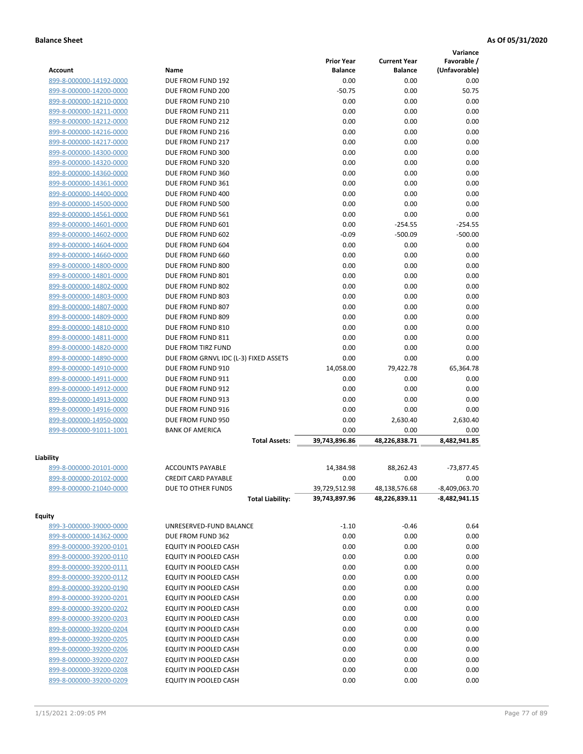|                         |                                       |                                     |                                       | Variance                     |
|-------------------------|---------------------------------------|-------------------------------------|---------------------------------------|------------------------------|
| <b>Account</b>          | Name                                  | <b>Prior Year</b><br><b>Balance</b> | <b>Current Year</b><br><b>Balance</b> | Favorable /<br>(Unfavorable) |
| 899-8-000000-14192-0000 | DUE FROM FUND 192                     | 0.00                                | 0.00                                  | 0.00                         |
| 899-8-000000-14200-0000 | DUE FROM FUND 200                     | $-50.75$                            | 0.00                                  | 50.75                        |
| 899-8-000000-14210-0000 | DUE FROM FUND 210                     | 0.00                                | 0.00                                  | 0.00                         |
| 899-8-000000-14211-0000 | DUE FROM FUND 211                     | 0.00                                | 0.00                                  | 0.00                         |
| 899-8-000000-14212-0000 | DUE FROM FUND 212                     | 0.00                                | 0.00                                  | 0.00                         |
| 899-8-000000-14216-0000 | DUE FROM FUND 216                     | 0.00                                | 0.00                                  | 0.00                         |
| 899-8-000000-14217-0000 | DUE FROM FUND 217                     | 0.00                                | 0.00                                  | 0.00                         |
| 899-8-000000-14300-0000 | DUE FROM FUND 300                     | 0.00                                | 0.00                                  | 0.00                         |
| 899-8-000000-14320-0000 | DUE FROM FUND 320                     | 0.00                                | 0.00                                  | 0.00                         |
| 899-8-000000-14360-0000 | DUE FROM FUND 360                     | 0.00                                | 0.00                                  | 0.00                         |
| 899-8-000000-14361-0000 | DUE FROM FUND 361                     | 0.00                                | 0.00                                  | 0.00                         |
| 899-8-000000-14400-0000 | DUE FROM FUND 400                     | 0.00                                | 0.00                                  | 0.00                         |
| 899-8-000000-14500-0000 | DUE FROM FUND 500                     | 0.00                                | 0.00                                  | 0.00                         |
| 899-8-000000-14561-0000 | DUE FROM FUND 561                     | 0.00                                | 0.00                                  | 0.00                         |
| 899-8-000000-14601-0000 | DUE FROM FUND 601                     | 0.00                                | $-254.55$                             | $-254.55$                    |
| 899-8-000000-14602-0000 | DUE FROM FUND 602                     | $-0.09$                             | $-500.09$                             | $-500.00$                    |
| 899-8-000000-14604-0000 | DUE FROM FUND 604                     | 0.00                                | 0.00                                  | 0.00                         |
| 899-8-000000-14660-0000 | DUE FROM FUND 660                     | 0.00                                | 0.00                                  | 0.00                         |
| 899-8-000000-14800-0000 | DUE FROM FUND 800                     | 0.00                                | 0.00                                  | 0.00                         |
| 899-8-000000-14801-0000 | DUE FROM FUND 801                     | 0.00                                | 0.00                                  | 0.00                         |
| 899-8-000000-14802-0000 | DUE FROM FUND 802                     | 0.00                                | 0.00                                  | 0.00                         |
| 899-8-000000-14803-0000 | DUE FROM FUND 803                     | 0.00                                | 0.00                                  | 0.00                         |
| 899-8-000000-14807-0000 | DUE FROM FUND 807                     | 0.00                                | 0.00                                  | 0.00                         |
| 899-8-000000-14809-0000 | DUE FROM FUND 809                     | 0.00                                | 0.00                                  | 0.00                         |
| 899-8-000000-14810-0000 | DUE FROM FUND 810                     | 0.00                                | 0.00                                  | 0.00                         |
| 899-8-000000-14811-0000 | DUE FROM FUND 811                     | 0.00                                | 0.00                                  | 0.00                         |
| 899-8-000000-14820-0000 | DUE FROM TIRZ FUND                    | 0.00                                | 0.00                                  | 0.00                         |
| 899-8-000000-14890-0000 | DUE FROM GRNVL IDC (L-3) FIXED ASSETS | 0.00                                | 0.00                                  | 0.00                         |
| 899-8-000000-14910-0000 | DUE FROM FUND 910                     | 14,058.00                           | 79,422.78                             | 65,364.78                    |
| 899-8-000000-14911-0000 | DUE FROM FUND 911                     | 0.00                                | 0.00                                  | 0.00                         |
| 899-8-000000-14912-0000 | DUE FROM FUND 912                     | 0.00                                | 0.00                                  | 0.00                         |
| 899-8-000000-14913-0000 | DUE FROM FUND 913                     | 0.00                                | 0.00                                  | 0.00                         |
| 899-8-000000-14916-0000 | DUE FROM FUND 916                     | 0.00                                | 0.00                                  | 0.00                         |
| 899-8-000000-14950-0000 | DUE FROM FUND 950                     | 0.00                                | 2,630.40                              | 2,630.40                     |
| 899-8-000000-91011-1001 | <b>BANK OF AMERICA</b>                | 0.00                                | 0.00                                  | 0.00                         |
|                         | <b>Total Assets:</b>                  | 39,743,896.86                       | 48,226,838.71                         | 8,482,941.85                 |
| Liability               |                                       |                                     |                                       |                              |
| 899-8-000000-20101-0000 | <b>ACCOUNTS PAYABLE</b>               | 14,384.98                           | 88,262.43                             | -73,877.45                   |
| 899-8-000000-20102-0000 | <b>CREDIT CARD PAYABLE</b>            | 0.00                                | 0.00                                  | 0.00                         |
| 899-8-000000-21040-0000 | DUE TO OTHER FUNDS                    | 39,729,512.98                       | 48,138,576.68                         | $-8,409,063.70$              |
|                         | <b>Total Liability:</b>               | 39,743,897.96                       | 48,226,839.11                         | -8,482,941.15                |
| <b>Equity</b>           |                                       |                                     |                                       |                              |
| 899-3-000000-39000-0000 | UNRESERVED-FUND BALANCE               | $-1.10$                             | $-0.46$                               | 0.64                         |
| 899-8-000000-14362-0000 | DUE FROM FUND 362                     | 0.00                                | 0.00                                  | 0.00                         |
| 899-8-000000-39200-0101 | EQUITY IN POOLED CASH                 | 0.00                                | 0.00                                  | 0.00                         |
| 899-8-000000-39200-0110 | EQUITY IN POOLED CASH                 | 0.00                                | 0.00                                  | 0.00                         |
| 899-8-000000-39200-0111 | EQUITY IN POOLED CASH                 | 0.00                                | 0.00                                  | 0.00                         |
| 899-8-000000-39200-0112 | EQUITY IN POOLED CASH                 | 0.00                                | 0.00                                  | 0.00                         |
| 899-8-000000-39200-0190 | EQUITY IN POOLED CASH                 | 0.00                                | 0.00                                  | 0.00                         |
| 899-8-000000-39200-0201 | EQUITY IN POOLED CASH                 | 0.00                                | 0.00                                  | 0.00                         |
| 899-8-000000-39200-0202 | EQUITY IN POOLED CASH                 | 0.00                                | 0.00                                  | 0.00                         |
| 899-8-000000-39200-0203 | EQUITY IN POOLED CASH                 | 0.00                                | 0.00                                  | 0.00                         |
| 899-8-000000-39200-0204 | EQUITY IN POOLED CASH                 | 0.00                                | 0.00                                  | 0.00                         |
| 899-8-000000-39200-0205 | EQUITY IN POOLED CASH                 | 0.00                                | 0.00                                  | 0.00                         |
| 899-8-000000-39200-0206 | EQUITY IN POOLED CASH                 | 0.00                                | 0.00                                  | 0.00                         |
| 899-8-000000-39200-0207 | EQUITY IN POOLED CASH                 | 0.00                                | 0.00                                  | 0.00                         |
| 899-8-000000-39200-0208 | EQUITY IN POOLED CASH                 | 0.00                                | 0.00                                  | 0.00                         |
| 899-8-000000-39200-0209 | EQUITY IN POOLED CASH                 | 0.00                                | 0.00                                  | 0.00                         |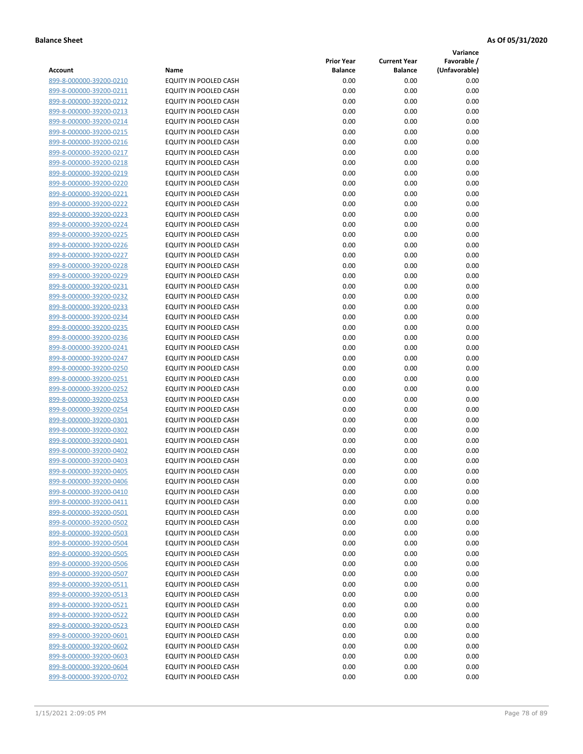**Variance**

|                         |                              | <b>Prior Year</b> | <b>Current Year</b> | Favorable /   |
|-------------------------|------------------------------|-------------------|---------------------|---------------|
| Account                 | Name                         | <b>Balance</b>    | <b>Balance</b>      | (Unfavorable) |
| 899-8-000000-39200-0210 | EQUITY IN POOLED CASH        | 0.00              | 0.00                | 0.00          |
| 899-8-000000-39200-0211 | EQUITY IN POOLED CASH        | 0.00              | 0.00                | 0.00          |
| 899-8-000000-39200-0212 | EQUITY IN POOLED CASH        | 0.00              | 0.00                | 0.00          |
| 899-8-000000-39200-0213 | EQUITY IN POOLED CASH        | 0.00              | 0.00                | 0.00          |
| 899-8-000000-39200-0214 | <b>EQUITY IN POOLED CASH</b> | 0.00              | 0.00                | 0.00          |
| 899-8-000000-39200-0215 | EQUITY IN POOLED CASH        | 0.00              | 0.00                | 0.00          |
| 899-8-000000-39200-0216 | EQUITY IN POOLED CASH        | 0.00              | 0.00                | 0.00          |
| 899-8-000000-39200-0217 | EQUITY IN POOLED CASH        | 0.00              | 0.00                | 0.00          |
| 899-8-000000-39200-0218 | EQUITY IN POOLED CASH        | 0.00              | 0.00                | 0.00          |
| 899-8-000000-39200-0219 | EQUITY IN POOLED CASH        | 0.00              | 0.00                | 0.00          |
| 899-8-000000-39200-0220 | EQUITY IN POOLED CASH        | 0.00              | 0.00                | 0.00          |
| 899-8-000000-39200-0221 | EQUITY IN POOLED CASH        | 0.00              | 0.00                | 0.00          |
| 899-8-000000-39200-0222 | EQUITY IN POOLED CASH        | 0.00              | 0.00                | 0.00          |
| 899-8-000000-39200-0223 | EQUITY IN POOLED CASH        | 0.00              | 0.00                | 0.00          |
| 899-8-000000-39200-0224 | EQUITY IN POOLED CASH        | 0.00              | 0.00                | 0.00          |
| 899-8-000000-39200-0225 | EQUITY IN POOLED CASH        | 0.00              | 0.00                | 0.00          |
| 899-8-000000-39200-0226 | EQUITY IN POOLED CASH        | 0.00              | 0.00                | 0.00          |
| 899-8-000000-39200-0227 | EQUITY IN POOLED CASH        | 0.00              | 0.00                | 0.00          |
| 899-8-000000-39200-0228 | EQUITY IN POOLED CASH        | 0.00              | 0.00                | 0.00          |
| 899-8-000000-39200-0229 | EQUITY IN POOLED CASH        | 0.00              | 0.00                | 0.00          |
| 899-8-000000-39200-0231 | EQUITY IN POOLED CASH        | 0.00              | 0.00                | 0.00          |
| 899-8-000000-39200-0232 | EQUITY IN POOLED CASH        | 0.00              | 0.00                | 0.00          |
| 899-8-000000-39200-0233 | EQUITY IN POOLED CASH        | 0.00              | 0.00                | 0.00          |
| 899-8-000000-39200-0234 | EQUITY IN POOLED CASH        | 0.00              | 0.00                | 0.00          |
| 899-8-000000-39200-0235 | EQUITY IN POOLED CASH        | 0.00              | 0.00                | 0.00          |
| 899-8-000000-39200-0236 | EQUITY IN POOLED CASH        | 0.00              | 0.00                | 0.00          |
| 899-8-000000-39200-0241 | EQUITY IN POOLED CASH        | 0.00              | 0.00                | 0.00          |
| 899-8-000000-39200-0247 | EQUITY IN POOLED CASH        | 0.00              | 0.00                | 0.00          |
| 899-8-000000-39200-0250 | EQUITY IN POOLED CASH        | 0.00              | 0.00                | 0.00          |
| 899-8-000000-39200-0251 | EQUITY IN POOLED CASH        | 0.00              | 0.00                | 0.00          |
| 899-8-000000-39200-0252 | EQUITY IN POOLED CASH        | 0.00              | 0.00                | 0.00          |
| 899-8-000000-39200-0253 | EQUITY IN POOLED CASH        | 0.00              | 0.00                | 0.00          |
| 899-8-000000-39200-0254 | EQUITY IN POOLED CASH        | 0.00              | 0.00                | 0.00          |
| 899-8-000000-39200-0301 | EQUITY IN POOLED CASH        | 0.00              | 0.00                | 0.00          |
| 899-8-000000-39200-0302 | EQUITY IN POOLED CASH        | 0.00              | 0.00                | 0.00          |
| 899-8-000000-39200-0401 | EQUITY IN POOLED CASH        | 0.00              | 0.00                | 0.00          |
| 899-8-000000-39200-0402 | EQUITY IN POOLED CASH        | 0.00              | 0.00                | 0.00          |
| 899-8-000000-39200-0403 | EQUITY IN POOLED CASH        | 0.00              | 0.00                | 0.00          |
| 899-8-000000-39200-0405 | EQUITY IN POOLED CASH        | 0.00              | 0.00                | 0.00          |
| 899-8-000000-39200-0406 | EQUITY IN POOLED CASH        | 0.00              | 0.00                | 0.00          |
| 899-8-000000-39200-0410 | EQUITY IN POOLED CASH        | 0.00              | 0.00                | 0.00          |
| 899-8-000000-39200-0411 | EQUITY IN POOLED CASH        | 0.00              | 0.00                | 0.00          |
| 899-8-000000-39200-0501 | EQUITY IN POOLED CASH        | 0.00              | 0.00                | 0.00          |
| 899-8-000000-39200-0502 | EQUITY IN POOLED CASH        | 0.00              | 0.00                | 0.00          |
| 899-8-000000-39200-0503 | EQUITY IN POOLED CASH        | 0.00              | 0.00                | 0.00          |
| 899-8-000000-39200-0504 | EQUITY IN POOLED CASH        | 0.00              | 0.00                | 0.00          |
| 899-8-000000-39200-0505 | EQUITY IN POOLED CASH        | 0.00              | 0.00                | 0.00          |
| 899-8-000000-39200-0506 | EQUITY IN POOLED CASH        | 0.00              | 0.00                | 0.00          |
| 899-8-000000-39200-0507 | EQUITY IN POOLED CASH        | 0.00              | 0.00                | 0.00          |
| 899-8-000000-39200-0511 | EQUITY IN POOLED CASH        | 0.00              | 0.00                | 0.00          |
| 899-8-000000-39200-0513 | EQUITY IN POOLED CASH        | 0.00              | 0.00                | 0.00          |
| 899-8-000000-39200-0521 | EQUITY IN POOLED CASH        | 0.00              | 0.00                | 0.00          |
| 899-8-000000-39200-0522 | EQUITY IN POOLED CASH        | 0.00              | 0.00                | 0.00          |
| 899-8-000000-39200-0523 | EQUITY IN POOLED CASH        | 0.00              | 0.00                | 0.00          |
| 899-8-000000-39200-0601 | EQUITY IN POOLED CASH        | 0.00              | 0.00                | 0.00          |
| 899-8-000000-39200-0602 | EQUITY IN POOLED CASH        | 0.00              | 0.00                | 0.00          |
| 899-8-000000-39200-0603 | EQUITY IN POOLED CASH        | 0.00              | 0.00                | 0.00          |
| 899-8-000000-39200-0604 | EQUITY IN POOLED CASH        | 0.00              | 0.00                | 0.00          |
| 899-8-000000-39200-0702 | EQUITY IN POOLED CASH        | 0.00              | 0.00                | 0.00          |
|                         |                              |                   |                     |               |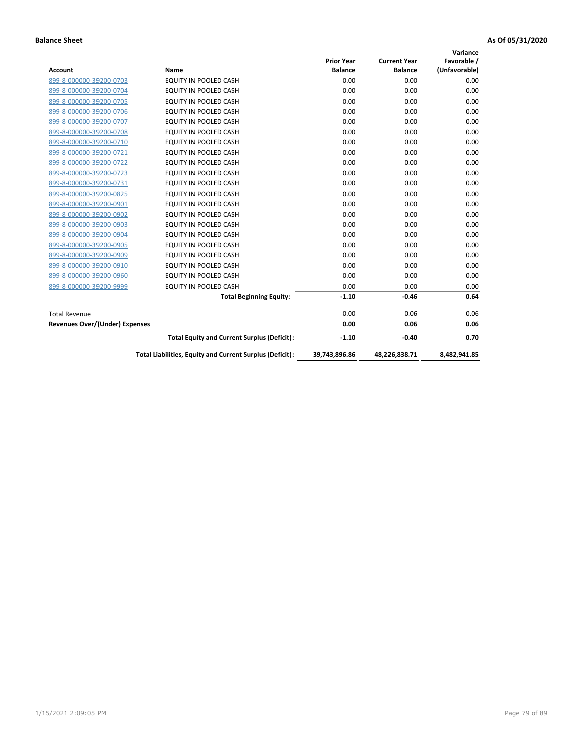|                                       |                                                          |                   |                     | Variance      |
|---------------------------------------|----------------------------------------------------------|-------------------|---------------------|---------------|
|                                       |                                                          | <b>Prior Year</b> | <b>Current Year</b> | Favorable /   |
| <b>Account</b>                        | <b>Name</b>                                              | <b>Balance</b>    | <b>Balance</b>      | (Unfavorable) |
| 899-8-000000-39200-0703               | <b>EQUITY IN POOLED CASH</b>                             | 0.00              | 0.00                | 0.00          |
| 899-8-000000-39200-0704               | EQUITY IN POOLED CASH                                    | 0.00              | 0.00                | 0.00          |
| 899-8-000000-39200-0705               | <b>EQUITY IN POOLED CASH</b>                             | 0.00              | 0.00                | 0.00          |
| 899-8-000000-39200-0706               | <b>EQUITY IN POOLED CASH</b>                             | 0.00              | 0.00                | 0.00          |
| 899-8-000000-39200-0707               | <b>EQUITY IN POOLED CASH</b>                             | 0.00              | 0.00                | 0.00          |
| 899-8-000000-39200-0708               | <b>EQUITY IN POOLED CASH</b>                             | 0.00              | 0.00                | 0.00          |
| 899-8-000000-39200-0710               | <b>EQUITY IN POOLED CASH</b>                             | 0.00              | 0.00                | 0.00          |
| 899-8-000000-39200-0721               | <b>EQUITY IN POOLED CASH</b>                             | 0.00              | 0.00                | 0.00          |
| 899-8-000000-39200-0722               | <b>EQUITY IN POOLED CASH</b>                             | 0.00              | 0.00                | 0.00          |
| 899-8-000000-39200-0723               | <b>EQUITY IN POOLED CASH</b>                             | 0.00              | 0.00                | 0.00          |
| 899-8-000000-39200-0731               | <b>EQUITY IN POOLED CASH</b>                             | 0.00              | 0.00                | 0.00          |
| 899-8-000000-39200-0825               | EQUITY IN POOLED CASH                                    | 0.00              | 0.00                | 0.00          |
| 899-8-000000-39200-0901               | EQUITY IN POOLED CASH                                    | 0.00              | 0.00                | 0.00          |
| 899-8-000000-39200-0902               | <b>EQUITY IN POOLED CASH</b>                             | 0.00              | 0.00                | 0.00          |
| 899-8-000000-39200-0903               | <b>EQUITY IN POOLED CASH</b>                             | 0.00              | 0.00                | 0.00          |
| 899-8-000000-39200-0904               | <b>EQUITY IN POOLED CASH</b>                             | 0.00              | 0.00                | 0.00          |
| 899-8-000000-39200-0905               | EQUITY IN POOLED CASH                                    | 0.00              | 0.00                | 0.00          |
| 899-8-000000-39200-0909               | EQUITY IN POOLED CASH                                    | 0.00              | 0.00                | 0.00          |
| 899-8-000000-39200-0910               | <b>EQUITY IN POOLED CASH</b>                             | 0.00              | 0.00                | 0.00          |
| 899-8-000000-39200-0960               | <b>EQUITY IN POOLED CASH</b>                             | 0.00              | 0.00                | 0.00          |
| 899-8-000000-39200-9999               | EQUITY IN POOLED CASH                                    | 0.00              | 0.00                | 0.00          |
|                                       | <b>Total Beginning Equity:</b>                           | $-1.10$           | $-0.46$             | 0.64          |
| <b>Total Revenue</b>                  |                                                          | 0.00              | 0.06                | 0.06          |
| <b>Revenues Over/(Under) Expenses</b> |                                                          | 0.00              | 0.06                | 0.06          |
|                                       | <b>Total Equity and Current Surplus (Deficit):</b>       | $-1.10$           | $-0.40$             | 0.70          |
|                                       | Total Liabilities, Equity and Current Surplus (Deficit): | 39,743,896.86     | 48,226,838.71       | 8,482,941.85  |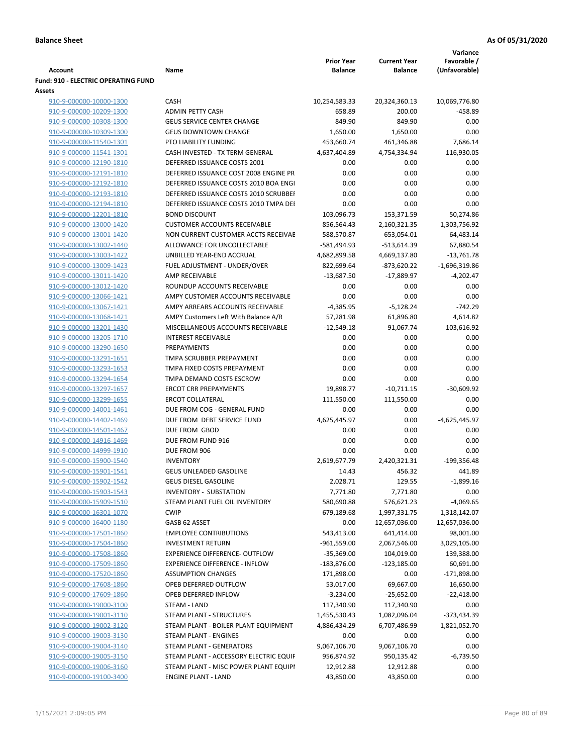|                                                    |                                                                                |                             |                            | Variance                  |
|----------------------------------------------------|--------------------------------------------------------------------------------|-----------------------------|----------------------------|---------------------------|
|                                                    |                                                                                | <b>Prior Year</b>           | <b>Current Year</b>        | Favorable /               |
| Account                                            | Name                                                                           | <b>Balance</b>              | <b>Balance</b>             | (Unfavorable)             |
| <b>Fund: 910 - ELECTRIC OPERATING FUND</b>         |                                                                                |                             |                            |                           |
| <b>Assets</b>                                      |                                                                                |                             |                            |                           |
| 910-9-000000-10000-1300                            | CASH                                                                           | 10,254,583.33               | 20,324,360.13              | 10,069,776.80             |
| 910-9-000000-10209-1300                            | <b>ADMIN PETTY CASH</b>                                                        | 658.89                      | 200.00                     | $-458.89$                 |
| 910-9-000000-10308-1300                            | <b>GEUS SERVICE CENTER CHANGE</b>                                              | 849.90                      | 849.90                     | 0.00                      |
| 910-9-000000-10309-1300                            | <b>GEUS DOWNTOWN CHANGE</b><br>PTO LIABILITY FUNDING                           | 1,650.00                    | 1,650.00<br>461,346.88     | 0.00<br>7,686.14          |
| 910-9-000000-11540-1301<br>910-9-000000-11541-1301 | CASH INVESTED - TX TERM GENERAL                                                | 453,660.74<br>4,637,404.89  | 4,754,334.94               | 116,930.05                |
|                                                    | DEFERRED ISSUANCE COSTS 2001                                                   | 0.00                        | 0.00                       | 0.00                      |
| 910-9-000000-12190-1810                            |                                                                                |                             |                            |                           |
| 910-9-000000-12191-1810                            | DEFERRED ISSUANCE COST 2008 ENGINE PR                                          | 0.00                        | 0.00                       | 0.00                      |
| 910-9-000000-12192-1810<br>910-9-000000-12193-1810 | DEFERRED ISSUANCE COSTS 2010 BOA ENGI<br>DEFERRED ISSUANCE COSTS 2010 SCRUBBEI | 0.00<br>0.00                | 0.00<br>0.00               | 0.00<br>0.00              |
|                                                    | DEFERRED ISSUANCE COSTS 2010 TMPA DEI                                          | 0.00                        | 0.00                       | 0.00                      |
| 910-9-000000-12194-1810                            | <b>BOND DISCOUNT</b>                                                           |                             |                            |                           |
| 910-9-000000-12201-1810                            | <b>CUSTOMER ACCOUNTS RECEIVABLE</b>                                            | 103,096.73                  | 153,371.59                 | 50,274.86                 |
| 910-9-000000-13000-1420                            | NON CURRENT CUSTOMER ACCTS RECEIVAE                                            | 856,564.43                  | 2,160,321.35<br>653,054.01 | 1,303,756.92              |
| 910-9-000000-13001-1420<br>910-9-000000-13002-1440 | ALLOWANCE FOR UNCOLLECTABLE                                                    | 588,570.87<br>$-581,494.93$ | $-513,614.39$              | 64,483.14                 |
|                                                    | UNBILLED YEAR-END ACCRUAL                                                      |                             |                            | 67,880.54<br>$-13,761.78$ |
| 910-9-000000-13003-1422                            |                                                                                | 4,682,899.58                | 4,669,137.80               |                           |
| 910-9-000000-13009-1423                            | FUEL ADJUSTMENT - UNDER/OVER                                                   | 822,699.64                  | -873,620.22                | $-1,696,319.86$           |
| 910-9-000000-13011-1420                            | AMP RECEIVABLE                                                                 | $-13,687.50$                | $-17,889.97$               | $-4,202.47$               |
| 910-9-000000-13012-1420                            | ROUNDUP ACCOUNTS RECEIVABLE                                                    | 0.00                        | 0.00                       | 0.00                      |
| 910-9-000000-13066-1421                            | AMPY CUSTOMER ACCOUNTS RECEIVABLE                                              | 0.00                        | 0.00                       | 0.00                      |
| 910-9-000000-13067-1421                            | AMPY ARREARS ACCOUNTS RECEIVABLE                                               | $-4,385.95$                 | $-5,128.24$                | $-742.29$                 |
| 910-9-000000-13068-1421                            | AMPY Customers Left With Balance A/R                                           | 57,281.98                   | 61,896.80                  | 4,614.82                  |
| 910-9-000000-13201-1430                            | MISCELLANEOUS ACCOUNTS RECEIVABLE                                              | $-12,549.18$                | 91,067.74                  | 103,616.92                |
| 910-9-000000-13205-1710<br>910-9-000000-13290-1650 | <b>INTEREST RECEIVABLE</b><br>PREPAYMENTS                                      | 0.00<br>0.00                | 0.00<br>0.00               | 0.00<br>0.00              |
| 910-9-000000-13291-1651                            | TMPA SCRUBBER PREPAYMENT                                                       | 0.00                        | 0.00                       | 0.00                      |
|                                                    |                                                                                |                             |                            |                           |
| 910-9-000000-13293-1653                            | TMPA FIXED COSTS PREPAYMENT                                                    | 0.00                        | 0.00                       | 0.00<br>0.00              |
| 910-9-000000-13294-1654                            | TMPA DEMAND COSTS ESCROW<br><b>ERCOT CRR PREPAYMENTS</b>                       | 0.00                        | 0.00                       |                           |
| 910-9-000000-13297-1657<br>910-9-000000-13299-1655 | <b>ERCOT COLLATERAL</b>                                                        | 19,898.77<br>111,550.00     | $-10,711.15$<br>111,550.00 | $-30,609.92$<br>0.00      |
| 910-9-000000-14001-1461                            | DUE FROM COG - GENERAL FUND                                                    | 0.00                        | 0.00                       | 0.00                      |
| 910-9-000000-14402-1469                            | DUE FROM DEBT SERVICE FUND                                                     | 4,625,445.97                | 0.00                       | $-4,625,445.97$           |
| 910-9-000000-14501-1467                            | DUE FROM GBOD                                                                  | 0.00                        | 0.00                       | 0.00                      |
| 910-9-000000-14916-1469                            | DUE FROM FUND 916                                                              | 0.00                        | 0.00                       | 0.00                      |
| 910-9-000000-14999-1910                            | DUE FROM 906                                                                   | 0.00                        | 0.00                       | 0.00                      |
| 910-9-000000-15900-1540                            | <b>INVENTORY</b>                                                               | 2,619,677.79                | 2,420,321.31               | $-199,356.48$             |
| 910-9-000000-15901-1541                            | <b>GEUS UNLEADED GASOLINE</b>                                                  | 14.43                       | 456.32                     | 441.89                    |
| 910-9-000000-15902-1542                            | <b>GEUS DIESEL GASOLINE</b>                                                    | 2,028.71                    | 129.55                     | $-1,899.16$               |
| 910-9-000000-15903-1543                            | <b>INVENTORY - SUBSTATION</b>                                                  | 7,771.80                    | 7,771.80                   | 0.00                      |
| 910-9-000000-15909-1510                            | STEAM PLANT FUEL OIL INVENTORY                                                 | 580,690.88                  | 576,621.23                 | $-4,069.65$               |
| 910-9-000000-16301-1070                            | <b>CWIP</b>                                                                    | 679,189.68                  | 1,997,331.75               | 1,318,142.07              |
| 910-9-000000-16400-1180                            | GASB 62 ASSET                                                                  | 0.00                        | 12,657,036.00              | 12,657,036.00             |
| 910-9-000000-17501-1860                            | <b>EMPLOYEE CONTRIBUTIONS</b>                                                  | 543,413.00                  | 641,414.00                 | 98,001.00                 |
| 910-9-000000-17504-1860                            | <b>INVESTMENT RETURN</b>                                                       | $-961,559.00$               | 2,067,546.00               | 3,029,105.00              |
| 910-9-000000-17508-1860                            | EXPERIENCE DIFFERENCE- OUTFLOW                                                 | $-35,369.00$                | 104,019.00                 | 139,388.00                |
| 910-9-000000-17509-1860                            | <b>EXPERIENCE DIFFERENCE - INFLOW</b>                                          | $-183,876.00$               | -123,185.00                | 60,691.00                 |
| 910-9-000000-17520-1860                            | <b>ASSUMPTION CHANGES</b>                                                      | 171,898.00                  | 0.00                       | $-171,898.00$             |
| 910-9-000000-17608-1860                            | OPEB DEFERRED OUTFLOW                                                          | 53,017.00                   | 69,667.00                  | 16,650.00                 |
| 910-9-000000-17609-1860                            | OPEB DEFERRED INFLOW                                                           | $-3,234.00$                 | $-25,652.00$               | $-22,418.00$              |
| 910-9-000000-19000-3100                            | STEAM - LAND                                                                   | 117,340.90                  | 117,340.90                 | 0.00                      |
| 910-9-000000-19001-3110                            | STEAM PLANT - STRUCTURES                                                       | 1,455,530.43                | 1,082,096.04               | -373,434.39               |
| 910-9-000000-19002-3120                            | STEAM PLANT - BOILER PLANT EQUIPMENT                                           | 4,886,434.29                | 6,707,486.99               | 1,821,052.70              |
| 910-9-000000-19003-3130                            | STEAM PLANT - ENGINES                                                          | 0.00                        | 0.00                       | 0.00                      |
| 910-9-000000-19004-3140                            | STEAM PLANT - GENERATORS                                                       | 9,067,106.70                | 9,067,106.70               | 0.00                      |
| 910-9-000000-19005-3150                            | STEAM PLANT - ACCESSORY ELECTRIC EQUIF                                         | 956,874.92                  | 950,135.42                 | -6,739.50                 |
| 910-9-000000-19006-3160                            | STEAM PLANT - MISC POWER PLANT EQUIPI                                          | 12,912.88                   | 12,912.88                  | 0.00                      |
| 910-9-000000-19100-3400                            | <b>ENGINE PLANT - LAND</b>                                                     | 43,850.00                   | 43,850.00                  | 0.00                      |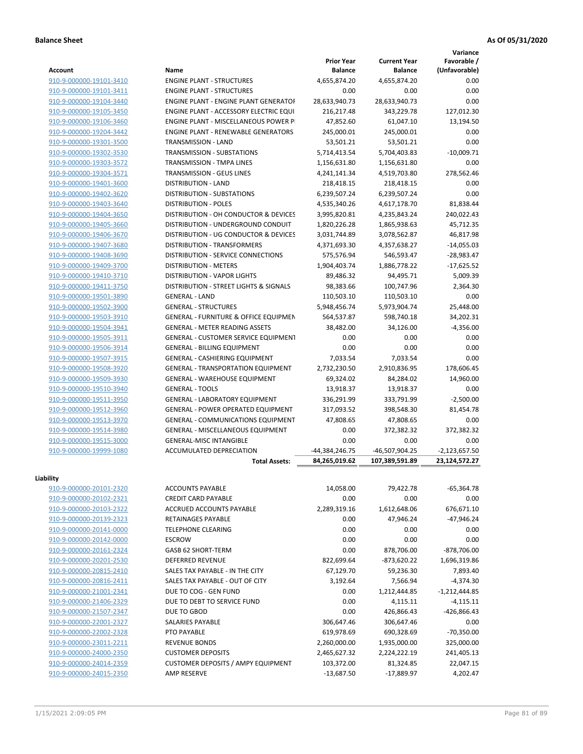**Variance**

| <b>Account</b>          | Name                                             | <b>Prior Year</b><br><b>Balance</b> | <b>Current Year</b><br><b>Balance</b> | Favorable /<br>(Unfavorable) |
|-------------------------|--------------------------------------------------|-------------------------------------|---------------------------------------|------------------------------|
| 910-9-000000-19101-3410 | <b>ENGINE PLANT - STRUCTURES</b>                 | 4,655,874.20                        | 4,655,874.20                          | 0.00                         |
| 910-9-000000-19101-3411 | <b>ENGINE PLANT - STRUCTURES</b>                 | 0.00                                | 0.00                                  | 0.00                         |
| 910-9-000000-19104-3440 | <b>ENGINE PLANT - ENGINE PLANT GENERATOF</b>     | 28,633,940.73                       | 28,633,940.73                         | 0.00                         |
| 910-9-000000-19105-3450 | ENGINE PLANT - ACCESSORY ELECTRIC EQUI           | 216,217.48                          | 343,229.78                            | 127,012.30                   |
| 910-9-000000-19106-3460 | ENGINE PLANT - MISCELLANEOUS POWER P             | 47,852.60                           | 61,047.10                             | 13,194.50                    |
| 910-9-000000-19204-3442 | <b>ENGINE PLANT - RENEWABLE GENERATORS</b>       | 245,000.01                          | 245,000.01                            | 0.00                         |
| 910-9-000000-19301-3500 | TRANSMISSION - LAND                              | 53,501.21                           | 53,501.21                             | 0.00                         |
| 910-9-000000-19302-3530 | <b>TRANSMISSION - SUBSTATIONS</b>                | 5,714,413.54                        | 5,704,403.83                          | $-10,009.71$                 |
| 910-9-000000-19303-3572 | <b>TRANSMISSION - TMPA LINES</b>                 | 1,156,631.80                        | 1,156,631.80                          | 0.00                         |
| 910-9-000000-19304-3571 | TRANSMISSION - GEUS LINES                        | 4,241,141.34                        | 4,519,703.80                          | 278,562.46                   |
| 910-9-000000-19401-3600 | <b>DISTRIBUTION - LAND</b>                       | 218,418.15                          | 218,418.15                            | 0.00                         |
| 910-9-000000-19402-3620 | DISTRIBUTION - SUBSTATIONS                       | 6,239,507.24                        | 6,239,507.24                          | 0.00                         |
| 910-9-000000-19403-3640 | <b>DISTRIBUTION - POLES</b>                      | 4,535,340.26                        | 4,617,178.70                          | 81,838.44                    |
| 910-9-000000-19404-3650 | DISTRIBUTION - OH CONDUCTOR & DEVICES            | 3,995,820.81                        | 4,235,843.24                          | 240,022.43                   |
| 910-9-000000-19405-3660 | DISTRIBUTION - UNDERGROUND CONDUIT               | 1,820,226.28                        | 1,865,938.63                          | 45,712.35                    |
| 910-9-000000-19406-3670 | DISTRIBUTION - UG CONDUCTOR & DEVICES            | 3,031,744.89                        | 3,078,562.87                          | 46,817.98                    |
| 910-9-000000-19407-3680 | DISTRIBUTION - TRANSFORMERS                      | 4,371,693.30                        | 4,357,638.27                          | $-14,055.03$                 |
| 910-9-000000-19408-3690 | <b>DISTRIBUTION - SERVICE CONNECTIONS</b>        | 575,576.94                          | 546,593.47                            | $-28,983.47$                 |
| 910-9-000000-19409-3700 | <b>DISTRIBUTION - METERS</b>                     | 1,904,403.74                        | 1,886,778.22                          | $-17,625.52$                 |
| 910-9-000000-19410-3710 | DISTRIBUTION - VAPOR LIGHTS                      | 89,486.32                           | 94,495.71                             | 5,009.39                     |
| 910-9-000000-19411-3750 | DISTRIBUTION - STREET LIGHTS & SIGNALS           | 98,383.66                           | 100,747.96                            | 2.364.30                     |
| 910-9-000000-19501-3890 | <b>GENERAL - LAND</b>                            | 110,503.10                          | 110,503.10                            | 0.00                         |
| 910-9-000000-19502-3900 | <b>GENERAL - STRUCTURES</b>                      | 5,948,456.74                        | 5,973,904.74                          | 25,448.00                    |
| 910-9-000000-19503-3910 | <b>GENERAL - FURNITURE &amp; OFFICE EQUIPMEN</b> | 564,537.87                          | 598,740.18                            | 34,202.31                    |
| 910-9-000000-19504-3941 | <b>GENERAL - METER READING ASSETS</b>            | 38,482.00                           | 34,126.00                             | $-4,356.00$                  |
| 910-9-000000-19505-3911 | <b>GENERAL - CUSTOMER SERVICE EQUIPMENT</b>      | 0.00                                | 0.00                                  | 0.00                         |
| 910-9-000000-19506-3914 | <b>GENERAL - BILLING EQUIPMENT</b>               | 0.00                                | 0.00                                  | 0.00                         |
| 910-9-000000-19507-3915 | GENERAL - CASHIERING EQUIPMENT                   | 7,033.54                            | 7,033.54                              | 0.00                         |
| 910-9-000000-19508-3920 | <b>GENERAL - TRANSPORTATION EQUIPMENT</b>        | 2,732,230.50                        | 2,910,836.95                          | 178,606.45                   |
| 910-9-000000-19509-3930 | GENERAL - WAREHOUSE EQUIPMENT                    | 69,324.02                           | 84,284.02                             | 14,960.00                    |
| 910-9-000000-19510-3940 | <b>GENERAL - TOOLS</b>                           | 13,918.37                           | 13,918.37                             | 0.00                         |
| 910-9-000000-19511-3950 | <b>GENERAL - LABORATORY EQUIPMENT</b>            | 336,291.99                          | 333,791.99                            | $-2,500.00$                  |
| 910-9-000000-19512-3960 | <b>GENERAL - POWER OPERATED EQUIPMENT</b>        | 317,093.52                          | 398,548.30                            | 81,454.78                    |
| 910-9-000000-19513-3970 | GENERAL - COMMUNICATIONS EQUIPMENT               | 47,808.65                           | 47,808.65                             | 0.00                         |
| 910-9-000000-19514-3980 | GENERAL - MISCELLANEOUS EQUIPMENT                | 0.00                                | 372,382.32                            | 372,382.32                   |
| 910-9-000000-19515-3000 | <b>GENERAL-MISC INTANGIBLE</b>                   | 0.00                                | 0.00                                  | 0.00                         |
| 910-9-000000-19999-1080 | ACCUMULATED DEPRECIATION                         | -44,384,246.75                      | -46,507,904.25                        | $-2,123,657.50$              |
|                         | <b>Total Assets:</b>                             | 84.265.019.62                       | 107,389,591.89                        | 23,124,572.27                |
|                         |                                                  |                                     |                                       |                              |
| Liability               |                                                  |                                     |                                       |                              |
| 910-9-000000-20101-2320 | <b>ACCOUNTS PAYABLE</b>                          | 14,058.00                           | 79,422.78                             | $-65,364.78$                 |
| 910-9-000000-20102-2321 | <b>CREDIT CARD PAYABLE</b>                       | 0.00                                | 0.00                                  | 0.00                         |
| 910-9-000000-20103-2322 | ACCRUED ACCOUNTS PAYABLE                         | 2,289,319.16                        | 1,612,648.06                          | 676,671.10                   |
| 910-9-000000-20139-2323 | RETAINAGES PAYABLE                               | 0.00                                | 47,946.24                             | -47,946.24                   |
| 910-9-000000-20141-0000 | <b>TELEPHONE CLEARING</b>                        | 0.00                                | 0.00                                  | 0.00                         |
| 910-9-000000-20142-0000 | <b>ESCROW</b>                                    | 0.00                                | 0.00                                  | 0.00                         |
| 910-9-000000-20161-2324 | GASB 62 SHORT-TERM                               | 0.00                                | 878,706.00                            | -878,706.00                  |
| 910-9-000000-20201-2530 | <b>DEFERRED REVENUE</b>                          | 822,699.64                          | $-873,620.22$                         | 1,696,319.86                 |
| 910-9-000000-20815-2410 | SALES TAX PAYABLE - IN THE CITY                  | 67,129.70                           | 59,236.30                             | 7,893.40                     |
| 910-9-000000-20816-2411 | SALES TAX PAYABLE - OUT OF CITY                  | 3,192.64                            | 7,566.94                              | $-4,374.30$                  |
| 910-9-000000-21001-2341 | DUE TO COG - GEN FUND                            | 0.00                                | 1,212,444.85                          | $-1,212,444.85$              |
| 910-9-000000-21406-2329 | DUE TO DEBT TO SERVICE FUND                      | 0.00                                | 4,115.11                              | $-4,115.11$                  |
| 910-9-000000-21507-2347 | DUE TO GBOD                                      | 0.00                                | 426,866.43                            | $-426,866.43$                |
| 910-9-000000-22001-2327 | SALARIES PAYABLE                                 | 306,647.46                          | 306,647.46                            | 0.00                         |
| 910-9-000000-22002-2328 | PTO PAYABLE                                      | 619,978.69                          | 690,328.69                            | $-70,350.00$                 |
| 910-9-000000-23011-2211 | <b>REVENUE BONDS</b>                             | 2,260,000.00                        | 1,935,000.00                          | 325,000.00                   |
| 910-9-000000-24000-2350 | <b>CUSTOMER DEPOSITS</b>                         | 2,465,627.32                        | 2,224,222.19                          | 241,405.13                   |
| 910-9-000000-24014-2359 | <b>CUSTOMER DEPOSITS / AMPY EQUIPMENT</b>        | 103,372.00                          | 81,324.85                             | 22,047.15                    |
| 910-9-000000-24015-2350 | AMP RESERVE                                      | $-13,687.50$                        | $-17,889.97$                          | 4,202.47                     |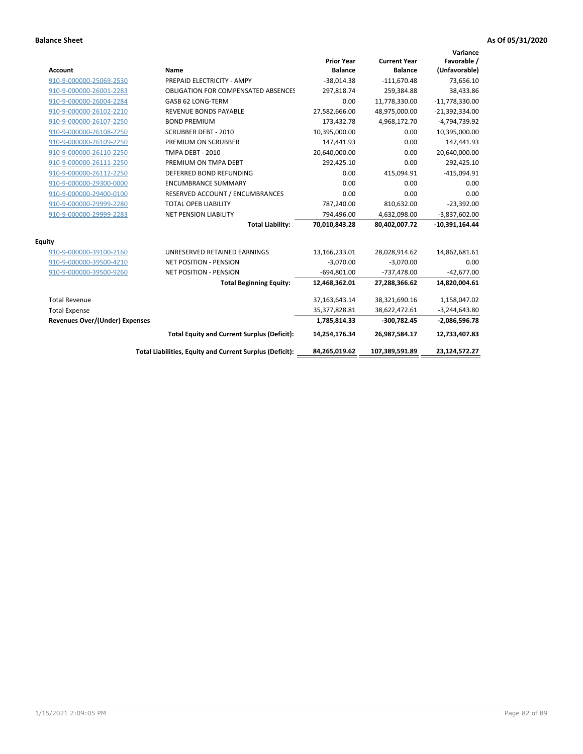| <b>Account</b>                        | <b>Name</b>                                              | <b>Prior Year</b><br><b>Balance</b> | <b>Current Year</b><br><b>Balance</b> | Variance<br>Favorable /<br>(Unfavorable) |
|---------------------------------------|----------------------------------------------------------|-------------------------------------|---------------------------------------|------------------------------------------|
| 910-9-000000-25069-2530               | PREPAID ELECTRICITY - AMPY                               | $-38,014.38$                        | $-111,670.48$                         | 73,656.10                                |
| 910-9-000000-26001-2283               | <b>OBLIGATION FOR COMPENSATED ABSENCES</b>               | 297,818.74                          | 259,384.88                            | 38,433.86                                |
| 910-9-000000-26004-2284               | GASB 62 LONG-TERM                                        | 0.00                                | 11,778,330.00                         | $-11,778,330.00$                         |
| 910-9-000000-26102-2210               | REVENUE BONDS PAYABLE                                    | 27,582,666.00                       | 48,975,000.00                         | $-21,392,334.00$                         |
| 910-9-000000-26107-2250               | <b>BOND PREMIUM</b>                                      | 173,432.78                          | 4,968,172.70                          | -4,794,739.92                            |
| 910-9-000000-26108-2250               | <b>SCRUBBER DEBT - 2010</b>                              | 10,395,000.00                       | 0.00                                  | 10,395,000.00                            |
| 910-9-000000-26109-2250               | PREMIUM ON SCRUBBER                                      | 147,441.93                          | 0.00                                  | 147,441.93                               |
| 910-9-000000-26110-2250               | <b>TMPA DEBT - 2010</b>                                  | 20,640,000.00                       | 0.00                                  | 20,640,000.00                            |
| 910-9-000000-26111-2250               | PREMIUM ON TMPA DEBT                                     | 292,425.10                          | 0.00                                  | 292,425.10                               |
| 910-9-000000-26112-2250               | DEFERRED BOND REFUNDING                                  | 0.00                                | 415,094.91                            | $-415,094.91$                            |
| 910-9-000000-29300-0000               | <b>ENCUMBRANCE SUMMARY</b>                               | 0.00                                | 0.00                                  | 0.00                                     |
| 910-9-000000-29400-0100               | RESERVED ACCOUNT / ENCUMBRANCES                          | 0.00                                | 0.00                                  | 0.00                                     |
| 910-9-000000-29999-2280               | <b>TOTAL OPEB LIABILITY</b>                              | 787,240.00                          | 810,632.00                            | $-23,392.00$                             |
| 910-9-000000-29999-2283               | <b>NET PENSION LIABILITY</b>                             | 794,496.00                          | 4,632,098.00                          | $-3,837,602.00$                          |
|                                       | <b>Total Liability:</b>                                  | 70,010,843.28                       | 80,402,007.72                         | $-10,391,164.44$                         |
| <b>Equity</b>                         |                                                          |                                     |                                       |                                          |
| 910-9-000000-39100-2160               | UNRESERVED RETAINED EARNINGS                             | 13,166,233.01                       | 28,028,914.62                         | 14,862,681.61                            |
| 910-9-000000-39500-4210               | <b>NET POSITION - PENSION</b>                            | $-3,070.00$                         | $-3,070.00$                           | 0.00                                     |
| 910-9-000000-39500-9260               | <b>NET POSITION - PENSION</b>                            | $-694,801.00$                       | $-737,478.00$                         | $-42,677.00$                             |
|                                       | <b>Total Beginning Equity:</b>                           | 12,468,362.01                       | 27,288,366.62                         | 14,820,004.61                            |
| <b>Total Revenue</b>                  |                                                          | 37,163,643.14                       | 38,321,690.16                         | 1,158,047.02                             |
| <b>Total Expense</b>                  |                                                          | 35,377,828.81                       | 38,622,472.61                         | $-3,244,643.80$                          |
| <b>Revenues Over/(Under) Expenses</b> |                                                          | 1,785,814.33                        | $-300,782.45$                         | $-2,086,596.78$                          |
|                                       | <b>Total Equity and Current Surplus (Deficit):</b>       | 14,254,176.34                       | 26,987,584.17                         | 12,733,407.83                            |
|                                       | Total Liabilities, Equity and Current Surplus (Deficit): | 84,265,019.62                       | 107,389,591.89                        | 23,124,572.27                            |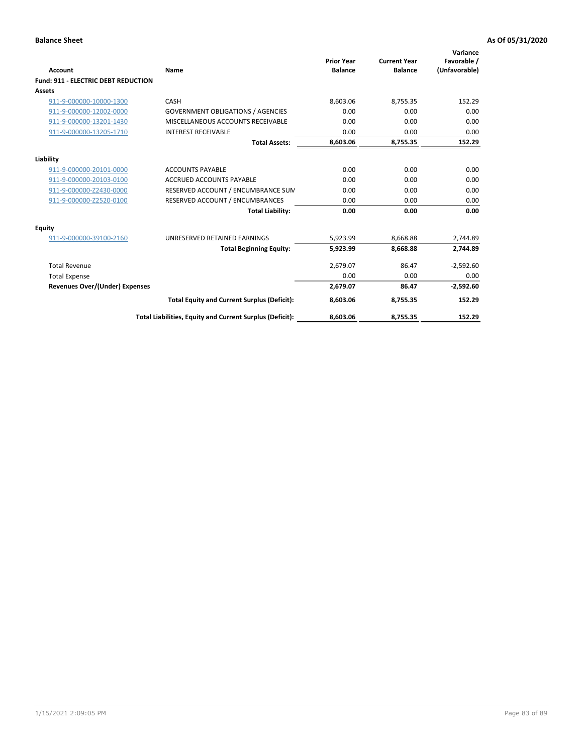| Account                                    | Name                                                     | <b>Prior Year</b><br><b>Balance</b> | <b>Current Year</b><br><b>Balance</b> | Variance<br>Favorable /<br>(Unfavorable) |
|--------------------------------------------|----------------------------------------------------------|-------------------------------------|---------------------------------------|------------------------------------------|
| <b>Fund: 911 - ELECTRIC DEBT REDUCTION</b> |                                                          |                                     |                                       |                                          |
| <b>Assets</b>                              |                                                          |                                     |                                       |                                          |
| 911-9-000000-10000-1300                    | CASH                                                     | 8,603.06                            | 8,755.35                              | 152.29                                   |
| 911-9-000000-12002-0000                    | <b>GOVERNMENT OBLIGATIONS / AGENCIES</b>                 | 0.00                                | 0.00                                  | 0.00                                     |
| 911-9-000000-13201-1430                    | MISCELLANEOUS ACCOUNTS RECEIVABLE                        | 0.00                                | 0.00                                  | 0.00                                     |
| 911-9-000000-13205-1710                    | <b>INTEREST RECEIVABLE</b>                               | 0.00                                | 0.00                                  | 0.00                                     |
|                                            | <b>Total Assets:</b>                                     | 8,603.06                            | 8,755.35                              | 152.29                                   |
| Liability                                  |                                                          |                                     |                                       |                                          |
| 911-9-000000-20101-0000                    | <b>ACCOUNTS PAYABLE</b>                                  | 0.00                                | 0.00                                  | 0.00                                     |
| 911-9-000000-20103-0100                    | <b>ACCRUED ACCOUNTS PAYABLE</b>                          | 0.00                                | 0.00                                  | 0.00                                     |
| 911-9-000000-Z2430-0000                    | RESERVED ACCOUNT / ENCUMBRANCE SUM                       | 0.00                                | 0.00                                  | 0.00                                     |
|                                            |                                                          | 0.00                                | 0.00                                  | 0.00                                     |
| 911-9-000000-Z2520-0100                    | RESERVED ACCOUNT / ENCUMBRANCES                          | 0.00                                | 0.00                                  | 0.00                                     |
|                                            | <b>Total Liability:</b>                                  |                                     |                                       |                                          |
| <b>Equity</b>                              |                                                          |                                     |                                       |                                          |
| 911-9-000000-39100-2160                    | UNRESERVED RETAINED EARNINGS                             | 5,923.99                            | 8,668.88                              | 2,744.89                                 |
|                                            | <b>Total Beginning Equity:</b>                           | 5,923.99                            | 8.668.88                              | 2,744.89                                 |
| <b>Total Revenue</b>                       |                                                          | 2,679.07                            | 86.47                                 | $-2,592.60$                              |
| <b>Total Expense</b>                       |                                                          | 0.00                                | 0.00                                  | 0.00                                     |
| <b>Revenues Over/(Under) Expenses</b>      |                                                          | 2,679.07                            | 86.47                                 | $-2,592.60$                              |
|                                            | <b>Total Equity and Current Surplus (Deficit):</b>       | 8.603.06                            | 8,755.35                              | 152.29                                   |
|                                            | Total Liabilities, Equity and Current Surplus (Deficit): | 8,603.06                            | 8,755.35                              | 152.29                                   |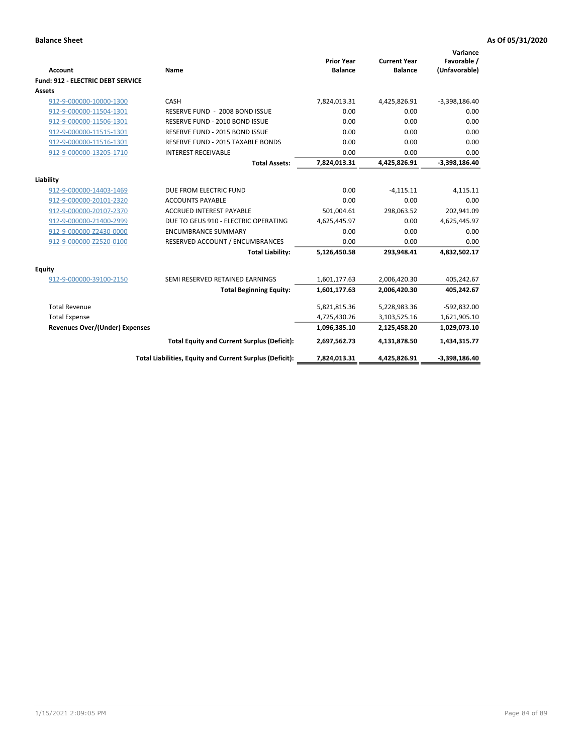| <b>Account</b>                    | Name                                                     | <b>Prior Year</b><br><b>Balance</b> | <b>Current Year</b><br><b>Balance</b> | Variance<br>Favorable /<br>(Unfavorable) |
|-----------------------------------|----------------------------------------------------------|-------------------------------------|---------------------------------------|------------------------------------------|
| Fund: 912 - ELECTRIC DEBT SERVICE |                                                          |                                     |                                       |                                          |
| <b>Assets</b>                     |                                                          |                                     |                                       |                                          |
| 912-9-000000-10000-1300           | CASH                                                     | 7,824,013.31                        | 4,425,826.91                          | $-3,398,186.40$                          |
| 912-9-000000-11504-1301           | RESERVE FUND - 2008 BOND ISSUE                           | 0.00                                | 0.00                                  | 0.00                                     |
| 912-9-000000-11506-1301           | RESERVE FUND - 2010 BOND ISSUE                           | 0.00                                | 0.00                                  | 0.00                                     |
| 912-9-000000-11515-1301           | RESERVE FUND - 2015 BOND ISSUE                           | 0.00                                | 0.00                                  | 0.00                                     |
| 912-9-000000-11516-1301           | RESERVE FUND - 2015 TAXABLE BONDS                        | 0.00                                | 0.00                                  | 0.00                                     |
| 912-9-000000-13205-1710           | <b>INTEREST RECEIVABLE</b>                               | 0.00                                | 0.00                                  | 0.00                                     |
|                                   | <b>Total Assets:</b>                                     | 7,824,013.31                        | 4,425,826.91                          | $-3,398,186.40$                          |
| Liability                         |                                                          |                                     |                                       |                                          |
| 912-9-000000-14403-1469           | DUE FROM ELECTRIC FUND                                   | 0.00                                | $-4,115.11$                           | 4,115.11                                 |
| 912-9-000000-20101-2320           | <b>ACCOUNTS PAYABLE</b>                                  | 0.00                                | 0.00                                  | 0.00                                     |
| 912-9-000000-20107-2370           | <b>ACCRUED INTEREST PAYABLE</b>                          | 501,004.61                          | 298,063.52                            | 202,941.09                               |
| 912-9-000000-21400-2999           | DUE TO GEUS 910 - ELECTRIC OPERATING                     | 4,625,445.97                        | 0.00                                  | 4,625,445.97                             |
| 912-9-000000-Z2430-0000           | <b>ENCUMBRANCE SUMMARY</b>                               | 0.00                                | 0.00                                  | 0.00                                     |
|                                   |                                                          |                                     |                                       |                                          |
| 912-9-000000-Z2520-0100           | RESERVED ACCOUNT / ENCUMBRANCES                          | 0.00                                | 0.00                                  | 0.00                                     |
|                                   | <b>Total Liability:</b>                                  | 5,126,450.58                        | 293,948.41                            | 4,832,502.17                             |
| <b>Equity</b>                     |                                                          |                                     |                                       |                                          |
| 912-9-000000-39100-2150           | SEMI RESERVED RETAINED EARNINGS                          | 1,601,177.63                        | 2,006,420.30                          | 405,242.67                               |
|                                   | <b>Total Beginning Equity:</b>                           | 1,601,177.63                        | 2,006,420.30                          | 405,242.67                               |
| <b>Total Revenue</b>              |                                                          | 5,821,815.36                        | 5,228,983.36                          | $-592,832.00$                            |
| <b>Total Expense</b>              |                                                          | 4,725,430.26                        | 3,103,525.16                          | 1,621,905.10                             |
| Revenues Over/(Under) Expenses    |                                                          | 1,096,385.10                        | 2,125,458.20                          | 1,029,073.10                             |
|                                   | <b>Total Equity and Current Surplus (Deficit):</b>       | 2,697,562.73                        | 4,131,878.50                          | 1,434,315.77                             |
|                                   | Total Liabilities, Equity and Current Surplus (Deficit): | 7,824,013.31                        | 4,425,826.91                          | $-3,398,186.40$                          |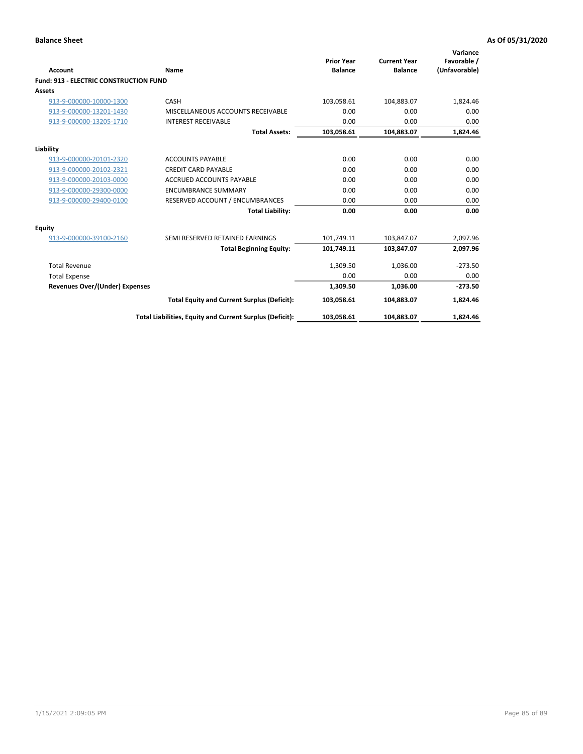| Account                                       | Name                                                     | <b>Prior Year</b><br><b>Balance</b> | <b>Current Year</b><br><b>Balance</b> | Variance<br>Favorable /<br>(Unfavorable) |
|-----------------------------------------------|----------------------------------------------------------|-------------------------------------|---------------------------------------|------------------------------------------|
| <b>Fund: 913 - ELECTRIC CONSTRUCTION FUND</b> |                                                          |                                     |                                       |                                          |
| <b>Assets</b>                                 |                                                          |                                     |                                       |                                          |
| 913-9-000000-10000-1300                       | CASH                                                     | 103,058.61                          | 104,883.07                            | 1,824.46                                 |
| 913-9-000000-13201-1430                       | MISCELLANEOUS ACCOUNTS RECEIVABLE                        | 0.00                                | 0.00                                  | 0.00                                     |
| 913-9-000000-13205-1710                       | <b>INTEREST RECEIVABLE</b>                               | 0.00                                | 0.00                                  | 0.00                                     |
|                                               | <b>Total Assets:</b>                                     | 103,058.61                          | 104,883.07                            | 1,824.46                                 |
| Liability                                     |                                                          |                                     |                                       |                                          |
| 913-9-000000-20101-2320                       | <b>ACCOUNTS PAYABLE</b>                                  | 0.00                                | 0.00                                  | 0.00                                     |
| 913-9-000000-20102-2321                       | <b>CREDIT CARD PAYABLE</b>                               | 0.00                                | 0.00                                  | 0.00                                     |
| 913-9-000000-20103-0000                       | <b>ACCRUED ACCOUNTS PAYABLE</b>                          | 0.00                                | 0.00                                  | 0.00                                     |
| 913-9-000000-29300-0000                       | <b>ENCUMBRANCE SUMMARY</b>                               | 0.00                                | 0.00                                  | 0.00                                     |
| 913-9-000000-29400-0100                       | RESERVED ACCOUNT / ENCUMBRANCES                          | 0.00                                | 0.00                                  | 0.00                                     |
|                                               | <b>Total Liability:</b>                                  | 0.00                                | 0.00                                  | 0.00                                     |
| <b>Equity</b>                                 |                                                          |                                     |                                       |                                          |
| 913-9-000000-39100-2160                       | SEMI RESERVED RETAINED EARNINGS                          | 101,749.11                          | 103,847.07                            | 2,097.96                                 |
|                                               | <b>Total Beginning Equity:</b>                           | 101,749.11                          | 103.847.07                            | 2,097.96                                 |
| <b>Total Revenue</b>                          |                                                          | 1,309.50                            | 1,036.00                              | $-273.50$                                |
| <b>Total Expense</b>                          |                                                          | 0.00                                | 0.00                                  | 0.00                                     |
| <b>Revenues Over/(Under) Expenses</b>         |                                                          | 1,309.50                            | 1,036.00                              | $-273.50$                                |
|                                               | <b>Total Equity and Current Surplus (Deficit):</b>       | 103,058.61                          | 104.883.07                            | 1.824.46                                 |
|                                               | Total Liabilities, Equity and Current Surplus (Deficit): | 103,058.61                          | 104,883.07                            | 1,824.46                                 |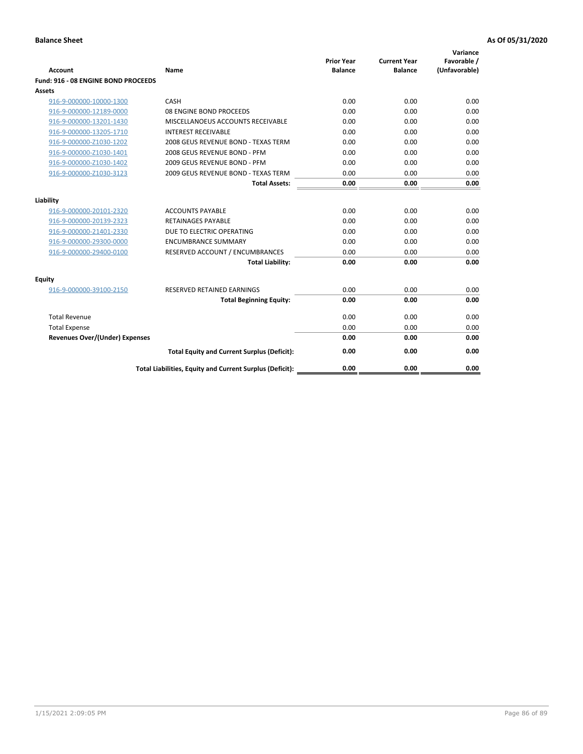| <b>Account</b>                        | Name                                                     | <b>Prior Year</b><br><b>Balance</b> | <b>Current Year</b><br><b>Balance</b> | Variance<br>Favorable /<br>(Unfavorable) |
|---------------------------------------|----------------------------------------------------------|-------------------------------------|---------------------------------------|------------------------------------------|
| Fund: 916 - 08 ENGINE BOND PROCEEDS   |                                                          |                                     |                                       |                                          |
| Assets                                |                                                          |                                     |                                       |                                          |
| 916-9-000000-10000-1300               | CASH                                                     | 0.00                                | 0.00                                  | 0.00                                     |
| 916-9-000000-12189-0000               | 08 ENGINE BOND PROCEEDS                                  | 0.00                                | 0.00                                  | 0.00                                     |
| 916-9-000000-13201-1430               | MISCELLANOEUS ACCOUNTS RECEIVABLE                        | 0.00                                | 0.00                                  | 0.00                                     |
| 916-9-000000-13205-1710               | <b>INTEREST RECEIVABLE</b>                               | 0.00                                | 0.00                                  | 0.00                                     |
| 916-9-000000-Z1030-1202               | 2008 GEUS REVENUE BOND - TEXAS TERM                      | 0.00                                | 0.00                                  | 0.00                                     |
| 916-9-000000-Z1030-1401               | 2008 GEUS REVENUE BOND - PFM                             | 0.00                                | 0.00                                  | 0.00                                     |
| 916-9-000000-Z1030-1402               | 2009 GEUS REVENUE BOND - PFM                             | 0.00                                | 0.00                                  | 0.00                                     |
| 916-9-000000-Z1030-3123               | 2009 GEUS REVENUE BOND - TEXAS TERM                      | 0.00                                | 0.00                                  | 0.00                                     |
|                                       | <b>Total Assets:</b>                                     | 0.00                                | 0.00                                  | 0.00                                     |
| Liability                             |                                                          |                                     |                                       |                                          |
| 916-9-000000-20101-2320               | <b>ACCOUNTS PAYABLE</b>                                  | 0.00                                | 0.00                                  | 0.00                                     |
| 916-9-000000-20139-2323               | <b>RETAINAGES PAYABLE</b>                                | 0.00                                | 0.00                                  | 0.00                                     |
| 916-9-000000-21401-2330               | DUE TO ELECTRIC OPERATING                                | 0.00                                | 0.00                                  | 0.00                                     |
| 916-9-000000-29300-0000               | <b>ENCUMBRANCE SUMMARY</b>                               | 0.00                                | 0.00                                  | 0.00                                     |
| 916-9-000000-29400-0100               | RESERVED ACCOUNT / ENCUMBRANCES                          | 0.00                                | 0.00                                  | 0.00                                     |
|                                       | <b>Total Liability:</b>                                  | 0.00                                | 0.00                                  | 0.00                                     |
|                                       |                                                          |                                     |                                       |                                          |
| Equity                                |                                                          |                                     |                                       |                                          |
| 916-9-000000-39100-2150               | <b>RESERVED RETAINED EARNINGS</b>                        | 0.00                                | 0.00                                  | 0.00                                     |
|                                       | <b>Total Beginning Equity:</b>                           | 0.00                                | 0.00                                  | 0.00                                     |
| <b>Total Revenue</b>                  |                                                          | 0.00                                | 0.00                                  | 0.00                                     |
| <b>Total Expense</b>                  |                                                          | 0.00                                | 0.00                                  | 0.00                                     |
| <b>Revenues Over/(Under) Expenses</b> |                                                          | 0.00                                | 0.00                                  | 0.00                                     |
|                                       | <b>Total Equity and Current Surplus (Deficit):</b>       | 0.00                                | 0.00                                  | 0.00                                     |
|                                       | Total Liabilities, Equity and Current Surplus (Deficit): | 0.00                                | 0.00                                  | 0.00                                     |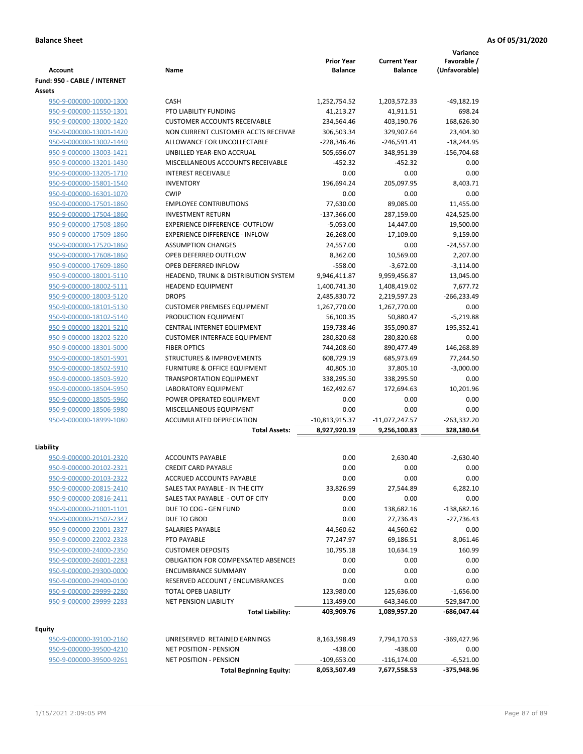|                                                    |                                                                |                    |                     | Variance          |
|----------------------------------------------------|----------------------------------------------------------------|--------------------|---------------------|-------------------|
|                                                    |                                                                | <b>Prior Year</b>  | <b>Current Year</b> | Favorable /       |
| <b>Account</b>                                     | Name                                                           | <b>Balance</b>     | <b>Balance</b>      | (Unfavorable)     |
| Fund: 950 - CABLE / INTERNET<br>Assets             |                                                                |                    |                     |                   |
| 950-9-000000-10000-1300                            | <b>CASH</b>                                                    | 1,252,754.52       | 1,203,572.33        | $-49,182.19$      |
| 950-9-000000-11550-1301                            | PTO LIABILITY FUNDING                                          | 41,213.27          | 41,911.51           | 698.24            |
| 950-9-000000-13000-1420                            | <b>CUSTOMER ACCOUNTS RECEIVABLE</b>                            | 234,564.46         | 403,190.76          | 168,626.30        |
| 950-9-000000-13001-1420                            | NON CURRENT CUSTOMER ACCTS RECEIVAE                            | 306,503.34         | 329,907.64          | 23,404.30         |
| 950-9-000000-13002-1440                            | ALLOWANCE FOR UNCOLLECTABLE                                    | $-228,346.46$      | $-246,591.41$       | $-18,244.95$      |
| 950-9-000000-13003-1421                            | UNBILLED YEAR-END ACCRUAL                                      | 505,656.07         | 348,951.39          | $-156,704.68$     |
| 950-9-000000-13201-1430                            | MISCELLANEOUS ACCOUNTS RECEIVABLE                              | $-452.32$          | $-452.32$           | 0.00              |
| 950-9-000000-13205-1710                            | <b>INTEREST RECEIVABLE</b>                                     | 0.00               | 0.00                | 0.00              |
| 950-9-000000-15801-1540                            | <b>INVENTORY</b>                                               | 196,694.24         | 205,097.95          | 8.403.71          |
| 950-9-000000-16301-1070                            | <b>CWIP</b>                                                    | 0.00               | 0.00                | 0.00              |
| 950-9-000000-17501-1860                            | <b>EMPLOYEE CONTRIBUTIONS</b>                                  | 77,630.00          | 89,085.00           | 11,455.00         |
| 950-9-000000-17504-1860                            | <b>INVESTMENT RETURN</b>                                       | $-137,366.00$      | 287,159.00          | 424,525.00        |
| 950-9-000000-17508-1860                            | <b>EXPERIENCE DIFFERENCE- OUTFLOW</b>                          | $-5,053.00$        | 14,447.00           | 19,500.00         |
| 950-9-000000-17509-1860                            | <b>EXPERIENCE DIFFERENCE - INFLOW</b>                          | $-26,268.00$       | $-17,109.00$        | 9,159.00          |
| 950-9-000000-17520-1860                            | <b>ASSUMPTION CHANGES</b>                                      | 24,557.00          | 0.00                | $-24,557.00$      |
| 950-9-000000-17608-1860                            | OPEB DEFERRED OUTFLOW                                          | 8,362.00           | 10,569.00           | 2,207.00          |
| 950-9-000000-17609-1860                            | OPEB DEFERRED INFLOW                                           | $-558.00$          | $-3,672.00$         | $-3,114.00$       |
| 950-9-000000-18001-5110                            | HEADEND, TRUNK & DISTRIBUTION SYSTEM                           | 9,946,411.87       | 9,959,456.87        | 13,045.00         |
| 950-9-000000-18002-5111                            | <b>HEADEND EQUIPMENT</b>                                       | 1,400,741.30       | 1,408,419.02        | 7,677.72          |
| 950-9-000000-18003-5120                            | <b>DROPS</b>                                                   | 2,485,830.72       | 2,219,597.23        | $-266,233.49$     |
| 950-9-000000-18101-5130                            | <b>CUSTOMER PREMISES EQUIPMENT</b>                             | 1,267,770.00       | 1,267,770.00        | 0.00              |
| 950-9-000000-18102-5140                            | PRODUCTION EQUIPMENT                                           | 56,100.35          | 50,880.47           | $-5.219.88$       |
| 950-9-000000-18201-5210                            | CENTRAL INTERNET EQUIPMENT                                     | 159,738.46         | 355,090.87          | 195,352.41        |
| 950-9-000000-18202-5220                            | <b>CUSTOMER INTERFACE EQUIPMENT</b>                            | 280,820.68         | 280,820.68          | 0.00              |
| 950-9-000000-18301-5000                            | <b>FIBER OPTICS</b>                                            | 744,208.60         | 890,477.49          | 146,268.89        |
| 950-9-000000-18501-5901                            | <b>STRUCTURES &amp; IMPROVEMENTS</b>                           | 608,729.19         | 685,973.69          | 77,244.50         |
| 950-9-000000-18502-5910                            | FURNITURE & OFFICE EQUIPMENT                                   | 40,805.10          | 37,805.10           | $-3,000.00$       |
| 950-9-000000-18503-5920                            | <b>TRANSPORTATION EQUIPMENT</b><br><b>LABORATORY EQUIPMENT</b> | 338,295.50         | 338,295.50          | 0.00<br>10,201.96 |
| 950-9-000000-18504-5950<br>950-9-000000-18505-5960 | POWER OPERATED EQUIPMENT                                       | 162,492.67<br>0.00 | 172,694.63<br>0.00  | 0.00              |
| 950-9-000000-18506-5980                            | MISCELLANEOUS EQUIPMENT                                        | 0.00               | 0.00                | 0.00              |
| 950-9-000000-18999-1080                            | ACCUMULATED DEPRECIATION                                       | -10,813,915.37     | $-11,077,247.57$    | $-263,332.20$     |
|                                                    | <b>Total Assets:</b>                                           | 8,927,920.19       | 9,256,100.83        | 328,180.64        |
|                                                    |                                                                |                    |                     |                   |
| Liability                                          |                                                                |                    |                     |                   |
| 950-9-000000-20101-2320                            | <b>ACCOUNTS PAYABLE</b>                                        | 0.00               | 2,630.40            | $-2,630.40$       |
| 950-9-000000-20102-2321                            | <b>CREDIT CARD PAYABLE</b>                                     | 0.00               | 0.00                | 0.00              |
| 950-9-000000-20103-2322                            | ACCRUED ACCOUNTS PAYABLE                                       | 0.00               | 0.00                | 0.00              |
| 950-9-000000-20815-2410                            | SALES TAX PAYABLE - IN THE CITY                                | 33,826.99          | 27,544.89           | 6,282.10          |
| 950-9-000000-20816-2411                            | SALES TAX PAYABLE - OUT OF CITY                                | 0.00               | 0.00                | 0.00              |
| 950-9-000000-21001-1101                            | DUE TO COG - GEN FUND                                          | 0.00               | 138,682.16          | $-138,682.16$     |
| 950-9-000000-21507-2347                            | DUE TO GBOD                                                    | 0.00               | 27,736.43           | $-27,736.43$      |
| 950-9-000000-22001-2327                            | SALARIES PAYABLE                                               | 44,560.62          | 44,560.62           | 0.00              |
| 950-9-000000-22002-2328                            | PTO PAYABLE                                                    | 77,247.97          | 69,186.51           | 8,061.46          |
| 950-9-000000-24000-2350                            | <b>CUSTOMER DEPOSITS</b>                                       | 10,795.18          | 10,634.19           | 160.99            |
| 950-9-000000-26001-2283                            | <b>OBLIGATION FOR COMPENSATED ABSENCES</b>                     | 0.00<br>0.00       | 0.00<br>0.00        | 0.00              |
| 950-9-000000-29300-0000<br>950-9-000000-29400-0100 | <b>ENCUMBRANCE SUMMARY</b><br>RESERVED ACCOUNT / ENCUMBRANCES  | 0.00               | 0.00                | 0.00<br>0.00      |
| 950-9-000000-29999-2280                            | TOTAL OPEB LIABILITY                                           | 123,980.00         | 125,636.00          | $-1,656.00$       |
| 950-9-000000-29999-2283                            | NET PENSION LIABILITY                                          | 113,499.00         | 643,346.00          | -529,847.00       |
|                                                    | <b>Total Liability:</b>                                        | 403,909.76         | 1,089,957.20        | -686,047.44       |
|                                                    |                                                                |                    |                     |                   |
| <b>Equity</b>                                      |                                                                |                    |                     |                   |
| 950-9-000000-39100-2160                            | UNRESERVED RETAINED EARNINGS                                   | 8,163,598.49       | 7,794,170.53        | -369,427.96       |
| 950-9-000000-39500-4210                            | <b>NET POSITION - PENSION</b>                                  | $-438.00$          | $-438.00$           | 0.00              |
| 950-9-000000-39500-9261                            | NET POSITION - PENSION                                         | $-109,653.00$      | -116,174.00         | $-6,521.00$       |
|                                                    | <b>Total Beginning Equity:</b>                                 | 8,053,507.49       | 7,677,558.53        | -375,948.96       |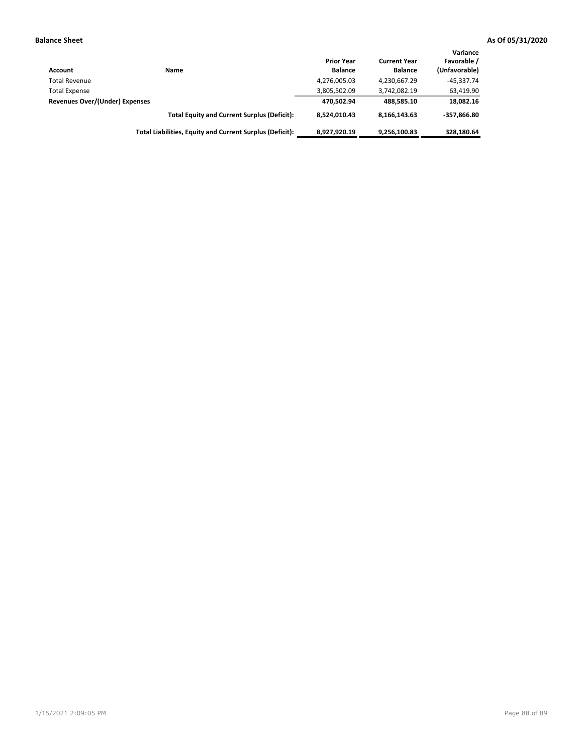| Account                        | Name                                                     | <b>Prior Year</b><br><b>Balance</b> | <b>Current Year</b><br><b>Balance</b> | Variance<br>Favorable /<br>(Unfavorable) |
|--------------------------------|----------------------------------------------------------|-------------------------------------|---------------------------------------|------------------------------------------|
| <b>Total Revenue</b>           |                                                          | 4,276,005.03                        | 4,230,667.29                          | $-45.337.74$                             |
| <b>Total Expense</b>           |                                                          | 3,805,502.09                        | 3,742,082.19                          | 63,419.90                                |
| Revenues Over/(Under) Expenses |                                                          | 470,502.94                          | 488.585.10                            | 18,082.16                                |
|                                | <b>Total Equity and Current Surplus (Deficit):</b>       | 8.524.010.43                        | 8,166,143.63                          | $-357,866.80$                            |
|                                | Total Liabilities, Equity and Current Surplus (Deficit): | 8,927,920.19                        | 9,256,100.83                          | 328,180.64                               |